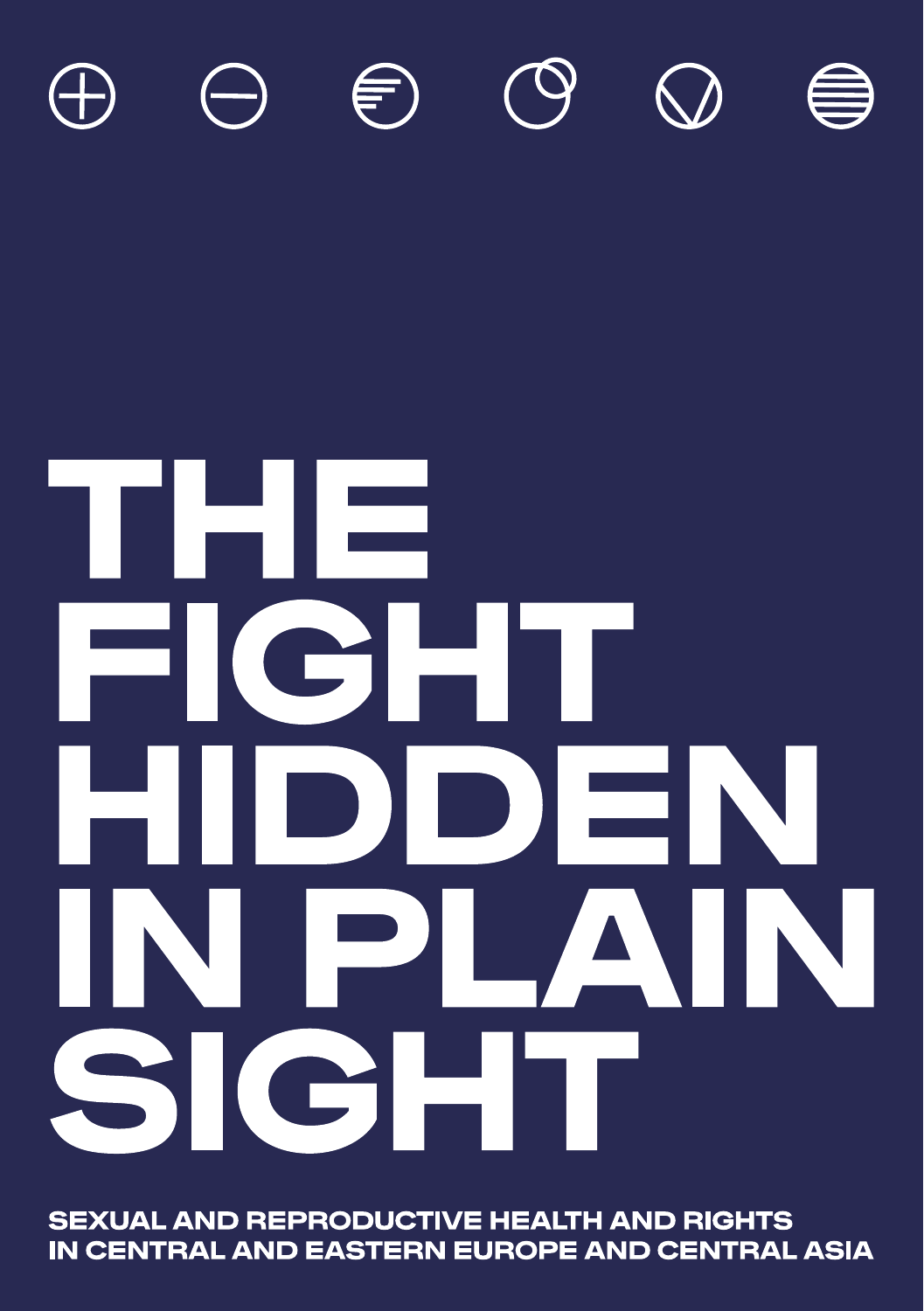

# ر ک I wi  $\blacksquare$ CHE DIDE H NIPIA N ٦ CIEI SI

**SEXUAL AND REPRODUCTIVE HEALTH AND RIGHTS** IN CENTRAL AND EASTERN EUROPE AND CENTRAL ASIA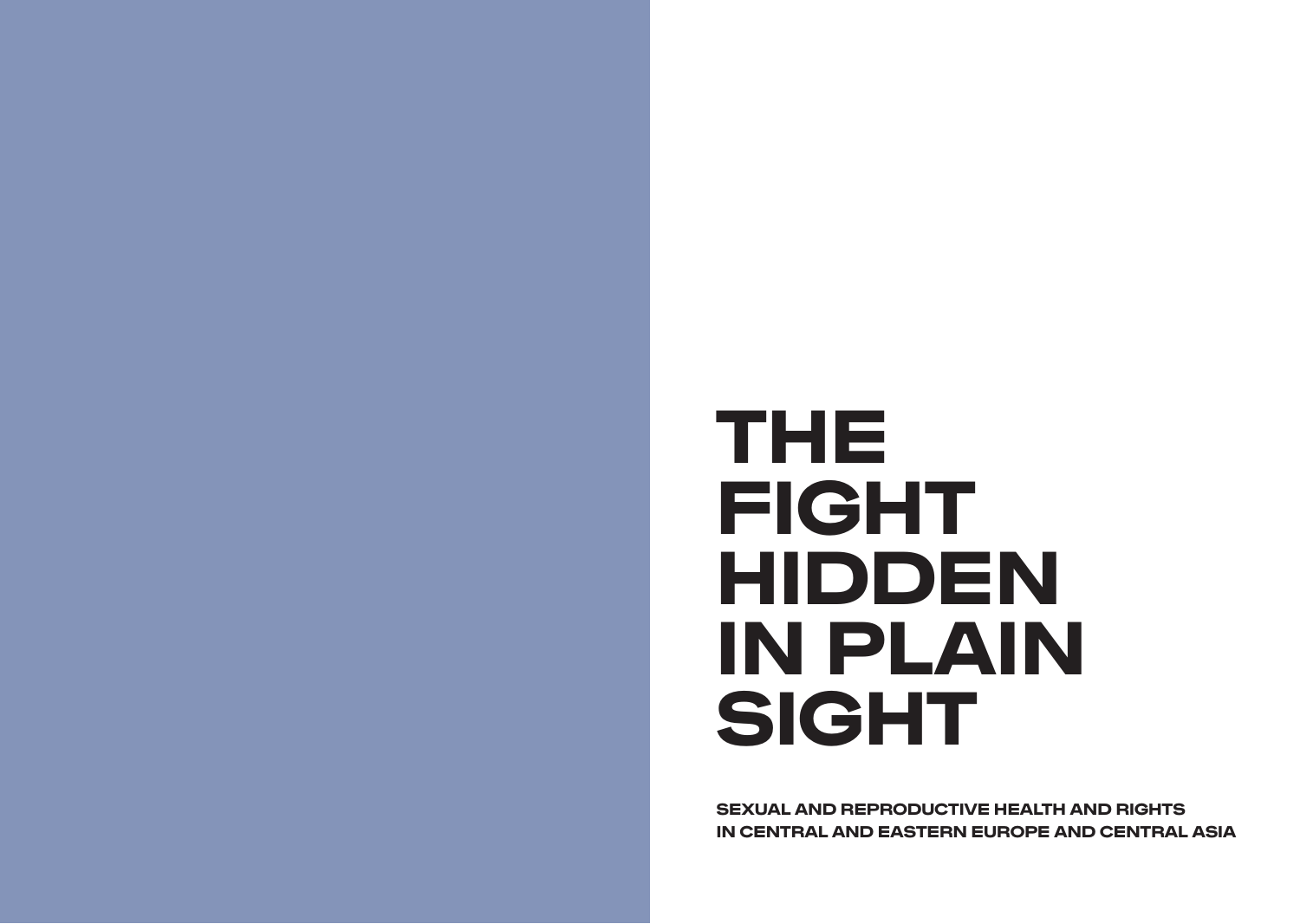# THE FIGHT HIDDEN IN PLAIN SIGHT

SEXUAL AND REPRODUCTIVE HEALTH AND RIGHTS IN CENTRAL AND EASTERN EUROPE AND CENTRAL ASIA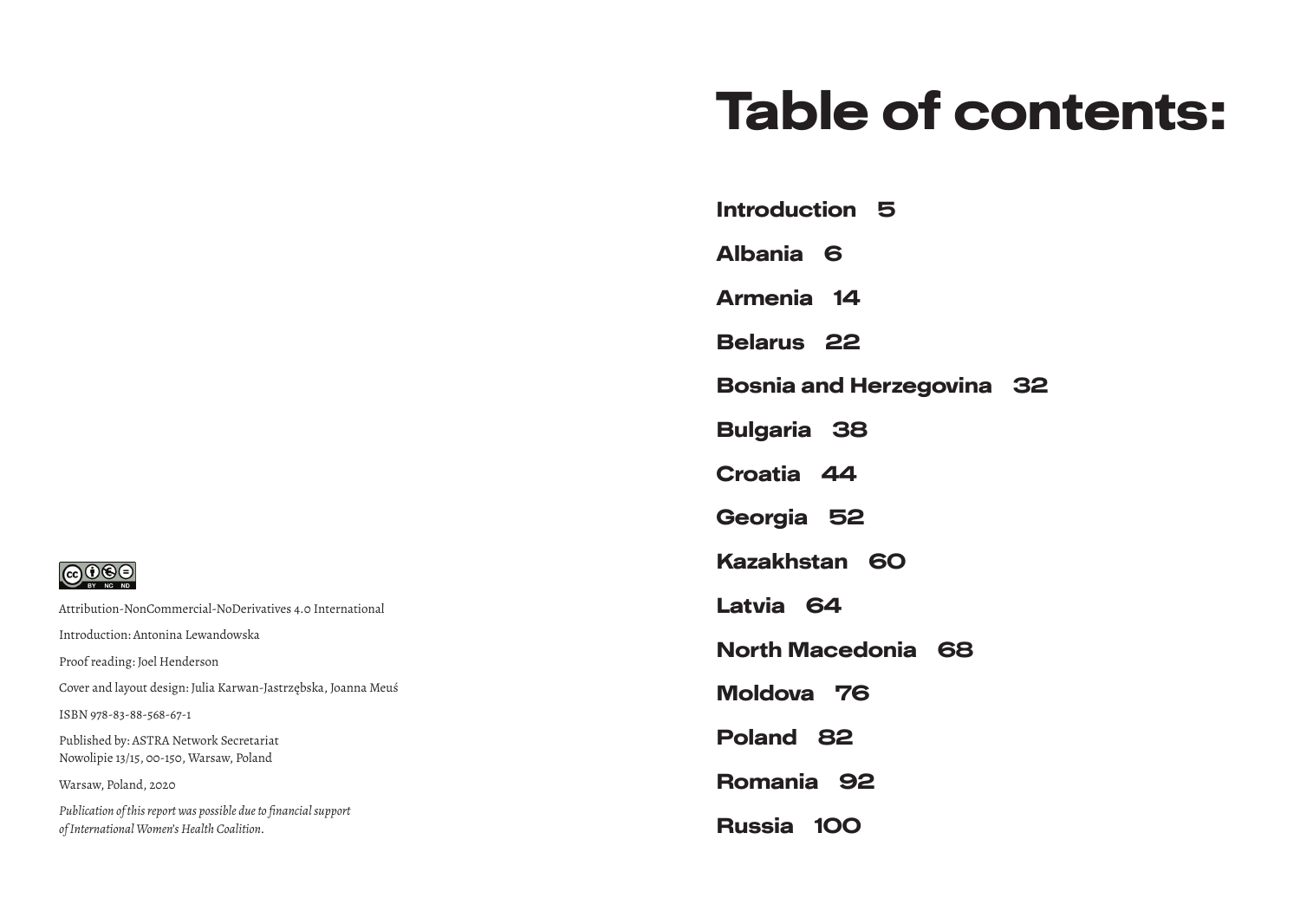# Table of contents:

Introduction 5

Albania 6

Armenia 14

Belarus 22

Bosnia and Herzegovina 32

Bulgaria 38

Croatia 44

Georgia 52

Kazakhstan 60

Latvia 64

North Macedonia 68

Moldova 76

Poland 82

Romania 92

Russia 100

 $\bigodot \bigodot \bigodot$   $\bigodot \bigodot$ 

Attribution-NonCommercial-NoDerivatives 4.0 International Introduction: Antonina Lewandowska Proof reading: Joel Henderson Cover and layout design: Julia Karwan-Jastrzębska, Joanna Meuś ISBN 978-83-88-568-67-1 Published by: ASTRA Network Secretariat Nowolipie 13/15, 00-150, Warsaw, Poland Warsaw, Poland, 2020 *Publication of this report was possible due to financial support of International Women's Health Coalition.*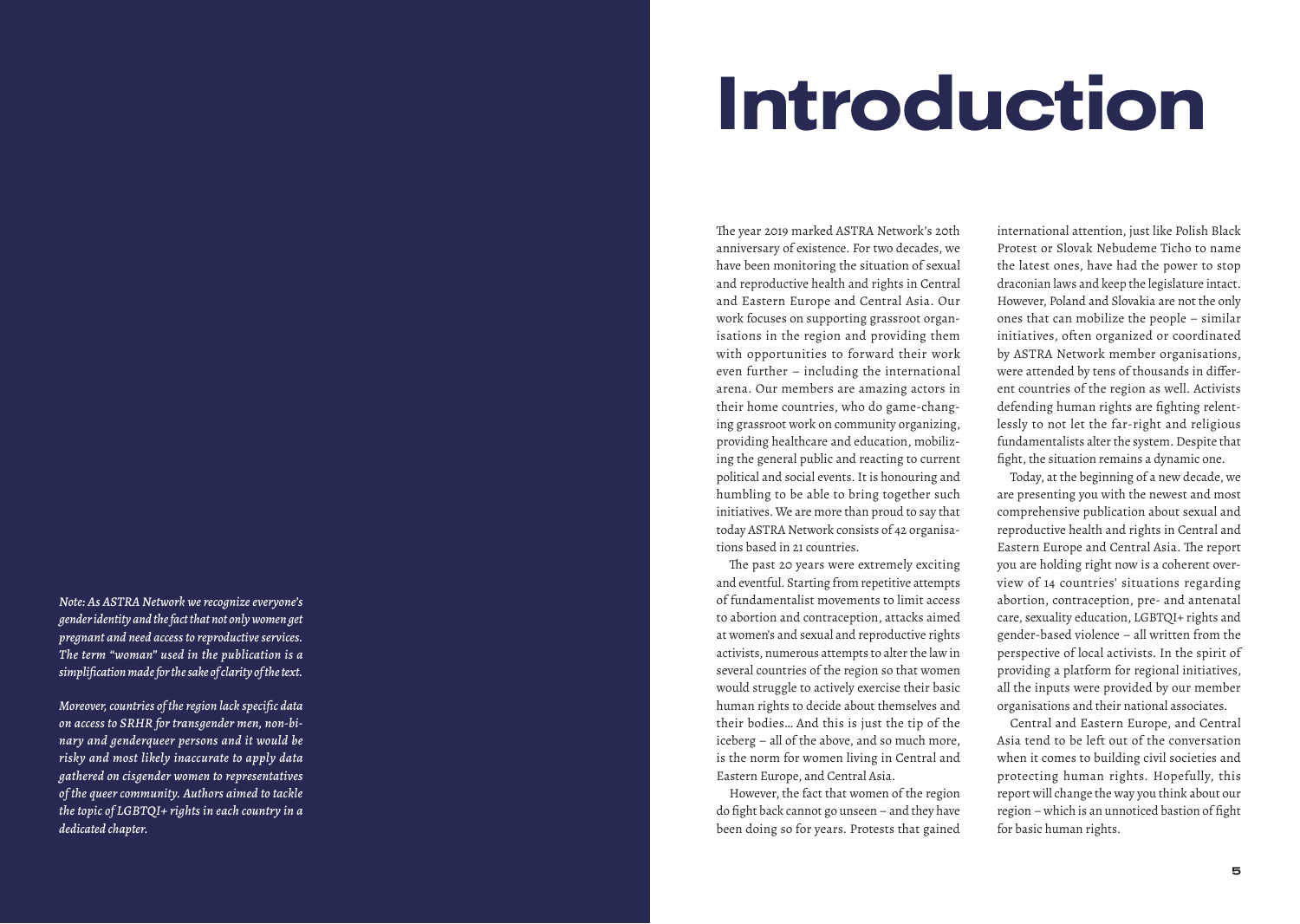# Introduction

*Note: As ASTRA Network we recognize everyone's gender identity and the fact that not only women get pregnant and need access to reproductive services. The term "woman" used in the publication is a simplification made for the sake of clarity of the text.* 

*Moreover, countries of the region lack specific data on access to SRHR for transgender men, non-bi nary and genderqueer persons and it would be risky and most likely inaccurate to apply data gathered on cisgender women to representatives of the queer community. Authors aimed to tackle the topic of LGBTQI+ rights in each country in a dedicated chapter.*

The year 2019 marked ASTRA Network's 20th anniversary of existence. For two decades, we have been monitoring the situation of sexual and reproductive health and rights in Central and Eastern Europe and Central Asia. Our work focuses on supporting grassroot organ isations in the region and providing them with opportunities to forward their work even further – including the international arena. Our members are amazing actors in their home countries, who do game-chang ing grassroot work on community organizing, providing healthcare and education, mobiliz ing the general public and reacting to current political and social events. It is honouring and humbling to be able to bring together such initiatives. We are more than proud to say that today ASTRA Network consists of 42 organisa tions based in 21 countries.

The past 20 years were extremely exciting and eventful. Starting from repetitive attempts of fundamentalist movements to limit access to abortion and contraception, attacks aimed at women's and sexual and reproductive rights activists, numerous attempts to alter the law in several countries of the region so that women would struggle to actively exercise their basic human rights to decide about themselves and their bodies… And this is just the tip of the iceberg – all of the above, and so much more, is the norm for women living in Central and Eastern Europe, and Central Asia.

However, the fact that women of the region do fight back cannot go unseen – and they have been doing so for years. Protests that gained international attention, just like Polish Black Protest or Slovak Nebudeme Ticho to name the latest ones, have had the power to stop draconian laws and keep the legislature intact. However, Poland and Slovakia are not the only ones that can mobilize the people – similar initiatives, often organized or coordinated by ASTRA Network member organisations, were attended by tens of thousands in differ ent countries of the region as well. Activists defending human rights are fighting relent lessly to not let the far-right and religious fundamentalists alter the system. Despite that fight, the situation remains a dynamic one.

Today, at the beginning of a new decade, we are presenting you with the newest and most comprehensive publication about sexual and reproductive health and rights in Central and Eastern Europe and Central Asia. The report you are holding right now is a coherent over view of 14 countries' situations regarding abortion, contraception, pre- and antenatal care, sexuality education, LGBTQI+ rights and gender-based violence – all written from the perspective of local activists. In the spirit of providing a platform for regional initiatives, all the inputs were provided by our member organisations and their national associates.

Central and Eastern Europe, and Central Asia tend to be left out of the conversation when it comes to building civil societies and protecting human rights. Hopefully, this report will change the way you think about our region – which is an unnoticed bastion of fight for basic human rights.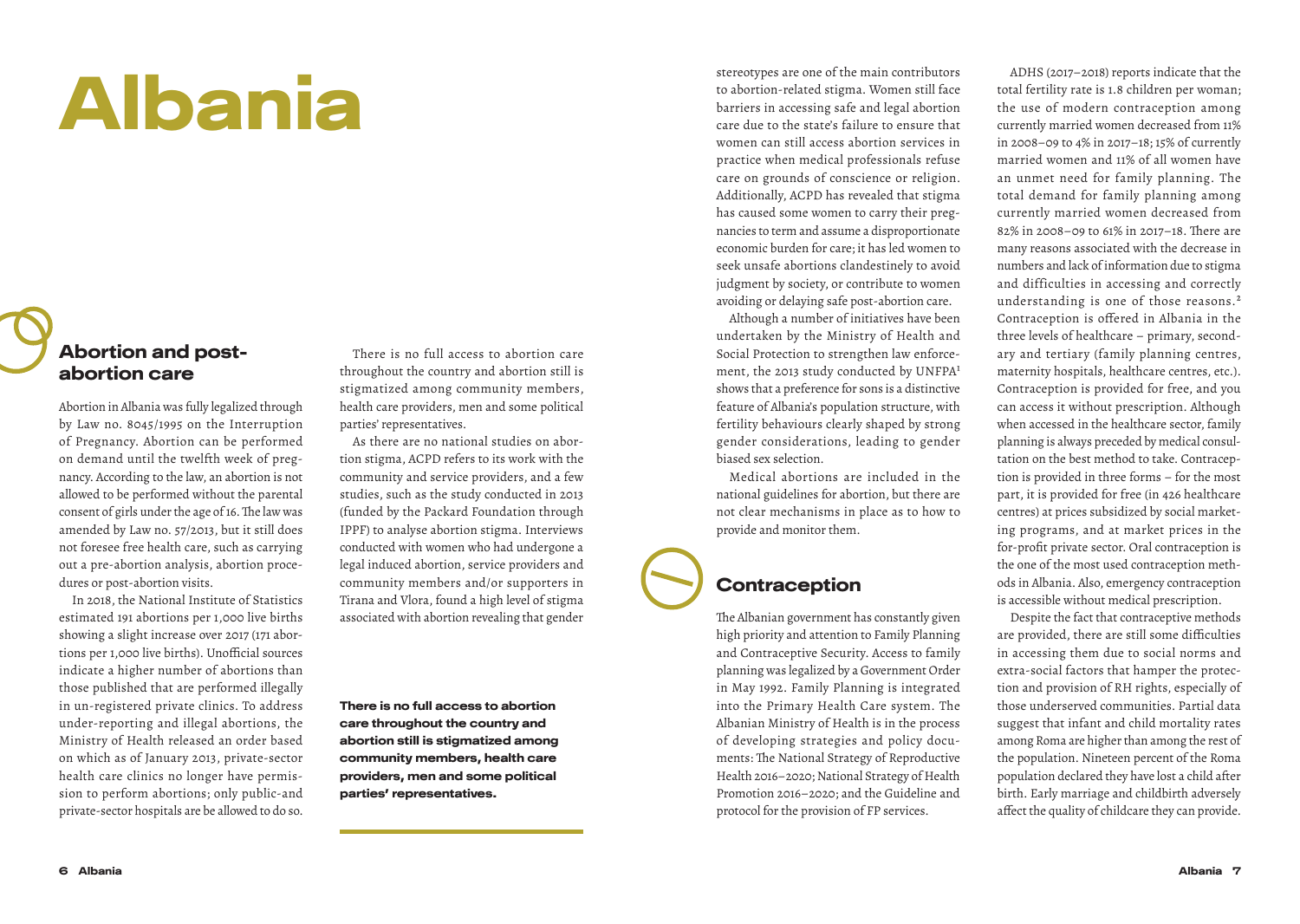# Albania

#### Abortion and postabortion care

Abortion in Albania was fully legalized through by Law no. 8045/1995 on the Interruption of Pregnancy. Abortion can be performed on demand until the twelfth week of pregnancy. According to the law, an abortion is not allowed to be performed without the parental consent of girls under the age of 16. The law was amended by Law no. 57/2013, but it still does not foresee free health care, such as carrying out a pre-abortion analysis, abortion procedures or post-abortion visits.

In 2018, the National Institute of Statistics estimated 191 abortions per 1,000 live births showing a slight increase over 2017 (171 abortions per 1,000 live births). Unofficial sources indicate a higher number of abortions than those published that are performed illegally in un-registered private clinics. To address under-reporting and illegal abortions, the Ministry of Health released an order based on which as of January 2013, private-sector health care clinics no longer have permission to perform abortions; only public-and private-sector hospitals are be allowed to do so.

There is no full access to abortion care throughout the country and abortion still is stigmatized among community members, health care providers, men and some political parties' representatives.

As there are no national studies on abortion stigma, ACPD refers to its work with the community and service providers, and a few studies, such as the study conducted in 2013 (funded by the Packard Foundation through IPPF) to analyse abortion stigma. Interviews conducted with women who had undergone a legal induced abortion, service providers and community members and/or supporters in Tirana and Vlora, found a high level of stigma associated with abortion revealing that gender

There is no full access to abortion care throughout the country and abortion still is stigmatized among community members, health care providers, men and some political parties' representatives.

stereotypes are one of the main contributors to abortion-related stigma. Women still face barriers in accessing safe and legal abortion care due to the state's failure to ensure that women can still access abortion services in practice when medical professionals refuse care on grounds of conscience or religion. Additionally, ACPD has revealed that stigma has caused some women to carry their pregnancies to term and assume a disproportionate economic burden for care; it has led women to seek unsafe abortions clandestinely to avoid judgment by society, or contribute to women avoiding or delaying safe post-abortion care.

Although a number of initiatives have been undertaken by the Ministry of Health and Social Protection to strengthen law enforcement, the 2013 study conducted by UNFPA1 shows that a preference for sons is a distinctive feature of Albania's population structure, with fertility behaviours clearly shaped by strong gender considerations, leading to gender biased sex selection.

Medical abortions are included in the national guidelines for abortion, but there are not clear mechanisms in place as to how to provide and monitor them.

#### **Contraception**

The Albanian government has constantly given high priority and attention to Family Planning and Contraceptive Security. Access to family planning was legalized by a Government Order in May 1992. Family Planning is integrated into the Primary Health Care system. The Albanian Ministry of Health is in the process of developing strategies and policy documents: The National Strategy of Reproductive Health 2016–2020; National Strategy of Health Promotion 2016–2020; and the Guideline and protocol for the provision of FP services.

ADHS (2017–2018) reports indicate that the total fertility rate is 1.8 children per woman; the use of modern contraception among currently married women decreased from 11% in 2008–09 to 4% in 2017–18; 15% of currently married women and 11% of all women have an unmet need for family planning. The total demand for family planning among currently married women decreased from 82% in 2008–09 to 61% in 2017–18. There are many reasons associated with the decrease in numbers and lack of information due to stigma and difficulties in accessing and correctly understanding is one of those reasons.2 Contraception is offered in Albania in the three levels of healthcare – primary, secondary and tertiary (family planning centres, maternity hospitals, healthcare centres, etc.). Contraception is provided for free, and you can access it without prescription. Although when accessed in the healthcare sector, family planning is always preceded by medical consultation on the best method to take. Contraception is provided in three forms – for the most part, it is provided for free (in 426 healthcare centres) at prices subsidized by social marketing programs, and at market prices in the for-profit private sector. Oral contraception is the one of the most used contraception methods in Albania. Also, emergency contraception is accessible without medical prescription.

Despite the fact that contraceptive methods are provided, there are still some difficulties in accessing them due to social norms and extra-social factors that hamper the protection and provision of RH rights, especially of those underserved communities. Partial data suggest that infant and child mortality rates among Roma are higher than among the rest of the population. Nineteen percent of the Roma population declared they have lost a child after birth. Early marriage and childbirth adversely affect the quality of childcare they can provide.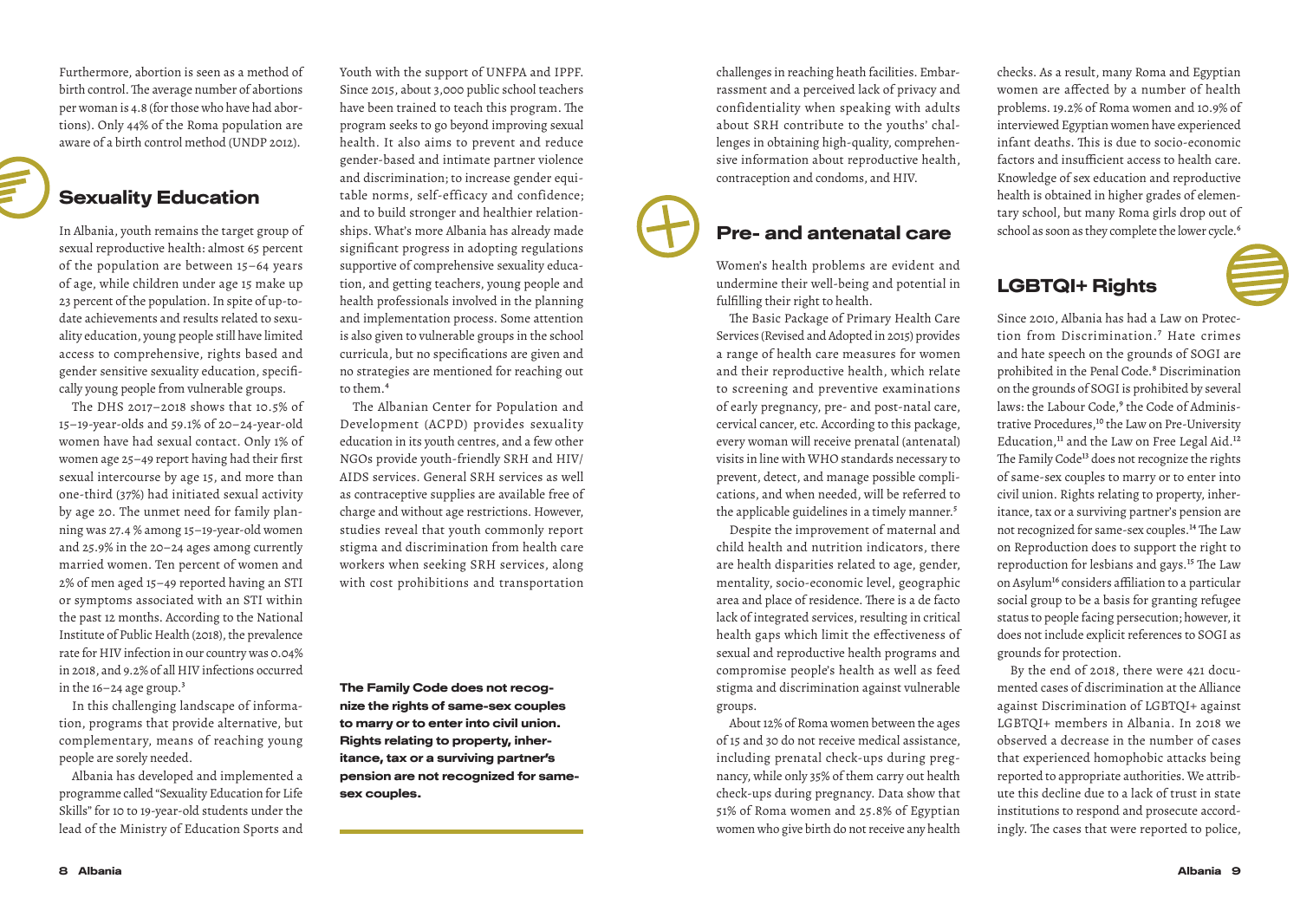Furthermore, abortion is seen as a method of birth control. The average number of abortions per woman is 4.8 (for those who have had abortions). Only 44% of the Roma population are aware of a birth control method (UNDP 2012).

### Sexuality Education

In Albania, youth remains the target group of sexual reproductive health: almost 65 percent of the population are between 15–64 years of age, while children under age 15 make up 23 percent of the population. In spite of up-todate achievements and results related to sexuality education, young people still have limited access to comprehensive, rights based and gender sensitive sexuality education, specifically young people from vulnerable groups.

The DHS 2017–2018 shows that 10.5% of 15–19-year-olds and 59.1% of 20–24-year-old women have had sexual contact. Only 1% of women age 25–49 report having had their first sexual intercourse by age 15, and more than one-third (37%) had initiated sexual activity by age 20. The unmet need for family planning was 27.4 % among 15–19-year-old women and 25.9% in the 20–24 ages among currently married women. Ten percent of women and 2% of men aged 15–49 reported having an STI or symptoms associated with an STI within the past 12 months. According to the National Institute of Public Health (2018), the prevalence rate for HIV infection in our country was 0.04% in 2018, and 9.2% of all HIV infections occurred in the  $16-24$  age group.<sup>3</sup>

In this challenging landscape of information, programs that provide alternative, but complementary, means of reaching young people are sorely needed.

Albania has developed and implemented a programme called "Sexuality Education for Life Skills" for 10 to 19-year-old students under the lead of the Ministry of Education Sports and Youth with the support of UNFPA and IPPF. Since 2015, about 3,000 public school teachers have been trained to teach this program. The program seeks to go beyond improving sexual health. It also aims to prevent and reduce gender-based and intimate partner violence and discrimination; to increase gender equitable norms, self-efficacy and confidence; and to build stronger and healthier relationships. What's more Albania has already made significant progress in adopting regulations supportive of comprehensive sexuality education, and getting teachers, young people and health professionals involved in the planning and implementation process. Some attention is also given to vulnerable groups in the school curricula, but no specifications are given and no strategies are mentioned for reaching out to them.4

The Albanian Center for Population and Development (ACPD) provides sexuality education in its youth centres, and a few other NGOs provide youth-friendly SRH and HIV/ AIDS services. General SRH services as well as contraceptive supplies are available free of charge and without age restrictions. However, studies reveal that youth commonly report stigma and discrimination from health care workers when seeking SRH services, along with cost prohibitions and transportation

The Family Code does not recognize the rights of same-sex couples to marry or to enter into civil union. Rights relating to property, inheritance, tax or a surviving partner's pension are not recognized for samesex couples.

confidentiality when speaking with adults about SRH contribute to the youths' challenges in obtaining high-quality, comprehensive information about reproductive health, contraception and condoms, and HIV.

#### Pre- and antenatal care

challenges in reaching heath facilities. Embarrassment and a perceived lack of privacy and

Women's health problems are evident and undermine their well-being and potential in fulfilling their right to health.

The Basic Package of Primary Health Care Services (Revised and Adopted in 2015) provides a range of health care measures for women and their reproductive health, which relate to screening and preventive examinations of early pregnancy, pre- and post-natal care, cervical cancer, etc. According to this package, every woman will receive prenatal (antenatal) visits in line with WHO standards necessary to prevent, detect, and manage possible complications, and when needed, will be referred to the applicable guidelines in a timely manner.<sup>5</sup>

Despite the improvement of maternal and child health and nutrition indicators, there are health disparities related to age, gender, mentality, socio-economic level, geographic area and place of residence. There is a de facto lack of integrated services, resulting in critical health gaps which limit the effectiveness of sexual and reproductive health programs and compromise people's health as well as feed stigma and discrimination against vulnerable groups.

About 12% of Roma women between the ages of 15 and 30 do not receive medical assistance, including prenatal check-ups during pregnancy, while only 35% of them carry out health check-ups during pregnancy. Data show that 51% of Roma women and 25.8% of Egyptian women who give birth do not receive any health checks. As a result, many Roma and Egyptian women are affected by a number of health problems. 19.2% of Roma women and 10.9% of interviewed Egyptian women have experienced infant deaths. This is due to socio-economic factors and insufficient access to health care. Knowledge of sex education and reproductive health is obtained in higher grades of elementary school, but many Roma girls drop out of school as soon as they complete the lower cycle.<sup>6</sup>

### LGBTQI+ Rights

Since 2010, Albania has had a Law on Protection from Discrimination.7 Hate crimes and hate speech on the grounds of SOGI are prohibited in the Penal Code.<sup>8</sup> Discrimination on the grounds of SOGI is prohibited by several laws: the Labour Code,<sup>9</sup> the Code of Administrative Procedures,<sup>10</sup> the Law on Pre-University Education,<sup>11</sup> and the Law on Free Legal Aid.<sup>12</sup> The Family Code<sup>13</sup> does not recognize the rights of same-sex couples to marry or to enter into civil union. Rights relating to property, inheritance, tax or a surviving partner's pension are not recognized for same-sex couples.14 The Law on Reproduction does to support the right to reproduction for lesbians and gays.<sup>15</sup> The Law on Asylum<sup>16</sup> considers affiliation to a particular social group to be a basis for granting refugee status to people facing persecution; however, it does not include explicit references to SOGI as grounds for protection.

By the end of 2018, there were 421 documented cases of discrimination at the Alliance against Discrimination of LGBTQI+ against LGBTQI+ members in Albania. In 2018 we observed a decrease in the number of cases that experienced homophobic attacks being reported to appropriate authorities. We attribute this decline due to a lack of trust in state institutions to respond and prosecute accordingly. The cases that were reported to police,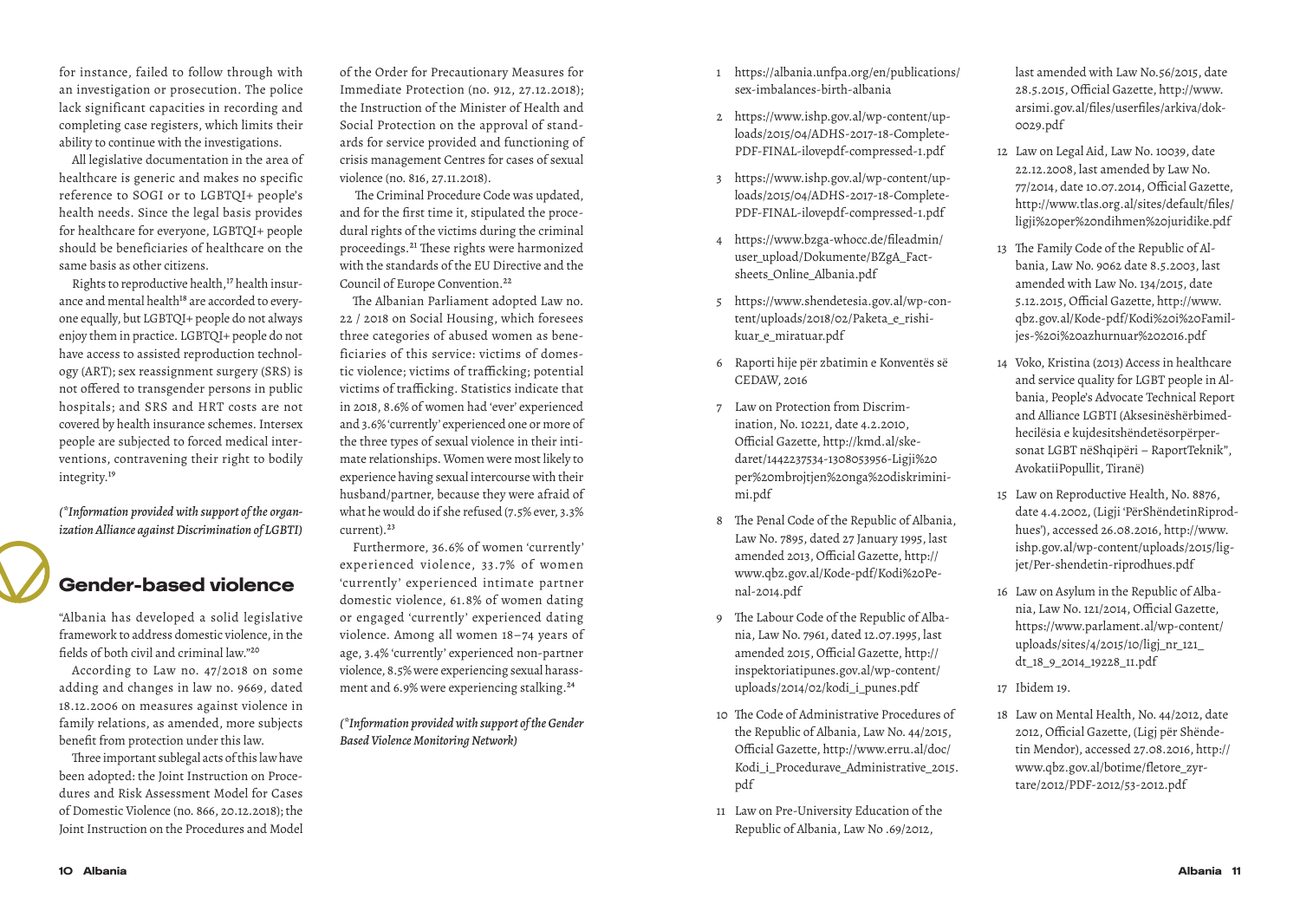for instance, failed to follow through with an investigation or prosecution. The police lack significant capacities in recording and completing case registers, which limits their ability to continue with the investigations.

All legislative documentation in the area of healthcare is generic and makes no specific reference to SOGI or to LGBTQI+ people's health needs. Since the legal basis provides for healthcare for everyone, LGBTQI+ people should be beneficiaries of healthcare on the same basis as other citizens.

Rights to reproductive health,<sup>17</sup> health insurance and mental health<sup>18</sup> are accorded to everyone equally, but LGBTQI+ people do not always enjoy them in practice. LGBTQI+ people do not have access to assisted reproduction technology (ART); sex reassignment surgery (SRS) is not offered to transgender persons in public hospitals; and SRS and HRT costs are not covered by health insurance schemes. Intersex people are subjected to forced medical interventions, contravening their right to bodily integrity.19

*(\*Information provided with support of the organization Alliance against Discrimination of LGBTI)*

#### Gender-based violence

"Albania has developed a solid legislative framework to address domestic violence, in the fields of both civil and criminal law."20

According to Law no. 47/2018 on some adding and changes in law no. 9669, dated 18.12.2006 on measures against violence in family relations, as amended, more subjects benefit from protection under this law.

Three important sublegal acts of this law have been adopted: the Joint Instruction on Procedures and Risk Assessment Model for Cases of Domestic Violence (no. 866, 20.12.2018); the Joint Instruction on the Procedures and Model

of the Order for Precautionary Measures for Immediate Protection (no. 912, 27.12.2018); the Instruction of the Minister of Health and Social Protection on the approval of standards for service provided and functioning of crisis management Centres for cases of sexual violence (no. 816, 27.11.2018).

 The Criminal Procedure Code was updated, and for the first time it, stipulated the procedural rights of the victims during the criminal proceedings.21 These rights were harmonized with the standards of the EU Directive and the Council of Europe Convention.<sup>22</sup>

The Albanian Parliament adopted Law no. 22 / 2018 on Social Housing, which foresees three categories of abused women as beneficiaries of this service: victims of domestic violence; victims of trafficking; potential victims of trafficking. Statistics indicate that in 2018, 8.6% of women had 'ever' experienced and 3.6% 'currently' experienced one or more of the three types of sexual violence in their intimate relationships. Women were most likely to experience having sexual intercourse with their husband/partner, because they were afraid of what he would do if she refused (7.5% ever, 3.3% current).23

Furthermore, 36.6% of women 'currently' experienced violence, 33.7% of women 'currently' experienced intimate partner domestic violence, 61.8% of women dating or engaged 'currently' experienced dating violence. Among all women 18–74 years of age, 3.4% 'currently' experienced non-partner violence, 8.5% were experiencing sexual harassment and 6.9% were experiencing stalking.24

*(\*Information provided with support of the Gender Based Violence Monitoring Network)*

- 1 https://albania.unfpa.org/en/publications/ sex-imbalances-birth-albania
- 2 https://www.ishp.gov.al/wp-content/uploads/2015/04/ADHS-2017-18-Complete-PDF-FINAL-ilovepdf-compressed-1.pdf
- 3 https://www.ishp.gov.al/wp-content/uploads/2015/04/ADHS-2017-18-Complete-PDF-FINAL-ilovepdf-compressed-1.pdf
- 4 https://www.bzga-whocc.de/fileadmin/ user\_upload/Dokumente/BZgA\_Factsheets\_Online\_Albania.pdf
- 5 https://www.shendetesia.gov.al/wp-content/uploads/2018/02/Paketa\_e\_rishikuar\_e\_miratuar.pdf
- 6 Raporti hije për zbatimin e Konventës së CEDAW, 2016
- 7 Law on Protection from Discrimination, No. 10221, date 4.2.2010, Official Gazette, http://kmd.al/skedaret/1442237534-1308053956-Ligji%20 per%20mbrojtjen%20nga%20diskriminimi.pdf
- 8 The Penal Code of the Republic of Albania, Law No. 7895, dated 27 January 1995, last amended 2013, Official Gazette, http:// www.qbz.gov.al/Kode-pdf/Kodi%20Penal-2014.pdf
- 9 The Labour Code of the Republic of Albania, Law No. 7961, dated 12.07.1995, last amended 2015, Official Gazette, http:// inspektoriatipunes.gov.al/wp-content/ uploads/2014/02/kodi\_i\_punes.pdf
- 10 The Code of Administrative Procedures of the Republic of Albania, Law No. 44/2015, Official Gazette, http://www.erru.al/doc/ Kodi\_i\_Procedurave\_Administrative\_2015. pdf
- 11 Law on Pre-University Education of the Republic of Albania, Law No .69/2012,

last amended with Law No.56/2015, date 28.5.2015, Official Gazette, http://www. arsimi.gov.al/files/userfiles/arkiva/dok-0029.pdf

- 12 Law on Legal Aid, Law No. 10039, date 22.12.2008, last amended by Law No. 77/2014, date 10.07.2014, Official Gazette, http://www.tlas.org.al/sites/default/files/ ligji%20per%20ndihmen%20juridike.pdf
- 13 The Family Code of the Republic of Albania, Law No. 9062 date 8.5.2003, last amended with Law No. 134/2015, date 5.12.2015, Official Gazette, http://www. qbz.gov.al/Kode-pdf/Kodi%20i%20Familjes-%20i%20azhurnuar%202016.pdf
- 14 Voko, Kristina (2013) Access in healthcare and service quality for LGBT people in Albania, People's Advocate Technical Report and Alliance LGBTI (Aksesinëshërbimedhecilësia e kujdesitshëndetësorpërpersonat LGBT nëShqipëri – RaportTeknik", AvokatiiPopullit, Tiranë)
- 15 Law on Reproductive Health, No. 8876, date 4.4.2002, (Ligji 'PërShëndetinRiprodhues'), accessed 26.08.2016, http://www. ishp.gov.al/wp-content/uploads/2015/ligjet/Per-shendetin-riprodhues.pdf
- 16 Law on Asylum in the Republic of Albania, Law No. 121/2014, Official Gazette, https://www.parlament.al/wp-content/ uploads/sites/4/2015/10/ligj\_nr\_121\_ dt\_18\_9\_2014\_19228\_11.pdf
- 17 Ibidem 19.
- 18 Law on Mental Health, No. 44/2012, date 2012, Official Gazette, (Ligj për Shëndetin Mendor), accessed 27.08.2016, http:// www.qbz.gov.al/botime/fletore\_zyrtare/2012/PDF-2012/53-2012.pdf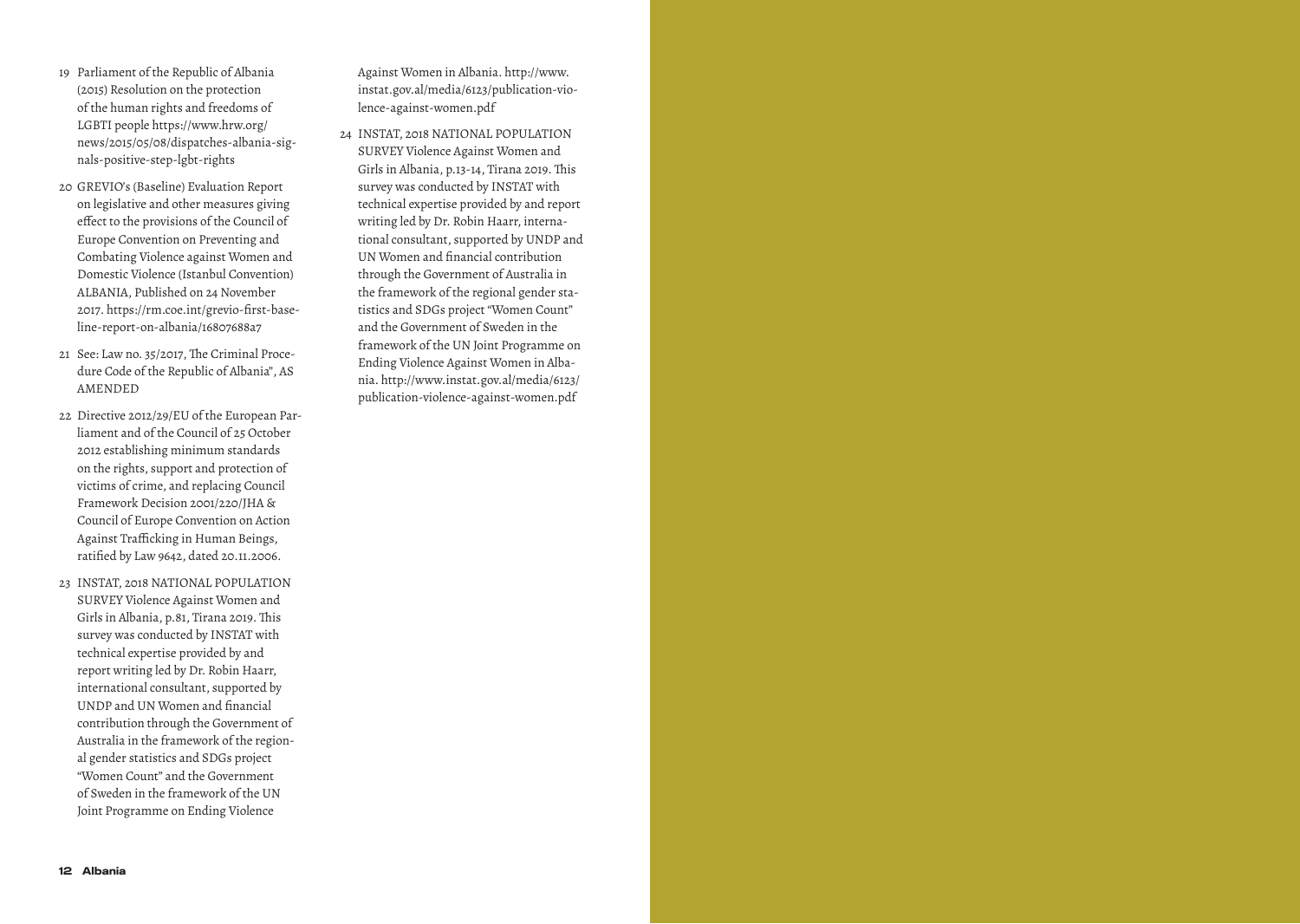- 19 Parliament of the Republic of Albania (2015) Resolution on the protection of the human rights and freedoms of LGBTI people https://www.hrw.org/ news/2015/05/08/dispatches-albania-signals-positive-step-lgbt-rights
- 20 GREVIO's (Baseline) Evaluation Report on legislative and other measures giving effect to the provisions of the Council of Europe Convention on Preventing and Combating Violence against Women and Domestic Violence (Istanbul Convention) ALBANIA, Published on 24 November 2017. https://rm.coe.int/grevio-first-baseline-report-on-albania/16807688a7
- 21 See: Law no. 35/2017, The Criminal Procedure Code of the Republic of Albania", AS AMENDED
- 22 Directive 2012/29/EU of the European Parliament and of the Council of 25 October 2012 establishing minimum standards on the rights, support and protection of victims of crime, and replacing Council Framework Decision 2001/220/JHA & Council of Europe Convention on Action Against Trafficking in Human Beings, ratified by Law 9642, dated 20.11.2006.
- 23 INSTAT, 2018 NATIONAL POPULATION SURVEY Violence Against Women and Girls in Albania, p.81, Tirana 2019. This survey was conducted by INSTAT with technical expertise provided by and report writing led by Dr. Robin Haarr, international consultant, supported by UNDP and UN Women and financial contribution through the Government of Australia in the framework of the regional gender statistics and SDGs project "Women Count" and the Government of Sweden in the framework of the UN Joint Programme on Ending Violence

Against Women in Albania. http://www. instat.gov.al/media/6123/publication-violence-against-women.pdf

24 INSTAT, 2018 NATIONAL POPULATION SURVEY Violence Against Women and Girls in Albania, p.13-14, Tirana 2019. This survey was conducted by INSTAT with technical expertise provided by and report writing led by Dr. Robin Haarr, international consultant, supported by UNDP and UN Women and financial contribution through the Government of Australia in the framework of the regional gender statistics and SDGs project "Women Count" and the Government of Sweden in the framework of the UN Joint Programme on Ending Violence Against Women in Albania. http://www.instat.gov.al/media/6123/ publication-violence-against-women.pdf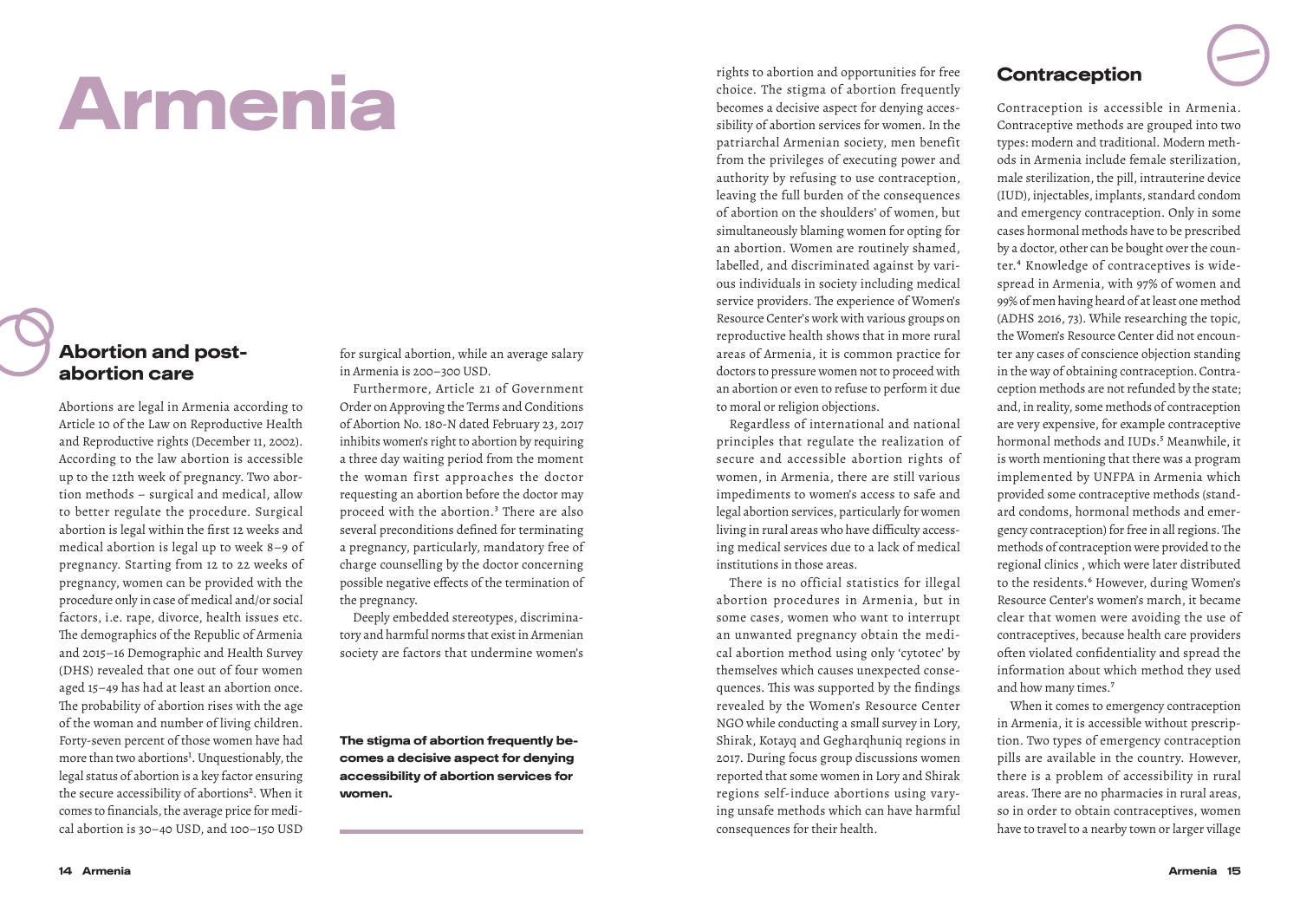# Armenia

#### Abortion and postabortion care

Abortions are legal in Armenia according to Article 10 of the Law on Reproductive Health and Reproductive rights (December 11, 2002). According to the law abortion is accessible up to the 12th week of pregnancy. Two abortion methods – surgical and medical, allow to better regulate the procedure. Surgical abortion is legal within the first 12 weeks and medical abortion is legal up to week 8–9 of pregnancy. Starting from 12 to 22 weeks of pregnancy, women can be provided with the procedure only in case of medical and/or social factors, i.e. rape, divorce, health issues etc. The demographics of the Republic of Armenia and 2015–16 Demographic and Health Survey (DHS) revealed that one out of four women aged 15–49 has had at least an abortion once. The probability of abortion rises with the age of the woman and number of living children. Forty-seven percent of those women have had more than two abortions<sup>1</sup>. Unquestionably, the legal status of abortion is a key factor ensuring the secure accessibility of abortions<sup>2</sup>. When it comes to financials, the average price for medical abortion is 30–40 USD, and 100–150 USD

for surgical abortion, while an average salary in Armenia is 200–300 USD.

Furthermore, Article 21 of Government Order on Approving the Terms and Conditions of Abortion No. 180-N dated February 23, 2017 inhibits women's right to abortion by requiring a three day waiting period from the moment the woman first approaches the doctor requesting an abortion before the doctor may proceed with the abortion.<sup>3</sup> There are also several preconditions defined for terminating a pregnancy, particularly, mandatory free of charge counselling by the doctor concerning possible negative effects of the termination of the pregnancy.

Deeply embedded stereotypes, discriminatory and harmful norms that exist in Armenian society are factors that undermine women's

The stigma of abortion frequently becomes a decisive aspect for denying accessibility of abortion services for women.

rights to abortion and opportunities for free choice. The stigma of abortion frequently becomes a decisive aspect for denying accessibility of abortion services for women. In the patriarchal Armenian society, men benefit from the privileges of executing power and authority by refusing to use contraception, leaving the full burden of the consequences of abortion on the shoulders' of women, but simultaneously blaming women for opting for an abortion. Women are routinely shamed, labelled, and discriminated against by various individuals in society including medical service providers. The experience of Women's Resource Center's work with various groups on reproductive health shows that in more rural areas of Armenia, it is common practice for doctors to pressure women not to proceed with an abortion or even to refuse to perform it due to moral or religion objections.

Regardless of international and national principles that regulate the realization of secure and accessible abortion rights of women, in Armenia, there are still various impediments to women's access to safe and legal abortion services, particularly for women living in rural areas who have difficulty accessing medical services due to a lack of medical institutions in those areas.

There is no official statistics for illegal abortion procedures in Armenia, but in some cases, women who want to interrupt an unwanted pregnancy obtain the medical abortion method using only 'cytotec' by themselves which causes unexpected consequences. This was supported by the findings revealed by the Women's Resource Center NGO while conducting a small survey in Lory, Shirak, Kotayq and Gegharqhuniq regions in 2017. During focus group discussions women reported that some women in Lory and Shirak regions self-induce abortions using varying unsafe methods which can have harmful consequences for their health.

#### Contraception

Contraception is accessible in Armenia. Contraceptive methods are grouped into two types: modern and traditional. Modern methods in Armenia include female sterilization, male sterilization, the pill, intrauterine device (IUD), injectables, implants, standard condom and emergency contraception. Only in some cases hormonal methods have to be prescribed by a doctor, other can be bought over the counter.4 Knowledge of contraceptives is widespread in Armenia, with 97% of women and 99% of men having heard of at least one method (ADHS 2016, 73). While researching the topic, the Women's Resource Center did not encounter any cases of conscience objection standing in the way of obtaining contraception․ Contraception methods are not refunded by the state; and, in reality, some methods of contraception are very expensive, for example contraceptive hormonal methods and IUDs.<sup>5</sup> Meanwhile, it is worth mentioning that there was a program implemented by UNFPA in Armenia which provided some contraceptive methods (standard condoms, hormonal methods and emergency contraception) for free in all regions. The methods of contraception were provided to the regional clinics , which were later distributed to the residents.<sup>6</sup> However, during Women's Resource Center's women's march, it became clear that women were avoiding the use of contraceptives, because health care providers often violated confidentiality and spread the information about which method they used and how many times.7

When it comes to emergency contraception in Armenia, it is accessible without prescription. Two types of emergency contraception pills are available in the country. However, there is a problem of accessibility in rural areas. There are no pharmacies in rural areas, so in order to obtain contraceptives, women have to travel to a nearby town or larger village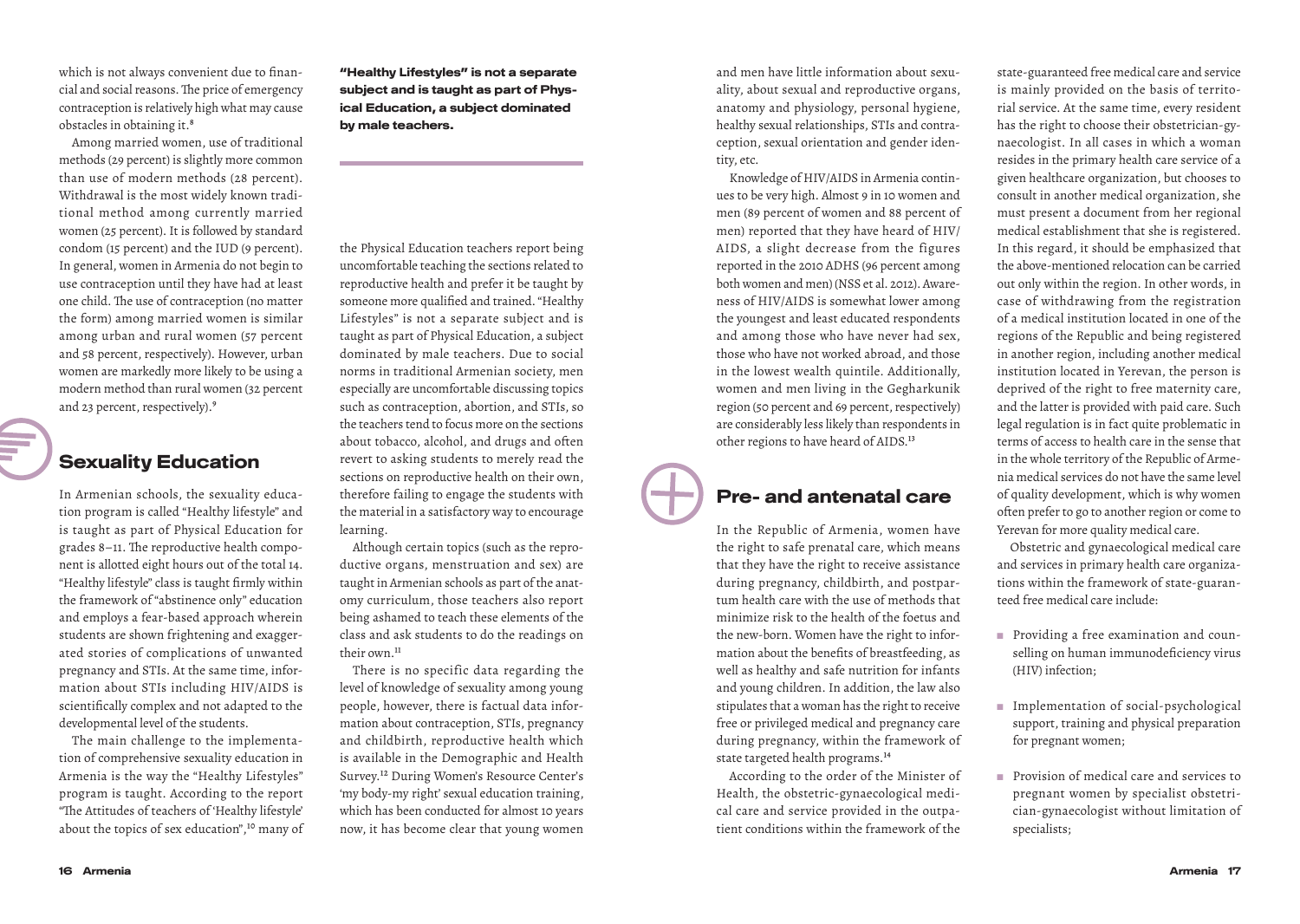which is not always convenient due to financial and social reasons. The price of emergency contraception is relatively high what may cause obstacles in obtaining it.8

Among married women, use of traditional methods (29 percent) is slightly more common than use of modern methods (28 percent). Withdrawal is the most widely known traditional method among currently married women (25 percent). It is followed by standard condom (15 percent) and the IUD (9 percent). In general, women in Armenia do not begin to use contraception until they have had at least one child. The use of contraception (no matter the form) among married women is similar among urban and rural women (57 percent and 58 percent, respectively). However, urban women are markedly more likely to be using a modern method than rural women (32 percent and 23 percent, respectively).<sup>9</sup>

#### Sexuality Education

In Armenian schools, the sexuality education program is called "Healthy lifestyle" and is taught as part of Physical Education for grades 8–11. The reproductive health component is allotted eight hours out of the total 14. "Healthy lifestyle" class is taught firmly within the framework of "abstinence only" education and employs a fear-based approach wherein students are shown frightening and exaggerated stories of complications of unwanted pregnancy and STIs. At the same time, information about STIs including HIV/AIDS is scientifically complex and not adapted to the developmental level of the students.

The main challenge to the implementation of comprehensive sexuality education in Armenia is the way the "Healthy Lifestyles" program is taught. According to the report "The Attitudes of teachers of 'Healthy lifestyle' about the topics of sex education",<sup>10</sup> many of "Healthy Lifestyles" is not a separate subject and is taught as part of Physical Education, a subject dominated by male teachers.

the Physical Education teachers report being uncomfortable teaching the sections related to reproductive health and prefer it be taught by someone more qualified and trained. "Healthy Lifestyles" is not a separate subject and is taught as part of Physical Education, a subject dominated by male teachers. Due to social norms in traditional Armenian society, men especially are uncomfortable discussing topics such as contraception, abortion, and STIs, so the teachers tend to focus more on the sections about tobacco, alcohol, and drugs and often revert to asking students to merely read the sections on reproductive health on their own, therefore failing to engage the students with the material in a satisfactory way to encourage learning.

Although certain topics (such as the reproductive organs, menstruation and sex) are taught in Armenian schools as part of the anatomy curriculum, those teachers also report being ashamed to teach these elements of the class and ask students to do the readings on their own.<sup>11</sup>

There is no specific data regarding the level of knowledge of sexuality among young people, however, there is factual data information about contraception, STIs, pregnancy and childbirth, reproductive health which is available in the Demographic and Health Survey.12 During Women's Resource Center's 'my body-my right' sexual education training, which has been conducted for almost 10 years now, it has become clear that young women and men have little information about sexuality, about sexual and reproductive organs, anatomy and physiology, personal hygiene, healthy sexual relationships, STIs and contraception, sexual orientation and gender identity, etc.

Knowledge of HIV/AIDS in Armenia continues to be very high. Almost 9 in 10 women and men (89 percent of women and 88 percent of men) reported that they have heard of HIV/ AIDS, a slight decrease from the figures reported in the 2010 ADHS (96 percent among both women and men) (NSS et al. 2012). Awareness of HIV/AIDS is somewhat lower among the youngest and least educated respondents and among those who have never had sex, those who have not worked abroad, and those in the lowest wealth quintile. Additionally, women and men living in the Gegharkunik region (50 percent and 69 percent, respectively) are considerably less likely than respondents in other regions to have heard of AIDS.<sup>13</sup>

### Pre- and antenatal care

In the Republic of Armenia, women have the right to safe prenatal care, which means that they have the right to receive assistance during pregnancy, childbirth, and postpartum health care with the use of methods that minimize risk to the health of the foetus and the new-born. Women have the right to information about the benefits of breastfeeding, as well as healthy and safe nutrition for infants and young children. In addition, the law also stipulates that a woman has the right to receive free or privileged medical and pregnancy care during pregnancy, within the framework of state targeted health programs.14

According to the order of the Minister of Health, the obstetric-gynaecological medical care and service provided in the outpatient conditions within the framework of the state-guaranteed free medical care and service is mainly provided on the basis of territorial service. At the same time, every resident has the right to choose their obstetrician-gynaecologist. In all cases in which a woman resides in the primary health care service of a given healthcare organization, but chooses to consult in another medical organization, she must present a document from her regional medical establishment that she is registered. In this regard, it should be emphasized that the above-mentioned relocation can be carried out only within the region. In other words, in case of withdrawing from the registration of a medical institution located in one of the regions of the Republic and being registered in another region, including another medical institution located in Yerevan, the person is deprived of the right to free maternity care, and the latter is provided with paid care. Such legal regulation is in fact quite problematic in terms of access to health care in the sense that in the whole territory of the Republic of Armenia medical services do not have the same level of quality development, which is why women often prefer to go to another region or come to Yerevan for more quality medical care.

Obstetric and gynaecological medical care and services in primary health care organizations within the framework of state-guaranteed free medical care include:

- Providing a free examination and counselling on human immunodeficiency virus (HIV) infection;
- Implementation of social-psychological support, training and physical preparation for pregnant women;
- Provision of medical care and services to pregnant women by specialist obstetrician-gynaecologist without limitation of specialists;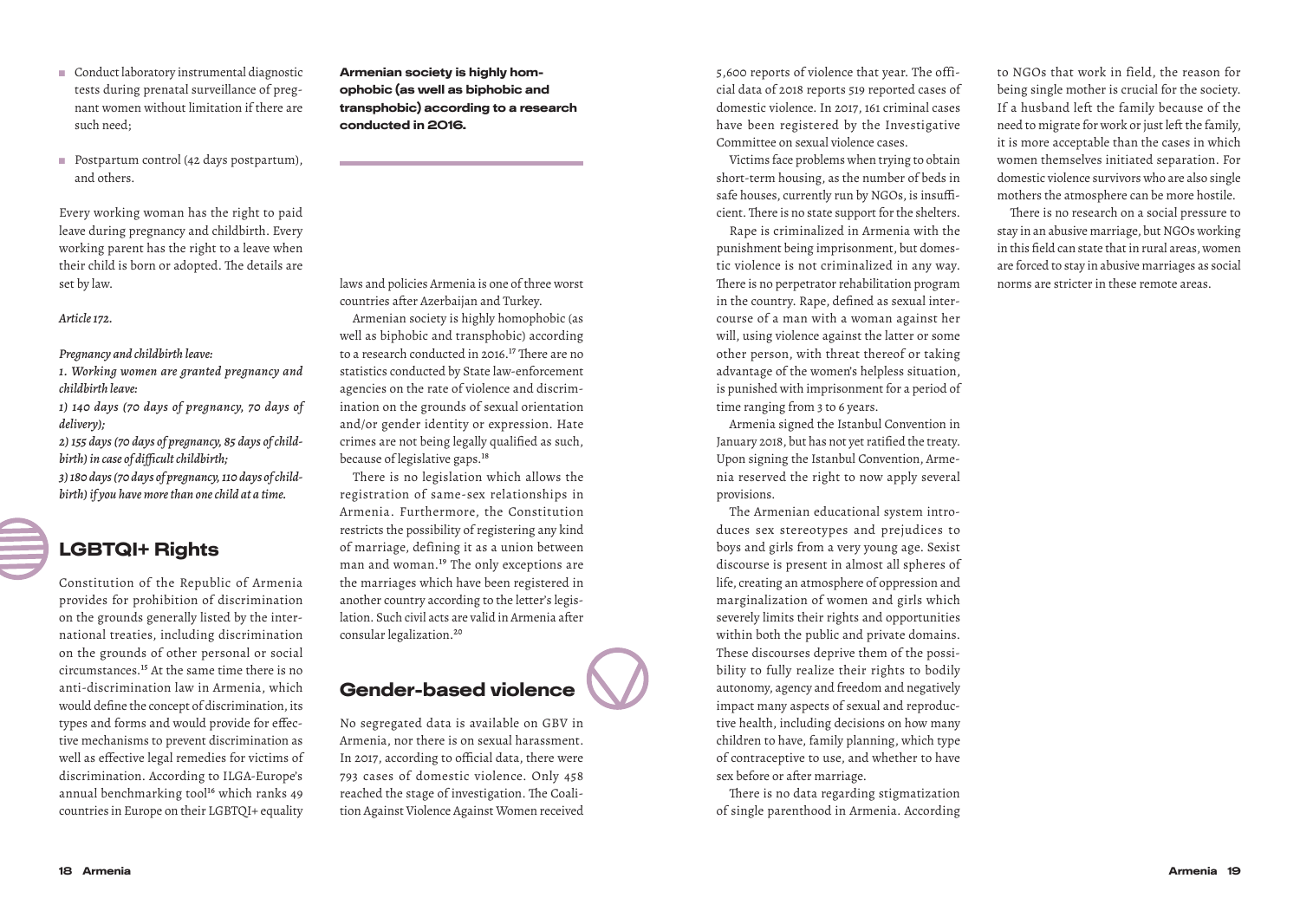- Conduct laboratory instrumental diagnostic tests during prenatal surveillance of pregnant women without limitation if there are such need;
- Postpartum control (42 days postpartum), and others.

Every working woman has the right to paid leave during pregnancy and childbirth. Every working parent has the right to a leave when their child is born or adopted. The details are set by law.

*Article 172.*

*Pregnancy and childbirth leave:*

- *1. Working women are granted pregnancy and childbirth leave:*
- *1) 140 days (70 days of pregnancy, 70 days of delivery);*
- *2) 155 days (70 days of pregnancy, 85 days of childbirth) in case of difficult childbirth;*

*3) 180 days (70 days of pregnancy, 110 days of childbirth) if you have more than one child at a time.*

#### LGBTQI+ Rights

Constitution of the Republic of Armenia provides for prohibition of discrimination on the grounds generally listed by the international treaties, including discrimination on the grounds of other personal or social circumstances.15 At the same time there is no anti-discrimination law in Armenia, which would define the concept of discrimination, its types and forms and would provide for effective mechanisms to prevent discrimination as well as effective legal remedies for victims of discrimination. According to ILGA-Europe's annual benchmarking tool<sup>16</sup> which ranks 49 countries in Europe on their LGBTQI+ equality

Armenian society is highly homophobic (as well as biphobic and transphobic) according to a research conducted in 2016.

laws and policies Armenia is one of three worst countries after Azerbaijan and Turkey.

Armenian society is highly homophobic (as well as biphobic and transphobic) according to a research conducted in 2016.<sup>17</sup> There are no statistics conducted by State law-enforcement agencies on the rate of violence and discrimination on the grounds of sexual orientation and/or gender identity or expression. Hate crimes are not being legally qualified as such, because of legislative gaps.<sup>18</sup>

There is no legislation which allows the registration of same-sex relationships in Armenia. Furthermore, the Constitution restricts the possibility of registering any kind of marriage, defining it as a union between man and woman.19 The only exceptions are the marriages which have been registered in another country according to the letter's legislation. Such civil acts are valid in Armenia after consular legalization.20

### Gender-based violence

No segregated data is available on GBV in Armenia, nor there is on sexual harassment. In 2017, according to official data, there were 793 cases of domestic violence. Only 458 reached the stage of investigation. The Coalition Against Violence Against Women received 5,600 reports of violence that year. The official data of 2018 reports 519 reported cases of domestic violence. In 2017, 161 criminal cases have been registered by the Investigative Committee on sexual violence cases.

Victims face problems when trying to obtain short-term housing, as the number of beds in safe houses, currently run by NGOs, is insufficient. There is no state support for the shelters.

Rape is criminalized in Armenia with the punishment being imprisonment, but domestic violence is not criminalized in any way. There is no perpetrator rehabilitation program in the country. Rape, defined as sexual intercourse of a man with a woman against her will, using violence against the latter or some other person, with threat thereof or taking advantage of the women's helpless situation, is punished with imprisonment for a period of time ranging from 3 to 6 years.

Armenia signed the Istanbul Convention in January 2018, but has not yet ratified the treaty. Upon signing the Istanbul Convention, Armenia reserved the right to now apply several provisions.

The Armenian educational system introduces sex stereotypes and prejudices to boys and girls from a very young age. Sexist discourse is present in almost all spheres of life, creating an atmosphere of oppression and marginalization of women and girls which severely limits their rights and opportunities within both the public and private domains. These discourses deprive them of the possibility to fully realize their rights to bodily autonomy, agency and freedom and negatively impact many aspects of sexual and reproductive health, including decisions on how many children to have, family planning, which type of contraceptive to use, and whether to have sex before or after marriage.

There is no data regarding stigmatization of single parenthood in Armenia. According to NGOs that work in field, the reason for being single mother is crucial for the society. If a husband left the family because of the need to migrate for work or just left the family, it is more acceptable than the cases in which women themselves initiated separation. For domestic violence survivors who are also single mothers the atmosphere can be more hostile.

There is no research on a social pressure to stay in an abusive marriage, but NGOs working in this field can state that in rural areas, women are forced to stay in abusive marriages as social norms are stricter in these remote areas.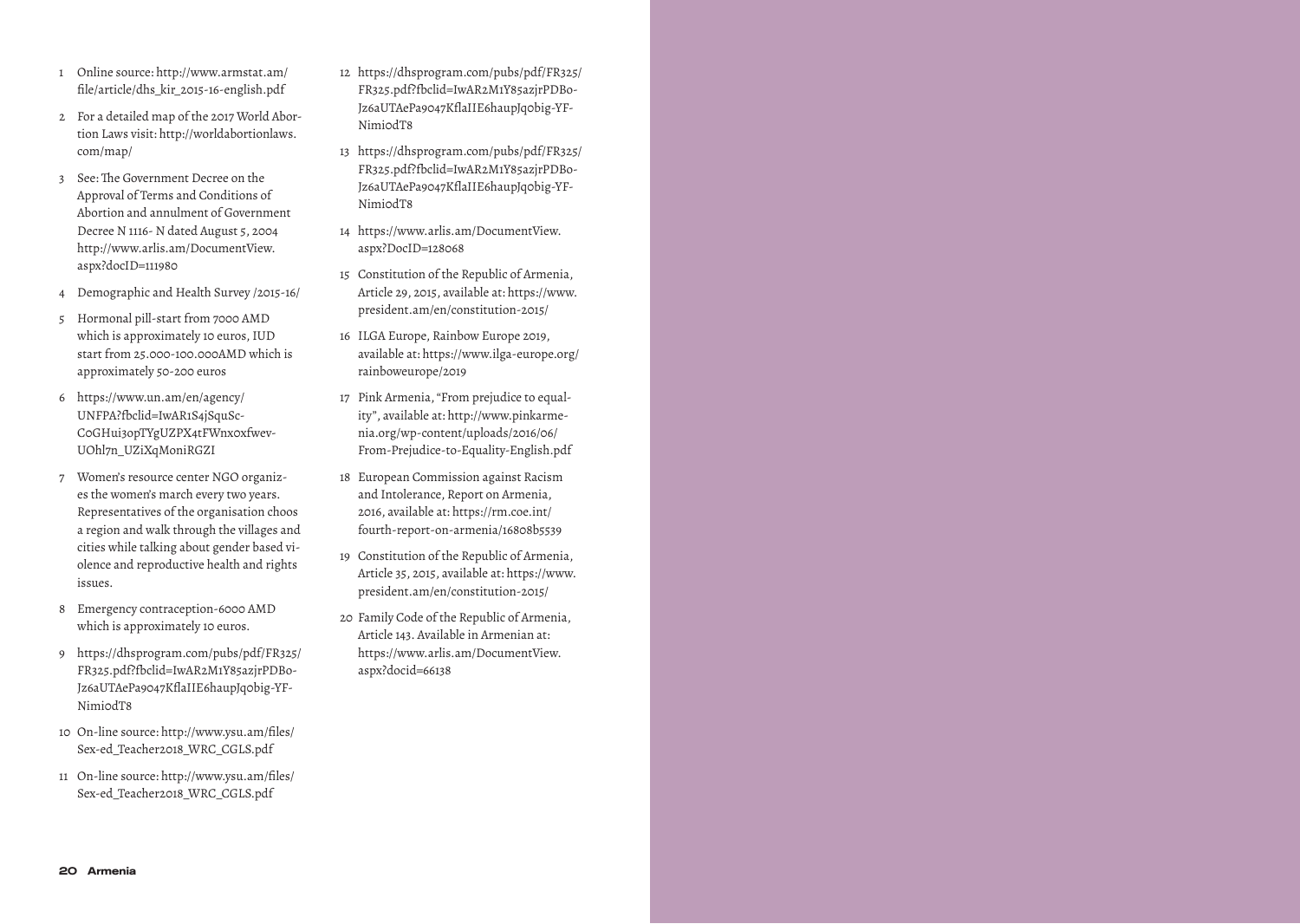- 1 Online source: http://www.armstat.am/ file/article/dhs\_kir\_2015-16-english.pdf
- 2 For a detailed map of the 2017 World Abortion Laws visit: http://worldabortionlaws. com/map/
- 3 See: The Government Decree on the Approval of Terms and Conditions of Abortion and annulment of Government Decree N 1116- N dated August 5, 2004 http://www.arlis.am/DocumentView. aspx?docID=111980
- 4 Demographic and Health Survey /2015-16/
- 5 Hormonal pill-start from 7000 AMD which is approximately 10 euros, IUD start from 25.000-100.000AMD which is approximately 50-200 euros
- 6 https://www.un.am/en/agency/ UNFPA?fbclid=IwAR1S4jSquSc-C0GHui3opTYgUZPX4tFWnx0xfwev-UOhl7n\_UZiXqMoniRGZI
- 7 Women's resource center NGO organizes the women's march every two years. Representatives of the organisation choos a region and walk through the villages and cities while talking about gender based violence and reproductive health and rights issues.
- 8 Emergency contraception-6000 AMD which is approximately 10 euros.
- 9 https://dhsprogram.com/pubs/pdf/FR325/ FR325.pdf?fbclid=IwAR2M1Y85azjrPDBo-Jz6aUTAePa9047KflaIIE6haupJq0big-YF-Nimi0dT8
- 10 On-line source: http://www.ysu.am/files/ Sex-ed\_Teacher2018\_WRC\_CGLS.pdf
- 11 On-line source: http://www.ysu.am/files/ Sex-ed\_Teacher2018\_WRC\_CGLS.pdf
- 12 https://dhsprogram.com/pubs/pdf/FR325/ FR325.pdf?fbclid=IwAR2M1Y85azjrPDBo-Jz6aUTAePa9047KflaIIE6haupJq0big-YF-Nimi0dT8
- 13 https://dhsprogram.com/pubs/pdf/FR325/ FR325.pdf?fbclid=IwAR2M1Y85azjrPDBo-Jz6aUTAePa9047KflaIIE6haupJq0big-YF-Nimi0dT8
- 14 https://www.arlis.am/DocumentView. aspx?DocID=128068
- 15 Constitution of the Republic of Armenia, Article 29, 2015, available at: https://www. president.am/en/constitution-2015/
- 16 ILGA Europe, Rainbow Europe 2019, available at: https://www.ilga-europe.org/ rainboweurope/2019
- 17 Pink Armenia, "From prejudice to equality", available at: http://www.pinkarmenia.org/wp-content/uploads/2016/06/ From-Prejudice-to-Equality-English.pdf
- 18 European Commission against Racism and Intolerance, Report on Armenia, 2016, available at: https://rm.coe.int/ fourth-report-on-armenia/16808b5539
- 19 Constitution of the Republic of Armenia, Article 35, 2015, available at: https://www. president.am/en/constitution-2015/
- 20 Family Code of the Republic of Armenia, Article 143. Available in Armenian at: https://www.arlis.am/DocumentView. aspx?docid=66138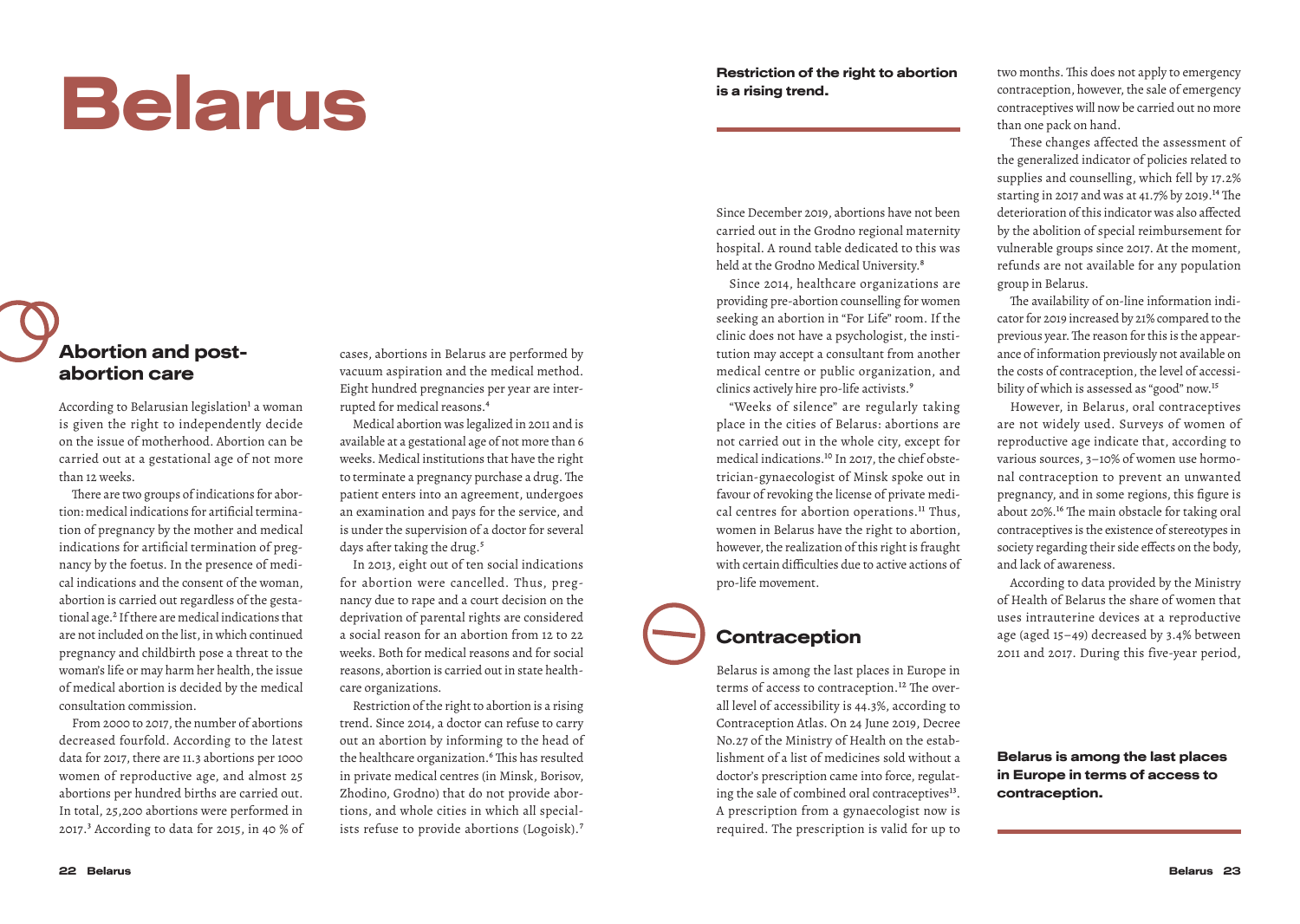# Belarus

#### Abortion and postabortion care

According to Belarusian legislation<sup>1</sup> a woman is given the right to independently decide on the issue of motherhood. Abortion can be carried out at a gestational age of not more than 12 weeks.

There are two groups of indications for abortion: medical indications for artificial termination of pregnancy by the mother and medical indications for artificial termination of pregnancy by the foetus. In the presence of medical indications and the consent of the woman, abortion is carried out regardless of the gestational age.2 If there are medical indications that are not included on the list, in which continued pregnancy and childbirth pose a threat to the woman's life or may harm her health, the issue of medical abortion is decided by the medical consultation commission.

From 2000 to 2017, the number of abortions decreased fourfold. According to the latest data for 2017, there are 11.3 abortions per 1000 women of reproductive age, and almost 25 abortions per hundred births are carried out. In total, 25,200 abortions were performed in 2017.3 According to data for 2015, in 40 % of cases, abortions in Belarus are performed by vacuum aspiration and the medical method. Eight hundred pregnancies per year are interrupted for medical reasons.4

Medical abortion was legalized in 2011 and is available at a gestational age of not more than 6 weeks. Medical institutions that have the right to terminate a pregnancy purchase a drug. The patient enters into an agreement, undergoes an examination and pays for the service, and is under the supervision of a doctor for several days after taking the drug.<sup>5</sup>

In 2013, eight out of ten social indications for abortion were cancelled. Thus, pregnancy due to rape and a court decision on the deprivation of parental rights are considered a social reason for an abortion from 12 to 22 weeks. Both for medical reasons and for social reasons, abortion is carried out in state healthcare organizations.

Restriction of the right to abortion is a rising trend. Since 2014, a doctor can refuse to carry out an abortion by informing to the head of the healthcare organization.<sup>6</sup> This has resulted in private medical centres (in Minsk, Borisov, Zhodino, Grodno) that do not provide abortions, and whole cities in which all specialists refuse to provide abortions (Logoisk).7

#### Restriction of the right to abortion is a rising trend.

Since December 2019, abortions have not been carried out in the Grodno regional maternity hospital. A round table dedicated to this was held at the Grodno Medical University.<sup>8</sup>

Since 2014, healthcare organizations are providing pre-abortion counselling for women seeking an abortion in "For Life" room. If the clinic does not have a psychologist, the institution may accept a consultant from another medical centre or public organization, and clinics actively hire pro-life activists.9

"Weeks of silence" are regularly taking place in the cities of Belarus: abortions are not carried out in the whole city, except for medical indications.10 In 2017, the chief obstetrician-gynaecologist of Minsk spoke out in favour of revoking the license of private medical centres for abortion operations.<sup>11</sup> Thus, women in Belarus have the right to abortion, however, the realization of this right is fraught with certain difficulties due to active actions of pro-life movement.

#### **Contraception**

Belarus is among the last places in Europe in terms of access to contraception.<sup>12</sup> The overall level of accessibility is 44.3%, according to Contraception Atlas. On 24 June 2019, Decree No.27 of the Ministry of Health on the establishment of a list of medicines sold without a doctor's prescription came into force, regulating the sale of combined oral contraceptives<sup>13</sup>. A prescription from a gynaecologist now is required. The prescription is valid for up to two months. This does not apply to emergency contraception, however, the sale of emergency contraceptives will now be carried out no more than one pack on hand.

These changes affected the assessment of the generalized indicator of policies related to supplies and counselling, which fell by 17.2% starting in 2017 and was at 41.7% by 2019.14 The deterioration of this indicator was also affected by the abolition of special reimbursement for vulnerable groups since 2017. At the moment, refunds are not available for any population group in Belarus.

The availability of on-line information indicator for 2019 increased by 21% compared to the previous year. The reason for this is the appearance of information previously not available on the costs of contraception, the level of accessibility of which is assessed as "good" now.<sup>15</sup>

However, in Belarus, oral contraceptives are not widely used. Surveys of women of reproductive age indicate that, according to various sources, 3–10% of women use hormonal contraception to prevent an unwanted pregnancy, and in some regions, this figure is about 20%.16 The main obstacle for taking oral contraceptives is the existence of stereotypes in society regarding their side effects on the body, and lack of awareness.

According to data provided by the Ministry of Health of Belarus the share of women that uses intrauterine devices at a reproductive age (aged 15–49) decreased by 3.4% between 2011 and 2017. During this five-year period,

Belarus is among the last places in Europe in terms of access to contraception.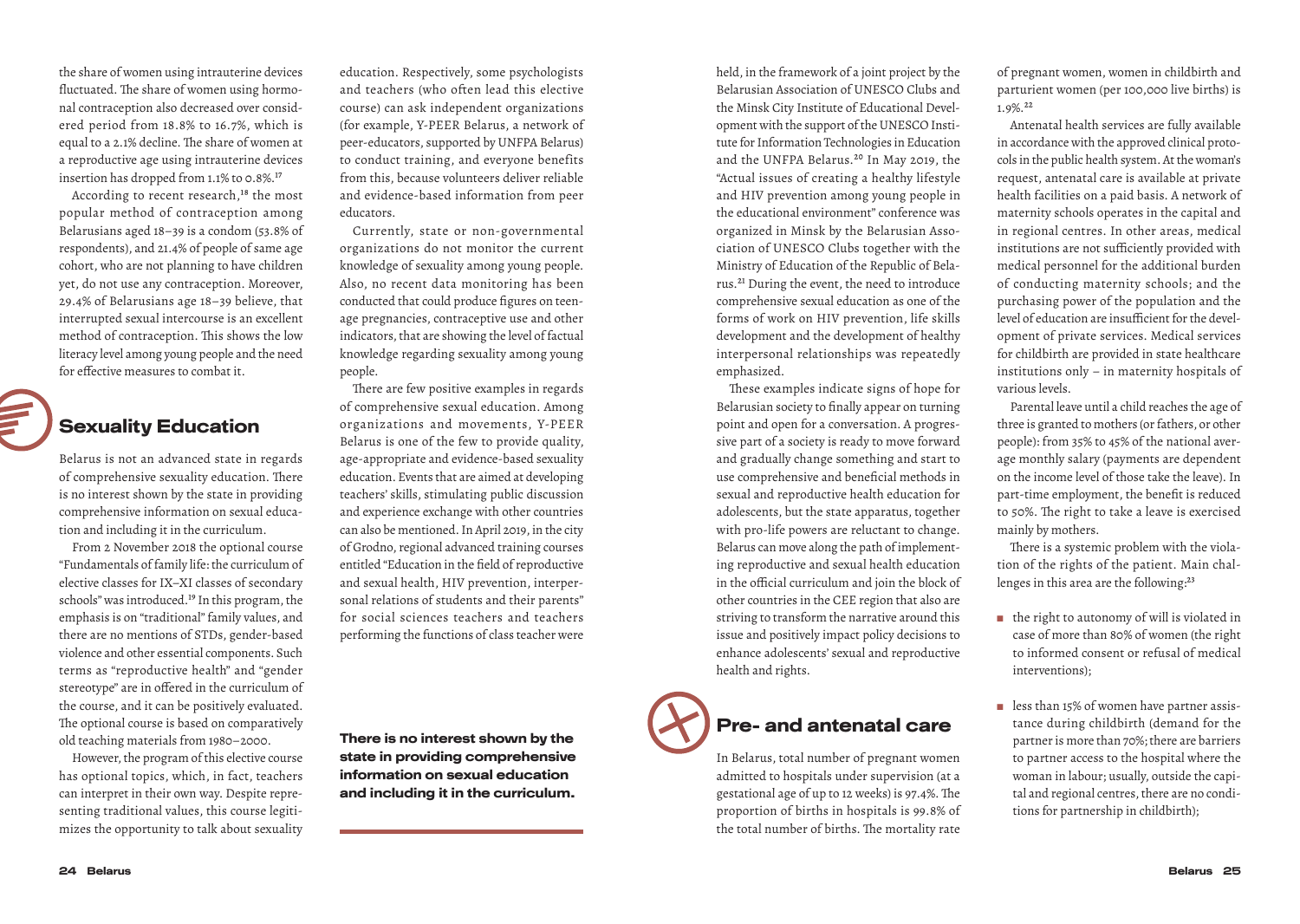the share of women using intrauterine devices fluctuated. The share of women using hormonal contraception also decreased over considered period from 18.8% to 16.7%, which is equal to a 2.1% decline. The share of women at a reproductive age using intrauterine devices insertion has dropped from  $1.1\%$  to 0.8%.<sup>17</sup>

According to recent research,<sup>18</sup> the most popular method of contraception among Belarusians aged 18–39 is a condom (53.8% of respondents), and 21.4% of people of same age cohort, who are not planning to have children yet, do not use any contraception. Moreover, 29.4% of Belarusians age 18–39 believe, that interrupted sexual intercourse is an excellent method of contraception. This shows the low literacy level among young people and the need for effective measures to combat it.



#### Sexuality Education

Belarus is not an advanced state in regards of comprehensive sexuality education. There is no interest shown by the state in providing comprehensive information on sexual education and including it in the curriculum.

From 2 November 2018 the optional course "Fundamentals of family life: the curriculum of elective classes for IX–XI classes of secondary schools" was introduced.<sup>19</sup> In this program, the emphasis is on "traditional" family values, and there are no mentions of STDs, gender-based violence and other essential components. Such terms as "reproductive health" and "gender stereotype" are in offered in the curriculum of the course, and it can be positively evaluated. The optional course is based on comparatively old teaching materials from 1980–2000.

However, the program of this elective course has optional topics, which, in fact, teachers can interpret in their own way. Despite representing traditional values, this course legitimizes the opportunity to talk about sexuality education. Respectively, some psychologists and teachers (who often lead this elective course) can ask independent organizations (for example, Y-PEER Belarus, a network of peer-educators, supported by UNFPA Belarus) to conduct training, and everyone benefits from this, because volunteers deliver reliable and evidence-based information from peer educators.

Currently, state or non-governmental organizations do not monitor the current knowledge of sexuality among young people. Also, no recent data monitoring has been conducted that could produce figures on teenage pregnancies, contraceptive use and other indicators, that are showing the level of factual knowledge regarding sexuality among young people.

There are few positive examples in regards of comprehensive sexual education. Among organizations and movements, Y-PEER Belarus is one of the few to provide quality, age-appropriate and evidence-based sexuality education. Events that are aimed at developing teachers' skills, stimulating public discussion and experience exchange with other countries can also be mentioned. In April 2019, in the city of Grodno, regional advanced training courses entitled "Education in the field of reproductive and sexual health, HIV prevention, interpersonal relations of students and their parents" for social sciences teachers and teachers performing the functions of class teacher were

There is no interest shown by the state in providing comprehensive information on sexual education and including it in the curriculum.

held, in the framework of a joint project by the Belarusian Association of UNESCO Clubs and the Minsk City Institute of Educational Development with the support of the UNESCO Institute for Information Technologies in Education and the UNFPA Belarus.20 In May 2019, the "Actual issues of creating a healthy lifestyle and HIV prevention among young people in the educational environment" conference was organized in Minsk by the Belarusian Association of UNESCO Clubs together with the Ministry of Education of the Republic of Belarus.21 During the event, the need to introduce comprehensive sexual education as one of the forms of work on HIV prevention, life skills development and the development of healthy interpersonal relationships was repeatedly emphasized.

These examples indicate signs of hope for Belarusian society to finally appear on turning point and open for a conversation. A progressive part of a society is ready to move forward and gradually change something and start to use comprehensive and beneficial methods in sexual and reproductive health education for adolescents, but the state apparatus, together with pro-life powers are reluctant to change. Belarus can move along the path of implementing reproductive and sexual health education in the official curriculum and join the block of other countries in the CEE region that also are striving to transform the narrative around this issue and positively impact policy decisions to enhance adolescents' sexual and reproductive health and rights.



# Pre- and antenatal care

In Belarus, total number of pregnant women admitted to hospitals under supervision (at a gestational age of up to 12 weeks) is 97.4%. The proportion of births in hospitals is 99.8% of the total number of births. The mortality rate

of pregnant women, women in childbirth and parturient women (per 100,000 live births) is 1.9%.22

Antenatal health services are fully available in accordance with the approved clinical protocols in the public health system. At the woman's request, antenatal care is available at private health facilities on a paid basis. A network of maternity schools operates in the capital and in regional centres. In other areas, medical institutions are not sufficiently provided with medical personnel for the additional burden of conducting maternity schools; and the purchasing power of the population and the level of education are insufficient for the development of private services. Medical services for childbirth are provided in state healthcare institutions only – in maternity hospitals of various levels.

Parental leave until a child reaches the age of three is granted to mothers (or fathers, or other people): from 35% to 45% of the national average monthly salary (payments are dependent on the income level of those take the leave). In part-time employment, the benefit is reduced to 50%. The right to take a leave is exercised mainly by mothers.

There is a systemic problem with the violation of the rights of the patient. Main challenges in this area are the following:<sup>23</sup>

- the right to autonomy of will is violated in case of more than 80% of women (the right to informed consent or refusal of medical interventions);
- less than 15% of women have partner assistance during childbirth (demand for the partner is more than 70%; there are barriers to partner access to the hospital where the woman in labour; usually, outside the capital and regional centres, there are no conditions for partnership in childbirth);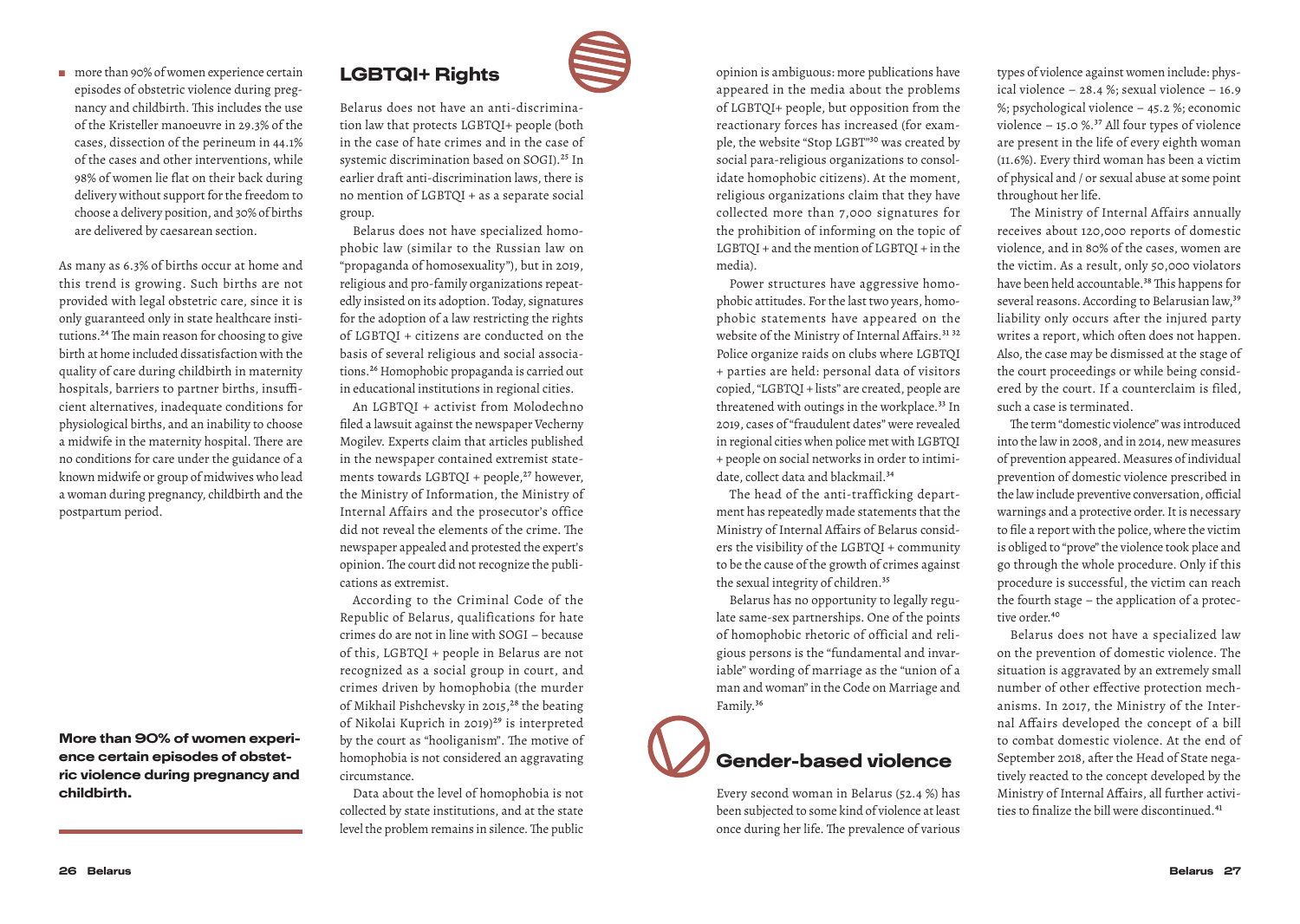#### ■ more than 90% of women experience certain episodes of obstetric violence during pregnancy and childbirth. This includes the use of the Kristeller manoeuvre in 29.3% of the cases, dissection of the perineum in 44.1% of the cases and other interventions, while 98% of women lie flat on their back during delivery without support for the freedom to choose a delivery position, and 30% of births are delivered by caesarean section.

As many as 6.3% of births occur at home and this trend is growing. Such births are not provided with legal obstetric care, since it is only guaranteed only in state healthcare institutions.24 The main reason for choosing to give birth at home included dissatisfaction with the quality of care during childbirth in maternity hospitals, barriers to partner births, insufficient alternatives, inadequate conditions for physiological births, and an inability to choose a midwife in the maternity hospital. There are no conditions for care under the guidance of a known midwife or group of midwives who lead a woman during pregnancy, childbirth and the postpartum period.

More than 90% of women experience certain episodes of obstetric violence during pregnancy and childbirth.

#### LGBTQI+ Rights

Belarus does not have an anti-discrimination law that protects LGBTQI+ people (both in the case of hate crimes and in the case of systemic discrimination based on SOGI).<sup>25</sup> In earlier draft anti-discrimination laws, there is no mention of LGBTQI + as a separate social group.

Belarus does not have specialized homophobic law (similar to the Russian law on "propaganda of homosexuality"), but in 2019, religious and pro-family organizations repeatedly insisted on its adoption. Today, signatures for the adoption of a law restricting the rights of LGBTQI + citizens are conducted on the basis of several religious and social associations.26 Homophobic propaganda is carried out in educational institutions in regional cities.

An LGBTQI + activist from Molodechno filed a lawsuit against the newspaper Vecherny Mogilev. Experts claim that articles published in the newspaper contained extremist statements towards LGBTQI + people,<sup>27</sup> however, the Ministry of Information, the Ministry of Internal Affairs and the prosecutor's office did not reveal the elements of the crime. The newspaper appealed and protested the expert's opinion. The court did not recognize the publications as extremist.

According to the Criminal Code of the Republic of Belarus, qualifications for hate crimes do are not in line with SOGI – because of this, LGBTQI + people in Belarus are not recognized as a social group in court, and crimes driven by homophobia (the murder of Mikhail Pishchevsky in 2015,<sup>28</sup> the beating of Nikolai Kuprich in 2019)<sup>29</sup> is interpreted by the court as "hooliganism". The motive of homophobia is not considered an aggravating circumstance.

Data about the level of homophobia is not collected by state institutions, and at the state level the problem remains in silence. The public opinion is ambiguous: more publications have appeared in the media about the problems of LGBTQI+ people, but opposition from the reactionary forces has increased (for example, the website "Stop LGBT"30 was created by social para-religious organizations to consolidate homophobic citizens). At the moment, religious organizations claim that they have collected more than 7,000 signatures for the prohibition of informing on the topic of LGBTQI + and the mention of LGBTQI + in the media).

Power structures have aggressive homophobic attitudes. For the last two years, homophobic statements have appeared on the website of the Ministry of Internal Affairs.<sup>31 32</sup> Police organize raids on clubs where LGBTQI + parties are held: personal data of visitors copied, "LGBTQI + lists" are created, people are threatened with outings in the workplace.<sup>33</sup> In 2019, cases of "fraudulent dates" were revealed in regional cities when police met with LGBTQI + people on social networks in order to intimidate, collect data and blackmail.<sup>34</sup>

The head of the anti-trafficking department has repeatedly made statements that the Ministry of Internal Affairs of Belarus considers the visibility of the LGBTQI + community to be the cause of the growth of crimes against the sexual integrity of children.<sup>35</sup>

Belarus has no opportunity to legally regulate same-sex partnerships. One of the points of homophobic rhetoric of official and religious persons is the "fundamental and invariable" wording of marriage as the "union of a man and woman" in the Code on Marriage and Family.36



Every second woman in Belarus (52.4 %) has been subjected to some kind of violence at least once during her life. The prevalence of various types of violence against women include: physical violence – 28.4 %; sexual violence – 16.9 %; psychological violence – 45.2 %; economic violence – 15.0 %.<sup>37</sup> All four types of violence are present in the life of every eighth woman (11.6%). Every third woman has been a victim of physical and / or sexual abuse at some point throughout her life.

The Ministry of Internal Affairs annually receives about 120,000 reports of domestic violence, and in 80% of the cases, women are the victim. As a result, only 50,000 violators have been held accountable.<sup>38</sup> This happens for several reasons. According to Belarusian law,<sup>39</sup> liability only occurs after the injured party writes a report, which often does not happen. Also, the case may be dismissed at the stage of the court proceedings or while being considered by the court. If a counterclaim is filed, such a case is terminated.

The term "domestic violence" was introduced into the law in 2008, and in 2014, new measures of prevention appeared. Measures of individual prevention of domestic violence prescribed in the law include preventive conversation, official warnings and a protective order. It is necessary to file a report with the police, where the victim is obliged to "prove" the violence took place and go through the whole procedure. Only if this procedure is successful, the victim can reach the fourth stage – the application of a protective order.<sup>40</sup>

Belarus does not have a specialized law on the prevention of domestic violence. The situation is aggravated by an extremely small number of other effective protection mechanisms. In 2017, the Ministry of the Internal Affairs developed the concept of a bill to combat domestic violence. At the end of September 2018, after the Head of State negatively reacted to the concept developed by the Ministry of Internal Affairs, all further activities to finalize the bill were discontinued.<sup>41</sup>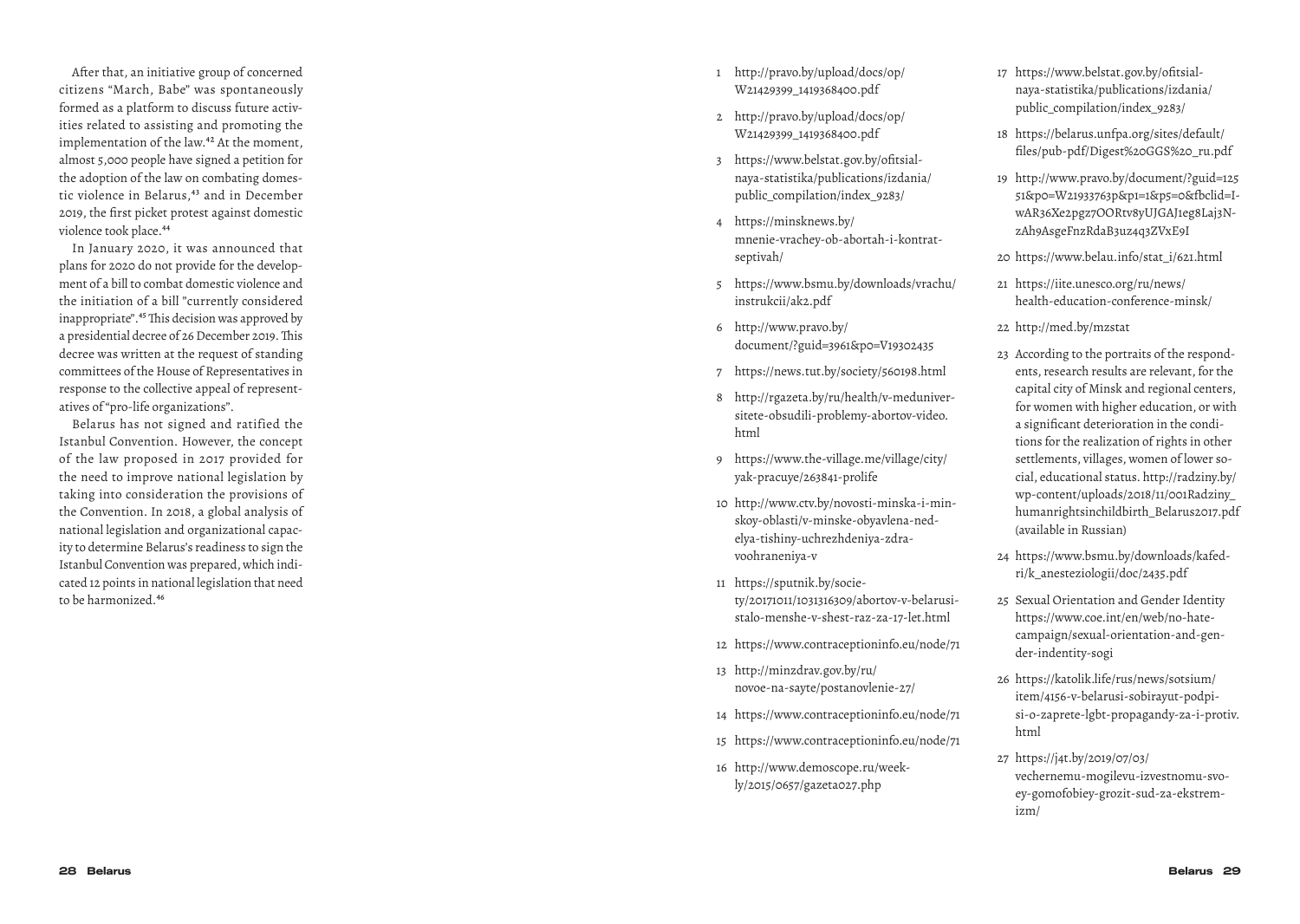After that, an initiative group of concerned citizens "March, Babe" was spontaneously formed as a platform to discuss future activ ities related to assisting and promoting the implementation of the law.<sup>42</sup> At the moment, almost 5,000 people have signed a petition for the adoption of the law on combating domes tic violence in Belarus,<sup>43</sup> and in December 2019, the first picket protest against domestic violence took place.<sup>44</sup>

In January 2020, it was announced that plans for 2020 do not provide for the develop ment of a bill to combat domestic violence and the initiation of a bill "currently considered inappropriate".45 This decision was approved by a presidential decree of 26 December 2019. This decree was written at the request of standing committees of the House of Representatives in response to the collective appeal of represent atives of "pro-life organizations".

Belarus has not signed and ratified the Istanbul Convention. However, the concept of the law proposed in 2017 provided for the need to improve national legislation by taking into consideration the provisions of the Convention. In 2018, a global analysis of national legislation and organizational capac ity to determine Belarus's readiness to sign the Istanbul Convention was prepared, which indi cated 12 points in national legislation that need to be harmonized.46

- 1 http://pravo.by/upload/docs/op/ W21429399\_1419368400.pdf
- 2 http://pravo.by/upload/docs/op/ W21429399\_1419368400.pdf
- 3 https://www.belstat.gov.by/ofitsial naya-statistika/publications/izdania/ public\_compilation/index\_9283/
- 4 https://minsknews.by/ mnenie-vrachey-ob-abortah-i-kontrat septivah/
- 5 https://www.bsmu.by/downloads/vrachu/ instrukcii/ak2.pdf
- 6 http://www.pravo.by/ document/?guid=3961&p0=V19302435
- 7 https://news.tut.by/society/560198.html
- 8 http://rgazeta.by/ru/health/v-meduniver sitete-obsudili-problemy-abortov-video. html
- 9 https://www.the-village.me/village/city/ yak-pracuye/263841-prolife
- 10 http://www.ctv.by/novosti-minska-i-min skoy-oblasti/v-minske-obyavlena-ned elya-tishiny-uchrezhdeniya-zdra voohraneniya-v
- 11 https://sputnik.by/socie ty/20171011/1031316309/abortov-v-belarusistalo-menshe-v-shest-raz-za-17-let.html
- 12 https://www.contraceptioninfo.eu/node/71
- 13 http://minzdrav.gov.by/ru/ novoe-na-sayte/postanovlenie-27/
- 14 https://www.contraceptioninfo.eu/node/71
- 15 https://www.contraceptioninfo.eu/node/71
- 16 http://www.demoscope.ru/week ly/2015/0657/gazeta027.php
- 17 https://www.belstat.gov.by/ofitsial naya-statistika/publications/izdania/ public\_compilation/index\_9283/
- 18 https://belarus.unfpa.org/sites/default/ files/pub-pdf/Digest%20GGS%20\_ru.pdf
- 19 http://www.pravo.by/document/?guid=125 51&p0=W21933763p&p1=1&p5=0&fbclid=I wAR36Xe2pgz7OORtv8yUJGAJ1eg8Laj3N zAh9AsgeFnzRdaB3uz4q3ZVxE9I
- 20 https://www.belau.info/stat\_i/621.html
- 21 https://iite.unesco.org/ru/news/ health-education-conference-minsk/
- 22 http://med.by/mzstat
- 23 According to the portraits of the respond ents, research results are relevant, for the capital city of Minsk and regional centers, for women with higher education, or with a significant deterioration in the condi tions for the realization of rights in other settlements, villages, women of lower so cial, educational status. http://radziny.by/ wp-content/uploads/2018/11/001Radziny\_ humanrightsinchildbirth\_Belarus2017.pdf (available in Russian)
- 24 https://www.bsmu.by/downloads/kafed ri/k\_anesteziologii/doc/2435.pdf
- 25 Sexual Orientation and Gender Identity https://www.coe.int/en/web/no-hatecampaign/sexual-orientation-and-gen der-indentity-sogi
- 26 https://katolik.life/rus/news/sotsium/ item/4156-v-belarusi-sobirayut-podpi si-o-zaprete-lgbt-propagandy-za-i-protiv. html
- 27 https://j4t.by/2019/07/03/ vechernemu-mogilevu-izvestnomu-svo ey-gomofobiey-grozit-sud-za-ekstrem izm/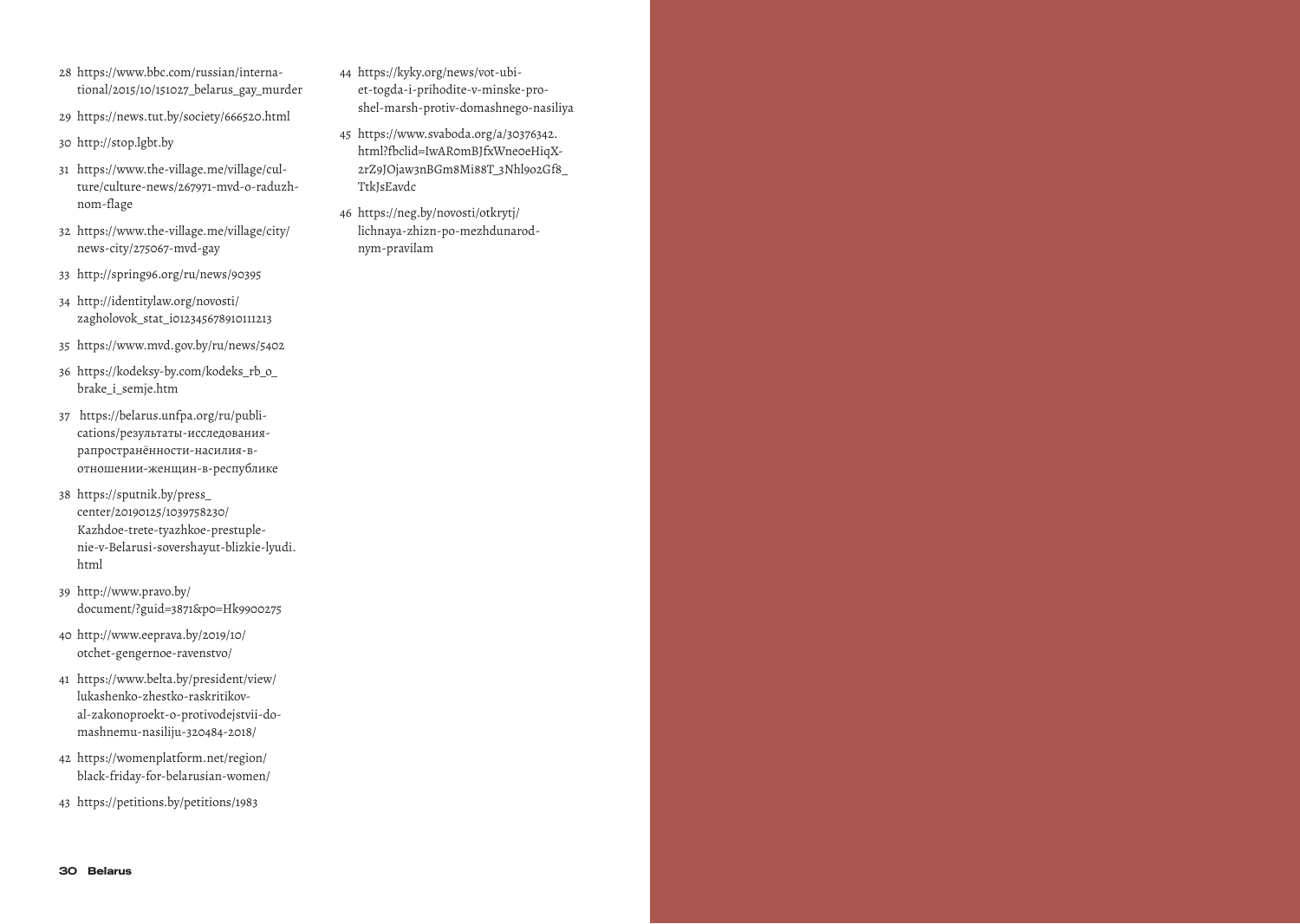- 28 https://www.bbc.com/russian/international/2015/10/151027\_belarus\_gay\_murder
- 29 https://news.tut.by/society/666520.html
- 30 http://stop.lgbt.by
- 31 https://www.the-village.me/village/culture/culture-news/267971-mvd-o-raduzhnom-flage
- 32 https://www.the-village.me/village/city/ news-city/275067-mvd-gay
- 33 http://spring96.org/ru/news/90395
- 34 http://identitylaw.org/novosti/ zagholovok\_stat\_i012345678910111213
- 35 https://www.mvd.gov.by/ru/news/5402
- 36 https://kodeksy-by.com/kodeks\_rb\_o\_ brake\_i\_semje.htm
- 37 https://belarus.unfpa.org/ru/publications/результаты-исследованиярапространённости-насилия-вотношении-женщин-в-республике
- 38 https://sputnik.by/press\_ center/20190125/1039758230/ Kazhdoe-trete-tyazhkoe-prestuplenie-v-Belarusi-sovershayut-blizkie-lyudi. html
- 39 http://www.pravo.by/ document/?guid=3871&p0=Hk9900275
- 40 http://www.eeprava.by/2019/10/ otchet-gengernoe-ravenstvo/
- 41 https://www.belta.by/president/view/ lukashenko-zhestko-raskritikoval-zakonoproekt-o-protivodejstvii-domashnemu-nasiliju-320484-2018/
- 42 https://womenplatform.net/region/ black-friday-for-belarusian-women/
- 43 https://petitions.by/petitions/1983
- 44 https://kyky.org/news/vot-ubiet-togda-i-prihodite-v-minske-proshel-marsh-protiv-domashnego-nasiliya
- 45 https://www.svaboda.org/a/30376342. html?fbclid=IwAR0mBJfxWne0eHiqX-2rZ9JOjaw3nBGm8Mi88T\_3Nhl9o2Gf8\_ TtkJsEavdc
- 46 https://neg.by/novosti/otkrytj/ lichnaya-zhizn-po-mezhdunarodnym-pravilam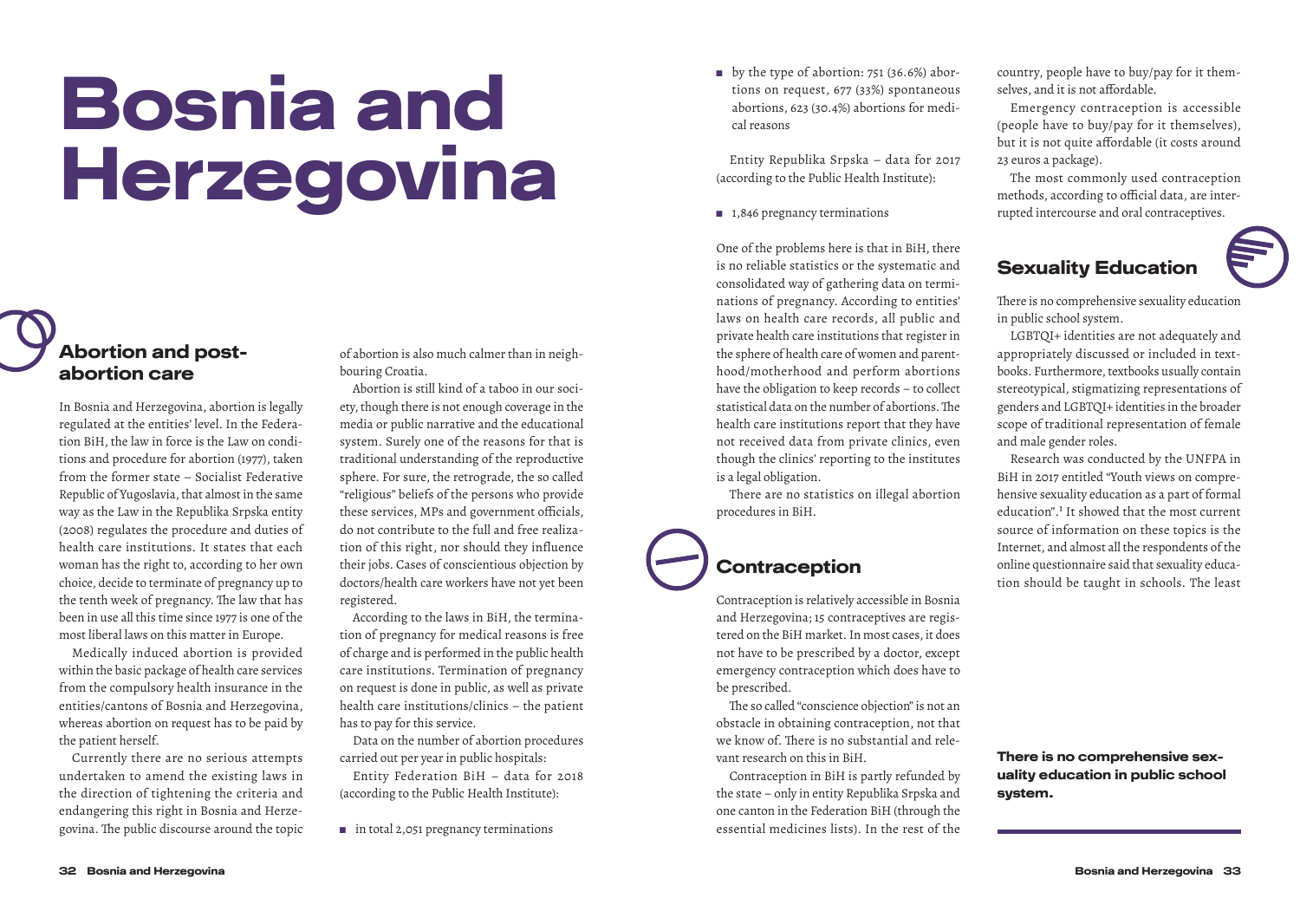# Bosnia and Herzegovina

### Abortion and postabortion care

In Bosnia and Herzegovina, abortion is legally regulated at the entities' level. In the Federation BiH, the law in force is the Law on conditions and procedure for abortion (1977), taken from the former state – Socialist Federative Republic of Yugoslavia, that almost in the same way as the Law in the Republika Srpska entity (2008) regulates the procedure and duties of health care institutions. It states that each woman has the right to, according to her own choice, decide to terminate of pregnancy up to the tenth week of pregnancy. The law that has been in use all this time since 1977 is one of the most liberal laws on this matter in Europe.

Medically induced abortion is provided within the basic package of health care services from the compulsory health insurance in the entities/cantons of Bosnia and Herzegovina, whereas abortion on request has to be paid by the patient herself.

Currently there are no serious attempts undertaken to amend the existing laws in the direction of tightening the criteria and endangering this right in Bosnia and Herzegovina. The public discourse around the topic of abortion is also much calmer than in neighbouring Croatia.

Abortion is still kind of a taboo in our society, though there is not enough coverage in the media or public narrative and the educational system. Surely one of the reasons for that is traditional understanding of the reproductive sphere. For sure, the retrograde, the so called "religious" beliefs of the persons who provide these services, MPs and government officials, do not contribute to the full and free realization of this right, nor should they influence their jobs. Cases of conscientious objection by doctors/health care workers have not yet been registered.

According to the laws in BiH, the termination of pregnancy for medical reasons is free of charge and is performed in the public health care institutions. Termination of pregnancy on request is done in public, as well as private health care institutions/clinics – the patient has to pay for this service.

Data on the number of abortion procedures carried out per year in public hospitals:

Entity Federation BiH – data for 2018 (according to the Public Health Institute):

■ in total 2,051 pregnancy terminations

■ by the type of abortion: 751 (36.6%) abortions on request, 677 (33%) spontaneous abortions, 623 (30.4%) abortions for medical reasons

Entity Republika Srpska – data for 2017 (according to the Public Health Institute):

 $\blacksquare$  1,846 pregnancy terminations

One of the problems here is that in BiH, there is no reliable statistics or the systematic and consolidated way of gathering data on terminations of pregnancy. According to entities' laws on health care records, all public and private health care institutions that register in the sphere of health care of women and parenthood/motherhood and perform abortions have the obligation to keep records – to collect statistical data on the number of abortions. The health care institutions report that they have not received data from private clinics, even though the clinics' reporting to the institutes is a legal obligation.

There are no statistics on illegal abortion procedures in BiH.

### **Contraception**

Contraception is relatively accessible in Bosnia and Herzegovina; 15 contraceptives are registered on the BiH market. In most cases, it does not have to be prescribed by a doctor, except emergency contraception which does have to be prescribed.

The so called "conscience objection" is not an obstacle in obtaining contraception, not that we know of. There is no substantial and relevant research on this in BiH.

Contraception in BiH is partly refunded by the state – only in entity Republika Srpska and one canton in the Federation BiH (through the essential medicines lists). In the rest of the country, people have to buy/pay for it themselves, and it is not affordable.

Emergency contraception is accessible (people have to buy/pay for it themselves), but it is not quite affordable (it costs around 23 euros a package).

The most commonly used contraception methods, according to official data, are interrupted intercourse and oral contraceptives.

## Sexuality Education

There is no comprehensive sexuality education in public school system.

LGBTQI+ identities are not adequately and appropriately discussed or included in textbooks. Furthermore, textbooks usually contain stereotypical, stigmatizing representations of genders and LGBTQI+ identities in the broader scope of traditional representation of female and male gender roles.

Research was conducted by the UNFPA in BiH in 2017 entitled "Youth views on comprehensive sexuality education as a part of formal education".1 It showed that the most current source of information on these topics is the Internet, and almost all the respondents of the online questionnaire said that sexuality education should be taught in schools. The least

There is no comprehensive sexuality education in public school system.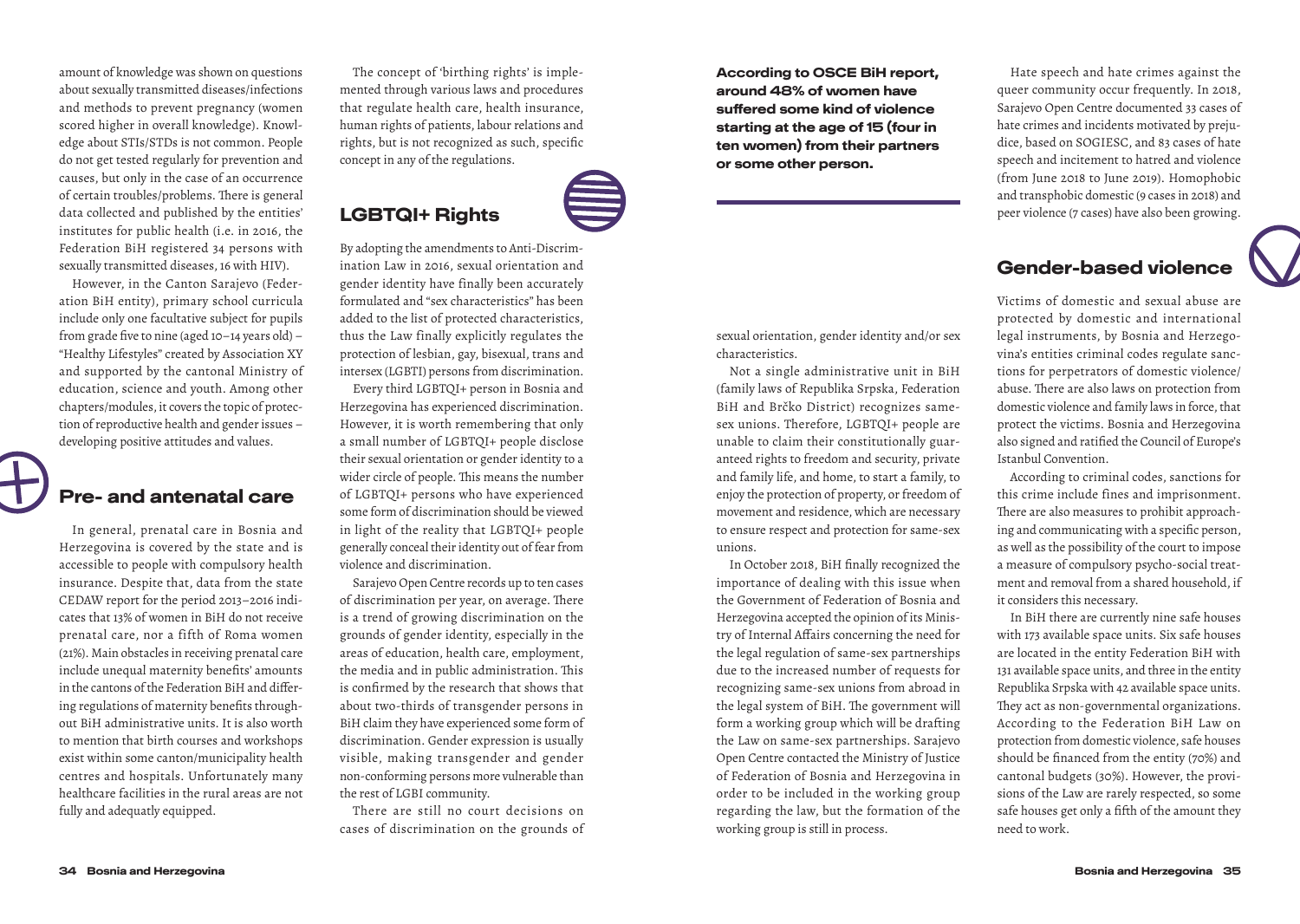amount of knowledge was shown on questions about sexually transmitted diseases/infections and methods to prevent pregnancy (women scored higher in overall knowledge). Knowledge about STIs/STDs is not common. People do not get tested regularly for prevention and causes, but only in the case of an occurrence of certain troubles/problems. There is general data collected and published by the entities' institutes for public health (i.e. in 2016, the Federation BiH registered 34 persons with sexually transmitted diseases, 16 with HIV).

However, in the Canton Sarajevo (Federation BiH entity), primary school curricula include only one facultative subject for pupils from grade five to nine (aged 10–14 years old) – "Healthy Lifestyles" created by Association XY and supported by the cantonal Ministry of education, science and youth. Among other chapters/modules, it covers the topic of protection of reproductive health and gender issues – developing positive attitudes and values.

#### Pre- and antenatal care

In general, prenatal care in Bosnia and Herzegovina is covered by the state and is accessible to people with compulsory health insurance. Despite that, data from the state CEDAW report for the period 2013–2016 indicates that 13% of women in BiH do not receive prenatal care, nor a fifth of Roma women (21%). Main obstacles in receiving prenatal care include unequal maternity benefits' amounts in the cantons of the Federation BiH and differing regulations of maternity benefits throughout BiH administrative units. It is also worth to mention that birth courses and workshops exist within some canton/municipality health centres and hospitals. Unfortunately many healthcare facilities in the rural areas are not fully and adequatly equipped.

The concept of 'birthing rights' is implemented through various laws and procedures that regulate health care, health insurance, human rights of patients, labour relations and rights, but is not recognized as such, specific concept in any of the regulations.

# LGBTQI+ Rights

By adopting the amendments to Anti-Discrimination Law in 2016, sexual orientation and gender identity have finally been accurately formulated and "sex characteristics" has been added to the list of protected characteristics, thus the Law finally explicitly regulates the protection of lesbian, gay, bisexual, trans and intersex (LGBTI) persons from discrimination.

Every third LGBTQI+ person in Bosnia and Herzegovina has experienced discrimination. However, it is worth remembering that only a small number of LGBTQI+ people disclose their sexual orientation or gender identity to a wider circle of people. This means the number of LGBTQI+ persons who have experienced some form of discrimination should be viewed in light of the reality that LGBTQI+ people generally conceal their identity out of fear from violence and discrimination.

Sarajevo Open Centre records up to ten cases of discrimination per year, on average. There is a trend of growing discrimination on the grounds of gender identity, especially in the areas of education, health care, employment, the media and in public administration. This is confirmed by the research that shows that about two-thirds of transgender persons in BiH claim they have experienced some form of discrimination. Gender expression is usually visible, making transgender and gender non-conforming persons more vulnerable than the rest of LGBI community.

There are still no court decisions on cases of discrimination on the grounds of According to OSCE BiH report, around 48% of women have suffered some kind of violence starting at the age of 15 (four in ten women) from their partners or some other person.

sexual orientation, gender identity and/or sex characteristics.

Not a single administrative unit in BiH (family laws of Republika Srpska, Federation BiH and Brčko District) recognizes samesex unions. Therefore, LGBTQI+ people are unable to claim their constitutionally guaranteed rights to freedom and security, private and family life, and home, to start a family, to enjoy the protection of property, or freedom of movement and residence, which are necessary to ensure respect and protection for same-sex unions.

In October 2018, BiH finally recognized the importance of dealing with this issue when the Government of Federation of Bosnia and Herzegovina accepted the opinion of its Ministry of Internal Affairs concerning the need for the legal regulation of same-sex partnerships due to the increased number of requests for recognizing same-sex unions from abroad in the legal system of BiH. The government will form a working group which will be drafting the Law on same-sex partnerships. Sarajevo Open Centre contacted the Ministry of Justice of Federation of Bosnia and Herzegovina in order to be included in the working group regarding the law, but the formation of the working group is still in process.

Hate speech and hate crimes against the queer community occur frequently. In 2018, Sarajevo Open Centre documented 33 cases of hate crimes and incidents motivated by prejudice, based on SOGIESC, and 83 cases of hate speech and incitement to hatred and violence (from June 2018 to June 2019). Homophobic and transphobic domestic (9 cases in 2018) and peer violence (7 cases) have also been growing.

#### Gender-based violence

Victims of domestic and sexual abuse are protected by domestic and international legal instruments, by Bosnia and Herzegovina's entities criminal codes regulate sanctions for perpetrators of domestic violence/ abuse. There are also laws on protection from domestic violence and family laws in force, that protect the victims. Bosnia and Herzegovina also signed and ratified the Council of Europe's Istanbul Convention.

According to criminal codes, sanctions for this crime include fines and imprisonment. There are also measures to prohibit approaching and communicating with a specific person, as well as the possibility of the court to impose a measure of compulsory psycho-social treatment and removal from a shared household, if it considers this necessary.

In BiH there are currently nine safe houses with 173 available space units. Six safe houses are located in the entity Federation BiH with 131 available space units, and three in the entity Republika Srpska with 42 available space units. They act as non-governmental organizations. According to the Federation BiH Law on protection from domestic violence, safe houses should be financed from the entity (70%) and cantonal budgets (30%). However, the provisions of the Law are rarely respected, so some safe houses get only a fifth of the amount they need to work.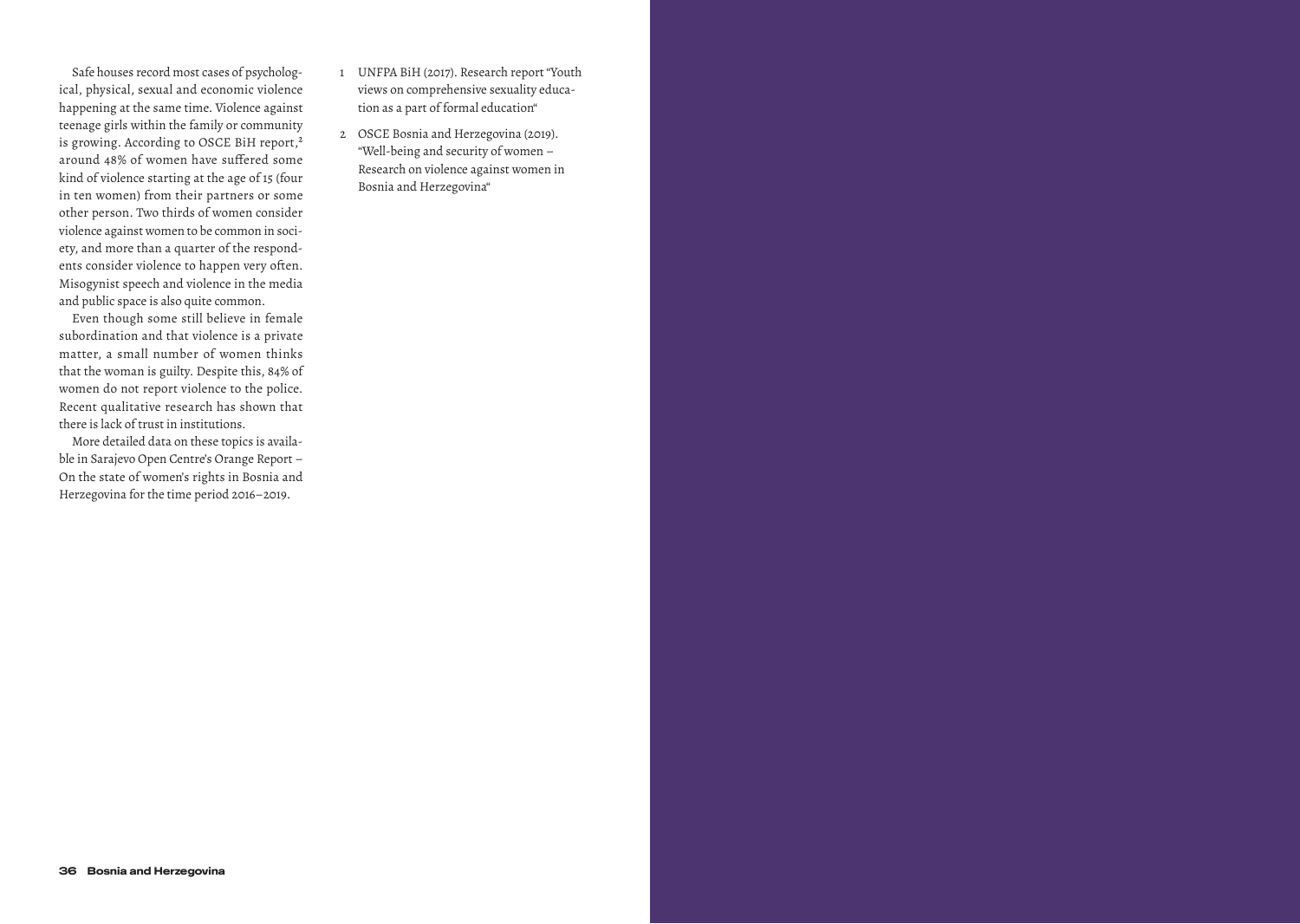Safe houses record most cases of psychological, physical, sexual and economic violence happening at the same time. Violence against teenage girls within the family or community is growing. According to OSCE BiH report,<sup>2</sup> around 48% of women have suffered some kind of violence starting at the age of 15 (four in ten women) from their partners or some other person. Two thirds of women consider violence against women to be common in society, and more than a quarter of the respondents consider violence to happen very often. Misogynist speech and violence in the media and public space is also quite common.

Even though some still believe in female subordination and that violence is a private matter, a small number of women thinks that the woman is guilty. Despite this, 84% of women do not report violence to the police. Recent qualitative research has shown that there is lack of trust in institutions.

More detailed data on these topics is available in Sarajevo Open Centre's Orange Report – On the state of women's rights in Bosnia and Herzegovina for the time period 2016–2019.

- 1 UNFPA BiH (2017). Research report "Youth views on comprehensive sexuality education as a part of formal education"
- 2 OSCE Bosnia and Herzegovina (2019). "Well-being and security of women – Research on violence against women in Bosnia and Herzegovina"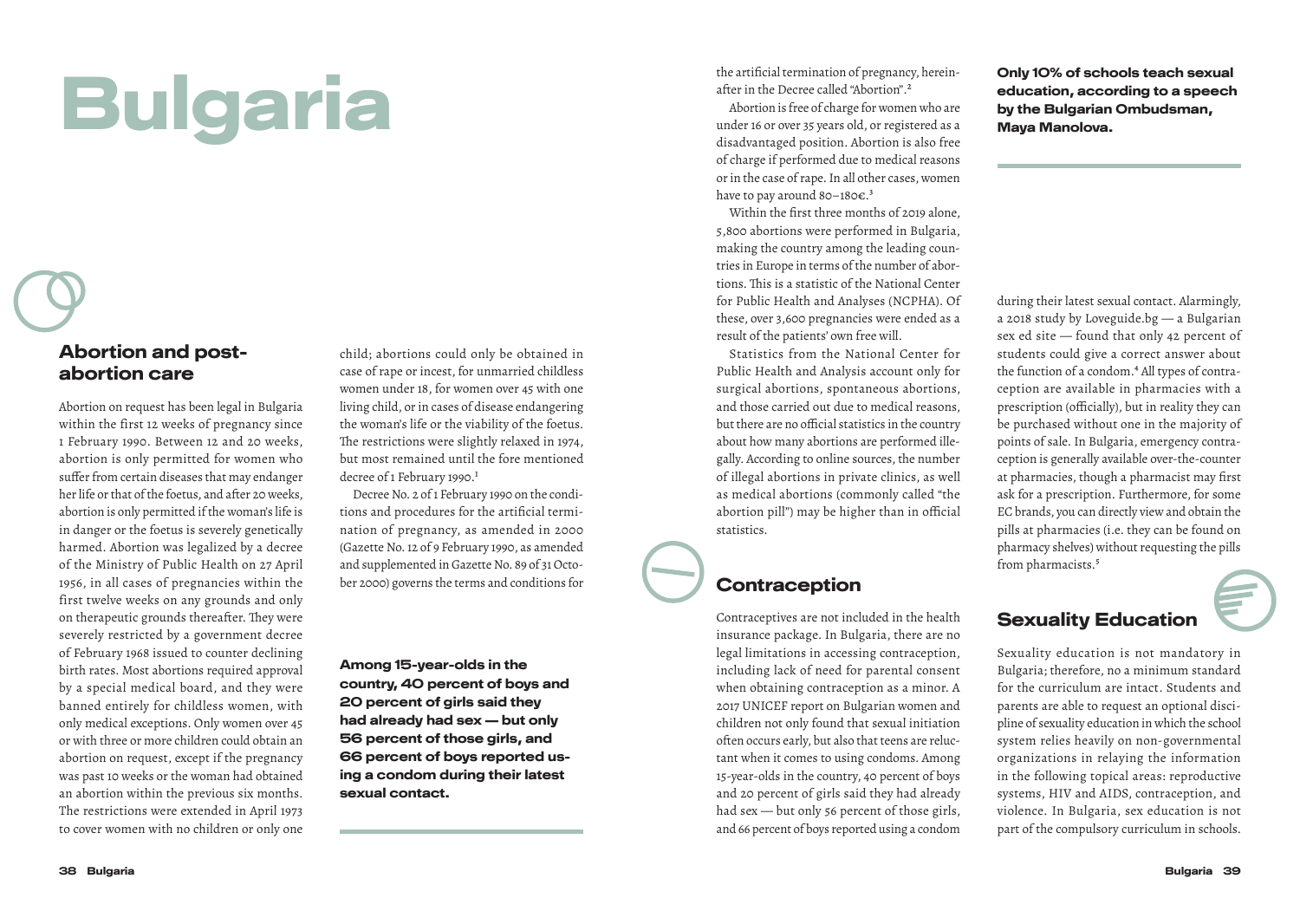# Bulgaria

#### Abortion and postabortion care

Abortion on request has been legal in Bulgaria within the first 12 weeks of pregnancy since 1 February 1990. Between 12 and 20 weeks, abortion is only permitted for women who suffer from certain diseases that may endanger her life or that of the foetus, and after 20 weeks, abortion is only permitted if the woman's life is in danger or the foetus is severely genetically harmed. Abortion was legalized by a decree of the Ministry of Public Health on 27 April 1956, in all cases of pregnancies within the first twelve weeks on any grounds and only on therapeutic grounds thereafter. They were severely restricted by a government decree of February 1968 issued to counter declining birth rates. Most abortions required approval by a special medical board, and they were banned entirely for childless women, with only medical exceptions. Only women over 45 or with three or more children could obtain an abortion on request, except if the pregnancy was past 10 weeks or the woman had obtained an abortion within the previous six months. The restrictions were extended in April 1973 to cover women with no children or only one

child; abortions could only be obtained in case of rape or incest, for unmarried childless women under 18, for women over 45 with one living child, or in cases of disease endangering the woman's life or the viability of the foetus. The restrictions were slightly relaxed in 1974, but most remained until the fore mentioned decree of 1 February 1990.<sup>1</sup>

Decree No. 2 of 1 February 1990 on the conditions and procedures for the artificial termination of pregnancy, as amended in 2000 (Gazette No. 12 of 9 February 1990, as amended and supplemented in Gazette No. 89 of 31 October 2000) governs the terms and conditions for

Among 15-year-olds in the country, 40 percent of boys and 20 percent of girls said they had already had sex — but only 56 percent of those girls, and 66 percent of boys reported using a condom during their latest sexual contact.

the artificial termination of pregnancy, hereinafter in the Decree called "Abortion".2

Abortion is free of charge for women who are under 16 or over 35 years old, or registered as a disadvantaged position. Abortion is also free of charge if performed due to medical reasons or in the case of rape. In all other cases, women have to pay around 80–180 $\epsilon$ .<sup>3</sup>

Within the first three months of 2019 alone, 5,800 abortions were performed in Bulgaria, making the country among the leading countries in Europe in terms of the number of abortions. This is a statistic of the National Center for Public Health and Analyses (NCPHA). Of these, over 3,600 pregnancies were ended as a result of the patients' own free will.

Statistics from the National Center for Public Health and Analysis account only for surgical abortions, spontaneous abortions, and those carried out due to medical reasons, but there are no official statistics in the country about how many abortions are performed illegally. According to online sources, the number of illegal abortions in private clinics, as well as medical abortions (commonly called "the abortion pill") may be higher than in official statistics.

#### **Contraception**

Contraceptives are not included in the health insurance package. In Bulgaria, there are no legal limitations in accessing contraception, including lack of need for parental consent when obtaining contraception as a minor. A 2017 UNICEF report on Bulgarian women and children not only found that sexual initiation often occurs early, but also that teens are reluctant when it comes to using condoms. Among 15-year-olds in the country, 40 percent of boys and 20 percent of girls said they had already had sex — but only 56 percent of those girls, and 66 percent of boys reported using a condom Only 10% of schools teach sexual education, according to a speech by the Bulgarian Ombudsman, Maya Manolova.

during their latest sexual contact. Alarmingly, a 2018 study by Loveguide.bg — a Bulgarian sex ed site — found that only 42 percent of students could give a correct answer about the function of a condom.<sup>4</sup> All types of contraception are available in pharmacies with a prescription (officially), but in reality they can be purchased without one in the majority of points of sale. In Bulgaria, emergency contraception is generally available over-the-counter at pharmacies, though a pharmacist may first ask for a prescription. Furthermore, for some EC brands, you can directly view and obtain the pills at pharmacies (i.e. they can be found on pharmacy shelves) without requesting the pills from pharmacists.<sup>5</sup>

#### Sexuality Education

Sexuality education is not mandatory in Bulgaria; therefore, no a minimum standard for the curriculum are intact. Students and parents are able to request an optional discipline of sexuality education in which the school system relies heavily on non-governmental organizations in relaying the information in the following topical areas: reproductive systems, HIV and AIDS, contraception, and violence. In Bulgaria, sex education is not part of the compulsory curriculum in schools.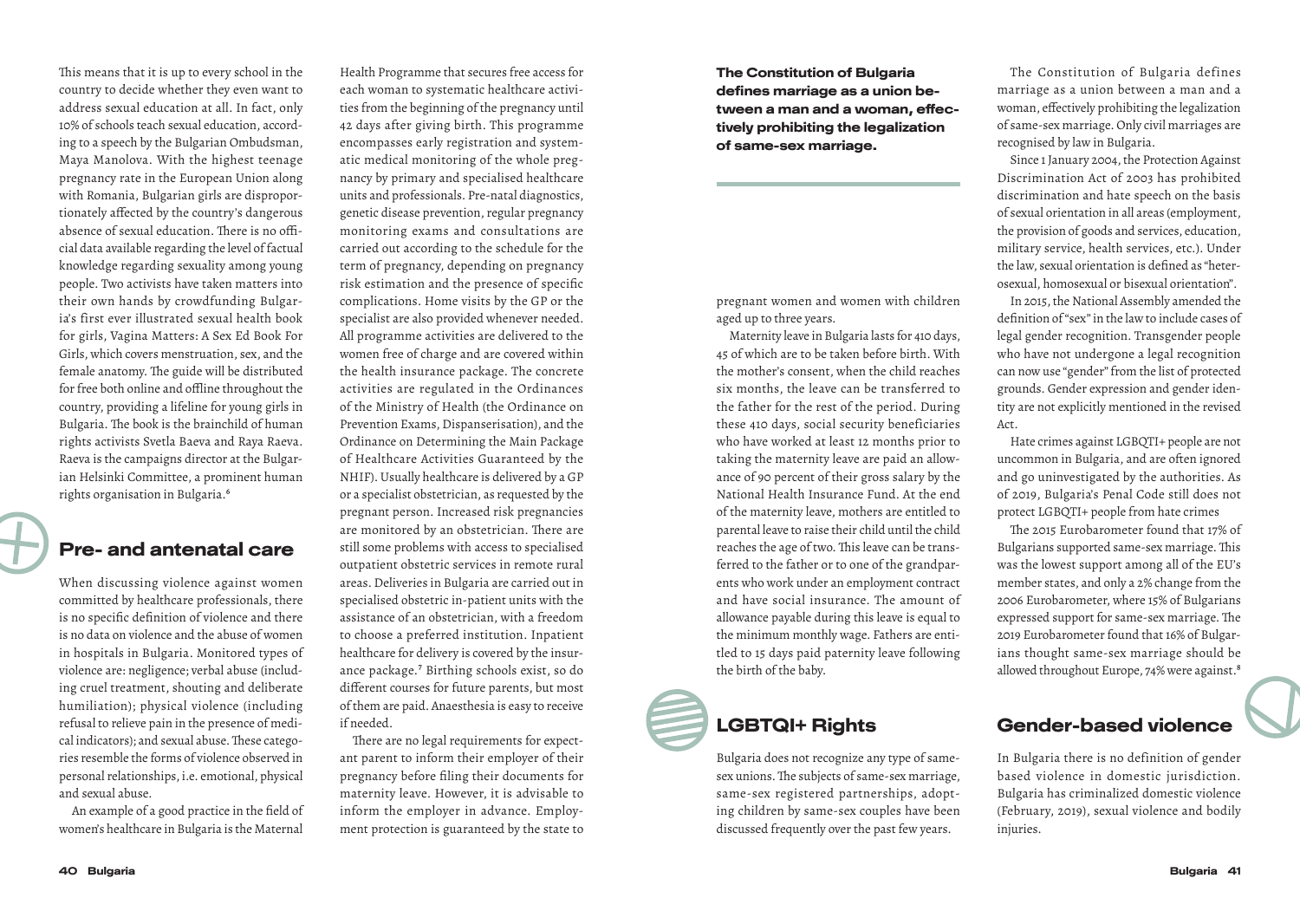This means that it is up to every school in the country to decide whether they even want to address sexual education at all. In fact, only 10% of schools teach sexual education, according to a speech by the Bulgarian Ombudsman, Maya Manolova. With the highest teenage pregnancy rate in the European Union along with Romania, Bulgarian girls are disproportionately affected by the country's dangerous absence of sexual education. There is no official data available regarding the level of factual knowledge regarding sexuality among young people. Two activists have taken matters into their own hands by crowdfunding Bulgaria's first ever illustrated sexual health book for girls, Vagina Matters: A Sex Ed Book For Girls, which covers menstruation, sex, and the female anatomy. The guide will be distributed for free both online and offline throughout the country, providing a lifeline for young girls in Bulgaria. The book is the brainchild of human rights activists Svetla Baeva and Raya Raeva. Raeva is the campaigns director at the Bulgarian Helsinki Committee, a prominent human rights organisation in Bulgaria.6

#### Pre- and antenatal care

When discussing violence against women committed by healthcare professionals, there is no specific definition of violence and there is no data on violence and the abuse of women in hospitals in Bulgaria. Monitored types of violence are: negligence; verbal abuse (including cruel treatment, shouting and deliberate humiliation); physical violence (including refusal to relieve pain in the presence of medical indicators); and sexual abuse. These categories resemble the forms of violence observed in personal relationships, i.e. emotional, physical and sexual abuse.

An example of a good practice in the field of women's healthcare in Bulgaria is the Maternal

Health Programme that secures free access for each woman to systematic healthcare activities from the beginning of the pregnancy until 42 days after giving birth. This programme encompasses early registration and systematic medical monitoring of the whole pregnancy by primary and specialised healthcare units and professionals. Pre-natal diagnostics, genetic disease prevention, regular pregnancy monitoring exams and consultations are carried out according to the schedule for the term of pregnancy, depending on pregnancy risk estimation and the presence of specific complications. Home visits by the GP or the specialist are also provided whenever needed. All programme activities are delivered to the women free of charge and are covered within the health insurance package. The concrete activities are regulated in the Ordinances of the Ministry of Health (the Ordinance on Prevention Exams, Dispanserisation), and the Ordinance on Determining the Main Package of Healthcare Activities Guaranteed by the NHIF). Usually healthcare is delivered by a GP or a specialist obstetrician, as requested by the pregnant person. Increased risk pregnancies are monitored by an obstetrician. There are still some problems with access to specialised outpatient obstetric services in remote rural areas. Deliveries in Bulgaria are carried out in specialised obstetric in-patient units with the assistance of an obstetrician, with a freedom to choose a preferred institution. Inpatient healthcare for delivery is covered by the insurance package.7 Birthing schools exist, so do different courses for future parents, but most of them are paid. Anaesthesia is easy to receive if needed.

There are no legal requirements for expectant parent to inform their employer of their pregnancy before filing their documents for maternity leave. However, it is advisable to inform the employer in advance. Employment protection is guaranteed by the state to The Constitution of Bulgaria defines marriage as a union between a man and a woman, effectively prohibiting the legalization of same-sex marriage.

pregnant women and women with children aged up to three years.

Maternity leave in Bulgaria lasts for 410 days, 45 of which are to be taken before birth. With the mother's consent, when the child reaches six months, the leave can be transferred to the father for the rest of the period. During these 410 days, social security beneficiaries who have worked at least 12 months prior to taking the maternity leave are paid an allowance of 90 percent of their gross salary by the National Health Insurance Fund. At the end of the maternity leave, mothers are entitled to parental leave to raise their child until the child reaches the age of two. This leave can be transferred to the father or to one of the grandparents who work under an employment contract and have social insurance. The amount of allowance payable during this leave is equal to the minimum monthly wage. Fathers are entitled to 15 days paid paternity leave following the birth of the baby.

### LGBTQI+ Rights

Bulgaria does not recognize any type of samesex unions. The subjects of same-sex marriage, same-sex registered partnerships, adopting children by same-sex couples have been discussed frequently over the past few years.

The Constitution of Bulgaria defines marriage as a union between a man and a woman, effectively prohibiting the legalization of same-sex marriage. Only civil marriages are recognised by law in Bulgaria.

Since 1 January 2004, the Protection Against Discrimination Act of 2003 has prohibited discrimination and hate speech on the basis of sexual orientation in all areas (employment, the provision of goods and services, education, military service, health services, etc.). Under the law, sexual orientation is defined as "heterosexual, homosexual or bisexual orientation".

In 2015, the National Assembly amended the definition of "sex" in the law to include cases of legal gender recognition. Transgender people who have not undergone a legal recognition can now use "gender" from the list of protected grounds. Gender expression and gender identity are not explicitly mentioned in the revised Act.

Hate crimes against LGBQTI+ people are not uncommon in Bulgaria, and are often ignored and go uninvestigated by the authorities. As of 2019, Bulgaria's Penal Code still does not protect LGBQTI+ people from hate crimes

The 2015 Eurobarometer found that 17% of Bulgarians supported same-sex marriage. This was the lowest support among all of the EU's member states, and only a 2% change from the 2006 Eurobarometer, where 15% of Bulgarians expressed support for same-sex marriage. The 2019 Eurobarometer found that 16% of Bulgarians thought same-sex marriage should be allowed throughout Europe, 74% were against.<sup>8</sup>

#### Gender-based violence

In Bulgaria there is no definition of gender based violence in domestic jurisdiction. Bulgaria has criminalized domestic violence (February, 2019), sexual violence and bodily injuries.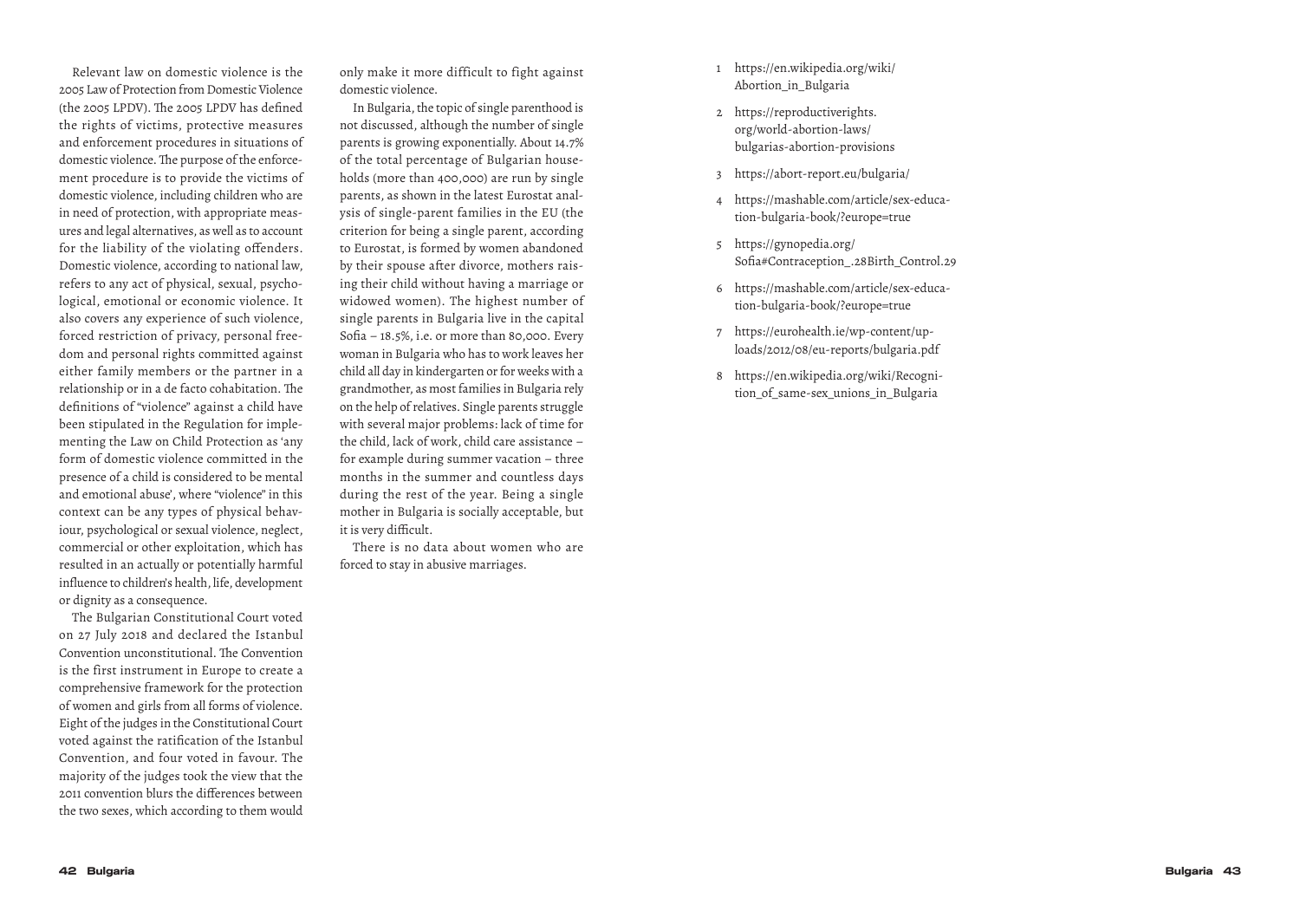Relevant law on domestic violence is the 2005 Law of Protection from Domestic Violence (the 2005 LPDV). The 2005 LPDV has defined the rights of victims, protective measures and enforcement procedures in situations of domestic violence. The purpose of the enforce ment procedure is to provide the victims of domestic violence, including children who are in need of protection, with appropriate meas ures and legal alternatives, as well as to account for the liability of the violating offenders. Domestic violence, according to national law, refers to any act of physical, sexual, psycho logical, emotional or economic violence. It also covers any experience of such violence, forced restriction of privacy, personal free dom and personal rights committed against either family members or the partner in a relationship or in a de facto cohabitation. The definitions of "violence" against a child have been stipulated in the Regulation for imple menting the Law on Child Protection as 'any form of domestic violence committed in the presence of a child is considered to be mental and emotional abuse', where "violence" in this context can be any types of physical behav iour, psychological or sexual violence, neglect, commercial or other exploitation, which has resulted in an actually or potentially harmful influence to children's health, life, development or dignity as a consequence.

The Bulgarian Constitutional Court voted on 27 July 2018 and declared the Istanbul Convention unconstitutional. The Convention is the first instrument in Europe to create a comprehensive framework for the protection of women and girls from all forms of violence. Eight of the judges in the Constitutional Court voted against the ratification of the Istanbul Convention, and four voted in favour. The majority of the judges took the view that the 2011 convention blurs the differences between the two sexes, which according to them would only make it more difficult to fight against domestic violence.

In Bulgaria, the topic of single parenthood is not discussed, although the number of single parents is growing exponentially. About 14.7% of the total percentage of Bulgarian house holds (more than 400,000) are run by single parents, as shown in the latest Eurostat anal ysis of single-parent families in the EU (the criterion for being a single parent, according to Eurostat, is formed by women abandoned by their spouse after divorce, mothers rais ing their child without having a marriage or widowed women). The highest number of single parents in Bulgaria live in the capital Sofia – 18.5%, i.e. or more than 80,000. Every woman in Bulgaria who has to work leaves her child all day in kindergarten or for weeks with a grandmother, as most families in Bulgaria rely on the help of relatives. Single parents struggle with several major problems: lack of time for the child, lack of work, child care assistance – for example during summer vacation – three months in the summer and countless days during the rest of the year. Being a single mother in Bulgaria is socially acceptable, but it is very difficult.

There is no data about women who are forced to stay in abusive marriages.

- 1 https://en.wikipedia.org/wiki/ Abortion\_in\_Bulgaria
- 2 https://reproductiverights. org/world-abortion-laws/ bulgarias-abortion-provisions
- 
- <sup>3</sup> https://abort-report.eu/bulgaria/ 4 https://mashable.com/article/sex-educa tion-bulgaria-book/?europe=true
- 5 https://gynopedia.org/ Sofia#Contraception\_.28Birth\_Control.29
- 6 https://mashable.com/article/sex-educa tion-bulgaria-book/?europe=true
- 7 https://eurohealth.ie/wp-content/up loads/2012/08/eu-reports/bulgaria.pdf
- 8 https://en.wikipedia.org/wiki/Recogni tion of same-sex unions in Bulgaria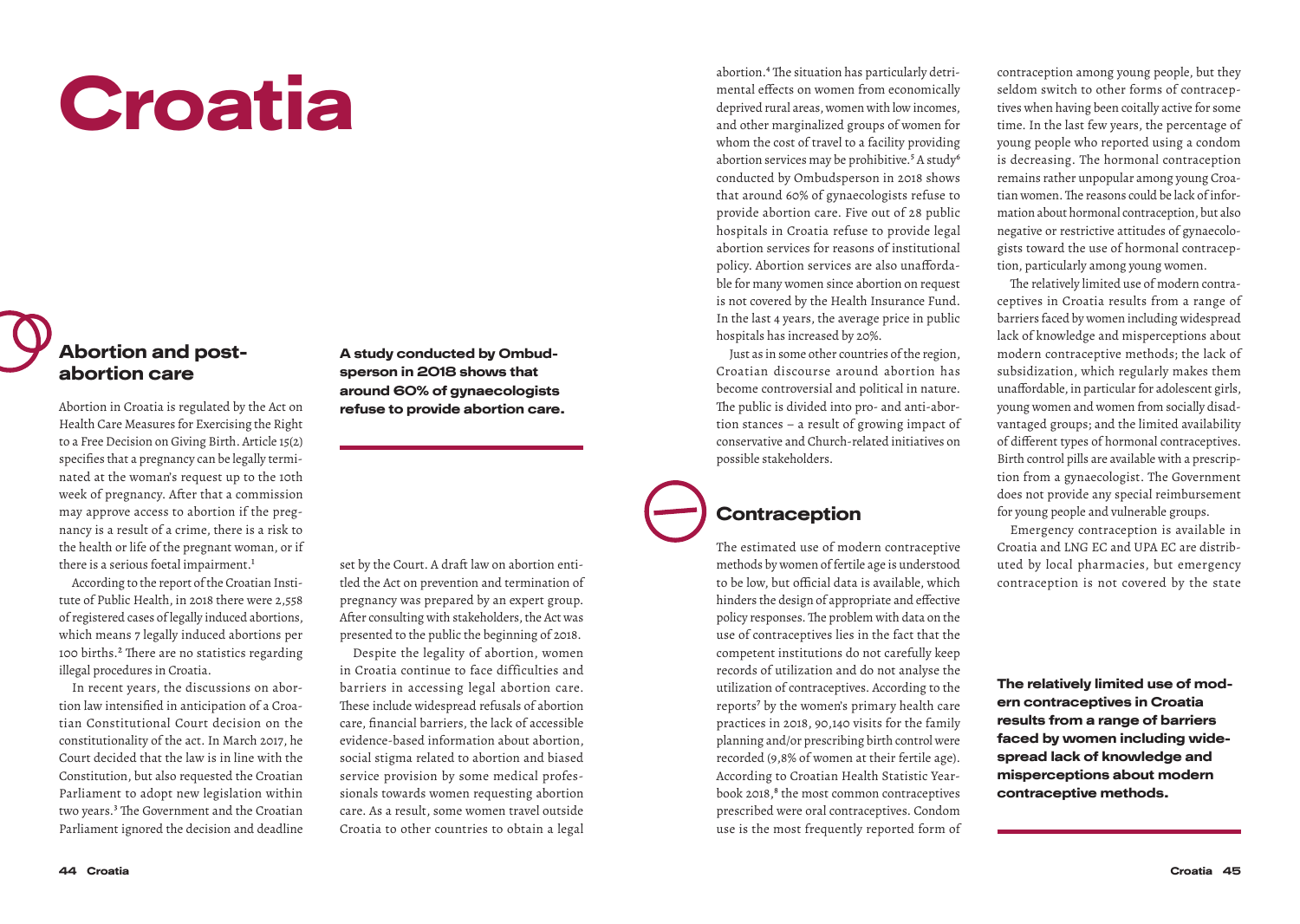# Croatia

#### Abortion and postabortion care

Abortion in Croatia is regulated by the Act on Health Care Measures for Exercising the Right to a Free Decision on Giving Birth. Article 15(2) specifies that a pregnancy can be legally terminated at the woman's request up to the 10th week of pregnancy. After that a commission may approve access to abortion if the pregnancy is a result of a crime, there is a risk to the health or life of the pregnant woman, or if there is a serious foetal impairment.<sup>1</sup>

According to the report of the Croatian Institute of Public Health, in 2018 there were 2,558 of registered cases of legally induced abortions, which means 7 legally induced abortions per 100 births.2 There are no statistics regarding illegal procedures in Croatia.

In recent years, the discussions on abortion law intensified in anticipation of a Croatian Constitutional Court decision on the constitutionality of the act. In March 2017, he Court decided that the law is in line with the Constitution, but also requested the Croatian Parliament to adopt new legislation within two years.<sup>3</sup> The Government and the Croatian Parliament ignored the decision and deadline

A study conducted by Ombudsperson in 2018 shows that around 60% of gynaecologists refuse to provide abortion care.

set by the Court. A draft law on abortion entitled the Act on prevention and termination of pregnancy was prepared by an expert group. After consulting with stakeholders, the Act was presented to the public the beginning of 2018.

Despite the legality of abortion, women in Croatia continue to face difficulties and barriers in accessing legal abortion care. These include widespread refusals of abortion care, financial barriers, the lack of accessible evidence-based information about abortion, social stigma related to abortion and biased service provision by some medical professionals towards women requesting abortion care. As a result, some women travel outside Croatia to other countries to obtain a legal abortion.4 The situation has particularly detrimental effects on women from economically deprived rural areas, women with low incomes, and other marginalized groups of women for whom the cost of travel to a facility providing abortion services may be prohibitive.<sup>5</sup> A study<sup>6</sup> conducted by Ombudsperson in 2018 shows that around 60% of gynaecologists refuse to provide abortion care. Five out of 28 public hospitals in Croatia refuse to provide legal abortion services for reasons of institutional policy. Abortion services are also unaffordable for many women since abortion on request is not covered by the Health Insurance Fund. In the last 4 years, the average price in public hospitals has increased by 20%.

Just as in some other countries of the region, Croatian discourse around abortion has become controversial and political in nature. The public is divided into pro- and anti-abortion stances – a result of growing impact of conservative and Church-related initiatives on possible stakeholders.

#### **Contraception**

The estimated use of modern contraceptive methods by women of fertile age is understood to be low, but official data is available, which hinders the design of appropriate and effective policy responses. The problem with data on the use of contraceptives lies in the fact that the competent institutions do not carefully keep records of utilization and do not analyse the utilization of contraceptives. According to the reports<sup>7</sup> by the women's primary health care practices in 2018, 90,140 visits for the family planning and/or prescribing birth control were recorded (9,8% of women at their fertile age). According to Croatian Health Statistic Yearbook 2018,<sup>8</sup> the most common contraceptives prescribed were oral contraceptives. Condom use is the most frequently reported form of contraception among young people, but they seldom switch to other forms of contraceptives when having been coitally active for some time. In the last few years, the percentage of young people who reported using a condom is decreasing. The hormonal contraception remains rather unpopular among young Croatian women. The reasons could be lack of information about hormonal contraception, but also negative or restrictive attitudes of gynaecologists toward the use of hormonal contraception, particularly among young women.

The relatively limited use of modern contraceptives in Croatia results from a range of barriers faced by women including widespread lack of knowledge and misperceptions about modern contraceptive methods; the lack of subsidization, which regularly makes them unaffordable, in particular for adolescent girls, young women and women from socially disadvantaged groups; and the limited availability of different types of hormonal contraceptives. Birth control pills are available with a prescription from a gynaecologist. The Government does not provide any special reimbursement for young people and vulnerable groups.

Emergency contraception is available in Croatia and LNG EC and UPA EC are distributed by local pharmacies, but emergency contraception is not covered by the state

The relatively limited use of modern contraceptives in Croatia results from a range of barriers faced by women including widespread lack of knowledge and misperceptions about modern contraceptive methods.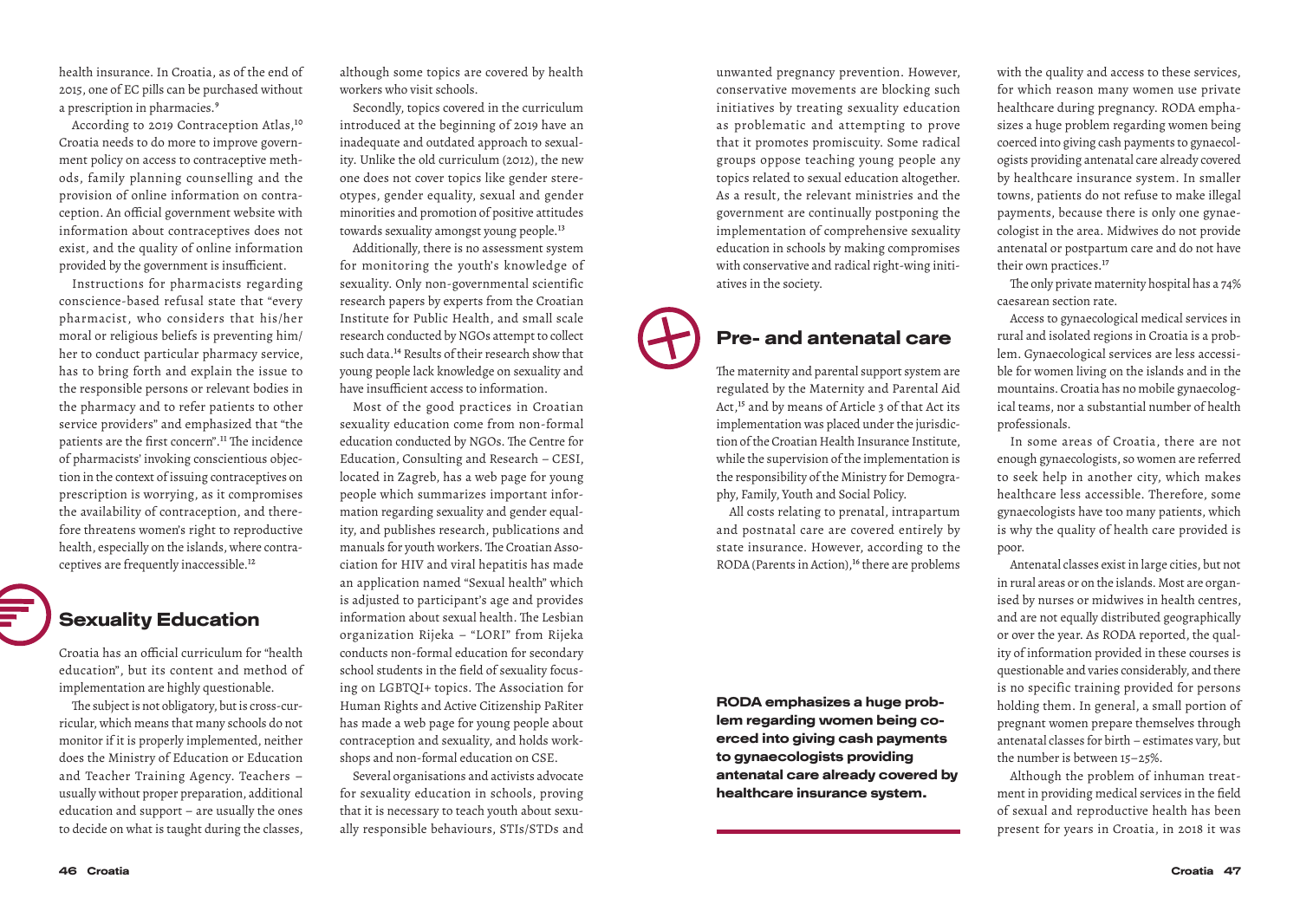health insurance. In Croatia, as of the end of 2015, one of EC pills can be purchased without a prescription in pharmacies.<sup>9</sup>

According to 2019 Contraception Atlas,<sup>10</sup> Croatia needs to do more to improve government policy on access to contraceptive methods, family planning counselling and the provision of online information on contraception. An official government website with information about contraceptives does not exist, and the quality of online information provided by the government is insufficient.

Instructions for pharmacists regarding conscience-based refusal state that "every pharmacist, who considers that his/her moral or religious beliefs is preventing him/ her to conduct particular pharmacy service, has to bring forth and explain the issue to the responsible persons or relevant bodies in the pharmacy and to refer patients to other service providers" and emphasized that "the patients are the first concern".<sup>11</sup> The incidence of pharmacists' invoking conscientious objection in the context of issuing contraceptives on prescription is worrying, as it compromises the availability of contraception, and therefore threatens women's right to reproductive health, especially on the islands, where contraceptives are frequently inaccessible.<sup>12</sup>

#### Sexuality Education

Croatia has an official curriculum for "health education", but its content and method of implementation are highly questionable.

The subject is not obligatory, but is cross-curricular, which means that many schools do not monitor if it is properly implemented, neither does the Ministry of Education or Education and Teacher Training Agency. Teachers – usually without proper preparation, additional education and support – are usually the ones to decide on what is taught during the classes, although some topics are covered by health workers who visit schools.

Secondly, topics covered in the curriculum introduced at the beginning of 2019 have an inadequate and outdated approach to sexuality. Unlike the old curriculum (2012), the new one does not cover topics like gender stereotypes, gender equality, sexual and gender minorities and promotion of positive attitudes towards sexuality amongst young people.<sup>13</sup>

Additionally, there is no assessment system for monitoring the youth's knowledge of sexuality. Only non-governmental scientific research papers by experts from the Croatian Institute for Public Health, and small scale research conducted by NGOs attempt to collect such data.14 Results of their research show that young people lack knowledge on sexuality and have insufficient access to information.

Most of the good practices in Croatian sexuality education come from non-formal education conducted by NGOs. The Centre for Education, Consulting and Research – CESI, located in Zagreb, has a web page for young people which summarizes important information regarding sexuality and gender equality, and publishes research, publications and manuals for youth workers. The Croatian Association for HIV and viral hepatitis has made an application named "Sexual health" which is adjusted to participant's age and provides information about sexual health. The Lesbian organization Rijeka – "LORI" from Rijeka conducts non-formal education for secondary school students in the field of sexuality focusing on LGBTQI+ topics. The Association for Human Rights and Active Citizenship PaRiter has made a web page for young people about contraception and sexuality, and holds workshops and non-formal education on CSE.

Several organisations and activists advocate for sexuality education in schools, proving that it is necessary to teach youth about sexually responsible behaviours, STIs/STDs and unwanted pregnancy prevention. However, conservative movements are blocking such initiatives by treating sexuality education as problematic and attempting to prove that it promotes promiscuity. Some radical groups oppose teaching young people any topics related to sexual education altogether. As a result, the relevant ministries and the government are continually postponing the implementation of comprehensive sexuality education in schools by making compromises with conservative and radical right-wing initiatives in the society.

#### Pre- and antenatal care

The maternity and parental support system are regulated by the Maternity and Parental Aid Act,15 and by means of Article 3 of that Act its implementation was placed under the jurisdiction of the Croatian Health Insurance Institute, while the supervision of the implementation is the responsibility of the Ministry for Demography, Family, Youth and Social Policy.

All costs relating to prenatal, intrapartum and postnatal care are covered entirely by state insurance. However, according to the RODA (Parents in Action),<sup>16</sup> there are problems

RODA emphasizes a huge problem regarding women being coerced into giving cash payments to gynaecologists providing antenatal care already covered by healthcare insurance system.

with the quality and access to these services, for which reason many women use private healthcare during pregnancy. RODA emphasizes a huge problem regarding women being coerced into giving cash payments to gynaecologists providing antenatal care already covered by healthcare insurance system. In smaller towns, patients do not refuse to make illegal payments, because there is only one gynaecologist in the area. Midwives do not provide antenatal or postpartum care and do not have their own practices.17

The only private maternity hospital has a 74% caesarean section rate.

Access to gynaecological medical services in rural and isolated regions in Croatia is a problem. Gynaecological services are less accessible for women living on the islands and in the mountains. Croatia has no mobile gynaecological teams, nor a substantial number of health professionals.

In some areas of Croatia, there are not enough gynaecologists, so women are referred to seek help in another city, which makes healthcare less accessible. Therefore, some gynaecologists have too many patients, which is why the quality of health care provided is poor.

Antenatal classes exist in large cities, but not in rural areas or on the islands. Most are organised by nurses or midwives in health centres, and are not equally distributed geographically or over the year. As RODA reported, the quality of information provided in these courses is questionable and varies considerably, and there is no specific training provided for persons holding them. In general, a small portion of pregnant women prepare themselves through antenatal classes for birth – estimates vary, but the number is between 15–25%.

Although the problem of inhuman treatment in providing medical services in the field of sexual and reproductive health has been present for years in Croatia, in 2018 it was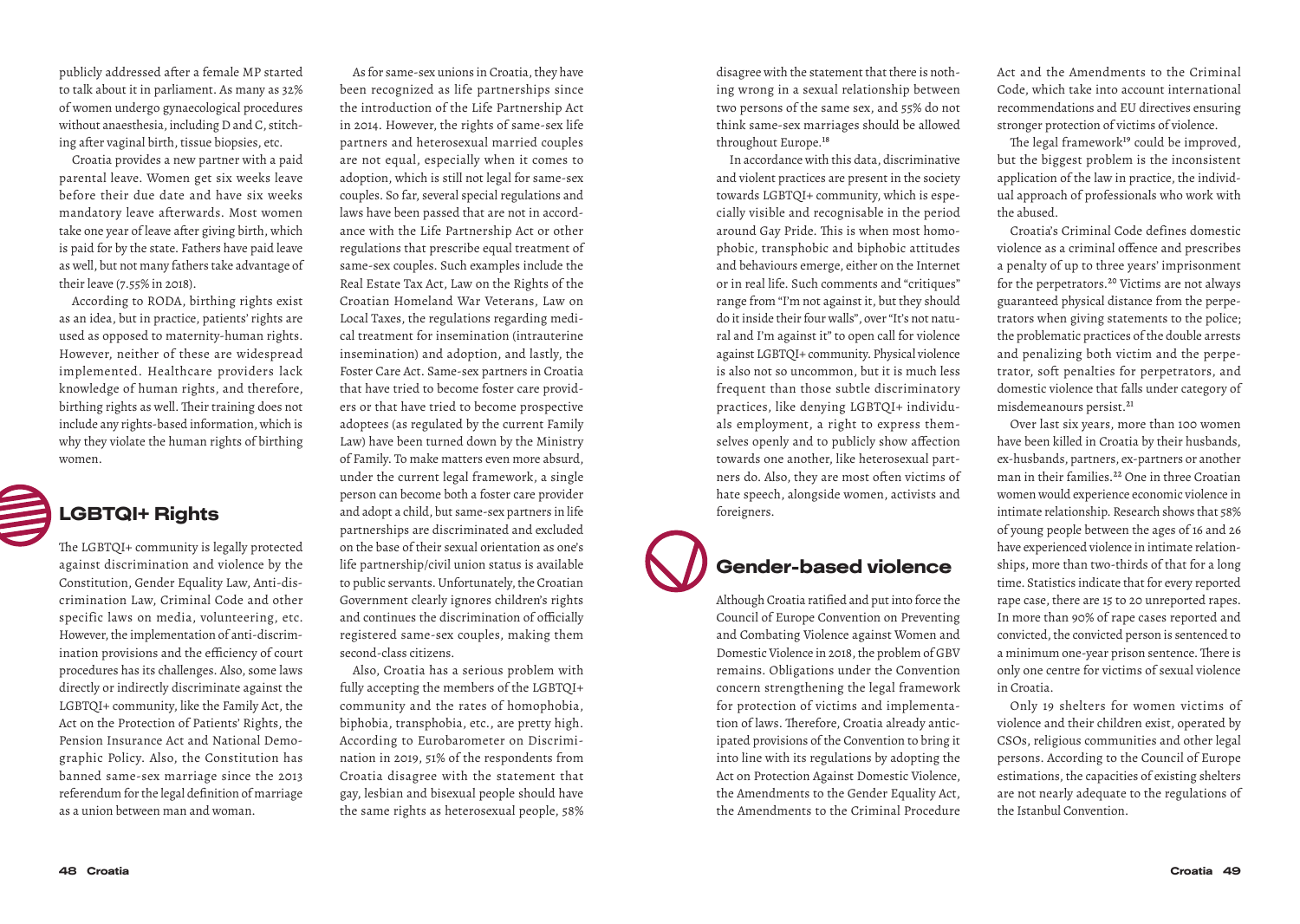publicly addressed after a female MP started to talk about it in parliament. As many as 32% of women undergo gynaecological procedures without anaesthesia, including D and C, stitching after vaginal birth, tissue biopsies, etc.

Croatia provides a new partner with a paid parental leave. Women get six weeks leave before their due date and have six weeks mandatory leave afterwards. Most women take one year of leave after giving birth, which is paid for by the state. Fathers have paid leave as well, but not many fathers take advantage of their leave (7.55% in 2018).

According to RODA, birthing rights exist as an idea, but in practice, patients' rights are used as opposed to maternity-human rights. However, neither of these are widespread implemented. Healthcare providers lack knowledge of human rights, and therefore, birthing rights as well. Their training does not include any rights-based information, which is why they violate the human rights of birthing women.



## LGBTQI+ Rights

The LGBTQI+ community is legally protected against discrimination and violence by the Constitution, Gender Equality Law, Anti-discrimination Law, Criminal Code and other specific laws on media, volunteering, etc. However, the implementation of anti-discrimination provisions and the efficiency of court procedures has its challenges. Also, some laws directly or indirectly discriminate against the LGBTQI+ community, like the Family Act, the Act on the Protection of Patients' Rights, the Pension Insurance Act and National Demographic Policy. Also, the Constitution has banned same-sex marriage since the 2013 referendum for the legal definition of marriage as a union between man and woman.

As for same-sex unions in Croatia, they have been recognized as life partnerships since the introduction of the Life Partnership Act in 2014. However, the rights of same-sex life partners and heterosexual married couples are not equal, especially when it comes to adoption, which is still not legal for same-sex couples. So far, several special regulations and laws have been passed that are not in accordance with the Life Partnership Act or other regulations that prescribe equal treatment of same-sex couples. Such examples include the Real Estate Tax Act, Law on the Rights of the Croatian Homeland War Veterans, Law on Local Taxes, the regulations regarding medical treatment for insemination (intrauterine insemination) and adoption, and lastly, the Foster Care Act. Same-sex partners in Croatia that have tried to become foster care providers or that have tried to become prospective adoptees (as regulated by the current Family Law) have been turned down by the Ministry of Family. To make matters even more absurd, under the current legal framework, a single person can become both a foster care provider and adopt a child, but same-sex partners in life partnerships are discriminated and excluded on the base of their sexual orientation as one's life partnership/civil union status is available to public servants. Unfortunately, the Croatian Government clearly ignores children's rights and continues the discrimination of officially registered same-sex couples, making them second-class citizens.

Also, Croatia has a serious problem with fully accepting the members of the LGBTQI+ community and the rates of homophobia, biphobia, transphobia, etc., are pretty high. According to Eurobarometer on Discrimination in 2019, 51% of the respondents from Croatia disagree with the statement that gay, lesbian and bisexual people should have the same rights as heterosexual people, 58% disagree with the statement that there is nothing wrong in a sexual relationship between two persons of the same sex, and 55% do not think same-sex marriages should be allowed throughout Europe.18

In accordance with this data, discriminative and violent practices are present in the society towards LGBTQI+ community, which is especially visible and recognisable in the period around Gay Pride. This is when most homophobic, transphobic and biphobic attitudes and behaviours emerge, either on the Internet or in real life. Such comments and "critiques" range from "I'm not against it, but they should do it inside their four walls", over "It's not natural and I'm against it" to open call for violence against LGBTQI+ community. Physical violence is also not so uncommon, but it is much less frequent than those subtle discriminatory practices, like denying LGBTQI+ individuals employment, a right to express themselves openly and to publicly show affection towards one another, like heterosexual partners do. Also, they are most often victims of hate speech, alongside women, activists and foreigners.

## Gender-based violence

Although Croatia ratified and put into force the Council of Europe Convention on Preventing and Combating Violence against Women and Domestic Violence in 2018, the problem of GBV remains. Obligations under the Convention concern strengthening the legal framework for protection of victims and implementation of laws. Therefore, Croatia already anticipated provisions of the Convention to bring it into line with its regulations by adopting the Act on Protection Against Domestic Violence, the Amendments to the Gender Equality Act, the Amendments to the Criminal Procedure Act and the Amendments to the Criminal Code, which take into account international recommendations and EU directives ensuring stronger protection of victims of violence.

The legal framework<sup>19</sup> could be improved, but the biggest problem is the inconsistent application of the law in practice, the individual approach of professionals who work with the abused.

Croatia's Criminal Code defines domestic violence as a criminal offence and prescribes a penalty of up to three years' imprisonment for the perpetrators.20 Victims are not always guaranteed physical distance from the perpetrators when giving statements to the police; the problematic practices of the double arrests and penalizing both victim and the perpetrator, soft penalties for perpetrators, and domestic violence that falls under category of misdemeanours persist.<sup>21</sup>

Over last six years, more than 100 women have been killed in Croatia by their husbands, ex-husbands, partners, ex-partners or another man in their families.<sup>22</sup> One in three Croatian women would experience economic violence in intimate relationship. Research shows that 58% of young people between the ages of 16 and 26 have experienced violence in intimate relationships, more than two-thirds of that for a long time. Statistics indicate that for every reported rape case, there are 15 to 20 unreported rapes. In more than 90% of rape cases reported and convicted, the convicted person is sentenced to a minimum one-year prison sentence. There is only one centre for victims of sexual violence in Croatia.

Only 19 shelters for women victims of violence and their children exist, operated by CSOs, religious communities and other legal persons. According to the Council of Europe estimations, the capacities of existing shelters are not nearly adequate to the regulations of the Istanbul Convention.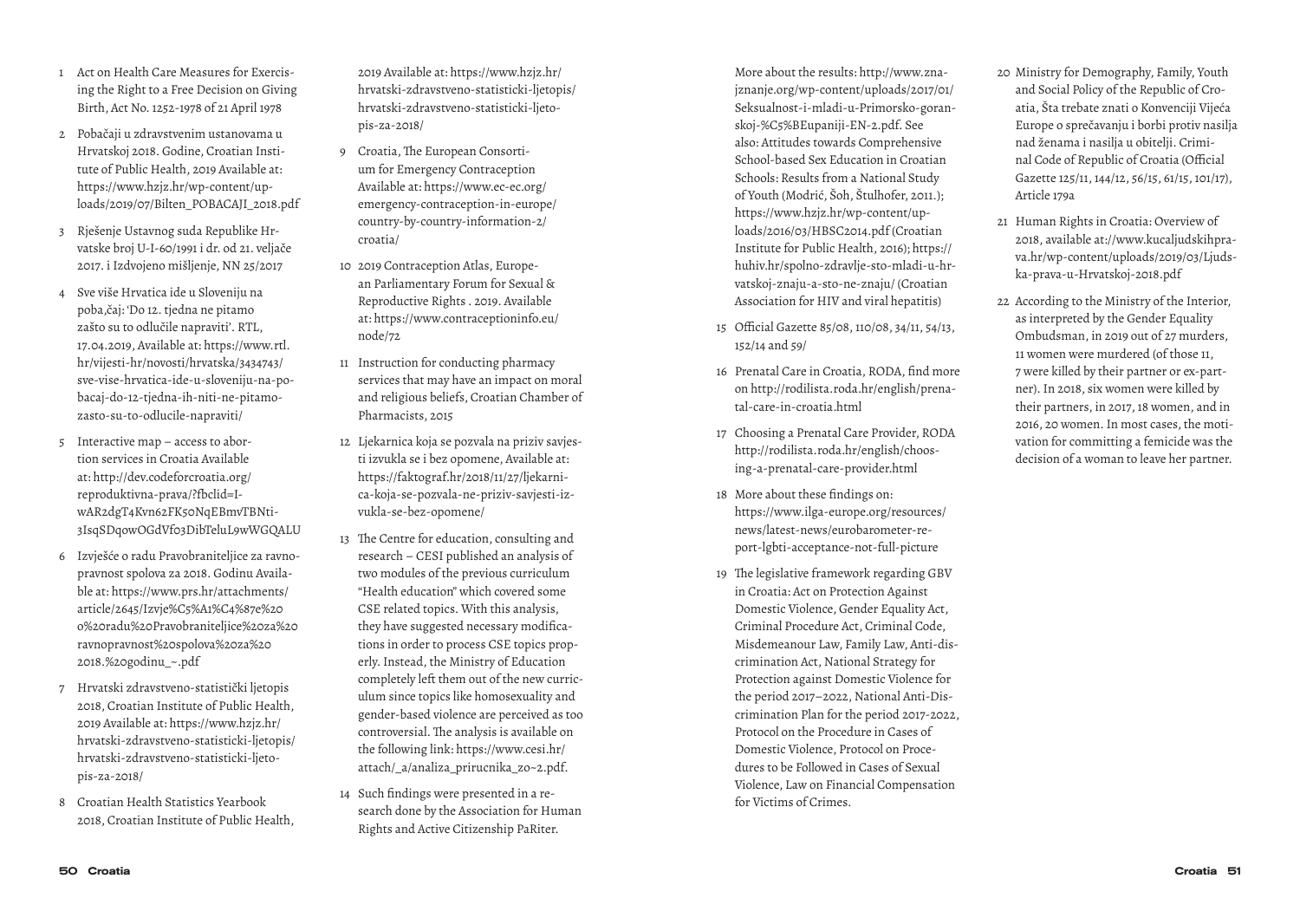- 1 Act on Health Care Measures for Exercising the Right to a Free Decision on Giving Birth, Act No. 1252-1978 of 21 April 1978
- 2 Pobačaji u zdravstvenim ustanovama u Hrvatskoj 2018. Godine, Croatian Institute of Public Health, 2019 Available at: https://www.hzjz.hr/wp-content/uploads/2019/07/Bilten\_POBACAJI\_2018.pdf
- 3 Rješenje Ustavnog suda Republike Hrvatske broj U-I-60/1991 i dr. od 21. veljače 2017. i Izdvojeno mišljenje, NN 25/2017
- 4 Sve više Hrvatica ide u Sloveniju na poba,čaj: 'Do 12. tjedna ne pitamo zašto su to odlučile napraviti'. RTL, 17.04.2019, Available at: https://www.rtl. hr/vijesti-hr/novosti/hrvatska/3434743/ sve-vise-hrvatica-ide-u-sloveniju-na-pobacaj-do-12-tjedna-ih-niti-ne-pitamozasto-su-to-odlucile-napraviti/
- 5 Interactive map access to abortion services in Croatia Available at: http://dev.codeforcroatia.org/ reproduktivna-prava/?fbclid=IwAR2dgT4Kvn62FK50NqEBmvTBNti-3IsqSDqowOGdVf03DibTeluL9wWGQALU
- 6 Izvješće o radu Pravobraniteljice za ravnopravnost spolova za 2018. Godinu Available at: https://www.prs.hr/attachments/ article/2645/Izvje%C5%A1%C4%87e%20 o%20radu%20Pravobraniteljice%20za%20 ravnopravnost%20spolova%20za%20 2018.%20godinu\_~.pdf
- 7 Hrvatski zdravstveno-statistički ljetopis 2018, Croatian Institute of Public Health, 2019 Available at: https://www.hzjz.hr/ hrvatski-zdravstveno-statisticki-ljetopis/ hrvatski-zdravstveno-statisticki-ljetopis-za-2018/
- 8 Croatian Health Statistics Yearbook 2018, Croatian Institute of Public Health,

2019 Available at: https://www.hzjz.hr/ hrvatski-zdravstveno-statisticki-ljetopis/ hrvatski-zdravstveno-statisticki-ljetopis-za-2018/

- 9 Croatia, The European Consortium for Emergency Contraception Available at: https://www.ec-ec.org/ emergency-contraception-in-europe/ country-by-country-information-2/ croatia/
- 10 2019 Contraception Atlas, European Parliamentary Forum for Sexual & Reproductive Rights . 2019. Available at: https://www.contraceptioninfo.eu/ node/72
- 11 Instruction for conducting pharmacy services that may have an impact on moral and religious beliefs, Croatian Chamber of Pharmacists, 2015
- 12 Ljekarnica koja se pozvala na priziv savjesti izvukla se i bez opomene, Available at: https://faktograf.hr/2018/11/27/ljekarnica-koja-se-pozvala-ne-priziv-savjesti-izvukla-se-bez-opomene/
- 13 The Centre for education, consulting and research – CESI published an analysis of two modules of the previous curriculum "Health education" which covered some CSE related topics. With this analysis, they have suggested necessary modifications in order to process CSE topics properly. Instead, the Ministry of Education completely left them out of the new curriculum since topics like homosexuality and gender-based violence are perceived as too controversial. The analysis is available on the following link: https://www.cesi.hr/ attach/\_a/analiza\_prirucnika\_zo~2.pdf.
- 14 Such findings were presented in a research done by the Association for Human Rights and Active Citizenship PaRiter.

More about the results: http://www.znajznanje.org/wp-content/uploads/2017/01/ Seksualnost-i-mladi-u-Primorsko-goranskoj-%C5%BEupaniji-EN-2.pdf. See also: Attitudes towards Comprehensive School-based Sex Education in Croatian Schools: Results from a National Study of Youth (Modrić, Šoh, Štulhofer, 2011.); https://www.hzjz.hr/wp-content/uploads/2016/03/HBSC2014.pdf (Croatian Institute for Public Health, 2016); https:// huhiv.hr/spolno-zdravlje-sto-mladi-u-hrvatskoj-znaju-a-sto-ne-znaju/ (Croatian Association for HIV and viral hepatitis)

- 15 Official Gazette 85/08, 110/08, 34/11, 54/13, 152/14 and 59/
- 16 Prenatal Care in Croatia, RODA, find more on http://rodilista.roda.hr/english/prenatal-care-in-croatia.html
- 17 Choosing a Prenatal Care Provider, RODA http://rodilista.roda.hr/english/choosing-a-prenatal-care-provider.html
- 18 More about these findings on: https://www.ilga-europe.org/resources/ news/latest-news/eurobarometer-report-lgbti-acceptance-not-full-picture
- 19 The legislative framework regarding GBV in Croatia: Act on Protection Against Domestic Violence, Gender Equality Act, Criminal Procedure Act, Criminal Code, Misdemeanour Law, Family Law, Anti-discrimination Act, National Strategy for Protection against Domestic Violence for the period 2017–2022, National Anti-Discrimination Plan for the period 2017-2022, Protocol on the Procedure in Cases of Domestic Violence, Protocol on Procedures to be Followed in Cases of Sexual Violence, Law on Financial Compensation for Victims of Crimes.
- 20 Ministry for Demography, Family, Youth and Social Policy of the Republic of Croatia, Šta trebate znati o Konvenciji Vijeća Europe o sprečavanju i borbi protiv nasilja nad ženama i nasilja u obitelji. Criminal Code of Republic of Croatia (Official Gazette 125/11, 144/12, 56/15, 61/15, 101/17), Article 179a
- 21 Human Rights in Croatia: Overview of 2018, available at://www.kucaljudskihprava.hr/wp-content/uploads/2019/03/Ljudska-prava-u-Hrvatskoj-2018.pdf
- 22 According to the Ministry of the Interior, as interpreted by the Gender Equality Ombudsman, in 2019 out of 27 murders, 11 women were murdered (of those 11, 7 were killed by their partner or ex-partner). In 2018, six women were killed by their partners, in 2017, 18 women, and in 2016, 20 women. In most cases, the motivation for committing a femicide was the decision of a woman to leave her partner.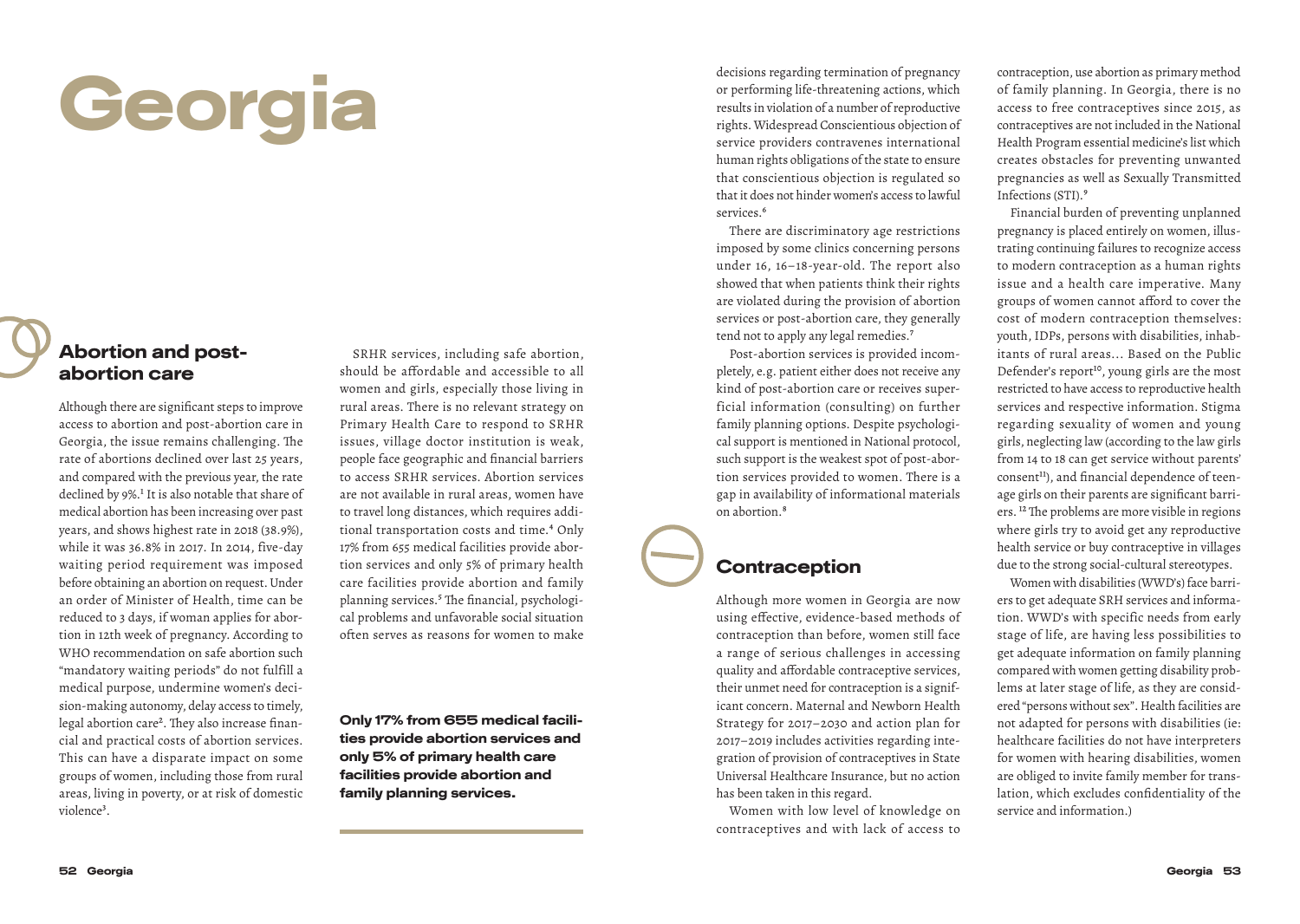# Georgia

#### Abortion and postabortion care

Although there are significant steps to improve access to abortion and post-abortion care in Georgia, the issue remains challenging. The rate of abortions declined over last 25 years, and compared with the previous year, the rate declined by 9%.<sup>1</sup> It is also notable that share of medical abortion has been increasing over past years, and shows highest rate in 2018 (38.9%), while it was 36.8% in 2017. In 2014, five-day waiting period requirement was imposed before obtaining an abortion on request. Under an order of Minister of Health, time can be reduced to 3 days, if woman applies for abortion in 12th week of pregnancy. According to WHO recommendation on safe abortion such "mandatory waiting periods" do not fulfill a medical purpose, undermine women's decision-making autonomy, delay access to timely, legal abortion care<sup>2</sup>. They also increase financial and practical costs of abortion services. This can have a disparate impact on some groups of women, including those from rural areas, living in poverty, or at risk of domestic violence<sup>3</sup>.

SRHR services, including safe abortion, should be affordable and accessible to all women and girls, especially those living in rural areas. There is no relevant strategy on Primary Health Care to respond to SRHR issues, village doctor institution is weak, people face geographic and financial barriers to access SRHR services. Abortion services are not available in rural areas, women have to travel long distances, which requires additional transportation costs and time.<sup>4</sup> Only 17% from 655 medical facilities provide abortion services and only 5% of primary health care facilities provide abortion and family planning services.<sup>5</sup> The financial, psychological problems and unfavorable social situation often serves as reasons for women to make

Only 17% from 655 medical facilities provide abortion services and only 5% of primary health care facilities provide abortion and family planning services.

decisions regarding termination of pregnancy or performing life-threatening actions, which results in violation of a number of reproductive rights. Widespread Conscientious objection of service providers contravenes international human rights obligations of the state to ensure that conscientious objection is regulated so that it does not hinder women's access to lawful services.<sup>6</sup>

There are discriminatory age restrictions imposed by some clinics concerning persons under 16, 16–18-year-old. The report also showed that when patients think their rights are violated during the provision of abortion services or post-abortion care, they generally tend not to apply any legal remedies.<sup>7</sup>

Post-abortion services is provided incompletely, e.g. patient either does not receive any kind of post-abortion care or receives superficial information (consulting) on further family planning options. Despite psychological support is mentioned in National protocol, such support is the weakest spot of post-abortion services provided to women. There is a gap in availability of informational materials on abortion.8

### **Contraception**

Although more women in Georgia are now using effective, evidence-based methods of contraception than before, women still face a range of serious challenges in accessing quality and affordable contraceptive services, their unmet need for contraception is a significant concern. Maternal and Newborn Health Strategy for 2017–2030 and action plan for 2017–2019 includes activities regarding integration of provision of contraceptives in State Universal Healthcare Insurance, but no action has been taken in this regard.

Women with low level of knowledge on contraceptives and with lack of access to contraception, use abortion as primary method of family planning. In Georgia, there is no access to free contraceptives since 2015, as contraceptives are not included in the National Health Program essential medicine's list which creates obstacles for preventing unwanted pregnancies as well as Sexually Transmitted Infections (STI).9

Financial burden of preventing unplanned pregnancy is placed entirely on women, illustrating continuing failures to recognize access to modern contraception as a human rights issue and a health care imperative. Many groups of women cannot afford to cover the cost of modern contraception themselves: youth, IDPs, persons with disabilities, inhabitants of rural areas... Based on the Public Defender's report<sup>10</sup>, young girls are the most restricted to have access to reproductive health services and respective information. Stigma regarding sexuality of women and young girls, neglecting law (according to the law girls from 14 to 18 can get service without parents' consent<sup>11</sup>), and financial dependence of teenage girls on their parents are significant barriers. 12 The problems are more visible in regions where girls try to avoid get any reproductive health service or buy contraceptive in villages due to the strong social-cultural stereotypes.

Women with disabilities (WWD's) face barriers to get adequate SRH services and information. WWD's with specific needs from early stage of life, are having less possibilities to get adequate information on family planning compared with women getting disability problems at later stage of life, as they are considered "persons without sex". Health facilities are not adapted for persons with disabilities (ie: healthcare facilities do not have interpreters for women with hearing disabilities, women are obliged to invite family member for translation, which excludes confidentiality of the service and information.)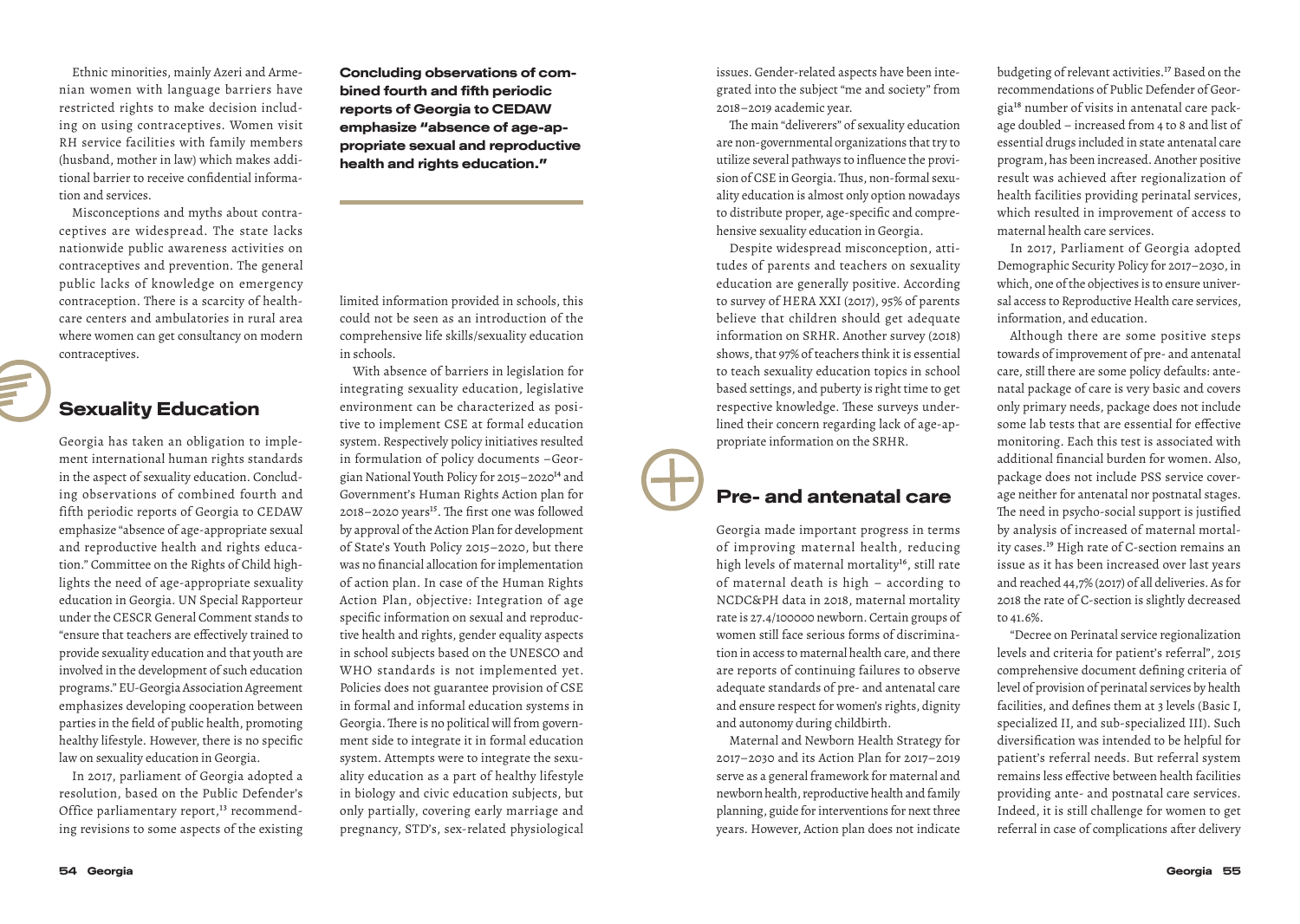Ethnic minorities, mainly Azeri and Armenian women with language barriers have restricted rights to make decision including on using contraceptives. Women visit RH service facilities with family members (husband, mother in law) which makes additional barrier to receive confidential information and services.

Misconceptions and myths about contraceptives are widespread. The state lacks nationwide public awareness activities on contraceptives and prevention. The general public lacks of knowledge on emergency contraception. There is a scarcity of healthcare centers and ambulatories in rural area where women can get consultancy on modern contraceptives.

#### Sexuality Education

Georgia has taken an obligation to implement international human rights standards in the aspect of sexuality education. Concluding observations of combined fourth and fifth periodic reports of Georgia to CEDAW emphasize "absence of age-appropriate sexual and reproductive health and rights education." Committee on the Rights of Child highlights the need of age-appropriate sexuality education in Georgia. UN Special Rapporteur under the CESCR General Comment stands to "ensure that teachers are effectively trained to provide sexuality education and that youth are involved in the development of such education programs." EU-Georgia Association Agreement emphasizes developing cooperation between parties in the field of public health, promoting healthy lifestyle. However, there is no specific law on sexuality education in Georgia.

In 2017, parliament of Georgia adopted a resolution, based on the Public Defender's Office parliamentary report,<sup>13</sup> recommending revisions to some aspects of the existing Concluding observations of combined fourth and fifth periodic reports of Georgia to CEDAW emphasize "absence of age-appropriate sexual and reproductive health and rights education."

limited information provided in schools, this could not be seen as an introduction of the comprehensive life skills/sexuality education in schools.

With absence of barriers in legislation for integrating sexuality education, legislative environment can be characterized as positive to implement CSE at formal education system. Respectively policy initiatives resulted in formulation of policy documents –Georgian National Youth Policy for 2015–202014 and Government's Human Rights Action plan for 2018–2020 years<sup>15</sup>. The first one was followed by approval of the Action Plan for development of State's Youth Policy 2015–2020, but there was no financial allocation for implementation of action plan. In case of the Human Rights Action Plan, objective: Integration of age specific information on sexual and reproductive health and rights, gender equality aspects in school subjects based on the UNESCO and WHO standards is not implemented yet. Policies does not guarantee provision of CSE in formal and informal education systems in Georgia. There is no political will from government side to integrate it in formal education system. Attempts were to integrate the sexuality education as a part of healthy lifestyle in biology and civic education subjects, but only partially, covering early marriage and pregnancy, STD's, sex-related physiological issues. Gender-related aspects have been integrated into the subject "me and society" from 2018–2019 academic year.

The main "deliverers" of sexuality education are non-governmental organizations that try to utilize several pathways to influence the provision of CSE in Georgia. Thus, non-formal sexuality education is almost only option nowadays to distribute proper, age-specific and comprehensive sexuality education in Georgia.

Despite widespread misconception, attitudes of parents and teachers on sexuality education are generally positive. According to survey of HERA XXI (2017), 95% of parents believe that children should get adequate information on SRHR. Another survey (2018) shows, that 97% of teachers think it is essential to teach sexuality education topics in school based settings, and puberty is right time to get respective knowledge. These surveys underlined their concern regarding lack of age-appropriate information on the SRHR.

#### Pre- and antenatal care

Georgia made important progress in terms of improving maternal health, reducing high levels of maternal mortality<sup>16</sup>, still rate of maternal death is high – according to NCDC&PH data in 2018, maternal mortality rate is 27.4/100000 newborn. Certain groups of women still face serious forms of discrimination in access to maternal health care, and there are reports of continuing failures to observe adequate standards of pre- and antenatal care and ensure respect for women's rights, dignity and autonomy during childbirth.

Maternal and Newborn Health Strategy for 2017–2030 and its Action Plan for 2017–2019 serve as a general framework for maternal and newborn health, reproductive health and family planning, guide for interventions for next three years. However, Action plan does not indicate budgeting of relevant activities.17 Based on the recommendations of Public Defender of Georgia18 number of visits in antenatal care package doubled – increased from 4 to 8 and list of essential drugs included in state antenatal care program, has been increased. Another positive result was achieved after regionalization of health facilities providing perinatal services, which resulted in improvement of access to maternal health care services.

In 2017, Parliament of Georgia adopted Demographic Security Policy for 2017–2030, in which, one of the objectives is to ensure universal access to Reproductive Health care services, information, and education.

Although there are some positive steps towards of improvement of pre- and antenatal care, still there are some policy defaults: antenatal package of care is very basic and covers only primary needs, package does not include some lab tests that are essential for effective monitoring. Each this test is associated with additional financial burden for women. Also, package does not include PSS service coverage neither for antenatal nor postnatal stages. The need in psycho-social support is justified by analysis of increased of maternal mortality cases.19 High rate of C-section remains an issue as it has been increased over last years and reached 44,7% (2017) of all deliveries. As for 2018 the rate of C-section is slightly decreased to 41.6%.

"Decree on Perinatal service regionalization levels and criteria for patient's referral", 2015 comprehensive document defining criteria of level of provision of perinatal services by health facilities, and defines them at 3 levels (Basic I, specialized II, and sub-specialized III). Such diversification was intended to be helpful for patient's referral needs. But referral system remains less effective between health facilities providing ante- and postnatal care services. Indeed, it is still challenge for women to get referral in case of complications after delivery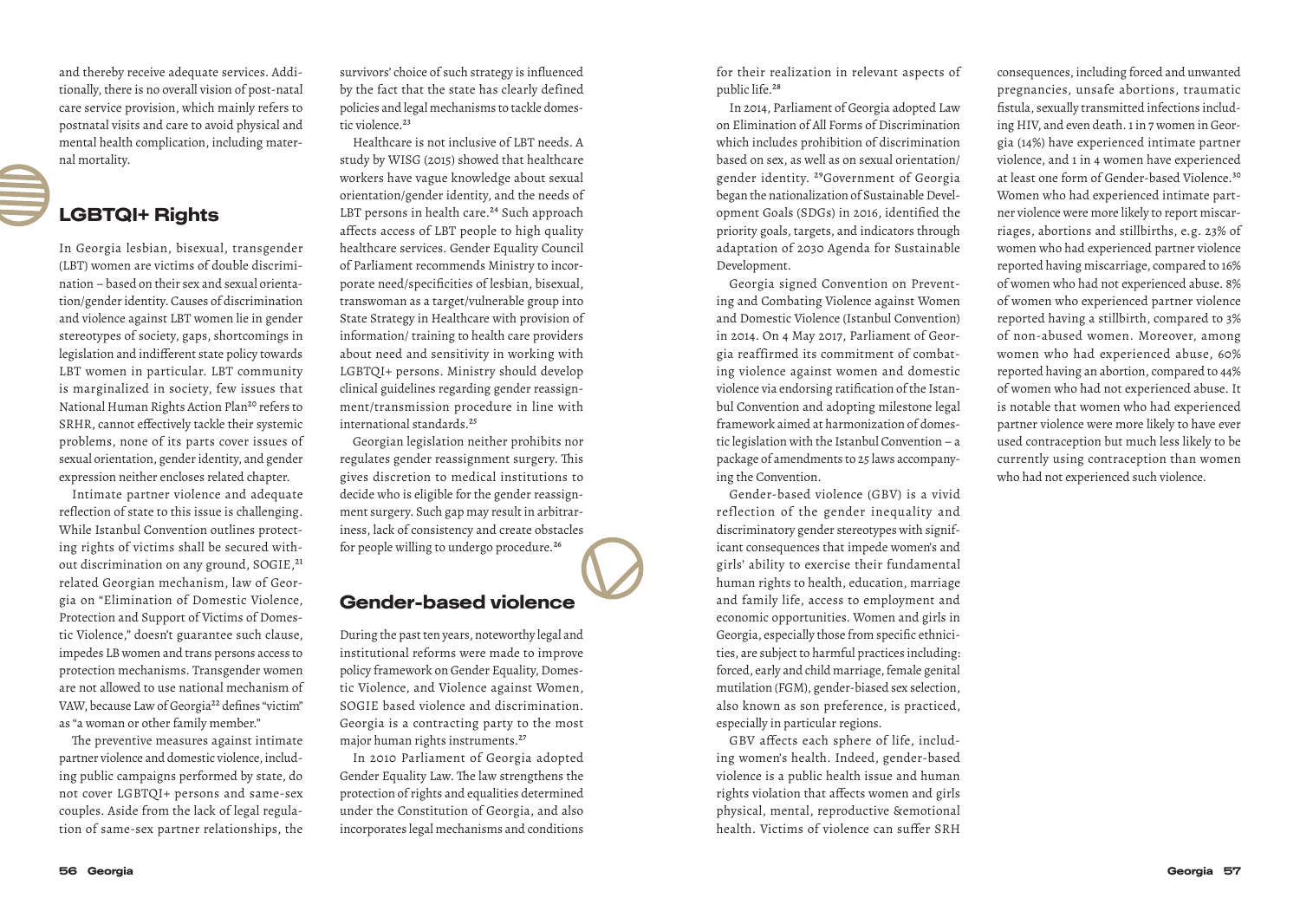and thereby receive adequate services. Additionally, there is no overall vision of post-natal care service provision, which mainly refers to postnatal visits and care to avoid physical and mental health complication, including maternal mortality.

#### LGBTQI+ Rights

In Georgia lesbian, bisexual, transgender (LBT) women are victims of double discrimination – based on their sex and sexual orientation/gender identity. Causes of discrimination and violence against LBT women lie in gender stereotypes of society, gaps, shortcomings in legislation and indifferent state policy towards LBT women in particular. LBT community is marginalized in society, few issues that National Human Rights Action Plan<sup>20</sup> refers to SRHR, cannot effectively tackle their systemic problems, none of its parts cover issues of sexual orientation, gender identity, and gender expression neither encloses related chapter.

Intimate partner violence and adequate reflection of state to this issue is challenging. While Istanbul Convention outlines protecting rights of victims shall be secured without discrimination on any ground, SOGIE,<sup>21</sup> related Georgian mechanism, law of Georgia on "Elimination of Domestic Violence, Protection and Support of Victims of Domestic Violence," doesn't guarantee such clause, impedes LB women and trans persons access to protection mechanisms. Transgender women are not allowed to use national mechanism of VAW, because Law of Georgia<sup>22</sup> defines "victim" as "a woman or other family member."

The preventive measures against intimate partner violence and domestic violence, including public campaigns performed by state, do not cover LGBTQI+ persons and same-sex couples. Aside from the lack of legal regulation of same-sex partner relationships, the survivors' choice of such strategy is influenced by the fact that the state has clearly defined policies and legal mechanisms to tackle domestic violence.<sup>23</sup>

Healthcare is not inclusive of LBT needs. A study by WISG (2015) showed that healthcare workers have vague knowledge about sexual orientation/gender identity, and the needs of LBT persons in health care.<sup>24</sup> Such approach affects access of LBT people to high quality healthcare services. Gender Equality Council of Parliament recommends Ministry to incorporate need/specificities of lesbian, bisexual, transwoman as a target/vulnerable group into State Strategy in Healthcare with provision of information/ training to health care providers about need and sensitivity in working with LGBTQI+ persons. Ministry should develop clinical guidelines regarding gender reassignment/transmission procedure in line with international standards.<sup>25</sup>

Georgian legislation neither prohibits nor regulates gender reassignment surgery. This gives discretion to medical institutions to decide who is eligible for the gender reassignment surgery. Such gap may result in arbitrariness, lack of consistency and create obstacles for people willing to undergo procedure.<sup>26</sup>

#### Gender-based violence

During the past ten years, noteworthy legal and institutional reforms were made to improve policy framework on Gender Equality, Domestic Violence, and Violence against Women, SOGIE based violence and discrimination. Georgia is a contracting party to the most major human rights instruments.27

In 2010 Parliament of Georgia adopted Gender Equality Law. The law strengthens the protection of rights and equalities determined under the Constitution of Georgia, and also incorporates legal mechanisms and conditions for their realization in relevant aspects of public life.28

In 2014, Parliament of Georgia adopted Law on Elimination of All Forms of Discrimination which includes prohibition of discrimination based on sex, as well as on sexual orientation/ gender identity. 29Government of Georgia began the nationalization of Sustainable Development Goals (SDGs) in 2016, identified the priority goals, targets, and indicators through adaptation of 2030 Agenda for Sustainable Development.

Georgia signed Convention on Preventing and Combating Violence against Women and Domestic Violence (Istanbul Convention) in 2014. On 4 May 2017, Parliament of Georgia reaffirmed its commitment of combating violence against women and domestic violence via endorsing ratification of the Istanbul Convention and adopting milestone legal framework aimed at harmonization of domestic legislation with the Istanbul Convention – a package of amendments to 25 laws accompanying the Convention.

Gender-based violence (GBV) is a vivid reflection of the gender inequality and discriminatory gender stereotypes with significant consequences that impede women's and girls' ability to exercise their fundamental human rights to health, education, marriage and family life, access to employment and economic opportunities. Women and girls in Georgia, especially those from specific ethnicities, are subject to harmful practices including: forced, early and child marriage, female genital mutilation (FGM), gender-biased sex selection, also known as son preference, is practiced, especially in particular regions.

GBV affects each sphere of life, including women's health. Indeed, gender-based violence is a public health issue and human rights violation that affects women and girls physical, mental, reproductive &emotional health. Victims of violence can suffer SRH

consequences, including forced and unwanted pregnancies, unsafe abortions, traumatic fistula, sexually transmitted infections including HIV, and even death. 1 in 7 women in Georgia (14%) have experienced intimate partner violence, and 1 in 4 women have experienced at least one form of Gender-based Violence.30 Women who had experienced intimate partner violence were more likely to report miscarriages, abortions and stillbirths, e.g. 23% of women who had experienced partner violence reported having miscarriage, compared to 16% of women who had not experienced abuse. 8% of women who experienced partner violence reported having a stillbirth, compared to 3% of non-abused women. Moreover, among women who had experienced abuse, 60% reported having an abortion, compared to 44% of women who had not experienced abuse. It is notable that women who had experienced partner violence were more likely to have ever used contraception but much less likely to be currently using contraception than women who had not experienced such violence.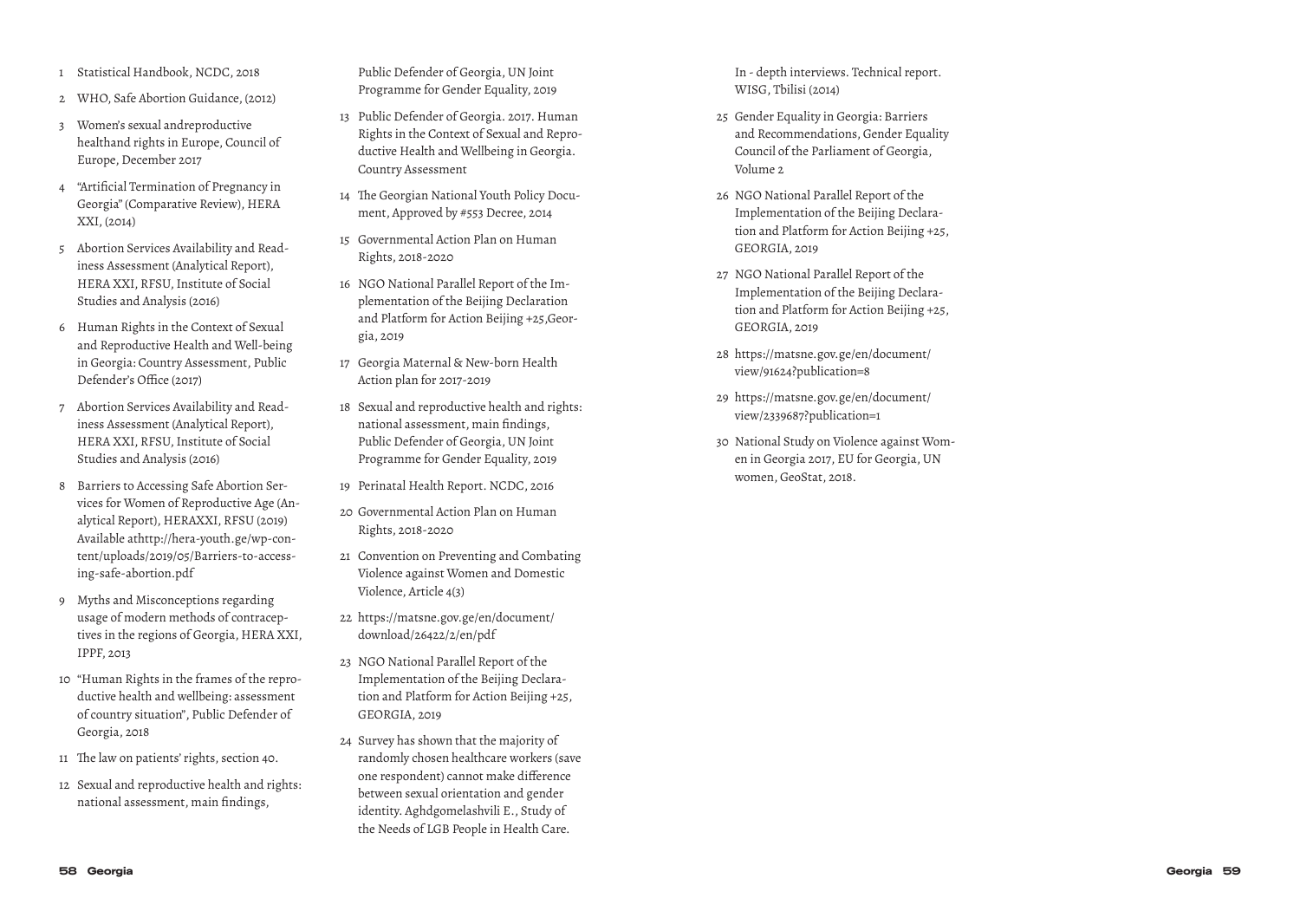- 
- 
- healthand rights in Europe, Council of Europe, December 2017
- 4 "Artificial Termination of Pregnancy in Georgia" (Comparative Review), HERA XXI, (2014)
- 5 Abortion Services Availability and Read iness Assessment (Analytical Report), HERA XXI, RFSU, Institute of Social Studies and Analysis (2016)
- 6 Human Rights in the Context of Sexual and Reproductive Health and Well-being in Georgia: Country Assessment, Public Defender's Office (2017)
- 7 Abortion Services Availability and Read iness Assessment (Analytical Report), HERA XXI, RFSU, Institute of Social Studies and Analysis (2016)
- 8 Barriers to Accessing Safe Abortion Ser vices for Women of Reproductive Age (An alytical Report), HERAXXI, RFSU (2019) Available athttp://hera-youth.ge/wp-con tent/uploads/2019/05/Barriers-to-access ing-safe-abortion.pdf
- 9 Myths and Misconceptions regarding usage of modern methods of contracep tives in the regions of Georgia, HERA XXI, IPPF, 2013
- 10 "Human Rights in the frames of the repro ductive health and wellbeing: assessment of country situation", Public Defender of Georgia, 2018
- 11 The law on patients' rights, section 40.
- 12 Sexual and reproductive health and rights: national assessment, main findings,

Public Defender of Georgia, UN Joint Programme for Gender Equality, 2019

- 13 Public Defender of Georgia. 2017. Human Rights in the Context of Sexual and Repro ductive Health and Wellbeing in Georgia. Country Assessment
- 14 The Georgian National Youth Policy Docu ment, Approved by #553 Decree, 2014
- 15 Governmental Action Plan on Human Rights, 2018-2020
- 16 NGO National Parallel Report of the Im plementation of the Beijing Declaration and Platform for Action Beijing +25,Geor gia, 2019
- 17 Georgia Maternal & New-born Health Action plan for 2017-2019
- 18 Sexual and reproductive health and rights: national assessment, main findings, Public Defender of Georgia, UN Joint Programme for Gender Equality, 2019
- 19 Perinatal Health Report. NCDC, 2016
- 20 Governmental Action Plan on Human Rights, 2018-2020
- 21 Convention on Preventing and Combating Violence against Women and Domestic Violence, Article 4(3)
- 22 https://matsne.gov.ge/en/document/ download/26422/2/en/pdf
- 23 NGO National Parallel Report of the Implementation of the Beijing Declara tion and Platform for Action Beijing +25, GEORGIA, 2019
- Statistical Handbook Center, and the control of the control of the control of the control of the control of the control of the control of the control of the control of the control of the control of the control of the cont 24 Survey has shown that the majority of randomly chosen healthcare workers (save one respondent) cannot make difference between sexual orientation and gender identity. Aghdgomelashvili E., Study of the Needs of LGB People in Health Care.

In - depth interviews. Technical report. WISG, Tbilisi (2014)

- 25 Gender Equality in Georgia: Barriers and Recommendations, Gender Equality Council of the Parliament of Georgia, Volume 2
- 26 NGO National Parallel Report of the Implementation of the Beijing Declara tion and Platform for Action Beijing +25, GEORGIA, 2019
- 27 NGO National Parallel Report of the Implementation of the Beijing Declara tion and Platform for Action Beijing +25, GEORGIA, 2019
- 28 https://matsne.gov.ge/en/document/ view/91624?publication=8
- 29 https://matsne.gov.ge/en/document/ view/2339687?publication=1
- 30 National Study on Violence against Wom en in Georgia 2017, EU for Georgia, UN women, GeoStat, 2018.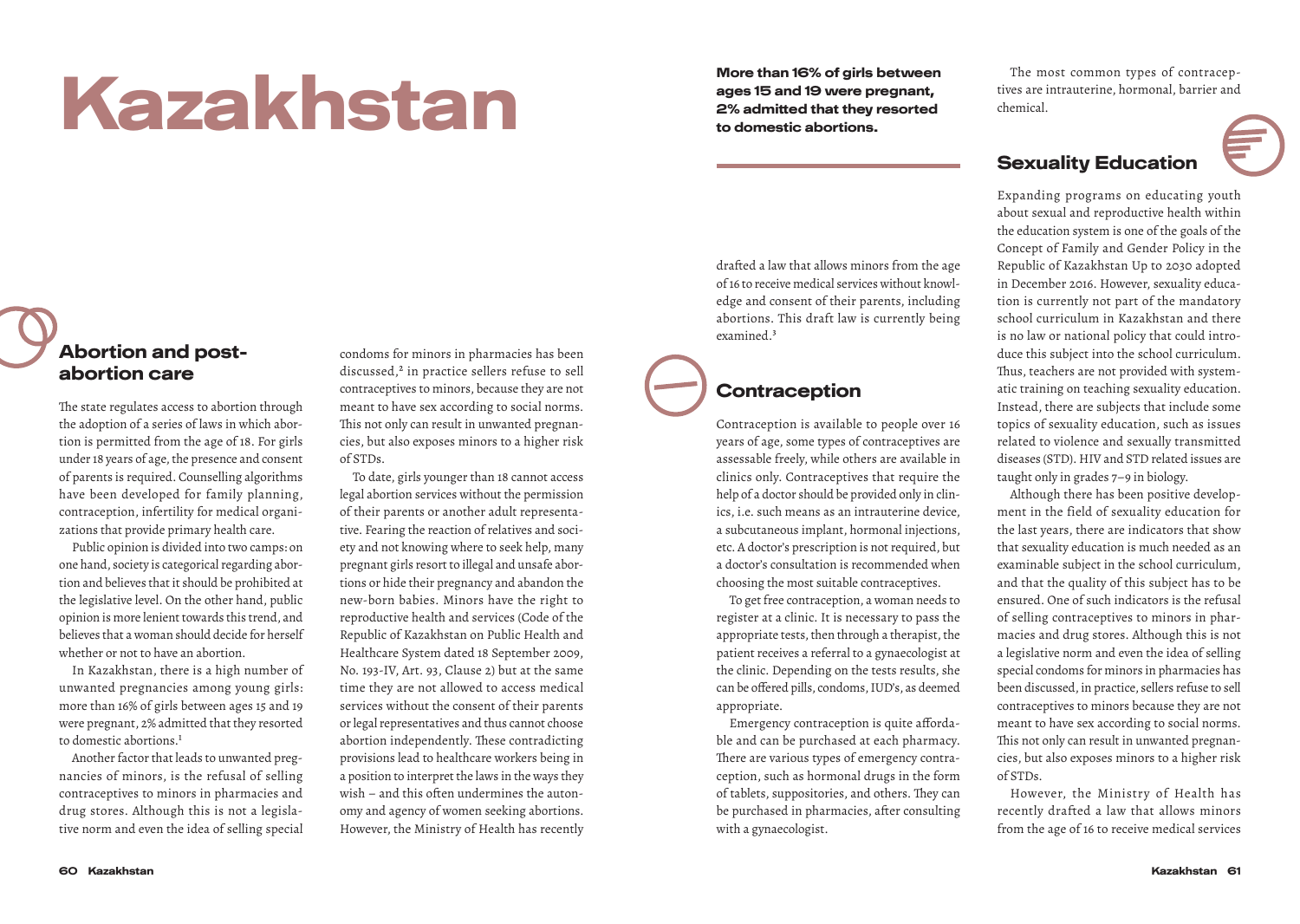# More than 16% of girls between<br>ages 15 and 19 were pregnant,<br>2% admitted that they resorted

ages 15 and 19 were pregnant, 2% admitted that they resorted to domestic abortions.

drafted a law that allows minors from the age of 16 to receive medical services without knowledge and consent of their parents, including abortions. This draft law is currently being

The most common types of contraceptives are intrauterine, hormonal, barrier and chemical.

#### Sexuality Education

Expanding programs on educating youth about sexual and reproductive health within the education system is one of the goals of the Concept of Family and Gender Policy in the Republic of Kazakhstan Up to 2030 adopted in December 2016. However, sexuality education is currently not part of the mandatory school curriculum in Kazakhstan and there is no law or national policy that could introduce this subject into the school curriculum. Thus, teachers are not provided with systematic training on teaching sexuality education. Instead, there are subjects that include some topics of sexuality education, such as issues related to violence and sexually transmitted diseases (STD). HIV and STD related issues are taught only in grades 7–9 in biology.

Although there has been positive development in the field of sexuality education for the last years, there are indicators that show that sexuality education is much needed as an examinable subject in the school curriculum, and that the quality of this subject has to be ensured. One of such indicators is the refusal of selling contraceptives to minors in pharmacies and drug stores. Although this is not a legislative norm and even the idea of selling special condoms for minors in pharmacies has been discussed, in practice, sellers refuse to sell contraceptives to minors because they are not meant to have sex according to social norms. This not only can result in unwanted pregnancies, but also exposes minors to a higher risk of STDs.

However, the Ministry of Health has recently drafted a law that allows minors from the age of 16 to receive medical services

#### Abortion and postabortion care

The state regulates access to abortion through the adoption of a series of laws in which abortion is permitted from the age of 18. For girls under 18 years of age, the presence and consent of parents is required. Counselling algorithms have been developed for family planning, contraception, infertility for medical organizations that provide primary health care.

Public opinion is divided into two camps: on one hand, society is categorical regarding abortion and believes that it should be prohibited at the legislative level. On the other hand, public opinion is more lenient towards this trend, and believes that a woman should decide for herself whether or not to have an abortion.

In Kazakhstan, there is a high number of unwanted pregnancies among young girls: more than 16% of girls between ages 15 and 19 were pregnant, 2% admitted that they resorted to domestic abortions.<sup>1</sup>

Another factor that leads to unwanted pregnancies of minors, is the refusal of selling contraceptives to minors in pharmacies and drug stores. Although this is not a legislative norm and even the idea of selling special condoms for minors in pharmacies has been discussed,<sup>2</sup> in practice sellers refuse to sell contraceptives to minors, because they are not meant to have sex according to social norms. This not only can result in unwanted pregnancies, but also exposes minors to a higher risk of STDs.

To date, girls younger than 18 cannot access legal abortion services without the permission of their parents or another adult representative. Fearing the reaction of relatives and society and not knowing where to seek help, many pregnant girls resort to illegal and unsafe abortions or hide their pregnancy and abandon the new-born babies. Minors have the right to reproductive health and services (Code of the Republic of Kazakhstan on Public Health and Healthcare System dated 18 September 2009, No. 193-IV, Art. 93, Clause 2) but at the same time they are not allowed to access medical services without the consent of their parents or legal representatives and thus cannot choose abortion independently. These contradicting provisions lead to healthcare workers being in a position to interpret the laws in the ways they wish – and this often undermines the autonomy and agency of women seeking abortions. However, the Ministry of Health has recently

# **Contraception**

examined.3

Contraception is available to people over 16 years of age, some types of contraceptives are assessable freely, while others are available in clinics only. Contraceptives that require the help of a doctor should be provided only in clinics, i.e. such means as an intrauterine device, a subcutaneous implant, hormonal injections, etc. A doctor's prescription is not required, but a doctor's consultation is recommended when choosing the most suitable contraceptives.

To get free contraception, a woman needs to register at a clinic. It is necessary to pass the appropriate tests, then through a therapist, the patient receives a referral to a gynaecologist at the clinic. Depending on the tests results, she can be offered pills, condoms, IUD's, as deemed appropriate.

Emergency contraception is quite affordable and can be purchased at each pharmacy. There are various types of emergency contraception, such as hormonal drugs in the form of tablets, suppositories, and others. They can be purchased in pharmacies, after consulting with a gynaecologist.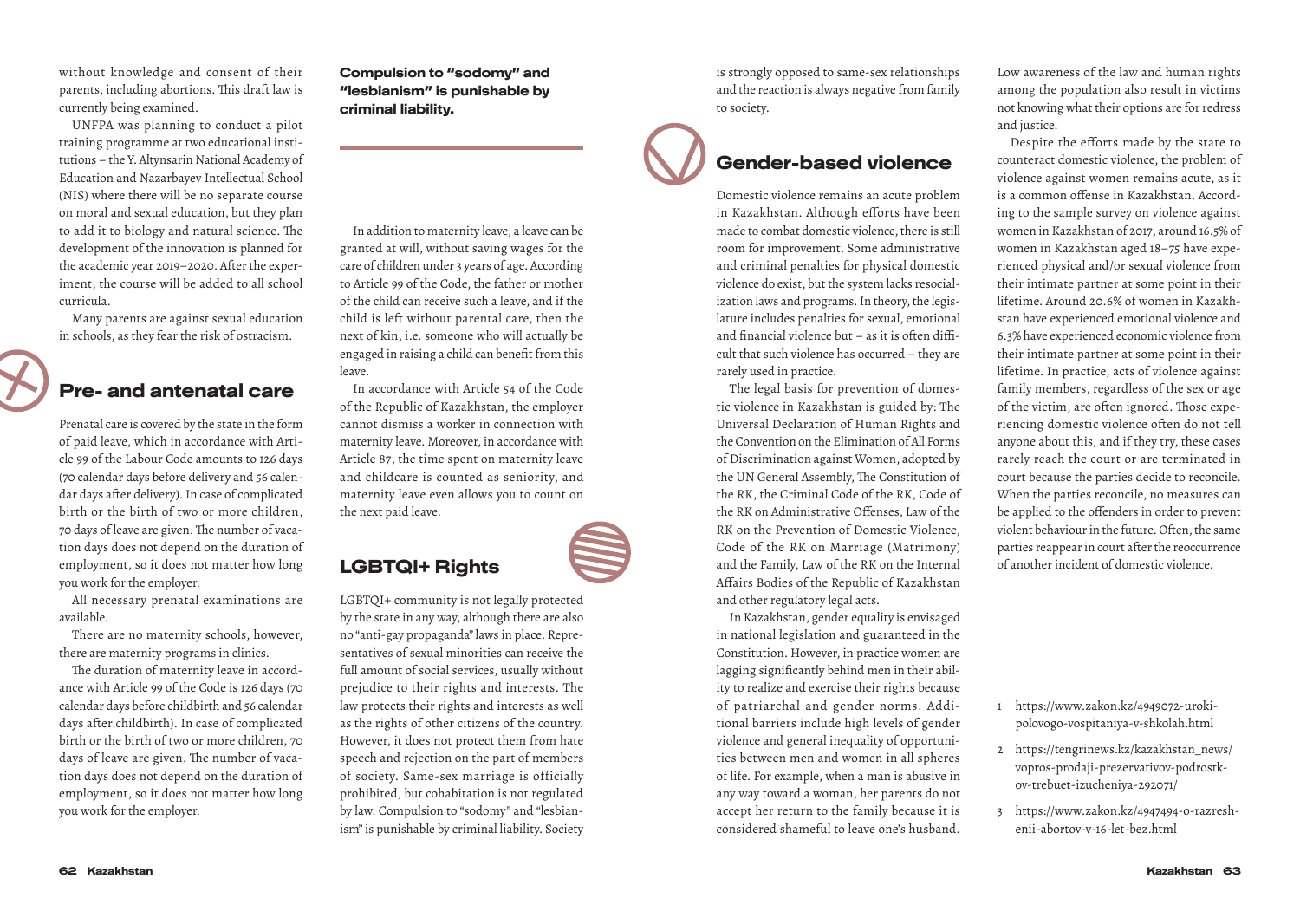without knowledge and consent of their parents, including abortions. This draft law is currently being examined.

UNFPA was planning to conduct a pilot training programme at two educational institutions – the Y. Altynsarin National Academy of Education and Nazarbayev Intellectual School (NIS) where there will be no separate course on moral and sexual education, but they plan to add it to biology and natural science. The development of the innovation is planned for the academic year 2019–2020. After the experiment, the course will be added to all school curricula.

Many parents are against sexual education in schools, as they fear the risk of ostracism.

### Pre- and antenatal care

Prenatal care is covered by the state in the form of paid leave, which in accordance with Article 99 of the Labour Code amounts to 126 days (70 calendar days before delivery and 56 calendar days after delivery). In case of complicated birth or the birth of two or more children, 70 days of leave are given. The number of vacation days does not depend on the duration of employment, so it does not matter how long you work for the employer.

All necessary prenatal examinations are available.

There are no maternity schools, however, there are maternity programs in clinics.

The duration of maternity leave in accordance with Article 99 of the Code is 126 days (70 calendar days before childbirth and 56 calendar days after childbirth). In case of complicated birth or the birth of two or more children, 70 days of leave are given. The number of vacation days does not depend on the duration of employment, so it does not matter how long you work for the employer.

Compulsion to "sodomy" and "lesbianism" is punishable by criminal liability.

In addition to maternity leave, a leave can be granted at will, without saving wages for the care of children under 3 years of age. According to Article 99 of the Code, the father or mother of the child can receive such a leave, and if the child is left without parental care, then the next of kin, i.e. someone who will actually be engaged in raising a child can benefit from this leave.

In accordance with Article 54 of the Code of the Republic of Kazakhstan, the employer cannot dismiss a worker in connection with maternity leave. Moreover, in accordance with Article 87, the time spent on maternity leave and childcare is counted as seniority, and maternity leave even allows you to count on the next paid leave.

#### LGBTQI+ Rights

LGBTQI+ community is not legally protected by the state in any way, although there are also no "anti-gay propaganda" laws in place. Representatives of sexual minorities can receive the full amount of social services, usually without prejudice to their rights and interests. The law protects their rights and interests as well as the rights of other citizens of the country. However, it does not protect them from hate speech and rejection on the part of members of society. Same-sex marriage is officially prohibited, but cohabitation is not regulated by law. Compulsion to "sodomy" and "lesbianism" is punishable by criminal liability. Society is strongly opposed to same-sex relationships and the reaction is always negative from family to society.

#### Gender-based violence

Domestic violence remains an acute problem in Kazakhstan. Although efforts have been made to combat domestic violence, there is still room for improvement. Some administrative and criminal penalties for physical domestic violence do exist, but the system lacks resocialization laws and programs. In theory, the legislature includes penalties for sexual, emotional and financial violence but – as it is often difficult that such violence has occurred – they are rarely used in practice.

The legal basis for prevention of domestic violence in Kazakhstan is guided by: The Universal Declaration of Human Rights and the Convention on the Elimination of All Forms of Discrimination against Women, adopted by the UN General Assembly, The Constitution of the RK, the Criminal Code of the RK, Code of the RK on Administrative Offenses, Law of the RK on the Prevention of Domestic Violence, Code of the RK on Marriage (Matrimony) and the Family, Law of the RK on the Internal Affairs Bodies of the Republic of Kazakhstan and other regulatory legal acts.

In Kazakhstan, gender equality is envisaged in national legislation and guaranteed in the Constitution. However, in practice women are lagging significantly behind men in their ability to realize and exercise their rights because of patriarchal and gender norms. Additional barriers include high levels of gender violence and general inequality of opportunities between men and women in all spheres of life. For example, when a man is abusive in any way toward a woman, her parents do not accept her return to the family because it is considered shameful to leave one's husband.

Low awareness of the law and human rights among the population also result in victims not knowing what their options are for redress and justice.

Despite the efforts made by the state to counteract domestic violence, the problem of violence against women remains acute, as it is a common offense in Kazakhstan. According to the sample survey on violence against women in Kazakhstan of 2017, around 16.5% of women in Kazakhstan aged 18–75 have experienced physical and/or sexual violence from their intimate partner at some point in their lifetime. Around 20.6% of women in Kazakhstan have experienced emotional violence and 6.3% have experienced economic violence from their intimate partner at some point in their lifetime. In practice, acts of violence against family members, regardless of the sex or age of the victim, are often ignored. Those experiencing domestic violence often do not tell anyone about this, and if they try, these cases rarely reach the court or are terminated in court because the parties decide to reconcile. When the parties reconcile, no measures can be applied to the offenders in order to prevent violent behaviour in the future. Often, the same parties reappear in court after the reoccurrence of another incident of domestic violence.

- 1 https://www.zakon.kz/4949072-urokipolovogo-vospitaniya-v-shkolah.html
- 2 https://tengrinews.kz/kazakhstan\_news/ vopros-prodaji-prezervativov-podrostkov-trebuet-izucheniya-292071/
- 3 https://www.zakon.kz/4947494-o-razreshenii-abortov-v-16-let-bez.html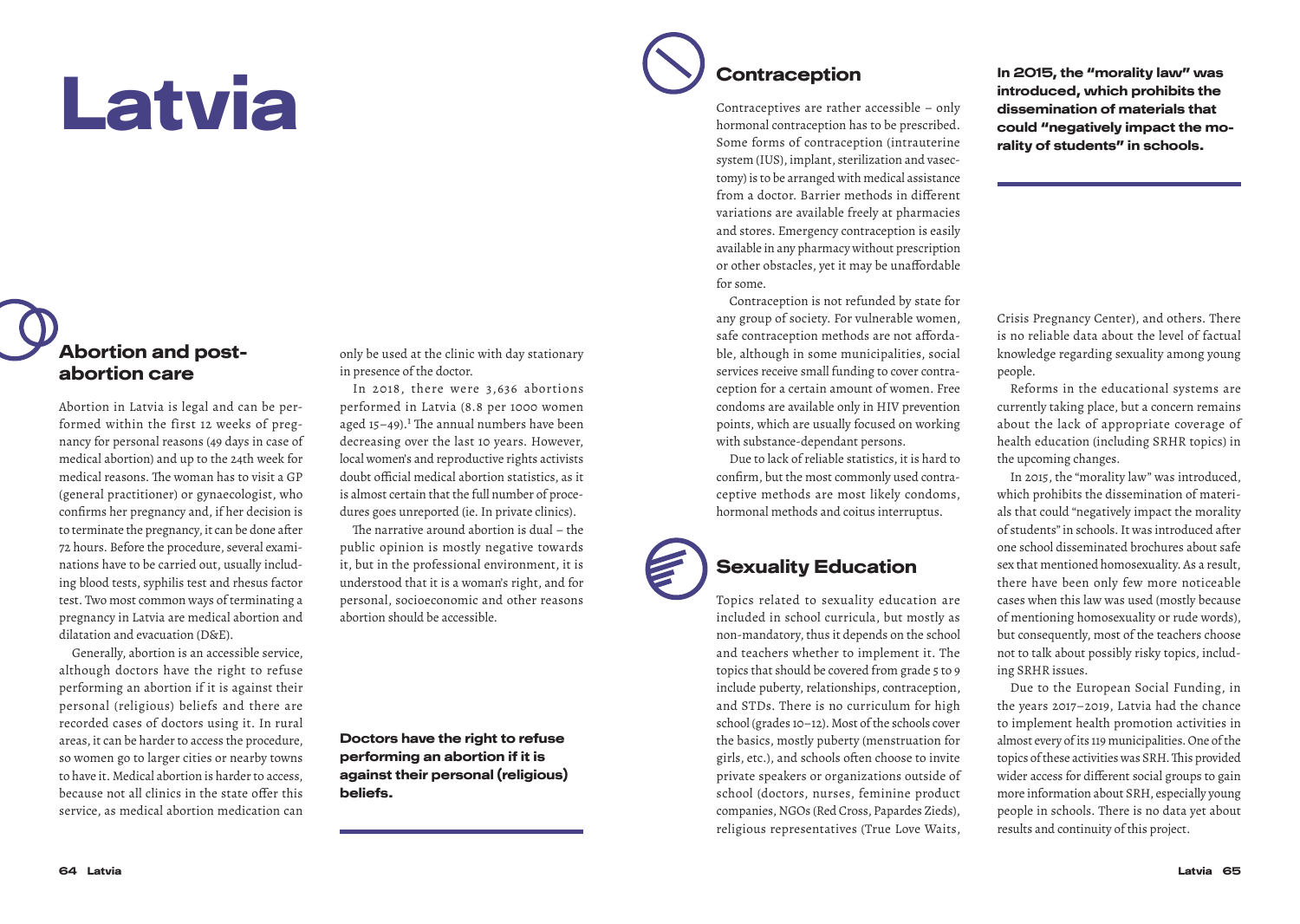# Latvia

#### Abortion and postabortion care

Abortion in Latvia is legal and can be performed within the first 12 weeks of pregnancy for personal reasons (49 days in case of medical abortion) and up to the 24th week for medical reasons. The woman has to visit a GP (general practitioner) or gynaecologist, who confirms her pregnancy and, if her decision is to terminate the pregnancy, it can be done after 72 hours. Before the procedure, several examinations have to be carried out, usually including blood tests, syphilis test and rhesus factor test. Two most common ways of terminating a pregnancy in Latvia are medical abortion and dilatation and evacuation (D&E).

Generally, abortion is an accessible service, although doctors have the right to refuse performing an abortion if it is against their personal (religious) beliefs and there are recorded cases of doctors using it. In rural areas, it can be harder to access the procedure, so women go to larger cities or nearby towns to have it. Medical abortion is harder to access, because not all clinics in the state offer this service, as medical abortion medication can

only be used at the clinic with day stationary in presence of the doctor.

In 2018, there were 3,636 abortions performed in Latvia (8.8 per 1000 women aged  $15-49$ ).<sup>1</sup> The annual numbers have been decreasing over the last 10 years. However, local women's and reproductive rights activists doubt official medical abortion statistics, as it is almost certain that the full number of procedures goes unreported (ie. In private clinics).

The narrative around abortion is dual – the public opinion is mostly negative towards it, but in the professional environment, it is understood that it is a woman's right, and for personal, socioeconomic and other reasons abortion should be accessible.

Doctors have the right to refuse performing an abortion if it is against their personal (religious) beliefs.

### **Contraception**

Contraceptives are rather accessible – only hormonal contraception has to be prescribed. Some forms of contraception (intrauterine system (IUS), implant, sterilization and vasectomy) is to be arranged with medical assistance from a doctor. Barrier methods in different variations are available freely at pharmacies and stores. Emergency contraception is easily available in any pharmacy without prescription or other obstacles, yet it may be unaffordable for some.

Contraception is not refunded by state for any group of society. For vulnerable women, safe contraception methods are not affordable, although in some municipalities, social services receive small funding to cover contraception for a certain amount of women. Free condoms are available only in HIV prevention points, which are usually focused on working with substance-dependant persons.

Due to lack of reliable statistics, it is hard to confirm, but the most commonly used contraceptive methods are most likely condoms, hormonal methods and coitus interruptus.



# Sexuality Education

Topics related to sexuality education are included in school curricula, but mostly as non-mandatory, thus it depends on the school and teachers whether to implement it. The topics that should be covered from grade 5 to 9 include puberty, relationships, contraception, and STDs. There is no curriculum for high school (grades 10–12). Most of the schools cover the basics, mostly puberty (menstruation for girls, etc.), and schools often choose to invite private speakers or organizations outside of school (doctors, nurses, feminine product companies, NGOs (Red Cross, Papardes Zieds), religious representatives (True Love Waits,

In 2015, the "morality law" was introduced, which prohibits the dissemination of materials that could "negatively impact the morality of students" in schools.

Crisis Pregnancy Center), and others. There is no reliable data about the level of factual knowledge regarding sexuality among young people.

Reforms in the educational systems are currently taking place, but a concern remains about the lack of appropriate coverage of health education (including SRHR topics) in the upcoming changes.

In 2015, the "morality law" was introduced, which prohibits the dissemination of materials that could "negatively impact the morality of students" in schools. It was introduced after one school disseminated brochures about safe sex that mentioned homosexuality. As a result, there have been only few more noticeable cases when this law was used (mostly because of mentioning homosexuality or rude words), but consequently, most of the teachers choose not to talk about possibly risky topics, including SRHR issues.

Due to the European Social Funding, in the years 2017–2019, Latvia had the chance to implement health promotion activities in almost every of its 119 municipalities. One of the topics of these activities was SRH. This provided wider access for different social groups to gain more information about SRH, especially young people in schools. There is no data yet about results and continuity of this project.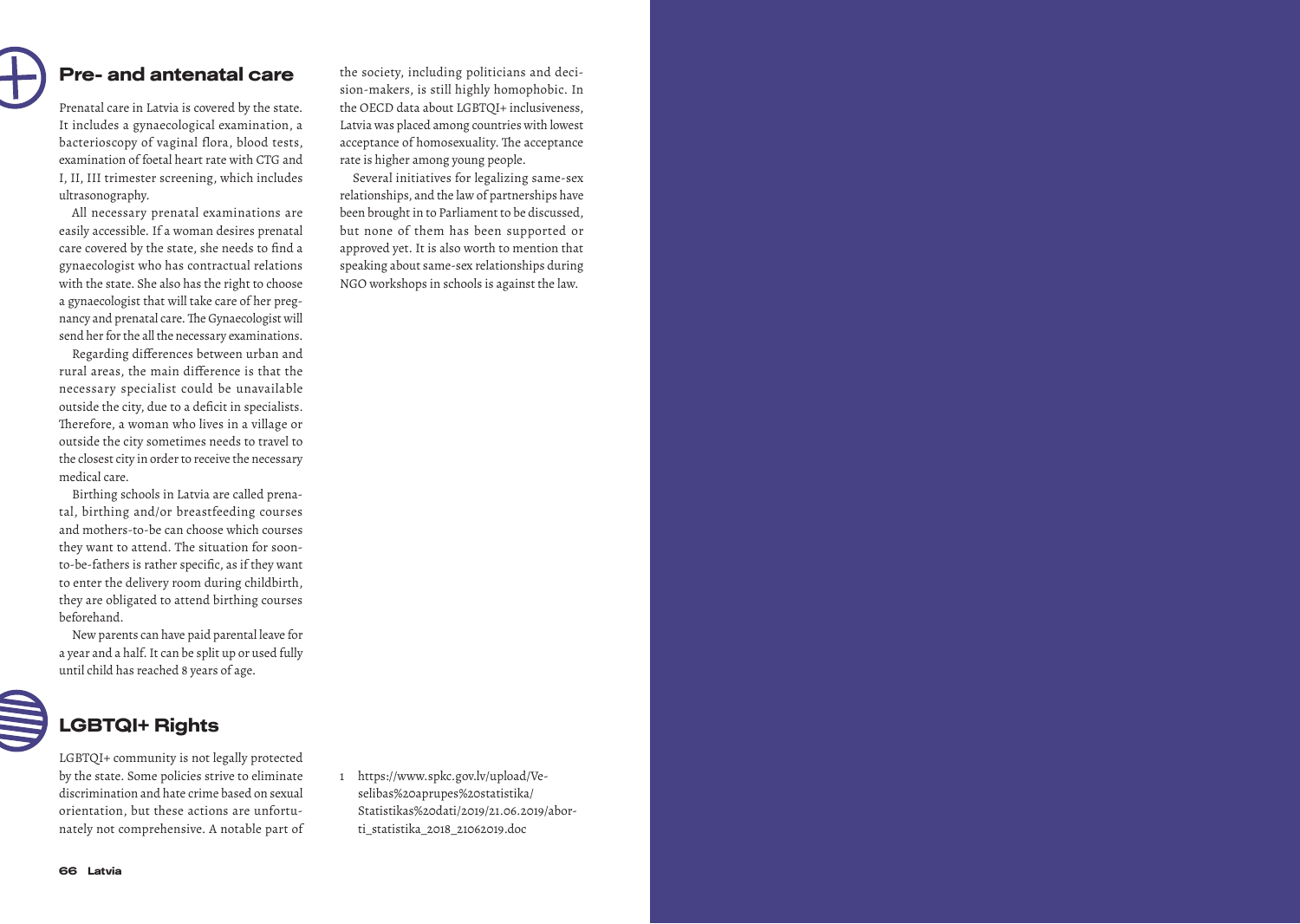# Pre- and antenatal care

Prenatal care in Latvia is covered by the state. It includes a gynaecological examination, a bacterioscopy of vaginal flora, blood tests, examination of foetal heart rate with CTG and I, II, III trimester screening, which includes ultrasonography.

All necessary prenatal examinations are easily accessible. If a woman desires prenatal care covered by the state, she needs to find a gynaecologist who has contractual relations with the state. She also has the right to choose a gynaecologist that will take care of her preg nancy and prenatal care. The Gynaecologist will send her for the all the necessary examinations.

Regarding differences between urban and rural areas, the main difference is that the necessary specialist could be unavailable outside the city, due to a deficit in specialists. Therefore, a woman who lives in a village or outside the city sometimes needs to travel to the closest city in order to receive the necessary medical care.

Birthing schools in Latvia are called prena tal, birthing and/or breastfeeding courses and mothers-to-be can choose which courses they want to attend. The situation for soonto-be-fathers is rather specific, as if they want to enter the delivery room during childbirth, they are obligated to attend birthing courses beforehand.

New parents can have paid parental leave for a year and a half. It can be split up or used fully until child has reached 8 years of age.



## LGBTQI+ Rights

LGBTQI+ community is not legally protected by the state. Some policies strive to eliminate discrimination and hate crime based on sexual orientation, but these actions are unfortu nately not comprehensive. A notable part of

the society, including politicians and deci sion-makers, is still highly homophobic. In the OECD data about LGBTQI+ inclusiveness, Latvia was placed among countries with lowest acceptance of homosexuality. The acceptance rate is higher among young people.

Several initiatives for legalizing same-sex relationships, and the law of partnerships have been brought in to Parliament to be discussed, but none of them has been supported or approved yet. It is also worth to mention that speaking about same-sex relationships during NGO workshops in schools is against the law.

1 https://www.spkc.gov.lv/upload/Veselibas%20aprupes%20statistika/ Statistikas%20dati/2019/21.06.2019/abor ti\_statistika\_2018\_21062019.doc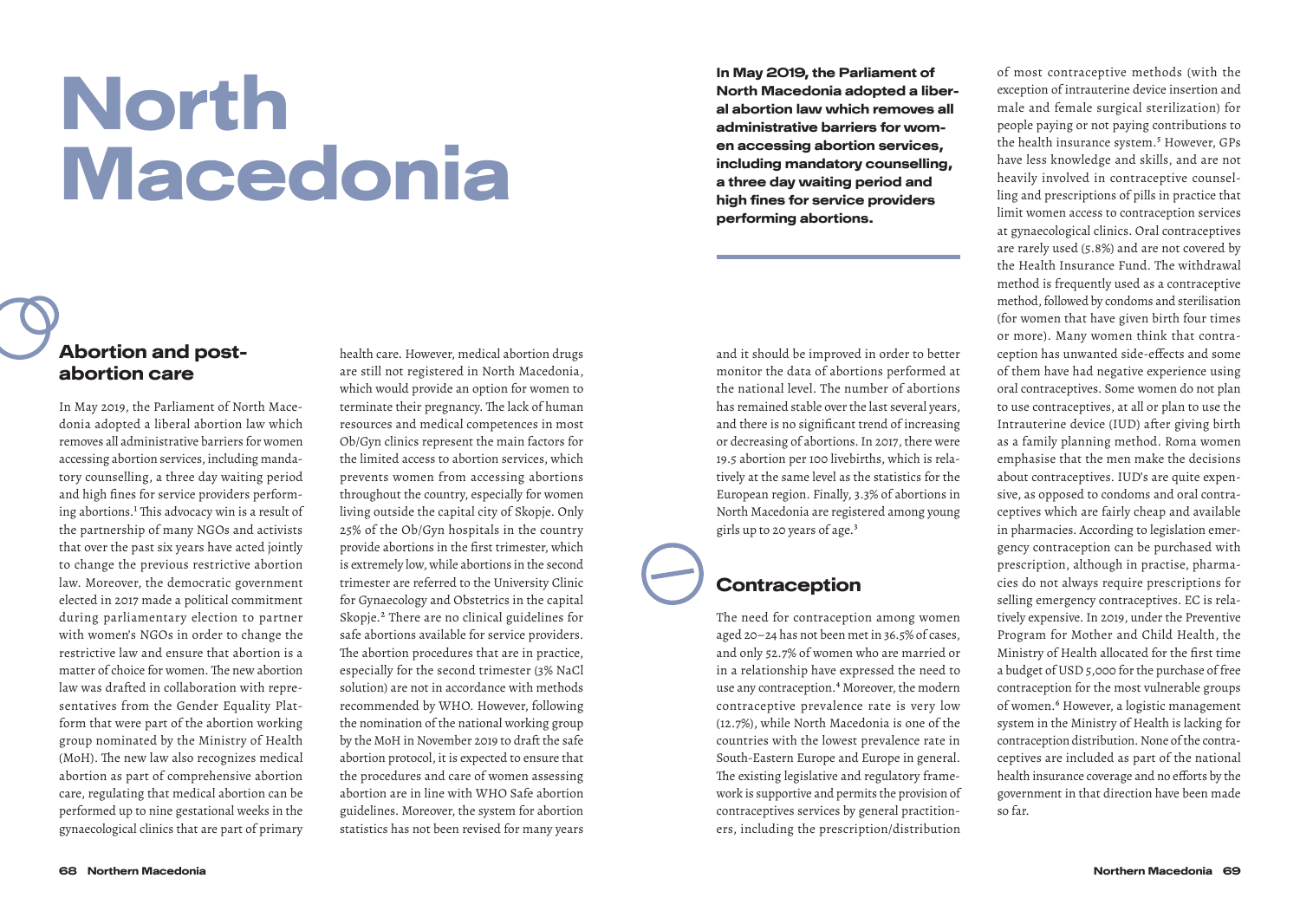# North Macedonia

#### Abortion and postabortion care

In May 2019, the Parliament of North Macedonia adopted a liberal abortion law which removes all administrative barriers for women accessing abortion services, including mandatory counselling, a three day waiting period and high fines for service providers performing abortions.<sup>1</sup> This advocacy win is a result of the partnership of many NGOs and activists that over the past six years have acted jointly to change the previous restrictive abortion law. Moreover, the democratic government elected in 2017 made a political commitment during parliamentary election to partner with women's NGOs in order to change the restrictive law and ensure that abortion is a matter of choice for women. The new abortion law was drafted in collaboration with representatives from the Gender Equality Platform that were part of the abortion working group nominated by the Ministry of Health (MoH). The new law also recognizes medical abortion as part of comprehensive abortion care, regulating that medical abortion can be performed up to nine gestational weeks in the gynaecological clinics that are part of primary

health care. However, medical abortion drugs are still not registered in North Macedonia, which would provide an option for women to terminate their pregnancy. The lack of human resources and medical competences in most Ob/Gyn clinics represent the main factors for the limited access to abortion services, which prevents women from accessing abortions throughout the country, especially for women living outside the capital city of Skopje. Only 25% of the Ob/Gyn hospitals in the country provide abortions in the first trimester, which is extremely low, while abortions in the second trimester are referred to the University Clinic for Gynaecology and Obstetrics in the capital Skopje.2 There are no clinical guidelines for safe abortions available for service providers. The abortion procedures that are in practice, especially for the second trimester (3% NaCl solution) are not in accordance with methods recommended by WHO. However, following the nomination of the national working group by the MoH in November 2019 to draft the safe abortion protocol, it is expected to ensure that the procedures and care of women assessing abortion are in line with WHO Safe abortion guidelines. Moreover, the system for abortion statistics has not been revised for many years

In May 2019, the Parliament of North Macedonia adopted a liberal abortion law which removes all administrative barriers for women accessing abortion services, including mandatory counselling, a three day waiting period and high fines for service providers performing abortions.

and it should be improved in order to better monitor the data of abortions performed at the national level. The number of abortions has remained stable over the last several years, and there is no significant trend of increasing or decreasing of abortions. In 2017, there were 19.5 abortion per 100 livebirths, which is relatively at the same level as the statistics for the European region. Finally, 3.3% of abortions in North Macedonia are registered among young girls up to 20 years of age.3

#### **Contraception**

The need for contraception among women aged 20–24 has not been met in 36.5% of cases, and only 52.7% of women who are married or in a relationship have expressed the need to use any contraception.<sup>4</sup> Moreover, the modern contraceptive prevalence rate is very low (12.7%), while North Macedonia is one of the countries with the lowest prevalence rate in South-Eastern Europe and Europe in general. The existing legislative and regulatory framework is supportive and permits the provision of contraceptives services by general practitioners, including the prescription/distribution

of most contraceptive methods (with the exception of intrauterine device insertion and male and female surgical sterilization) for people paying or not paying contributions to the health insurance system.<sup>5</sup> However, GPs have less knowledge and skills, and are not heavily involved in contraceptive counselling and prescriptions of pills in practice that limit women access to contraception services at gynaecological clinics. Oral contraceptives are rarely used (5.8%) and are not covered by the Health Insurance Fund. The withdrawal method is frequently used as a contraceptive method, followed by condoms and sterilisation (for women that have given birth four times or more). Many women think that contraception has unwanted side-effects and some of them have had negative experience using oral contraceptives. Some women do not plan to use contraceptives, at all or plan to use the Intrauterine device (IUD) after giving birth as a family planning method. Roma women emphasise that the men make the decisions about contraceptives. IUD's are quite expensive, as opposed to condoms and oral contraceptives which are fairly cheap and available in pharmacies. According to legislation emergency contraception can be purchased with prescription, although in practise, pharmacies do not always require prescriptions for selling emergency contraceptives. EC is relatively expensive. In 2019, under the Preventive Program for Mother and Child Health, the Ministry of Health allocated for the first time a budget of USD 5,000 for the purchase of free contraception for the most vulnerable groups of women.6 However, a logistic management system in the Ministry of Health is lacking for contraception distribution. None of the contraceptives are included as part of the national health insurance coverage and no efforts by the government in that direction have been made so far.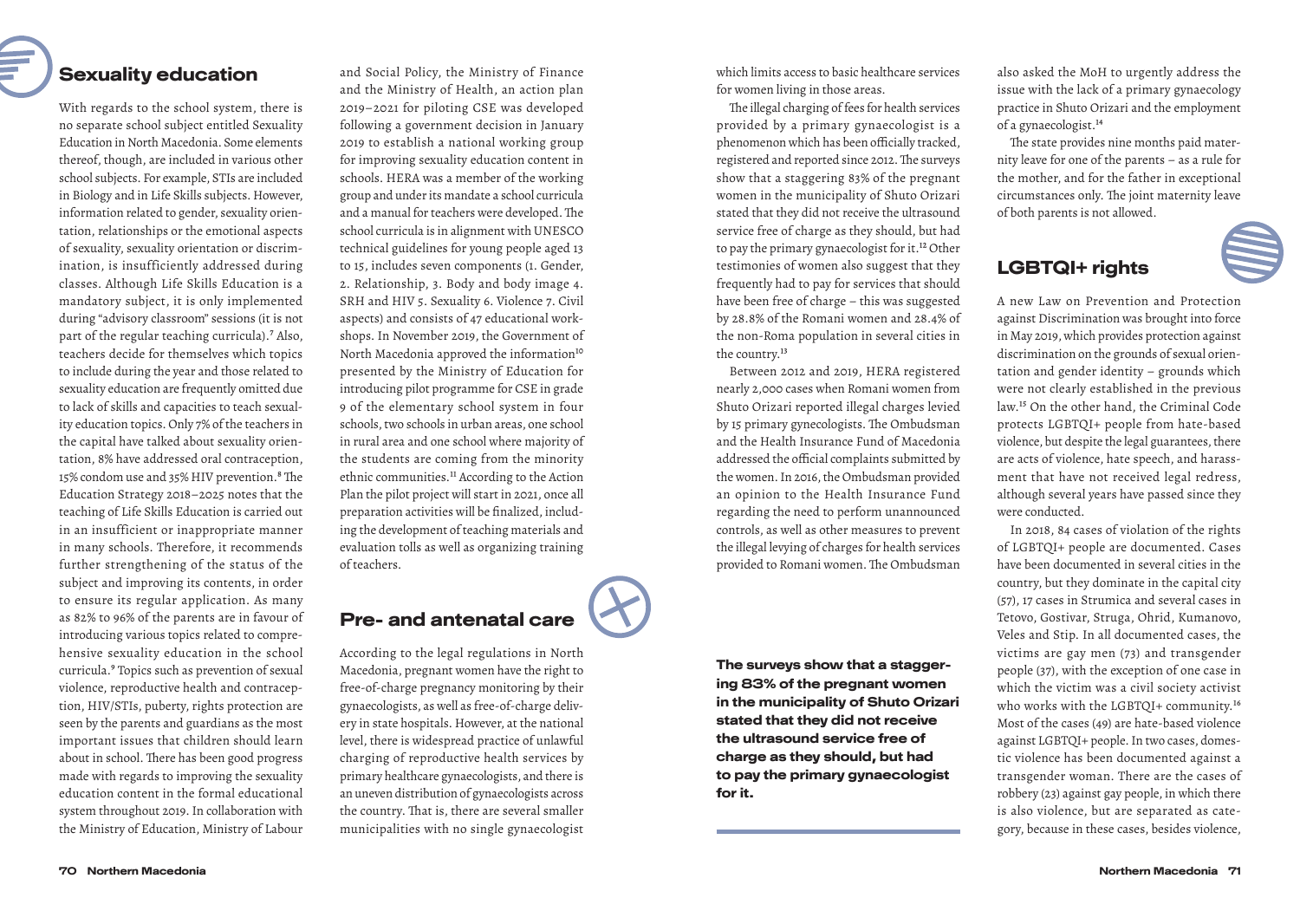# Sexuality education

#### With regards to the school system, there is no separate school subject entitled Sexuality Education in North Macedonia. Some elements thereof, though, are included in various other school subjects. For example, STIs are included in Biology and in Life Skills subjects. However, information related to gender, sexuality orientation, relationships or the emotional aspects of sexuality, sexuality orientation or discrimination, is insufficiently addressed during classes. Although Life Skills Education is a mandatory subject, it is only implemented during "advisory classroom" sessions (it is not part of the regular teaching curricula).<sup>7</sup> Also, teachers decide for themselves which topics to include during the year and those related to sexuality education are frequently omitted due to lack of skills and capacities to teach sexuality education topics. Only 7% of the teachers in the capital have talked about sexuality orientation, 8% have addressed oral contraception, 15% condom use and 35% HIV prevention.<sup>8</sup> The Education Strategy 2018–2025 notes that the teaching of Life Skills Education is carried out in an insufficient or inappropriate manner in many schools. Therefore, it recommends further strengthening of the status of the subject and improving its contents, in order to ensure its regular application. As many as 82% to 96% of the parents are in favour of introducing various topics related to comprehensive sexuality education in the school curricula.<sup>9</sup> Topics such as prevention of sexual violence, reproductive health and contraception, HIV/STIs, puberty, rights protection are seen by the parents and guardians as the most important issues that children should learn about in school. There has been good progress made with regards to improving the sexuality education content in the formal educational system throughout 2019. In collaboration with

and Social Policy, the Ministry of Finance and the Ministry of Health, an action plan 2019–2021 for piloting CSE was developed following a government decision in January 2019 to establish a national working group for improving sexuality education content in schools. HERA was a member of the working group and under its mandate a school curricula and a manual for teachers were developed. The school curricula is in alignment with UNESCO technical guidelines for young people aged 13 to 15, includes seven components (1. Gender, 2. Relationship, 3. Body and body image 4. SRH and HIV 5. Sexuality 6. Violence 7. Civil aspects) and consists of 47 educational workshops. In November 2019, the Government of North Macedonia approved the information<sup>10</sup> presented by the Ministry of Education for introducing pilot programme for CSE in grade 9 of the elementary school system in four schools, two schools in urban areas, one school in rural area and one school where majority of the students are coming from the minority ethnic communities.<sup>11</sup> According to the Action Plan the pilot project will start in 2021, once all preparation activities will be finalized, including the development of teaching materials and evaluation tolls as well as organizing training of teachers.

### Pre- and antenatal care

According to the legal regulations in North Macedonia, pregnant women have the right to free-of-charge pregnancy monitoring by their gynaecologists, as well as free-of-charge delivery in state hospitals. However, at the national level, there is widespread practice of unlawful charging of reproductive health services by primary healthcare gynaecologists, and there is an uneven distribution of gynaecologists across the country. That is, there are several smaller municipalities with no single gynaecologist

the Ministry of Education, Ministry of Labour

which limits access to basic healthcare services for women living in those areas.

The illegal charging of fees for health services provided by a primary gynaecologist is a phenomenon which has been officially tracked, registered and reported since 2012. The surveys show that a staggering 83% of the pregnant women in the municipality of Shuto Orizari stated that they did not receive the ultrasound service free of charge as they should, but had to pay the primary gynaecologist for it.12 Other testimonies of women also suggest that they frequently had to pay for services that should have been free of charge – this was suggested by 28.8% of the Romani women and 28.4% of the non-Roma population in several cities in the country.<sup>13</sup>

Between 2012 and 2019, HERA registered nearly 2,000 cases when Romani women from Shuto Orizari reported illegal charges levied by 15 primary gynecologists. The Ombudsman and the Health Insurance Fund of Macedonia addressed the official complaints submitted by the women. In 2016, the Ombudsman provided an opinion to the Health Insurance Fund regarding the need to perform unannounced controls, as well as other measures to prevent the illegal levying of charges for health services provided to Romani women. The Ombudsman

The surveys show that a staggering 83% of the pregnant women in the municipality of Shuto Orizari stated that they did not receive the ultrasound service free of charge as they should, but had to pay the primary gynaecologist for it.

also asked the MoH to urgently address the issue with the lack of a primary gynaecology practice in Shuto Orizari and the employment of a gynaecologist.14

The state provides nine months paid maternity leave for one of the parents – as a rule for the mother, and for the father in exceptional circumstances only. The joint maternity leave of both parents is not allowed.

#### LGBTQI+ rights

A new Law on Prevention and Protection against Discrimination was brought into force in May 2019, which provides protection against discrimination on the grounds of sexual orientation and gender identity – grounds which were not clearly established in the previous law.15 On the other hand, the Criminal Code protects LGBTQI+ people from hate-based violence, but despite the legal guarantees, there are acts of violence, hate speech, and harassment that have not received legal redress, although several years have passed since they were conducted.

In 2018, 84 cases of violation of the rights of LGBTQI+ people are documented. Cases have been documented in several cities in the country, but they dominate in the capital city (57), 17 cases in Strumica and several cases in Tetovo, Gostivar, Struga, Ohrid, Kumanovo, Veles and Stip. In all documented cases, the victims are gay men (73) and transgender people (37), with the exception of one case in which the victim was a civil society activist who works with the LGBTQI+ community.16 Most of the cases (49) are hate-based violence against LGBTQI+ people. In two cases, domestic violence has been documented against a transgender woman. There are the cases of robbery (23) against gay people, in which there is also violence, but are separated as category, because in these cases, besides violence,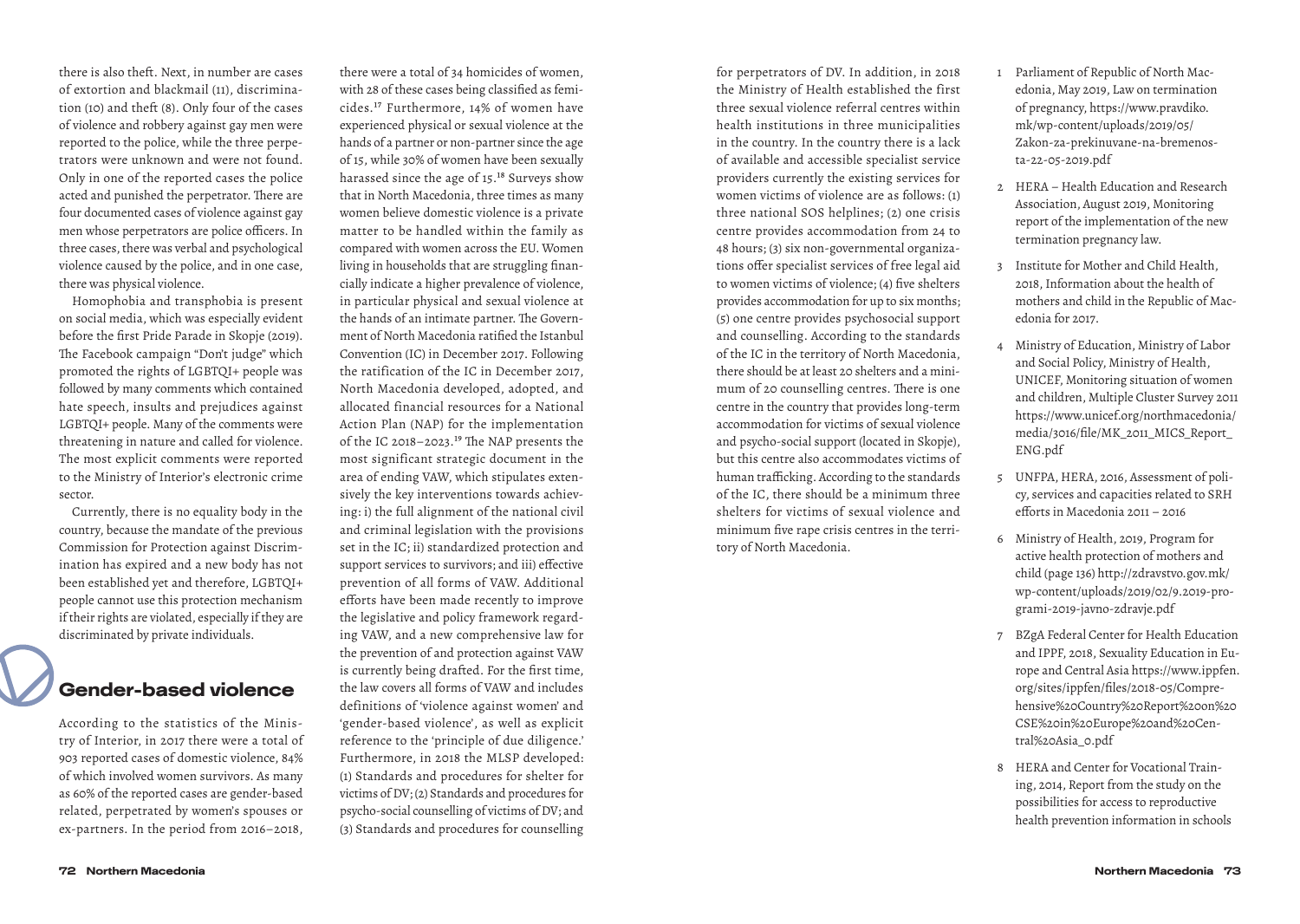there is also theft. Next, in number are cases of extortion and blackmail (11), discrimination (10) and theft (8). Only four of the cases of violence and robbery against gay men were reported to the police, while the three perpetrators were unknown and were not found. Only in one of the reported cases the police acted and punished the perpetrator. There are four documented cases of violence against gay men whose perpetrators are police officers. In three cases, there was verbal and psychological violence caused by the police, and in one case, there was physical violence.

Homophobia and transphobia is present on social media, which was especially evident before the first Pride Parade in Skopje (2019). The Facebook campaign "Don't judge" which promoted the rights of LGBTQI+ people was followed by many comments which contained hate speech, insults and prejudices against LGBTQI+ people. Many of the comments were threatening in nature and called for violence. The most explicit comments were reported to the Ministry of Interior's electronic crime sector.

Currently, there is no equality body in the country, because the mandate of the previous Commission for Protection against Discrimination has expired and a new body has not been established yet and therefore, LGBTQI+ people cannot use this protection mechanism if their rights are violated, especially if they are discriminated by private individuals.

#### Gender-based violence

According to the statistics of the Ministry of Interior, in 2017 there were a total of 903 reported cases of domestic violence, 84% of which involved women survivors. As many as 60% of the reported cases are gender-based related, perpetrated by women's spouses or ex-partners. In the period from 2016–2018,

there were a total of 34 homicides of women, with 28 of these cases being classified as femicides.17 Furthermore, 14% of women have experienced physical or sexual violence at the hands of a partner or non-partner since the age of 15, while 30% of women have been sexually harassed since the age of 15.<sup>18</sup> Surveys show that in North Macedonia, three times as many women believe domestic violence is a private matter to be handled within the family as compared with women across the EU. Women living in households that are struggling financially indicate a higher prevalence of violence, in particular physical and sexual violence at the hands of an intimate partner. The Government of North Macedonia ratified the Istanbul Convention (IC) in December 2017. Following the ratification of the IC in December 2017, North Macedonia developed, adopted, and allocated financial resources for a National Action Plan (NAP) for the implementation of the IC 2018–2023.19 The NAP presents the most significant strategic document in the area of ending VAW, which stipulates extensively the key interventions towards achieving: i) the full alignment of the national civil and criminal legislation with the provisions set in the IC; ii) standardized protection and support services to survivors; and iii) effective prevention of all forms of VAW. Additional efforts have been made recently to improve the legislative and policy framework regarding VAW, and a new comprehensive law for the prevention of and protection against VAW is currently being drafted. For the first time, the law covers all forms of VAW and includes definitions of 'violence against women' and 'gender-based violence', as well as explicit reference to the 'principle of due diligence.' Furthermore, in 2018 the MLSP developed: (1) Standards and procedures for shelter for victims of DV; (2) Standards and procedures for psycho-social counselling of victims of DV; and (3) Standards and procedures for counselling for perpetrators of DV. In addition, in 2018 the Ministry of Health established the first three sexual violence referral centres within health institutions in three municipalities in the country. In the country there is a lack of available and accessible specialist service providers currently the existing services for women victims of violence are as follows: (1) three national SOS helplines; (2) one crisis centre provides accommodation from 24 to 48 hours; (3) six non-governmental organizations offer specialist services of free legal aid to women victims of violence; (4) five shelters provides accommodation for up to six months; (5) one centre provides psychosocial support and counselling. According to the standards of the IC in the territory of North Macedonia, there should be at least 20 shelters and a minimum of 20 counselling centres. There is one centre in the country that provides long-term accommodation for victims of sexual violence and psycho-social support (located in Skopje), but this centre also accommodates victims of human trafficking. According to the standards of the IC, there should be a minimum three shelters for victims of sexual violence and minimum five rape crisis centres in the territory of North Macedonia.

- 1 Parliament of Republic of North Macedonia, May 2019, Law on termination of pregnancy, https://www.pravdiko. mk/wp-content/uploads/2019/05/ Zakon-za-prekinuvane-na-bremenosta-22-05-2019.pdf
- 2 HERA Health Education and Research Association, August 2019, Monitoring report of the implementation of the new termination pregnancy law.
- 3 Institute for Mother and Child Health, 2018, Information about the health of mothers and child in the Republic of Macedonia for 2017.
- 4 Ministry of Education, Ministry of Labor and Social Policy, Ministry of Health, UNICEF, Monitoring situation of women and children, Multiple Cluster Survey 2011 https://www.unicef.org/northmacedonia/ media/3016/file/MK\_2011\_MICS\_Report\_ ENG.pdf
- 5 UNFPA, HERA, 2016, Assessment of policy, services and capacities related to SRH efforts in Macedonia 2011 – 2016
- 6 Ministry of Health, 2019, Program for active health protection of mothers and child (page 136) http://zdravstvo.gov.mk/ wp-content/uploads/2019/02/9.2019-programi-2019-javno-zdravje.pdf
- 7 BZgA Federal Center for Health Education and IPPF, 2018, Sexuality Education in Europe and Central Asia https://www.ippfen. org/sites/ippfen/files/2018-05/Comprehensive%20Country%20Report%20on%20 CSE%20in%20Europe%20and%20Central%20Asia\_0.pdf
- 8 HERA and Center for Vocational Training, 2014, Report from the study on the possibilities for access to reproductive health prevention information in schools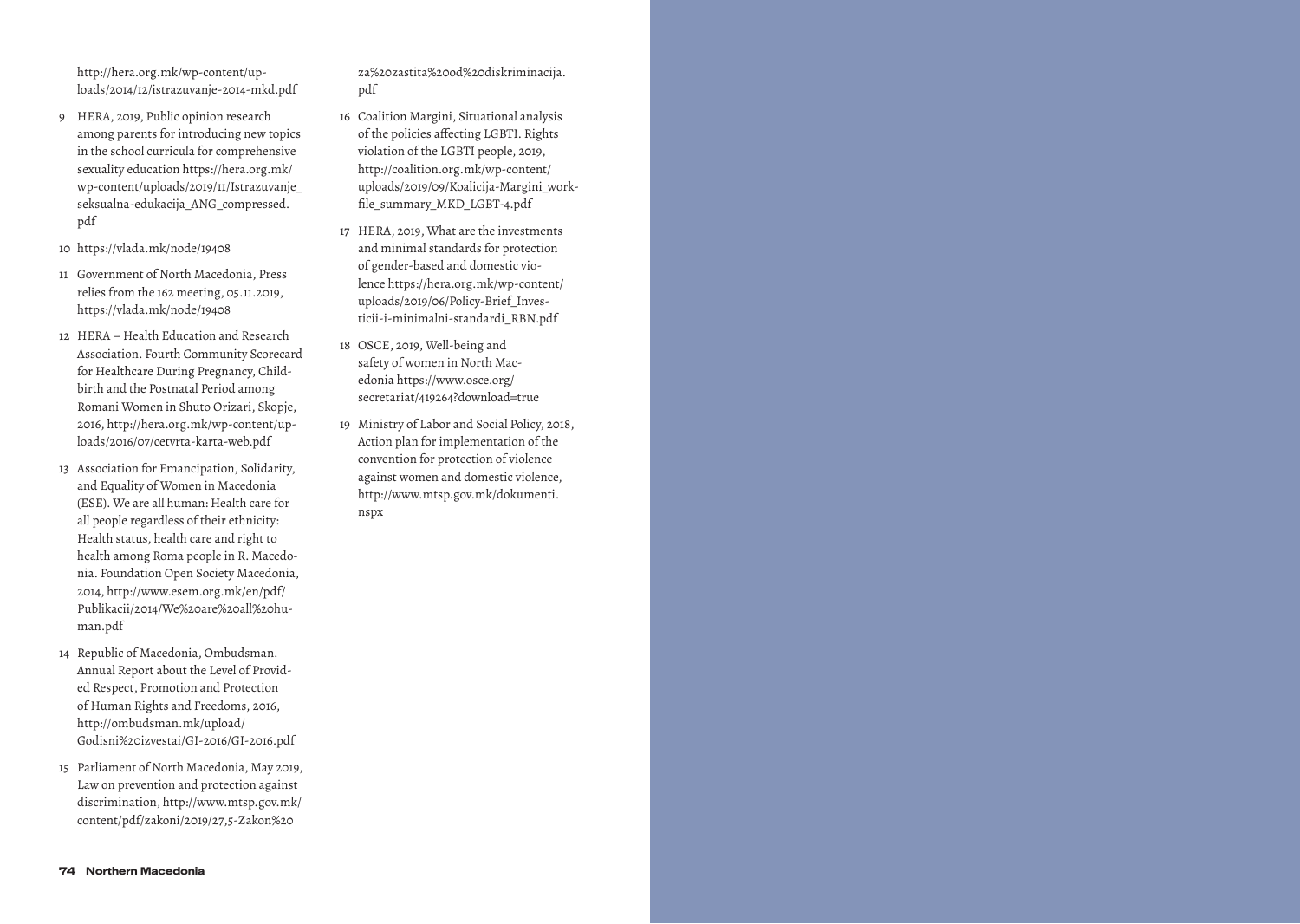http://hera.org.mk/wp-content/up loads/2014/12/istrazuvanje-2014-mkd.pdf

- 9 HERA, 2019, Public opinion research among parents for introducing new topics in the school curricula for comprehensive sexuality education https://hera.org.mk/ wp-content/uploads/2019/11/Istrazuvanje\_ seksualna-edukacija\_ANG\_compressed. pdf
- 10 https://vlada.mk/node/19408
- 11 Government of North Macedonia, Press relies from the 162 meeting, 05.11.2019, https://vlada.mk/node/19408
- 12 HERA Health Education and Research Association. Fourth Community Scorecard for Healthcare During Pregnancy, Child birth and the Postnatal Period among Romani Women in Shuto Orizari, Skopje, 2016, http://hera.org.mk/wp-content/up loads/2016/07/cetvrta-karta-web.pdf
- 13 Association for Emancipation, Solidarity, and Equality of Women in Macedonia (ESE). We are all human: Health care for all people regardless of their ethnicity: Health status, health care and right to health among Roma people in R. Macedo nia. Foundation Open Society Macedonia, 2014, http://www.esem.org.mk/en/pdf/ Publikacii/2014/We%20are%20all%20hu man.pdf
- 14 Republic of Macedonia, Ombudsman. Annual Report about the Level of Provid ed Respect, Promotion and Protection of Human Rights and Freedoms, 2016, http://ombudsman.mk/upload/ Godisni%20izvestai/GI-2016/GI-2016.pdf
- 15 Parliament of North Macedonia, May 2019, Law on prevention and protection against discrimination, http://www.mtsp.gov.mk/ content/pdf/zakoni/2019/27,5-Zakon%20

za%20zastita%20od%20diskriminacija. pdf

- 16 Coalition Margini, Situational analysis of the policies affecting LGBTI. Rights violation of the LGBTI people, 2019, http://coalition.org.mk/wp-content/ uploads/2019/09/Koalicija-Margini\_work file\_summary\_MKD\_LGBT-4.pdf
- 17 HERA, 2019, What are the investments and minimal standards for protection of gender-based and domestic vio lence https://hera.org.mk/wp-content/ uploads/2019/06/Policy-Brief\_Inves ticii-i-minimalni-standardi\_RBN.pdf
- 18 OSCE, 2019, Well-being and safety of women in North Mac edonia https://www.osce.org/ secretariat/419264?download=true
- 19 Ministry of Labor and Social Policy, 2018, Action plan for implementation of the convention for protection of violence against women and domestic violence, http://www.mtsp.gov.mk/dokumenti. nspx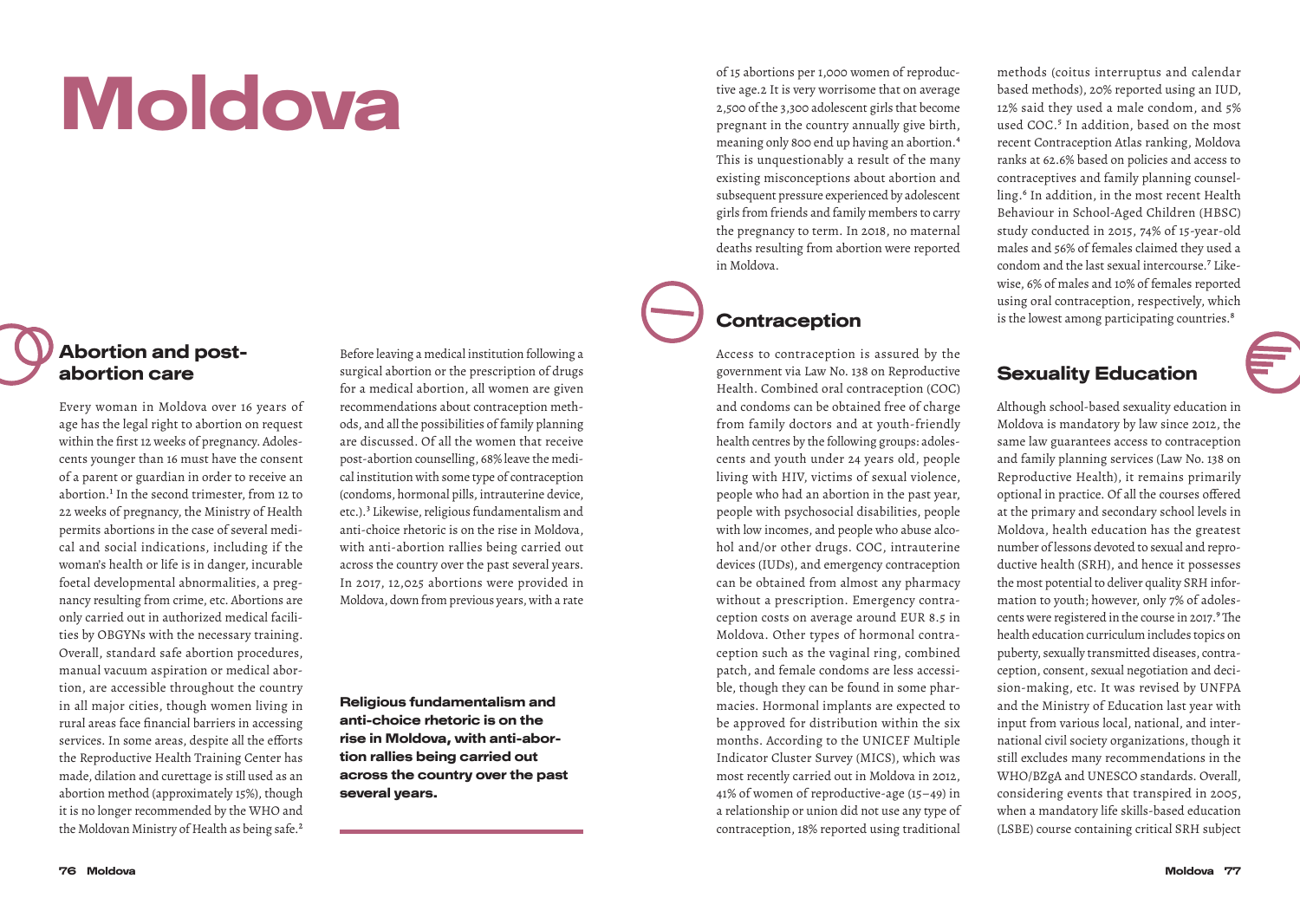# Moldova

### Abortion and postabortion care

Every woman in Moldova over 16 years of age has the legal right to abortion on request within the first 12 weeks of pregnancy. Adolescents younger than 16 must have the consent of a parent or guardian in order to receive an abortion.<sup>1</sup> In the second trimester, from 12 to 22 weeks of pregnancy, the Ministry of Health permits abortions in the case of several medical and social indications, including if the woman's health or life is in danger, incurable foetal developmental abnormalities, a pregnancy resulting from crime, etc. Abortions are only carried out in authorized medical facilities by OBGYNs with the necessary training. Overall, standard safe abortion procedures, manual vacuum aspiration or medical abortion, are accessible throughout the country in all major cities, though women living in rural areas face financial barriers in accessing services. In some areas, despite all the efforts the Reproductive Health Training Center has made, dilation and curettage is still used as an abortion method (approximately 15%), though it is no longer recommended by the WHO and the Moldovan Ministry of Health as being safe.<sup>2</sup>

Before leaving a medical institution following a surgical abortion or the prescription of drugs for a medical abortion, all women are given recommendations about contraception methods, and all the possibilities of family planning are discussed. Of all the women that receive post-abortion counselling, 68% leave the medical institution with some type of contraception (condoms, hormonal pills, intrauterine device, etc.).3 Likewise, religious fundamentalism and anti-choice rhetoric is on the rise in Moldova, with anti-abortion rallies being carried out across the country over the past several years. In 2017, 12,025 abortions were provided in Moldova, down from previous years, with a rate

Religious fundamentalism and anti-choice rhetoric is on the rise in Moldova, with anti-abortion rallies being carried out across the country over the past several years.

of 15 abortions per 1,000 women of reproductive age.2 It is very worrisome that on average 2,500 of the 3,300 adolescent girls that become pregnant in the country annually give birth, meaning only 800 end up having an abortion.4 This is unquestionably a result of the many existing misconceptions about abortion and subsequent pressure experienced by adolescent girls from friends and family members to carry the pregnancy to term. In 2018, no maternal deaths resulting from abortion were reported in Moldova.

### **Contraception**

Access to contraception is assured by the government via Law No. 138 on Reproductive Health. Combined oral contraception (COC) and condoms can be obtained free of charge from family doctors and at youth-friendly health centres by the following groups: adolescents and youth under 24 years old, people living with HIV, victims of sexual violence, people who had an abortion in the past year, people with psychosocial disabilities, people with low incomes, and people who abuse alcohol and/or other drugs. COC, intrauterine devices (IUDs), and emergency contraception can be obtained from almost any pharmacy without a prescription. Emergency contraception costs on average around EUR 8.5 in Moldova. Other types of hormonal contraception such as the vaginal ring, combined patch, and female condoms are less accessible, though they can be found in some pharmacies. Hormonal implants are expected to be approved for distribution within the six months. According to the UNICEF Multiple Indicator Cluster Survey (MICS), which was most recently carried out in Moldova in 2012, 41% of women of reproductive-age (15–49) in a relationship or union did not use any type of contraception, 18% reported using traditional

methods (coitus interruptus and calendar based methods), 20% reported using an IUD, 12% said they used a male condom, and 5% used COC.<sup>5</sup> In addition, based on the most recent Contraception Atlas ranking, Moldova ranks at 62.6% based on policies and access to contraceptives and family planning counselling.<sup>6</sup> In addition, in the most recent Health Behaviour in School-Aged Children (HBSC) study conducted in 2015, 74% of 15-year-old males and 56% of females claimed they used a condom and the last sexual intercourse.7 Likewise, 6% of males and 10% of females reported using oral contraception, respectively, which is the lowest among participating countries.<sup>8</sup>

#### Sexuality Education

Although school-based sexuality education in Moldova is mandatory by law since 2012, the same law guarantees access to contraception and family planning services (Law No. 138 on Reproductive Health), it remains primarily optional in practice. Of all the courses offered at the primary and secondary school levels in Moldova, health education has the greatest number of lessons devoted to sexual and reproductive health (SRH), and hence it possesses the most potential to deliver quality SRH information to youth; however, only 7% of adolescents were registered in the course in 2017.<sup>9</sup> The health education curriculum includes topics on puberty, sexually transmitted diseases, contraception, consent, sexual negotiation and decision-making, etc. It was revised by UNFPA and the Ministry of Education last year with input from various local, national, and international civil society organizations, though it still excludes many recommendations in the WHO/BZgA and UNESCO standards. Overall, considering events that transpired in 2005, when a mandatory life skills-based education (LSBE) course containing critical SRH subject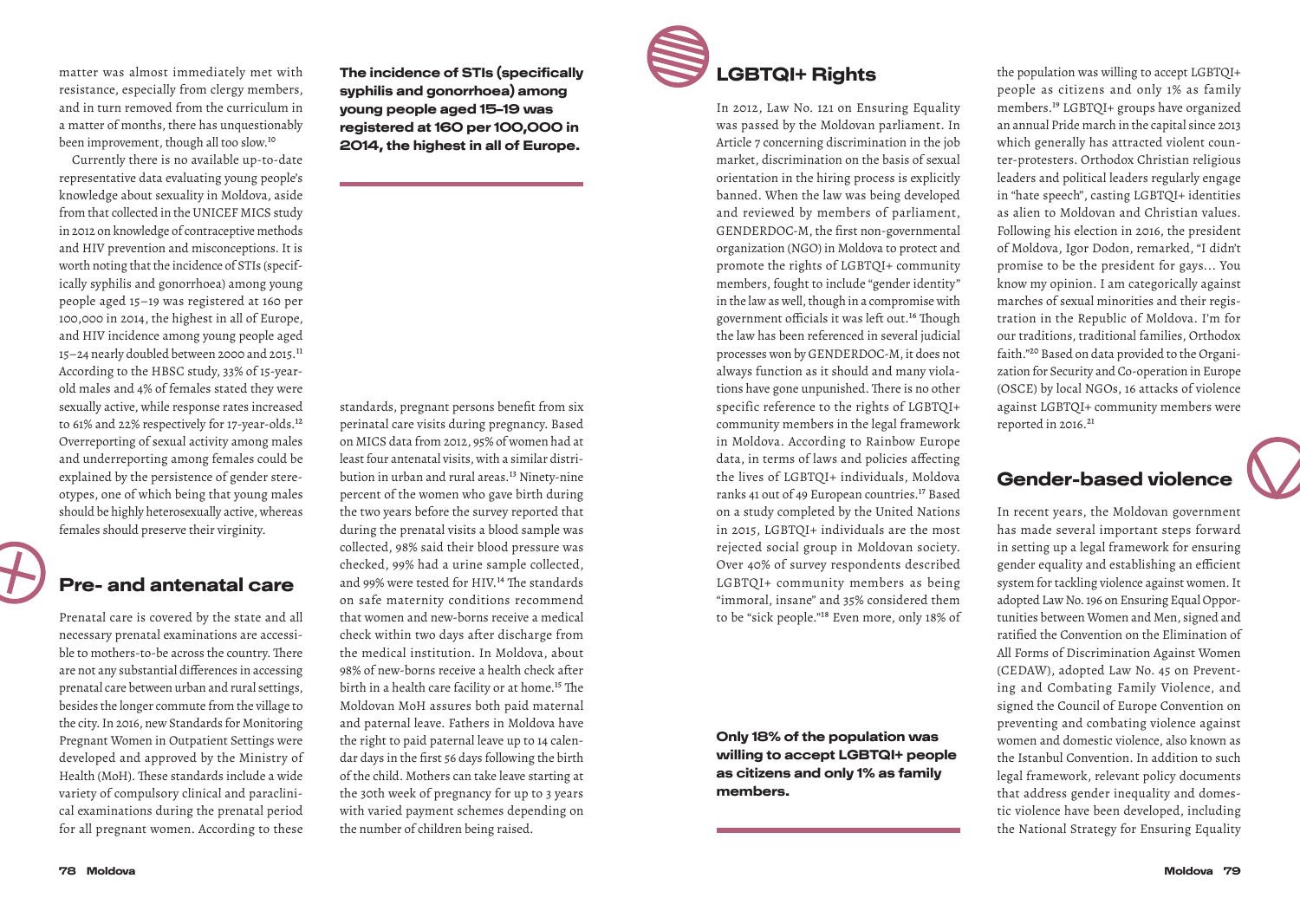matter was almost immediately met with resistance, especially from clergy members, and in turn removed from the curriculum in a matter of months, there has unquestionably been improvement, though all too slow.10

Currently there is no available up-to-date representative data evaluating young people's knowledge about sexuality in Moldova, aside from that collected in the UNICEF MICS study in 2012 on knowledge of contraceptive methods and HIV prevention and misconceptions. It is worth noting that the incidence of STIs (specifically syphilis and gonorrhoea) among young people aged 15–19 was registered at 160 per 100,000 in 2014, the highest in all of Europe, and HIV incidence among young people aged 15–24 nearly doubled between 2000 and 2015.11 According to the HBSC study, 33% of 15-yearold males and 4% of females stated they were sexually active, while response rates increased to 61% and 22% respectively for 17-year-olds.12 Overreporting of sexual activity among males and underreporting among females could be explained by the persistence of gender stereotypes, one of which being that young males should be highly heterosexually active, whereas females should preserve their virginity.

#### Pre- and antenatal care

Prenatal care is covered by the state and all necessary prenatal examinations are accessible to mothers-to-be across the country. There are not any substantial differences in accessing prenatal care between urban and rural settings, besides the longer commute from the village to the city. In 2016, new Standards for Monitoring Pregnant Women in Outpatient Settings were developed and approved by the Ministry of Health (MoH). These standards include a wide variety of compulsory clinical and paraclinical examinations during the prenatal period for all pregnant women. According to these

The incidence of STIs (specifically syphilis and gonorrhoea) among young people aged 15–19 was registered at 160 per 100,000 in 2014, the highest in all of Europe.

standards, pregnant persons benefit from six perinatal care visits during pregnancy. Based on MICS data from 2012, 95% of women had at least four antenatal visits, with a similar distribution in urban and rural areas.<sup>13</sup> Ninety-nine percent of the women who gave birth during the two years before the survey reported that during the prenatal visits a blood sample was collected, 98% said their blood pressure was checked, 99% had a urine sample collected, and 99% were tested for HIV.<sup>14</sup> The standards on safe maternity conditions recommend that women and new-borns receive a medical check within two days after discharge from the medical institution. In Moldova, about 98% of new-borns receive a health check after birth in a health care facility or at home.<sup>15</sup> The Moldovan MoH assures both paid maternal and paternal leave. Fathers in Moldova have the right to paid paternal leave up to 14 calendar days in the first 56 days following the birth of the child. Mothers can take leave starting at the 30th week of pregnancy for up to 3 years with varied payment schemes depending on the number of children being raised.



# LGBTQI+ Rights

In 2012, Law No. 121 on Ensuring Equality was passed by the Moldovan parliament. In Article 7 concerning discrimination in the job market, discrimination on the basis of sexual orientation in the hiring process is explicitly banned. When the law was being developed and reviewed by members of parliament, GENDERDOC-M, the first non-governmental organization (NGO) in Moldova to protect and promote the rights of LGBTQI+ community members, fought to include "gender identity" in the law as well, though in a compromise with government officials it was left out.16 Though the law has been referenced in several judicial processes won by GENDERDOC-M, it does not always function as it should and many violations have gone unpunished. There is no other specific reference to the rights of LGBTQI+ community members in the legal framework in Moldova. According to Rainbow Europe data, in terms of laws and policies affecting the lives of LGBTQI+ individuals, Moldova ranks 41 out of 49 European countries.<sup>17</sup> Based on a study completed by the United Nations in 2015, LGBTQI+ individuals are the most rejected social group in Moldovan society. Over 40% of survey respondents described LGBTQI+ community members as being "immoral, insane" and 35% considered them to be "sick people."18 Even more, only 18% of

Only 18% of the population was willing to accept LGBTQI+ people as citizens and only 1% as family members.

the population was willing to accept LGBTQI+ people as citizens and only 1% as family members.19 LGBTQI+ groups have organized an annual Pride march in the capital since 2013 which generally has attracted violent counter-protesters. Orthodox Christian religious leaders and political leaders regularly engage in "hate speech", casting LGBTQI+ identities as alien to Moldovan and Christian values. Following his election in 2016, the president of Moldova, Igor Dodon, remarked, "I didn't promise to be the president for gays... You know my opinion. I am categorically against marches of sexual minorities and their registration in the Republic of Moldova. I'm for our traditions, traditional families, Orthodox faith."20 Based on data provided to the Organization for Security and Co-operation in Europe (OSCE) by local NGOs, 16 attacks of violence against LGBTQI+ community members were reported in 2016.<sup>21</sup>

#### Gender-based violence

In recent years, the Moldovan government has made several important steps forward in setting up a legal framework for ensuring gender equality and establishing an efficient system for tackling violence against women. It adopted Law No. 196 on Ensuring Equal Opportunities between Women and Men, signed and ratified the Convention on the Elimination of All Forms of Discrimination Against Women (CEDAW), adopted Law No. 45 on Preventing and Combating Family Violence, and signed the Council of Europe Convention on preventing and combating violence against women and domestic violence, also known as the Istanbul Convention. In addition to such legal framework, relevant policy documents that address gender inequality and domestic violence have been developed, including the National Strategy for Ensuring Equality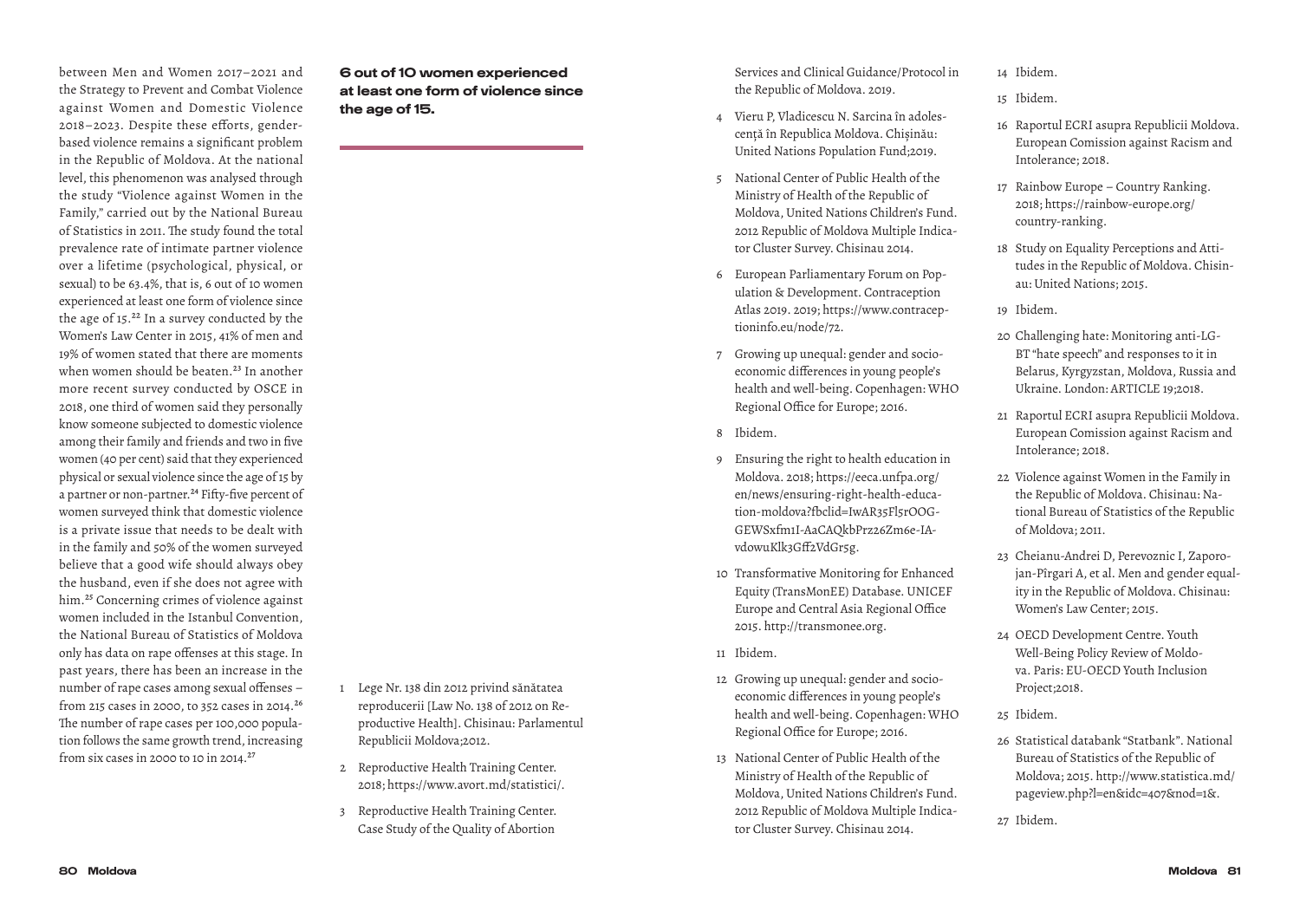between Men and Women 2017–2021 and the Strategy to Prevent and Combat Violence against Women and Domestic Violence 2018–2023. Despite these efforts, genderbased violence remains a significant problem in the Republic of Moldova. At the national level, this phenomenon was analysed through the study "Violence against Women in the Family," carried out by the National Bureau of Statistics in 2011. The study found the total prevalence rate of intimate partner violence over a lifetime (psychological, physical, or sexual) to be 63.4%, that is, 6 out of 10 women experienced at least one form of violence since the age of 15.22 In a survey conducted by the Women's Law Center in 2015, 41% of men and 19% of women stated that there are moments when women should be beaten.<sup>23</sup> In another more recent survey conducted by OSCE in 2018, one third of women said they personally know someone subjected to domestic violence among their family and friends and two in five women (40 per cent) said that they experienced physical or sexual violence since the age of 15 by a partner or non-partner.<sup>24</sup> Fifty-five percent of women surveyed think that domestic violence is a private issue that needs to be dealt with in the family and 50% of the women surveyed believe that a good wife should always obey the husband, even if she does not agree with him.<sup>25</sup> Concerning crimes of violence against women included in the Istanbul Convention, the National Bureau of Statistics of Moldova only has data on rape offenses at this stage. In past years, there has been an increase in the number of rape cases among sexual offenses – from 215 cases in 2000, to 352 cases in 2014.26 The number of rape cases per 100,000 population follows the same growth trend, increasing from six cases in 2000 to 10 in 2014. $27$ 

6 out of 10 women experienced at least one form of violence since the age of 15.

- 1 Lege Nr. 138 din 2012 privind sănătatea reproducerii [Law No. 138 of 2012 on Reproductive Health]. Chisinau: Parlamentul Republicii Moldova;2012.
- 2 Reproductive Health Training Center. 2018; https://www.avort.md/statistici/.
- 3 Reproductive Health Training Center. Case Study of the Quality of Abortion

Services and Clinical Guidance/Protocol in the Republic of Moldova. 2019.

- 4 Vieru P, Vladicescu N. Sarcina în adolescență în Republica Moldova. Chișinău: United Nations Population Fund;2019.
- 5 National Center of Public Health of the Ministry of Health of the Republic of Moldova, United Nations Children's Fund. 2012 Republic of Moldova Multiple Indicator Cluster Survey. Chisinau 2014.
- 6 European Parliamentary Forum on Population & Development. Contraception Atlas 2019. 2019; https://www.contraceptioninfo.eu/node/72.
- 7 Growing up unequal: gender and socioeconomic differences in young people's health and well-being. Copenhagen: WHO Regional Office for Europe; 2016.
- 8 Ibidem.
- 9 Ensuring the right to health education in Moldova. 2018; https://eeca.unfpa.org/ en/news/ensuring-right-health-education-moldova?fbclid=IwAR35Fl5rOOG-GEWSxfm1I-AaCAQkbPrz26Zm6e-IAvdowuKlk3Gff2VdGr5g.
- 10 Transformative Monitoring for Enhanced Equity (TransMonEE) Database. UNICEF Europe and Central Asia Regional Office 2015. http://transmonee.org.
- 11 Ibidem.
- 12 Growing up unequal: gender and socioeconomic differences in young people's health and well-being. Copenhagen: WHO Regional Office for Europe; 2016.
- 13 National Center of Public Health of the Ministry of Health of the Republic of Moldova, United Nations Children's Fund. 2012 Republic of Moldova Multiple Indicator Cluster Survey. Chisinau 2014.

14 Ibidem.

- 15 Ibidem.
- 16 Raportul ECRI asupra Republicii Moldova. European Comission against Racism and Intolerance; 2018.
- 17 Rainbow Europe Country Ranking. 2018; https://rainbow-europe.org/ country-ranking.
- 18 Study on Equality Perceptions and Attitudes in the Republic of Moldova. Chisinau: United Nations; 2015.
- 19 Ibidem.
- 20 Challenging hate: Monitoring anti-LG-BT "hate speech" and responses to it in Belarus, Kyrgyzstan, Moldova, Russia and Ukraine. London: ARTICLE 19;2018.
- 21 Raportul ECRI asupra Republicii Moldova. European Comission against Racism and Intolerance; 2018.
- 22 Violence against Women in the Family in the Republic of Moldova. Chisinau: National Bureau of Statistics of the Republic of Moldova; 2011.
- 23 Cheianu-Andrei D, Perevoznic I, Zaporojan-Pîrgari A, et al. Men and gender equality in the Republic of Moldova. Chisinau: Women's Law Center; 2015.
- 24 OECD Development Centre. Youth Well-Being Policy Review of Moldova. Paris: EU-OECD Youth Inclusion Project;2018.
- 25 Ibidem.
- 26 Statistical databank "Statbank". National Bureau of Statistics of the Republic of Moldova; 2015. http://www.statistica.md/ pageview.php?l=en&idc=407&nod=1&.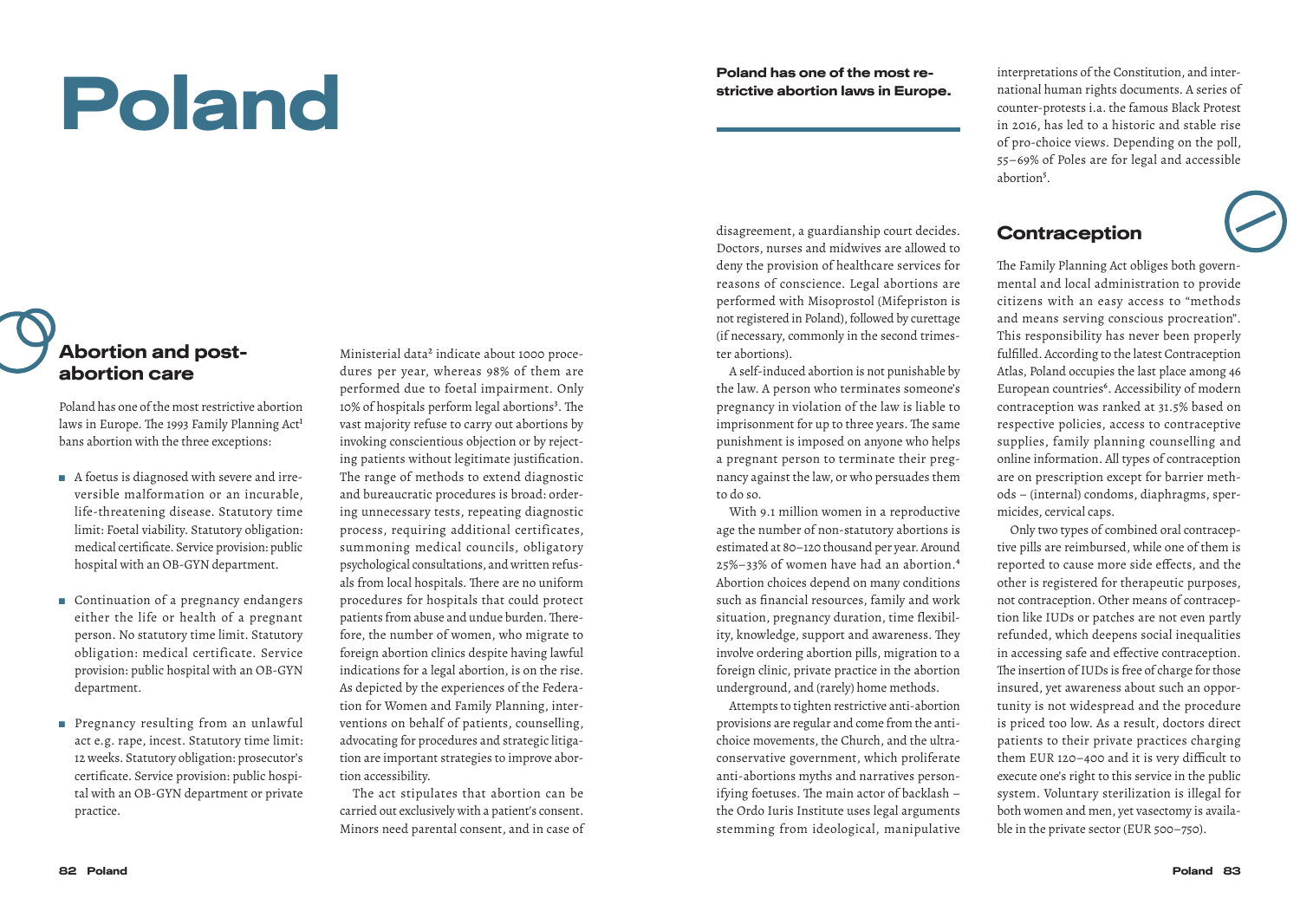# Poland

Poland has one of the most restrictive abortion laws in Europe.

disagreement, a guardianship court decides. Doctors, nurses and midwives are allowed to deny the provision of healthcare services for reasons of conscience. Legal abortions are performed with Misoprostol (Mifepriston is not registered in Poland), followed by curettage (if necessary, commonly in the second trimes-

A self-induced abortion is not punishable by the law. A person who terminates someone's pregnancy in violation of the law is liable to imprisonment for up to three years. The same punishment is imposed on anyone who helps a pregnant person to terminate their pregnancy against the law, or who persuades them

With 9.1 million women in a reproductive age the number of non-statutory abortions is estimated at 80–120 thousand per year. Around 25%–33% of women have had an abortion.4 Abortion choices depend on many conditions such as financial resources, family and work situation, pregnancy duration, time flexibility, knowledge, support and awareness. They involve ordering abortion pills, migration to a foreign clinic, private practice in the abortion underground, and (rarely) home methods. Attempts to tighten restrictive anti-abortion provisions are regular and come from the antichoice movements, the Church, and the ultraconservative government, which proliferate anti-abortions myths and narratives personifying foetuses. The main actor of backlash – the Ordo Iuris Institute uses legal arguments stemming from ideological, manipulative

ter abortions).

to do so.

interpretations of the Constitution, and international human rights documents. A series of counter-protests i.a. the famous Black Protest in 2016, has led to a historic and stable rise of pro-choice views. Depending on the poll, 55–69% of Poles are for legal and accessible abortion<sup>5</sup>.

#### Contraception

The Family Planning Act obliges both governmental and local administration to provide citizens with an easy access to "methods and means serving conscious procreation". This responsibility has never been properly fulfilled. According to the latest Contraception Atlas, Poland occupies the last place among 46 European countries<sup>6</sup>. Accessibility of modern contraception was ranked at 31.5% based on respective policies, access to contraceptive supplies, family planning counselling and online information. All types of contraception are on prescription except for barrier methods – (internal) condoms, diaphragms, spermicides, cervical caps.

Only two types of combined oral contraceptive pills are reimbursed, while one of them is reported to cause more side effects, and the other is registered for therapeutic purposes, not contraception. Other means of contraception like IUDs or patches are not even partly refunded, which deepens social inequalities in accessing safe and effective contraception. The insertion of IUDs is free of charge for those insured, yet awareness about such an opportunity is not widespread and the procedure is priced too low. As a result, doctors direct patients to their private practices charging them EUR 120–400 and it is very difficult to execute one's right to this service in the public system. Voluntary sterilization is illegal for both women and men, yet vasectomy is available in the private sector (EUR 500–750).

### Abortion and postabortion care

Poland has one of the most restrictive abortion laws in Europe. The 1993 Family Planning Act<sup>1</sup> bans abortion with the three exceptions:

- A foetus is diagnosed with severe and irreversible malformation or an incurable, life-threatening disease. Statutory time limit: Foetal viability. Statutory obligation: medical certificate. Service provision: public hospital with an OB-GYN department.
- Continuation of a pregnancy endangers either the life or health of a pregnant person. No statutory time limit. Statutory obligation: medical certificate. Service provision: public hospital with an OB-GYN department.
- Pregnancy resulting from an unlawful act e.g. rape, incest. Statutory time limit: 12 weeks. Statutory obligation: prosecutor's certificate. Service provision: public hospital with an OB-GYN department or private practice.

Ministerial data<sup>2</sup> indicate about 1000 procedures per year, whereas 98% of them are performed due to foetal impairment. Only 10% of hospitals perform legal abortions<sup>3</sup>. The vast majority refuse to carry out abortions by invoking conscientious objection or by rejecting patients without legitimate justification. The range of methods to extend diagnostic and bureaucratic procedures is broad: ordering unnecessary tests, repeating diagnostic process, requiring additional certificates, summoning medical councils, obligatory psychological consultations, and written refusals from local hospitals. There are no uniform procedures for hospitals that could protect patients from abuse and undue burden. Therefore, the number of women, who migrate to foreign abortion clinics despite having lawful indications for a legal abortion, is on the rise. As depicted by the experiences of the Federation for Women and Family Planning, interventions on behalf of patients, counselling, advocating for procedures and strategic litigation are important strategies to improve abortion accessibility.

The act stipulates that abortion can be carried out exclusively with a patient's consent. Minors need parental consent, and in case of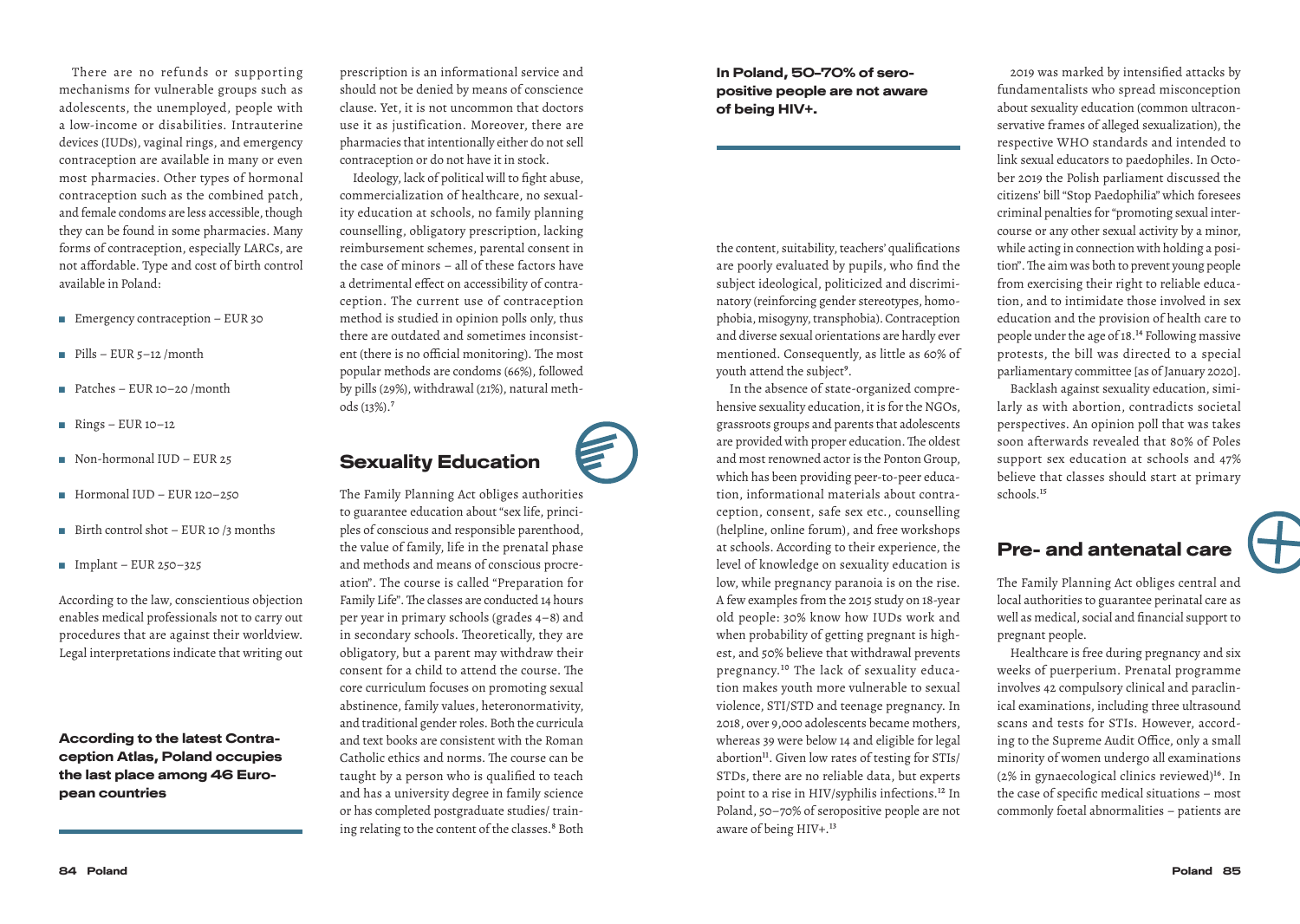There are no refunds or supporting mechanisms for vulnerable groups such as adolescents, the unemployed, people with a low-income or disabilities. Intrauterine devices (IUDs), vaginal rings, and emergency contraception are available in many or even most pharmacies. Other types of hormonal contraception such as the combined patch, and female condoms are less accessible, though they can be found in some pharmacies. Many forms of contraception, especially LARCs, are not affordable. Type and cost of birth control available in Poland:

- $\blacksquare$  Emergency contraception EUR 30
- $\blacksquare$  Pills EUR 5–12 /month
- $\blacksquare$  Patches EUR 10–20 /month
- $\blacksquare$  Rings EUR 10–12
- $\blacksquare$  Non-hormonal IUD EUR 25
- $\blacksquare$  Hormonal IUD EUR 120–250
- $\blacksquare$  Birth control shot EUR 10 /3 months
- $\blacksquare$  Implant EUR 250–325

According to the law, conscientious objection enables medical professionals not to carry out procedures that are against their worldview. Legal interpretations indicate that writing out

According to the latest Contraception Atlas, Poland occupies the last place among 46 European countries

prescription is an informational service and should not be denied by means of conscience clause. Yet, it is not uncommon that doctors use it as justification. Moreover, there are pharmacies that intentionally either do not sell contraception or do not have it in stock.

Ideology, lack of political will to fight abuse, commercialization of healthcare, no sexuality education at schools, no family planning counselling, obligatory prescription, lacking reimbursement schemes, parental consent in the case of minors – all of these factors have a detrimental effect on accessibility of contraception. The current use of contraception method is studied in opinion polls only, thus there are outdated and sometimes inconsistent (there is no official monitoring). The most popular methods are condoms (66%), followed by pills (29%), withdrawal (21%), natural methods (13%).7

# Sexuality Education

The Family Planning Act obliges authorities to guarantee education about "sex life, principles of conscious and responsible parenthood, the value of family, life in the prenatal phase and methods and means of conscious procreation". The course is called "Preparation for Family Life". The classes are conducted 14 hours per year in primary schools (grades 4–8) and in secondary schools. Theoretically, they are obligatory, but a parent may withdraw their consent for a child to attend the course. The core curriculum focuses on promoting sexual abstinence, family values, heteronormativity, and traditional gender roles. Both the curricula and text books are consistent with the Roman Catholic ethics and norms. The course can be taught by a person who is qualified to teach and has a university degree in family science or has completed postgraduate studies/ training relating to the content of the classes.<sup>8</sup> Both In Poland, 50–70% of seropositive people are not aware of being HIV+.

the content, suitability, teachers' qualifications are poorly evaluated by pupils, who find the subject ideological, politicized and discriminatory (reinforcing gender stereotypes, homophobia, misogyny, transphobia). Contraception and diverse sexual orientations are hardly ever mentioned. Consequently, as little as 60% of youth attend the subject<sup>9</sup>.

In the absence of state-organized comprehensive sexuality education, it is for the NGOs, grassroots groups and parents that adolescents are provided with proper education. The oldest and most renowned actor is the Ponton Group, which has been providing peer-to-peer education, informational materials about contraception, consent, safe sex etc., counselling (helpline, online forum), and free workshops at schools. According to their experience, the level of knowledge on sexuality education is low, while pregnancy paranoia is on the rise. A few examples from the 2015 study on 18-year old people: 30% know how IUDs work and when probability of getting pregnant is highest, and 50% believe that withdrawal prevents pregnancy.10 The lack of sexuality education makes youth more vulnerable to sexual violence, STI/STD and teenage pregnancy. In 2018, over 9,000 adolescents became mothers, whereas 39 were below 14 and eligible for legal abortion<sup>11</sup>. Given low rates of testing for STIs/ STDs, there are no reliable data, but experts point to a rise in HIV/syphilis infections.12 In Poland, 50–70% of seropositive people are not aware of being HIV+.<sup>13</sup>

2019 was marked by intensified attacks by fundamentalists who spread misconception about sexuality education (common ultraconservative frames of alleged sexualization), the respective WHO standards and intended to link sexual educators to paedophiles. In October 2019 the Polish parliament discussed the citizens' bill "Stop Paedophilia" which foresees criminal penalties for "promoting sexual intercourse or any other sexual activity by a minor, while acting in connection with holding a position". The aim was both to prevent young people from exercising their right to reliable education, and to intimidate those involved in sex education and the provision of health care to people under the age of 18.14 Following massive protests, the bill was directed to a special parliamentary committee [as of January 2020].

Backlash against sexuality education, similarly as with abortion, contradicts societal perspectives. An opinion poll that was takes soon afterwards revealed that 80% of Poles support sex education at schools and 47% believe that classes should start at primary schools.<sup>15</sup>

#### Pre- and antenatal care

The Family Planning Act obliges central and local authorities to guarantee perinatal care as well as medical, social and financial support to pregnant people.

Healthcare is free during pregnancy and six weeks of puerperium. Prenatal programme involves 42 compulsory clinical and paraclinical examinations, including three ultrasound scans and tests for STIs. However, according to the Supreme Audit Office, only a small minority of women undergo all examinations  $(2\%$  in gynaecological clinics reviewed)<sup>16</sup>. In the case of specific medical situations – most commonly foetal abnormalities – patients are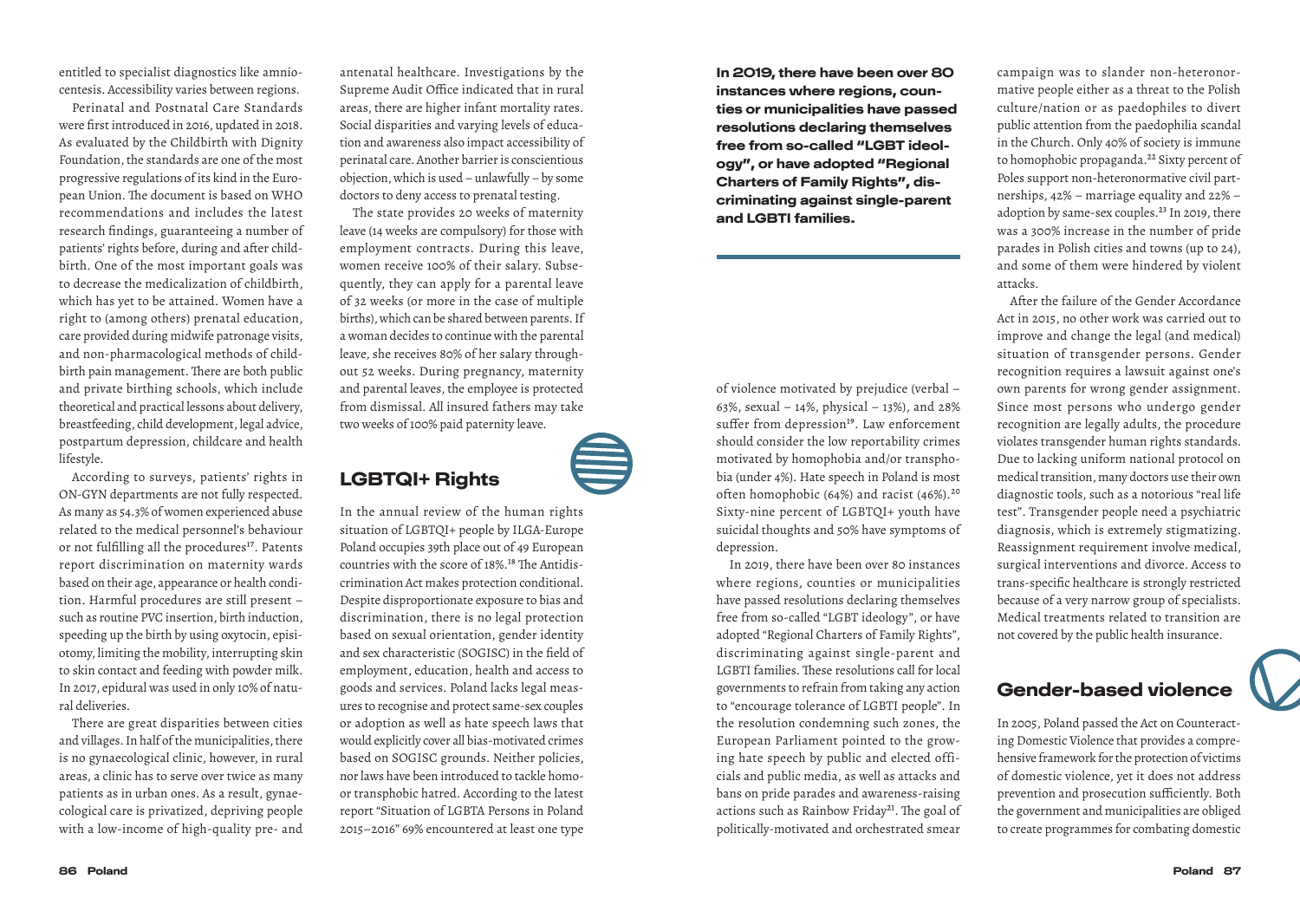entitled to specialist diagnostics like amniocentesis. Accessibility varies between regions.

Perinatal and Postnatal Care Standards were first introduced in 2016, updated in 2018. As evaluated by the Childbirth with Dignity Foundation, the standards are one of the most progressive regulations of its kind in the European Union. The document is based on WHO recommendations and includes the latest research findings, guaranteeing a number of patients' rights before, during and after childbirth. One of the most important goals was to decrease the medicalization of childbirth, which has yet to be attained. Women have a right to (among others) prenatal education, care provided during midwife patronage visits, and non-pharmacological methods of childbirth pain management. There are both public and private birthing schools, which include theoretical and practical lessons about delivery, breastfeeding, child development, legal advice, postpartum depression, childcare and health lifestyle.

According to surveys, patients' rights in ON-GYN departments are not fully respected. As many as 54.3% of women experienced abuse related to the medical personnel's behaviour or not fulfilling all the procedures<sup>17</sup>. Patents report discrimination on maternity wards based on their age, appearance or health condition. Harmful procedures are still present – such as routine PVC insertion, birth induction, speeding up the birth by using oxytocin, episiotomy, limiting the mobility, interrupting skin to skin contact and feeding with powder milk. In 2017, epidural was used in only 10% of natural deliveries.

There are great disparities between cities and villages. In half of the municipalities, there is no gynaecological clinic, however, in rural areas, a clinic has to serve over twice as many patients as in urban ones. As a result, gynaecological care is privatized, depriving people with a low-income of high-quality pre- and antenatal healthcare. Investigations by the Supreme Audit Office indicated that in rural areas, there are higher infant mortality rates. Social disparities and varying levels of education and awareness also impact accessibility of perinatal care. Another barrier is conscientious objection, which is used – unlawfully – by some doctors to deny access to prenatal testing.

The state provides 20 weeks of maternity leave (14 weeks are compulsory) for those with employment contracts. During this leave, women receive 100% of their salary. Subsequently, they can apply for a parental leave of 32 weeks (or more in the case of multiple births), which can be shared between parents. If a woman decides to continue with the parental leave, she receives 80% of her salary throughout 52 weeks. During pregnancy, maternity and parental leaves, the employee is protected from dismissal. All insured fathers may take two weeks of 100% paid paternity leave.

#### LGBTQI+ Rights

In the annual review of the human rights situation of LGBTQI+ people by ILGA-Europe Poland occupies 39th place out of 49 European countries with the score of 18%.<sup>18</sup> The Antidiscrimination Act makes protection conditional. Despite disproportionate exposure to bias and discrimination, there is no legal protection based on sexual orientation, gender identity and sex characteristic (SOGISC) in the field of employment, education, health and access to goods and services. Poland lacks legal measures to recognise and protect same-sex couples or adoption as well as hate speech laws that would explicitly cover all bias-motivated crimes based on SOGISC grounds. Neither policies, nor laws have been introduced to tackle homoor transphobic hatred. According to the latest report "Situation of LGBTA Persons in Poland 2015–2016" 69% encountered at least one type In 2019, there have been over 80 instances where regions, counties or municipalities have passed resolutions declaring themselves free from so-called "LGBT ideology", or have adopted "Regional Charters of Family Rights", discriminating against single-parent and LGBTI families.

of violence motivated by prejudice (verbal – 63%, sexual – 14%, physical – 13%), and 28% suffer from depression<sup>19</sup>. Law enforcement should consider the low reportability crimes motivated by homophobia and/or transphobia (under 4%). Hate speech in Poland is most often homophobic (64%) and racist (46%).20 Sixty-nine percent of LGBTQI+ youth have suicidal thoughts and 50% have symptoms of depression.

In 2019, there have been over 80 instances where regions, counties or municipalities have passed resolutions declaring themselves free from so-called "LGBT ideology", or have adopted "Regional Charters of Family Rights", discriminating against single-parent and LGBTI families. These resolutions call for local governments to refrain from taking any action to "encourage tolerance of LGBTI people". In the resolution condemning such zones, the European Parliament pointed to the growing hate speech by public and elected officials and public media, as well as attacks and bans on pride parades and awareness-raising actions such as Rainbow Friday<sup>21</sup>. The goal of politically-motivated and orchestrated smear

campaign was to slander non-heteronormative people either as a threat to the Polish culture/nation or as paedophiles to divert public attention from the paedophilia scandal in the Church. Only 40% of society is immune to homophobic propaganda.<sup>22</sup> Sixty percent of Poles support non-heteronormative civil partnerships, 42% – marriage equality and 22% – adoption by same-sex couples.<sup>23</sup> In 2019, there was a 300% increase in the number of pride parades in Polish cities and towns (up to 24), and some of them were hindered by violent attacks.

After the failure of the Gender Accordance Act in 2015, no other work was carried out to improve and change the legal (and medical) situation of transgender persons. Gender recognition requires a lawsuit against one's own parents for wrong gender assignment. Since most persons who undergo gender recognition are legally adults, the procedure violates transgender human rights standards. Due to lacking uniform national protocol on medical transition, many doctors use their own diagnostic tools, such as a notorious "real life test". Transgender people need a psychiatric diagnosis, which is extremely stigmatizing. Reassignment requirement involve medical, surgical interventions and divorce. Access to trans-specific healthcare is strongly restricted because of a very narrow group of specialists. Medical treatments related to transition are not covered by the public health insurance.

#### Gender-based violence

In 2005, Poland passed the Act on Counteracting Domestic Violence that provides a comprehensive framework for the protection of victims of domestic violence, yet it does not address prevention and prosecution sufficiently. Both the government and municipalities are obliged to create programmes for combating domestic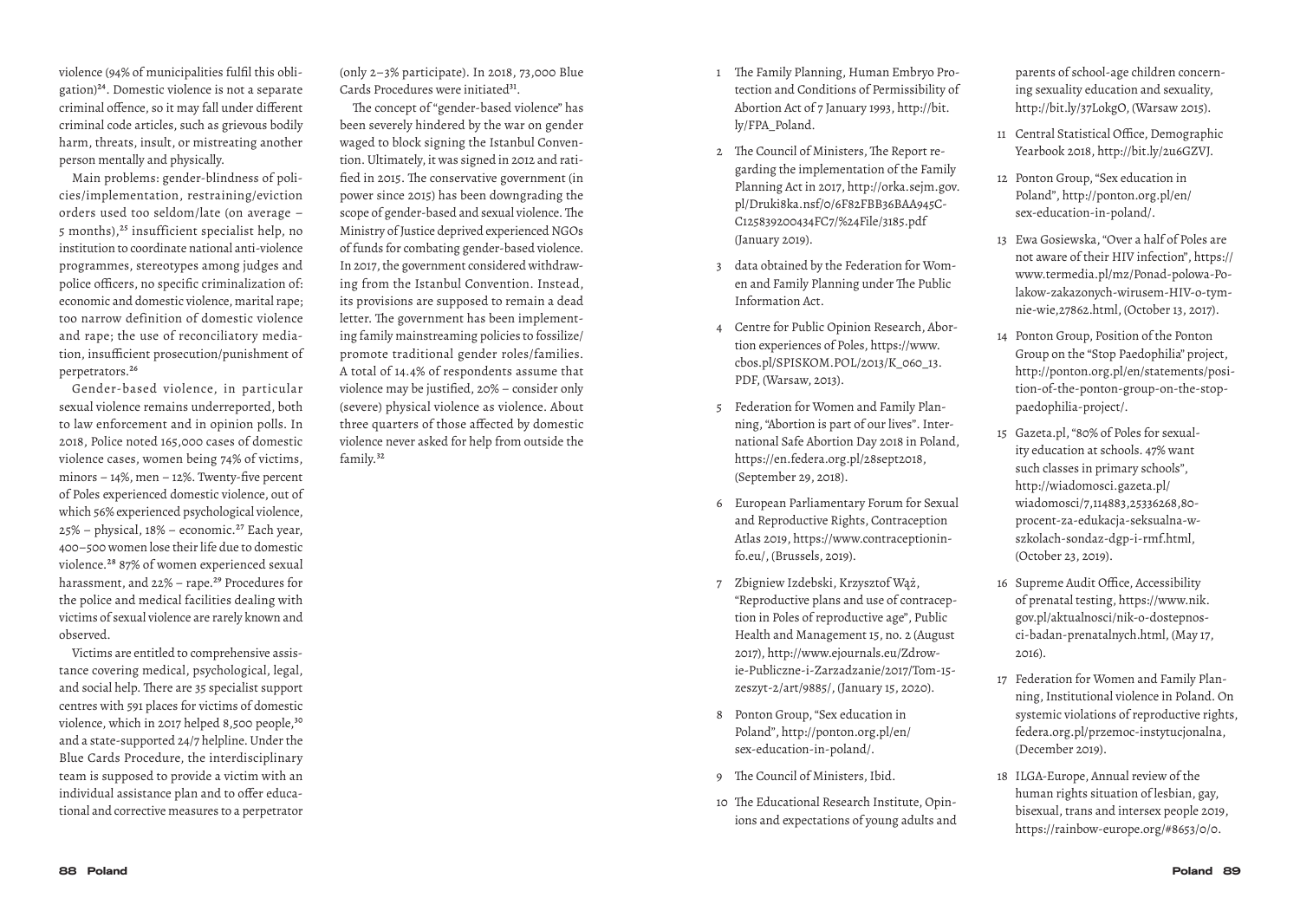violence (94% of municipalities fulfil this obligation)24. Domestic violence is not a separate criminal offence, so it may fall under different criminal code articles, such as grievous bodily harm, threats, insult, or mistreating another person mentally and physically.

Main problems: gender-blindness of policies/implementation, restraining/eviction orders used too seldom/late (on average – 5 months),<sup>25</sup> insufficient specialist help, no institution to coordinate national anti-violence programmes, stereotypes among judges and police officers, no specific criminalization of: economic and domestic violence, marital rape; too narrow definition of domestic violence and rape; the use of reconciliatory mediation, insufficient prosecution/punishment of perpetrators.26

Gender-based violence, in particular sexual violence remains underreported, both to law enforcement and in opinion polls. In 2018, Police noted 165,000 cases of domestic violence cases, women being 74% of victims, minors – 14%, men – 12%. Twenty-five percent of Poles experienced domestic violence, out of which 56% experienced psychological violence,  $25\%$  – physical,  $18\%$  – economic.<sup>27</sup> Each year, 400–500 women lose their life due to domestic violence.28 87% of women experienced sexual harassment, and 22% - rape.<sup>29</sup> Procedures for the police and medical facilities dealing with victims of sexual violence are rarely known and observed.

Victims are entitled to comprehensive assistance covering medical, psychological, legal, and social help. There are 35 specialist support centres with 591 places for victims of domestic violence, which in 2017 helped 8,500 people,<sup>30</sup> and a state-supported 24/7 helpline. Under the Blue Cards Procedure, the interdisciplinary team is supposed to provide a victim with an individual assistance plan and to offer educational and corrective measures to a perpetrator

(only 2–3% participate). In 2018, 73,000 Blue Cards Procedures were initiated<sup>31</sup>.

The concept of "gender-based violence" has been severely hindered by the war on gender waged to block signing the Istanbul Convention. Ultimately, it was signed in 2012 and ratified in 2015. The conservative government (in power since 2015) has been downgrading the scope of gender-based and sexual violence. The Ministry of Justice deprived experienced NGOs of funds for combating gender-based violence. In 2017, the government considered withdrawing from the Istanbul Convention. Instead, its provisions are supposed to remain a dead letter. The government has been implementing family mainstreaming policies to fossilize/ promote traditional gender roles/families. A total of 14.4% of respondents assume that violence may be justified, 20% – consider only (severe) physical violence as violence. About three quarters of those affected by domestic violence never asked for help from outside the family.32

- 1 The Family Planning, Human Embryo Protection and Conditions of Permissibility of Abortion Act of 7 January 1993, http://bit. ly/FPA\_Poland.
- 2 The Council of Ministers, The Report regarding the implementation of the Family Planning Act in 2017, http://orka.sejm.gov. pl/Druki8ka.nsf/0/6F82FBB36BAA945C-C125839200434FC7/%24File/3185.pdf (January 2019).
- 3 data obtained by the Federation for Women and Family Planning under The Public Information Act.
- 4 Centre for Public Opinion Research, Abortion experiences of Poles, https://www. cbos.pl/SPISKOM.POL/2013/K\_060\_13. PDF, (Warsaw, 2013).
- 5 Federation for Women and Family Planning, "Abortion is part of our lives". International Safe Abortion Day 2018 in Poland, https://en.federa.org.pl/28sept2018, (September 29, 2018).
- 6 European Parliamentary Forum for Sexual and Reproductive Rights, Contraception Atlas 2019, https://www.contraceptioninfo.eu/, (Brussels, 2019).
- 7 Zbigniew Izdebski, Krzysztof Wąż, "Reproductive plans and use of contraception in Poles of reproductive age", Public Health and Management 15, no. 2 (August 2017), http://www.ejournals.eu/Zdrowie-Publiczne-i-Zarzadzanie/2017/Tom-15 zeszyt-2/art/9885/, (January 15, 2020).
- 8 Ponton Group, "Sex education in Poland", http://ponton.org.pl/en/ sex-education-in-poland/.
- 9 The Council of Ministers, Ibid.
- 10 The Educational Research Institute, Opinions and expectations of young adults and

parents of school-age children concerning sexuality education and sexuality, http://bit.ly/37LokgO, (Warsaw 2015).

- 11 Central Statistical Office, Demographic Yearbook 2018, http://bit.ly/2u6GZVJ.
- 12 Ponton Group, "Sex education in Poland", http://ponton.org.pl/en/ sex-education-in-poland/.
- 13 Ewa Gosiewska, "Over a half of Poles are not aware of their HIV infection", https:// www.termedia.pl/mz/Ponad-polowa-Polakow-zakazonych-wirusem-HIV-o-tymnie-wie,27862.html, (October 13, 2017).
- 14 Ponton Group, Position of the Ponton Group on the "Stop Paedophilia" project, http://ponton.org.pl/en/statements/position-of-the-ponton-group-on-the-stoppaedophilia-project/.
- 15 Gazeta.pl, "80% of Poles for sexuality education at schools. 47% want such classes in primary schools", http://wiadomosci.gazeta.pl/ wiadomosci/7,114883,25336268,80 procent-za-edukacja-seksualna-wszkolach-sondaz-dgp-i-rmf.html, (October 23, 2019).
- 16 Supreme Audit Office, Accessibility of prenatal testing, https://www.nik. gov.pl/aktualnosci/nik-o-dostepnosci-badan-prenatalnych.html, (May 17, 2016).
- 17 Federation for Women and Family Planning, Institutional violence in Poland. On systemic violations of reproductive rights, federa.org.pl/przemoc-instytucjonalna, (December 2019).
- 18 ILGA-Europe, Annual review of the human rights situation of lesbian, gay, bisexual, trans and intersex people 2019, https://rainbow-europe.org/#8653/0/0.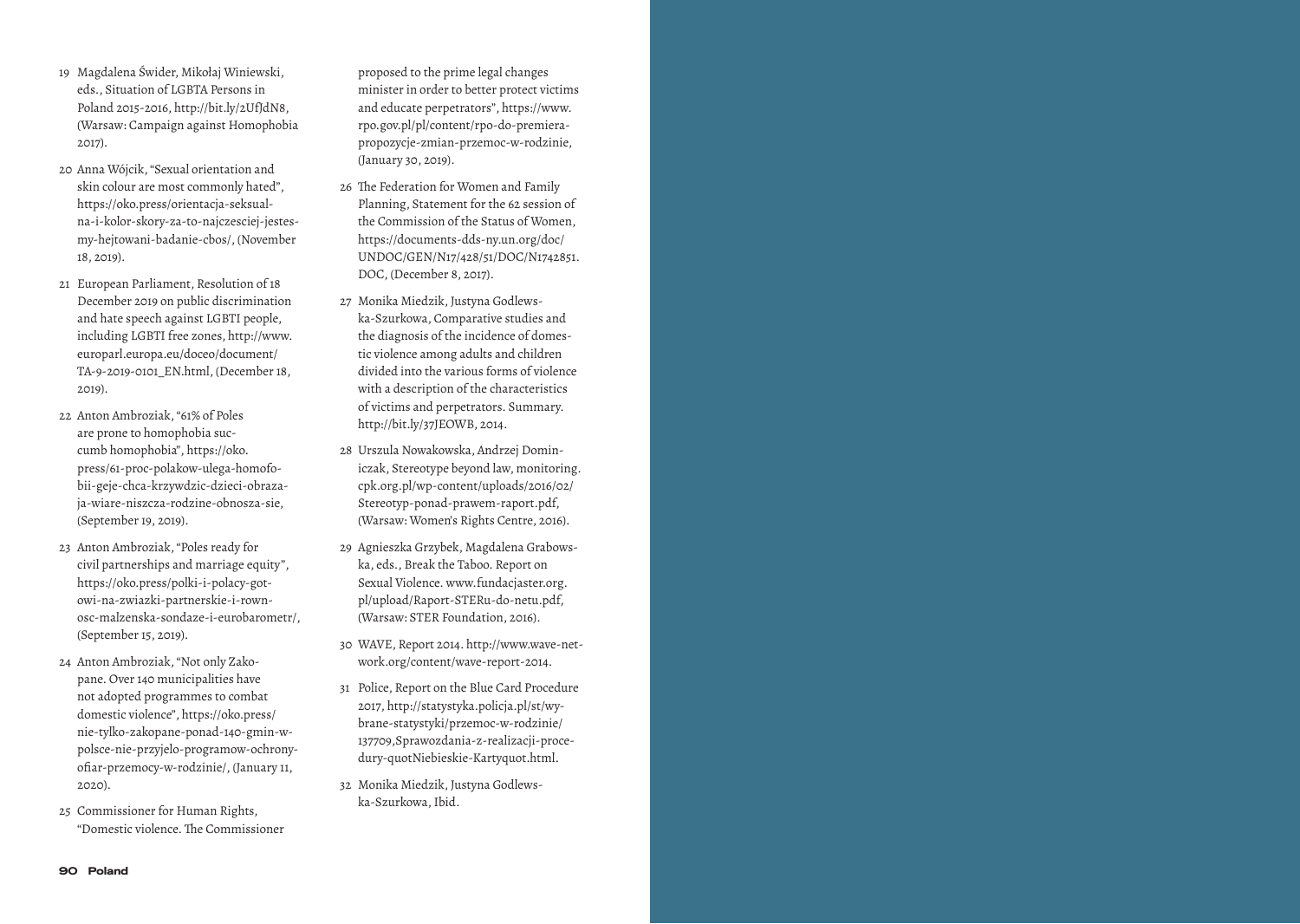- 19 Magdalena Świder, Mikołaj Winiewski, eds., Situation of LGBTA Persons in Poland 2015-2016, http://bit.ly/2UfJdN8, (Warsaw: Campaign against Homophobia 2017).
- 20 Anna Wójcik, "Sexual orientation and skin colour are most commonly hated", https://oko.press/orientacja-seksualna-i-kolor-skory-za-to-najczesciej-jestesmy-hejtowani-badanie-cbos/, (November 18, 2019).
- 21 European Parliament, Resolution of 18 December 2019 on public discrimination and hate speech against LGBTI people, including LGBTI free zones, http://www. europarl.europa.eu/doceo/document/ TA-9-2019-0101\_EN.html, (December 18, 2019).
- 22 Anton Ambroziak, "61% of Poles are prone to homophobia succumb homophobia", https://oko. press/61-proc-polakow-ulega-homofobii-geje-chca-krzywdzic-dzieci-obrazaja-wiare-niszcza-rodzine-obnosza-sie, (September 19, 2019).
- 23 Anton Ambroziak, "Poles ready for civil partnerships and marriage equity", https://oko.press/polki-i-polacy-gotowi-na-zwiazki-partnerskie-i-rownosc-malzenska-sondaze-i-eurobarometr/, (September 15, 2019).
- 24 Anton Ambroziak, "Not only Zakopane. Over 140 municipalities have not adopted programmes to combat domestic violence", https://oko.press/ nie-tylko-zakopane-ponad-140-gmin-wpolsce-nie-przyjelo-programow-ochronyofiar-przemocy-w-rodzinie/, (January 11, 2020).
- 25 Commissioner for Human Rights, "Domestic violence. The Commissioner

proposed to the prime legal changes minister in order to better protect victims and educate perpetrators", https://www. rpo.gov.pl/pl/content/rpo-do-premierapropozycje-zmian-przemoc-w-rodzinie, (January 30, 2019).

- 26 The Federation for Women and Family Planning, Statement for the 62 session of the Commission of the Status of Women, https://documents-dds-ny.un.org/doc/ UNDOC/GEN/N17/428/51/DOC/N1742851. DOC, (December 8, 2017).
- 27 Monika Miedzik, Justyna Godlewska-Szurkowa, Comparative studies and the diagnosis of the incidence of domestic violence among adults and children divided into the various forms of violence with a description of the characteristics of victims and perpetrators. Summary. http://bit.ly/37JEOWB, 2014.
- 28 Urszula Nowakowska, Andrzej Dominiczak, Stereotype beyond law, monitoring. cpk.org.pl/wp-content/uploads/2016/02/ Stereotyp-ponad-prawem-raport.pdf, (Warsaw: Women's Rights Centre, 2016).
- 29 Agnieszka Grzybek, Magdalena Grabowska, eds., Break the Taboo. Report on Sexual Violence. www.fundacjaster.org. pl/upload/Raport-STERu-do-netu.pdf, (Warsaw: STER Foundation, 2016).
- 30 WAVE, Report 2014. http://www.wave-network.org/content/wave-report-2014.
- 31 Police, Report on the Blue Card Procedure 2017, http://statystyka.policja.pl/st/wybrane-statystyki/przemoc-w-rodzinie/ 137709,Sprawozdania-z-realizacji-procedury-quotNiebieskie-Kartyquot.html.
- 32 Monika Miedzik, Justyna Godlewska-Szurkowa, Ibid.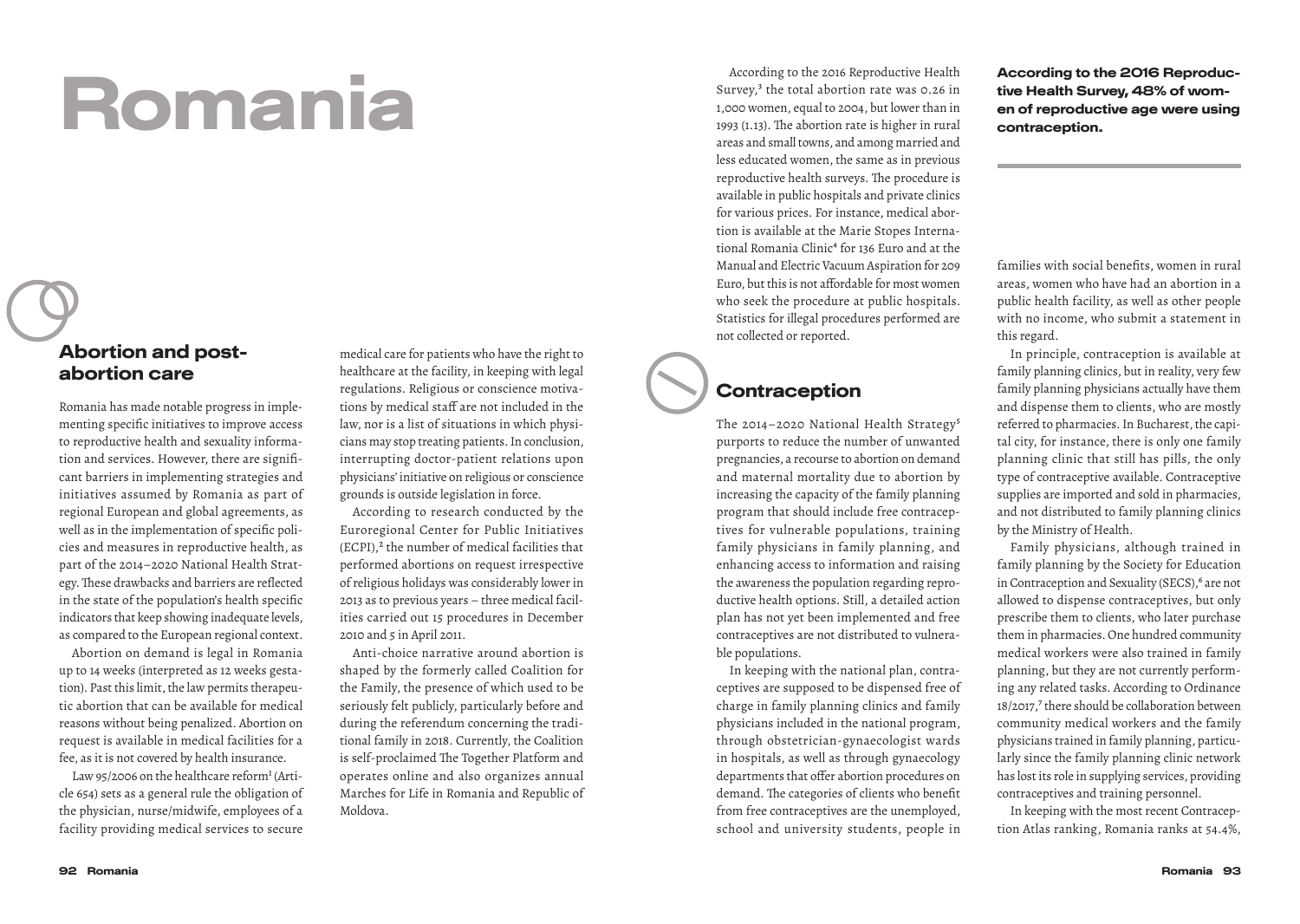# Romania

#### Abortion and postabortion care

Romania has made notable progress in implementing specific initiatives to improve access to reproductive health and sexuality information and services. However, there are significant barriers in implementing strategies and initiatives assumed by Romania as part of regional European and global agreements, as well as in the implementation of specific policies and measures in reproductive health, as part of the 2014–2020 National Health Strategy. These drawbacks and barriers are reflected in the state of the population's health specific indicators that keep showing inadequate levels, as compared to the European regional context.

Abortion on demand is legal in Romania up to 14 weeks (interpreted as 12 weeks gestation). Past this limit, the law permits therapeutic abortion that can be available for medical reasons without being penalized. Abortion on request is available in medical facilities for a fee, as it is not covered by health insurance.

Law 95/2006 on the healthcare reform<sup>1</sup> (Article 654) sets as a general rule the obligation of the physician, nurse/midwife, employees of a facility providing medical services to secure

medical care for patients who have the right to healthcare at the facility, in keeping with legal regulations. Religious or conscience motivations by medical staff are not included in the law, nor is a list of situations in which physicians may stop treating patients. In conclusion, interrupting doctor-patient relations upon physicians' initiative on religious or conscience grounds is outside legislation in force.

According to research conducted by the Euroregional Center for Public Initiatives (ECPI),<sup>2</sup> the number of medical facilities that performed abortions on request irrespective of religious holidays was considerably lower in 2013 as to previous years – three medical facilities carried out 15 procedures in December 2010 and 5 in April 2011.

Anti-choice narrative around abortion is shaped by the formerly called Coalition for the Family, the presence of which used to be seriously felt publicly, particularly before and during the referendum concerning the traditional family in 2018. Currently, the Coalition is self-proclaimed The Together Platform and operates online and also organizes annual Marches for Life in Romania and Republic of Moldova.

According to the 2016 Reproductive Health Survey,<sup>3</sup> the total abortion rate was 0.26 in 1,000 women, equal to 2004, but lower than in 1993 (1.13). The abortion rate is higher in rural areas and small towns, and among married and less educated women, the same as in previous reproductive health surveys. The procedure is available in public hospitals and private clinics for various prices. For instance, medical abortion is available at the Marie Stopes International Romania Clinic<sup>4</sup> for 136 Euro and at the Manual and Electric Vacuum Aspiration for 209 Euro, but this is not affordable for most women who seek the procedure at public hospitals. Statistics for illegal procedures performed are not collected or reported.

### **Contraception**

The 2014-2020 National Health Strategy<sup>5</sup> purports to reduce the number of unwanted pregnancies, a recourse to abortion on demand and maternal mortality due to abortion by increasing the capacity of the family planning program that should include free contraceptives for vulnerable populations, training family physicians in family planning, and enhancing access to information and raising the awareness the population regarding reproductive health options. Still, a detailed action plan has not yet been implemented and free contraceptives are not distributed to vulnerable populations.

In keeping with the national plan, contraceptives are supposed to be dispensed free of charge in family planning clinics and family physicians included in the national program, through obstetrician-gynaecologist wards in hospitals, as well as through gynaecology departments that offer abortion procedures on demand. The categories of clients who benefit from free contraceptives are the unemployed, school and university students, people in

According to the 2016 Reproductive Health Survey, 48% of women of reproductive age were using contraception.

families with social benefits, women in rural areas, women who have had an abortion in a public health facility, as well as other people with no income, who submit a statement in this regard.

In principle, contraception is available at family planning clinics, but in reality, very few family planning physicians actually have them and dispense them to clients, who are mostly referred to pharmacies. In Bucharest, the capital city, for instance, there is only one family planning clinic that still has pills, the only type of contraceptive available. Contraceptive supplies are imported and sold in pharmacies, and not distributed to family planning clinics by the Ministry of Health.

Family physicians, although trained in family planning by the Society for Education in Contraception and Sexuality (SECS),<sup>6</sup> are not allowed to dispense contraceptives, but only prescribe them to clients, who later purchase them in pharmacies. One hundred community medical workers were also trained in family planning, but they are not currently performing any related tasks. According to Ordinance 18/2017,7 there should be collaboration between community medical workers and the family physicians trained in family planning, particularly since the family planning clinic network has lost its role in supplying services, providing contraceptives and training personnel.

In keeping with the most recent Contraception Atlas ranking, Romania ranks at 54.4%,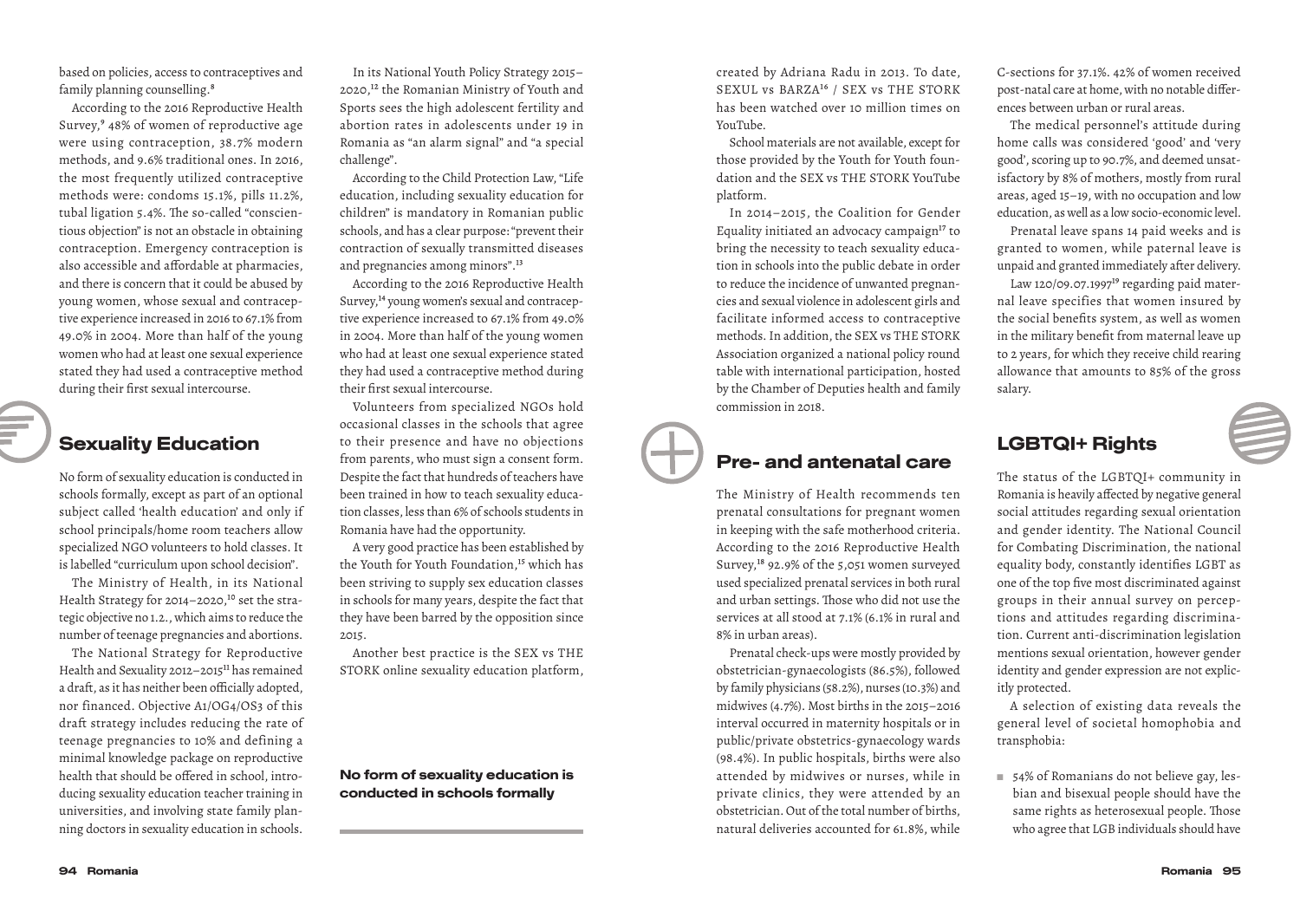based on policies, access to contraceptives and family planning counselling.<sup>8</sup>

According to the 2016 Reproductive Health Survey,9 48% of women of reproductive age were using contraception, 38.7% modern methods, and 9.6% traditional ones. In 2016, the most frequently utilized contraceptive methods were: condoms 15.1%, pills 11.2%, tubal ligation 5.4%. The so-called "conscientious objection" is not an obstacle in obtaining contraception. Emergency contraception is also accessible and affordable at pharmacies, and there is concern that it could be abused by young women, whose sexual and contraceptive experience increased in 2016 to 67.1% from 49.0% in 2004. More than half of the young women who had at least one sexual experience stated they had used a contraceptive method during their first sexual intercourse.

#### Sexuality Education

No form of sexuality education is conducted in schools formally, except as part of an optional subject called 'health education' and only if school principals/home room teachers allow specialized NGO volunteers to hold classes. It is labelled "curriculum upon school decision".

The Ministry of Health, in its National Health Strategy for 2014-2020,<sup>10</sup> set the strategic objective no 1.2., which aims to reduce the number of teenage pregnancies and abortions.

The National Strategy for Reproductive Health and Sexuality 2012-2015<sup>11</sup> has remained a draft, as it has neither been officially adopted, nor financed. Objective A1/OG4/OS3 of this draft strategy includes reducing the rate of teenage pregnancies to 10% and defining a minimal knowledge package on reproductive health that should be offered in school, introducing sexuality education teacher training in universities, and involving state family planning doctors in sexuality education in schools.

In its National Youth Policy Strategy 2015– 2020,12 the Romanian Ministry of Youth and Sports sees the high adolescent fertility and abortion rates in adolescents under 19 in Romania as "an alarm signal" and "a special challenge".

According to the Child Protection Law, "Life education, including sexuality education for children" is mandatory in Romanian public schools, and has a clear purpose: "prevent their contraction of sexually transmitted diseases and pregnancies among minors".13

According to the 2016 Reproductive Health Survey,14 young women's sexual and contraceptive experience increased to 67.1% from 49.0% in 2004. More than half of the young women who had at least one sexual experience stated they had used a contraceptive method during their first sexual intercourse.

Volunteers from specialized NGOs hold occasional classes in the schools that agree to their presence and have no objections from parents, who must sign a consent form. Despite the fact that hundreds of teachers have been trained in how to teach sexuality education classes, less than 6% of schools students in Romania have had the opportunity.

A very good practice has been established by the Youth for Youth Foundation,<sup>15</sup> which has been striving to supply sex education classes in schools for many years, despite the fact that they have been barred by the opposition since 2015.

Another best practice is the SEX vs THE STORK online sexuality education platform,

No form of sexuality education is conducted in schools formally

created by Adriana Radu in 2013. To date, SEXUL vs BARZA16 / SEX vs THE STORK has been watched over 10 million times on YouTube.

School materials are not available, except for those provided by the Youth for Youth foundation and the SEX vs THE STORK YouTube platform.

In 2014–2015, the Coalition for Gender Equality initiated an advocacy campaign<sup>17</sup> to bring the necessity to teach sexuality education in schools into the public debate in order to reduce the incidence of unwanted pregnancies and sexual violence in adolescent girls and facilitate informed access to contraceptive methods. In addition, the SEX vs THE STORK Association organized a national policy round table with international participation, hosted by the Chamber of Deputies health and family commission in 2018.

#### Pre- and antenatal care

The Ministry of Health recommends ten prenatal consultations for pregnant women in keeping with the safe motherhood criteria. According to the 2016 Reproductive Health Survey,18 92.9% of the 5,051 women surveyed used specialized prenatal services in both rural and urban settings. Those who did not use the services at all stood at 7.1% (6.1% in rural and 8% in urban areas).

Prenatal check-ups were mostly provided by obstetrician-gynaecologists (86.5%), followed by family physicians (58.2%), nurses (10.3%) and midwives (4.7%). Most births in the 2015–2016 interval occurred in maternity hospitals or in public/private obstetrics-gynaecology wards (98.4%). In public hospitals, births were also attended by midwives or nurses, while in private clinics, they were attended by an obstetrician. Out of the total number of births, natural deliveries accounted for 61.8%, while C-sections for 37.1%. 42% of women received post-natal care at home, with no notable differences between urban or rural areas.

The medical personnel's attitude during home calls was considered 'good' and 'very good', scoring up to 90.7%, and deemed unsatisfactory by 8% of mothers, mostly from rural areas, aged 15–19, with no occupation and low education, as well as a low socio-economic level.

Prenatal leave spans 14 paid weeks and is granted to women, while paternal leave is unpaid and granted immediately after delivery.

Law 120/09.07.1997 $19$  regarding paid maternal leave specifies that women insured by the social benefits system, as well as women in the military benefit from maternal leave up to 2 years, for which they receive child rearing allowance that amounts to 85% of the gross salary.

### LGBTQI+ Rights

The status of the LGBTQI+ community in Romania is heavily affected by negative general social attitudes regarding sexual orientation and gender identity. The National Council for Combating Discrimination, the national equality body, constantly identifies LGBT as one of the top five most discriminated against groups in their annual survey on perceptions and attitudes regarding discrimination. Current anti-discrimination legislation mentions sexual orientation, however gender identity and gender expression are not explicitly protected.

A selection of existing data reveals the general level of societal homophobia and transphobia:

■ 54% of Romanians do not believe gay, lesbian and bisexual people should have the same rights as heterosexual people. Those who agree that LGB individuals should have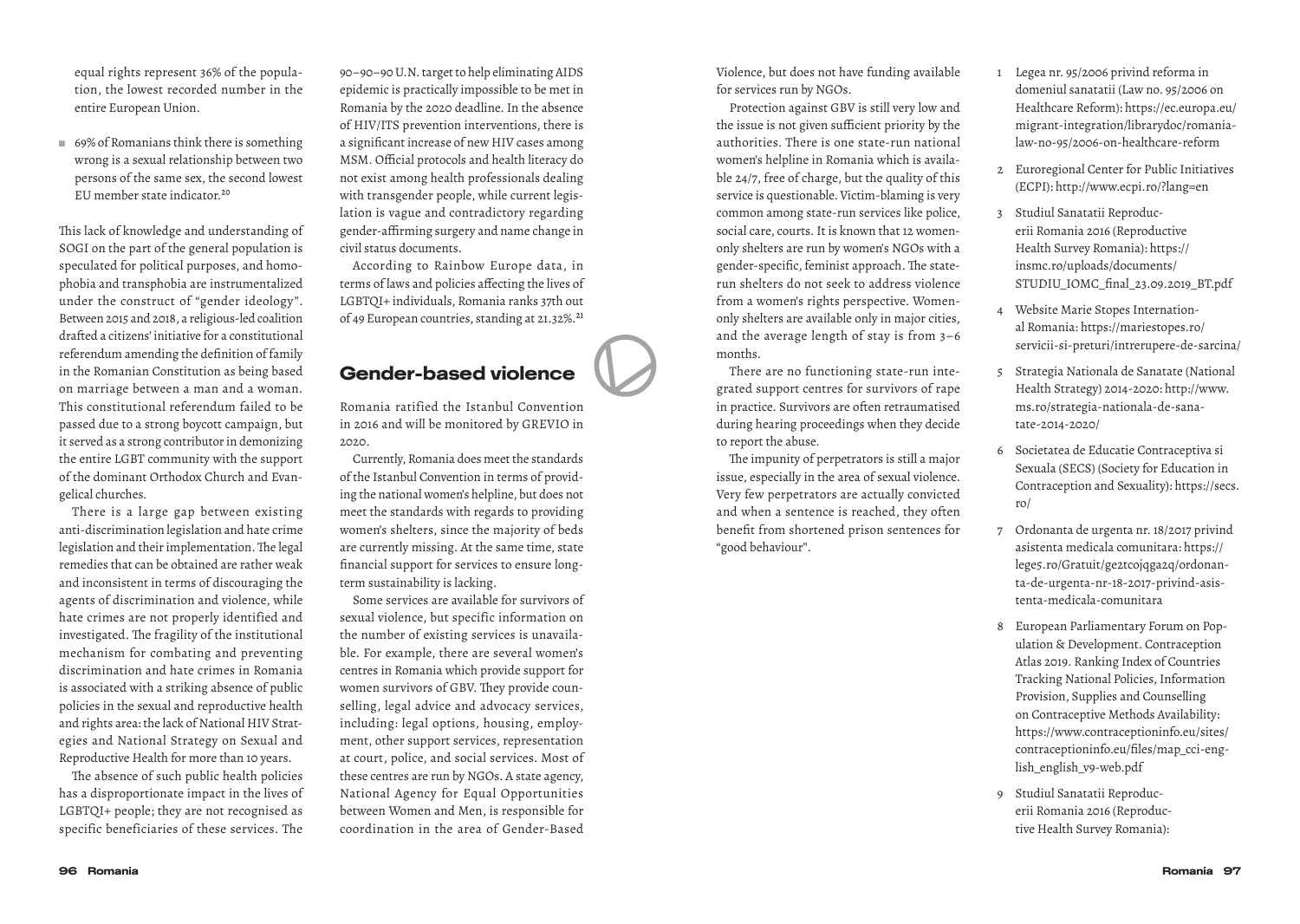equal rights represent 36% of the population, the lowest recorded number in the entire European Union.

■ 69% of Romanians think there is something wrong is a sexual relationship between two persons of the same sex, the second lowest EU member state indicator<sup>20</sup>

This lack of knowledge and understanding of SOGI on the part of the general population is speculated for political purposes, and homophobia and transphobia are instrumentalized under the construct of "gender ideology". Between 2015 and 2018, a religious-led coalition drafted a citizens' initiative for a constitutional referendum amending the definition of family in the Romanian Constitution as being based on marriage between a man and a woman. This constitutional referendum failed to be passed due to a strong boycott campaign, but it served as a strong contributor in demonizing the entire LGBT community with the support of the dominant Orthodox Church and Evangelical churches.

There is a large gap between existing anti-discrimination legislation and hate crime legislation and their implementation. The legal remedies that can be obtained are rather weak and inconsistent in terms of discouraging the agents of discrimination and violence, while hate crimes are not properly identified and investigated. The fragility of the institutional mechanism for combating and preventing discrimination and hate crimes in Romania is associated with a striking absence of public policies in the sexual and reproductive health and rights area: the lack of National HIV Strategies and National Strategy on Sexual and Reproductive Health for more than 10 years.

The absence of such public health policies has a disproportionate impact in the lives of LGBTQI+ people; they are not recognised as specific beneficiaries of these services. The

90–90–90 U.N. target to help eliminating AIDS epidemic is practically impossible to be met in Romania by the 2020 deadline. In the absence of HIV/ITS prevention interventions, there is a significant increase of new HIV cases among MSM. Official protocols and health literacy do not exist among health professionals dealing with transgender people, while current legislation is vague and contradictory regarding gender-affirming surgery and name change in civil status documents.

According to Rainbow Europe data, in terms of laws and policies affecting the lives of LGBTQI+ individuals, Romania ranks 37th out of 49 European countries, standing at 21.32%.<sup>21</sup>

#### Gender-based violence

Romania ratified the Istanbul Convention in 2016 and will be monitored by GREVIO in 2020.

Currently, Romania does meet the standards of the Istanbul Convention in terms of providing the national women's helpline, but does not meet the standards with regards to providing women's shelters, since the majority of beds are currently missing. At the same time, state financial support for services to ensure longterm sustainability is lacking.

Some services are available for survivors of sexual violence, but specific information on the number of existing services is unavailable. For example, there are several women's centres in Romania which provide support for women survivors of GBV. They provide counselling, legal advice and advocacy services, including: legal options, housing, employment, other support services, representation at court, police, and social services. Most of these centres are run by NGOs. A state agency, National Agency for Equal Opportunities between Women and Men, is responsible for coordination in the area of Gender-Based

Violence, but does not have funding available for services run by NGOs.

Protection against GBV is still very low and the issue is not given sufficient priority by the authorities. There is one state-run national women's helpline in Romania which is available 24/7, free of charge, but the quality of this service is questionable. Victim-blaming is very common among state-run services like police, social care, courts. It is known that 12 womenonly shelters are run by women's NGOs with a gender-specific, feminist approach. The staterun shelters do not seek to address violence from a women's rights perspective. Womenonly shelters are available only in major cities, and the average length of stay is from 3–6 months.

There are no functioning state-run integrated support centres for survivors of rape in practice. Survivors are often retraumatised during hearing proceedings when they decide to report the abuse.

The impunity of perpetrators is still a major issue, especially in the area of sexual violence. Very few perpetrators are actually convicted and when a sentence is reached, they often benefit from shortened prison sentences for "good behaviour".

- 1 Legea nr. 95/2006 privind reforma in domeniul sanatatii (Law no. 95/2006 on Healthcare Reform): https://ec.europa.eu/ migrant-integration/librarydoc/romanialaw-no-95/2006-on-healthcare-reform
- 2 Euroregional Center for Public Initiatives (ECPI): http://www.ecpi.ro/?lang=en
- 3 Studiul Sanatatii Reproducerii Romania 2016 (Reproductive Health Survey Romania): https:// insmc.ro/uploads/documents/ STUDIU\_IOMC\_final\_23.09.2019\_BT.pdf
- 4 Website Marie Stopes International Romania: https://mariestopes.ro/ servicii-si-preturi/intrerupere-de-sarcina/
- 5 Strategia Nationala de Sanatate (National Health Strategy) 2014-2020: http://www. ms.ro/strategia-nationala-de-sanatate-2014-2020/
- 6 Societatea de Educatie Contraceptiva si Sexuala (SECS) (Society for Education in Contraception and Sexuality): https://secs. ro/
- 7 Ordonanta de urgenta nr. 18/2017 privind asistenta medicala comunitara: https:// lege5.ro/Gratuit/ge2tcojqga2q/ordonanta-de-urgenta-nr-18-2017-privind-asistenta-medicala-comunitara
- 8 European Parliamentary Forum on Population & Development. Contraception Atlas 2019. Ranking Index of Countries Tracking National Policies, Information Provision, Supplies and Counselling on Contraceptive Methods Availability: https://www.contraceptioninfo.eu/sites/ contraceptioninfo.eu/files/map\_cci-english\_english\_v9-web.pdf
- 9 Studiul Sanatatii Reproducerii Romania 2016 (Reproductive Health Survey Romania):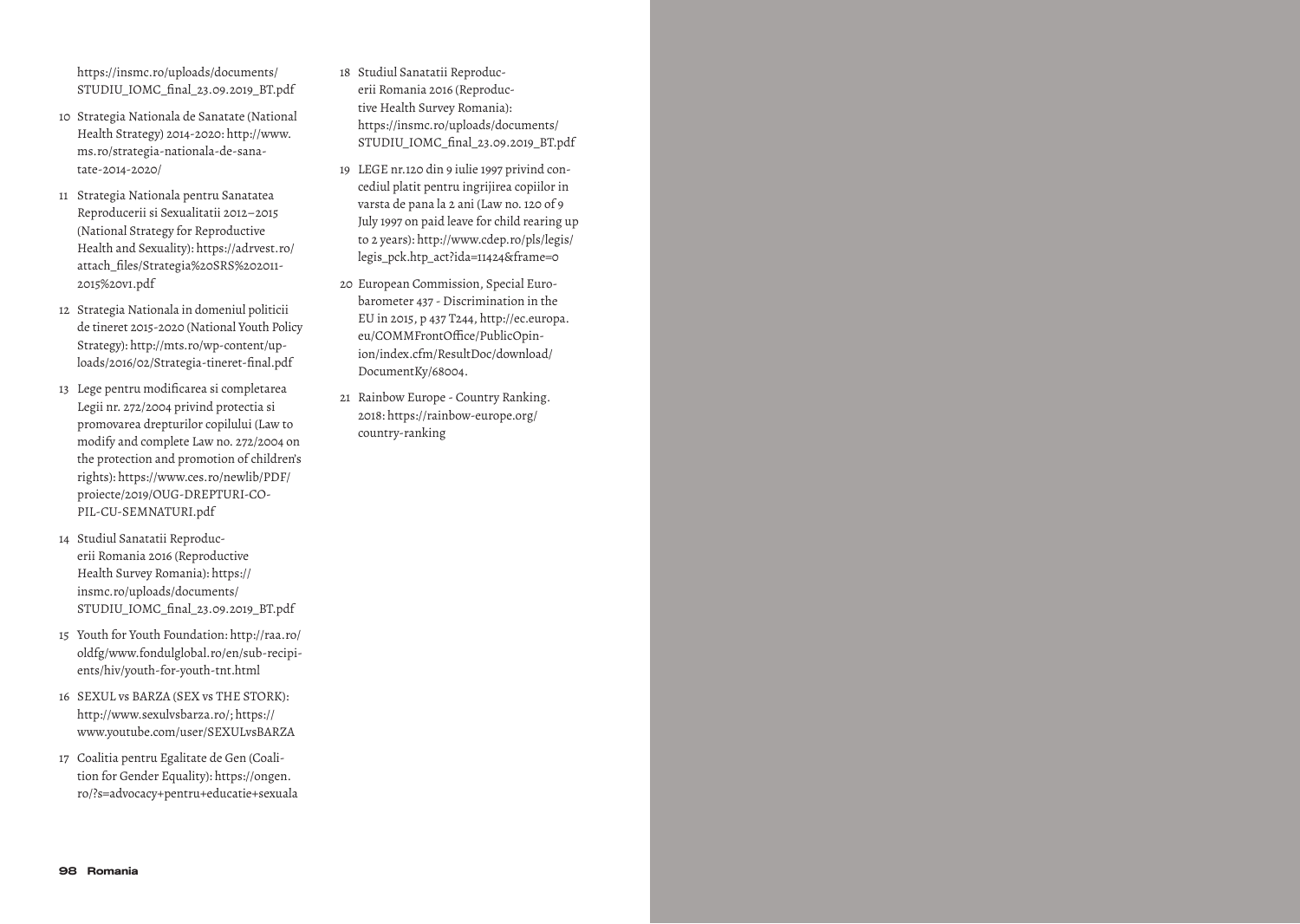https://insmc.ro/uploads/documents/ STUDIU\_IOMC\_final\_23.09.2019\_BT.pdf

- 10 Strategia Nationala de Sanatate (National Health Strategy) 2014-2020: http://www. ms.ro/strategia-nationala-de-sanatate-2014-2020/
- 11 Strategia Nationala pentru Sanatatea Reproducerii si Sexualitatii 2012–2015 (National Strategy for Reproductive Health and Sexuality): https://adrvest.ro/ attach\_files/Strategia%20SRS%202011- 2015%20v1.pdf
- 12 Strategia Nationala in domeniul politicii de tineret 2015-2020 (National Youth Policy Strategy): http://mts.ro/wp-content/uploads/2016/02/Strategia-tineret-final.pdf
- 13 Lege pentru modificarea si completarea Legii nr. 272/2004 privind protectia si promovarea drepturilor copilului (Law to modify and complete Law no. 272/2004 on the protection and promotion of children's rights): https://www.ces.ro/newlib/PDF/ proiecte/2019/OUG-DREPTURI-CO-PIL-CU-SEMNATURI.pdf
- 14 Studiul Sanatatii Reproducerii Romania 2016 (Reproductive Health Survey Romania): https:// insmc.ro/uploads/documents/ STUDIU\_IOMC\_final\_23.09.2019\_BT.pdf
- 15 Youth for Youth Foundation: http://raa.ro/ oldfg/www.fondulglobal.ro/en/sub-recipients/hiv/youth-for-youth-tnt.html
- 16 SEXUL vs BARZA (SEX vs THE STORK): http://www.sexulvsbarza.ro/; https:// www.youtube.com/user/SEXULvsBARZA
- 17 Coalitia pentru Egalitate de Gen (Coalition for Gender Equality): https://ongen. ro/?s=advocacy+pentru+educatie+sexuala
- 18 Studiul Sanatatii Reproducerii Romania 2016 (Reproductive Health Survey Romania): https://insmc.ro/uploads/documents/ STUDIU IOMC final 23.09.2019 BT.pdf
- 19 LEGE nr.120 din 9 iulie 1997 privind concediul platit pentru ingrijirea copiilor in varsta de pana la 2 ani (Law no. 120 of 9 July 1997 on paid leave for child rearing up to 2 years): http://www.cdep.ro/pls/legis/ legis\_pck.htp\_act?ida=11424&frame=0
- 20 European Commission, Special Eurobarometer 437 - Discrimination in the EU in 2015, p 437 T244, http://ec.europa. eu/COMMFrontOffice/PublicOpinion/index.cfm/ResultDoc/download/ DocumentKy/68004.
- 21 Rainbow Europe Country Ranking. 2018: https://rainbow-europe.org/ country-ranking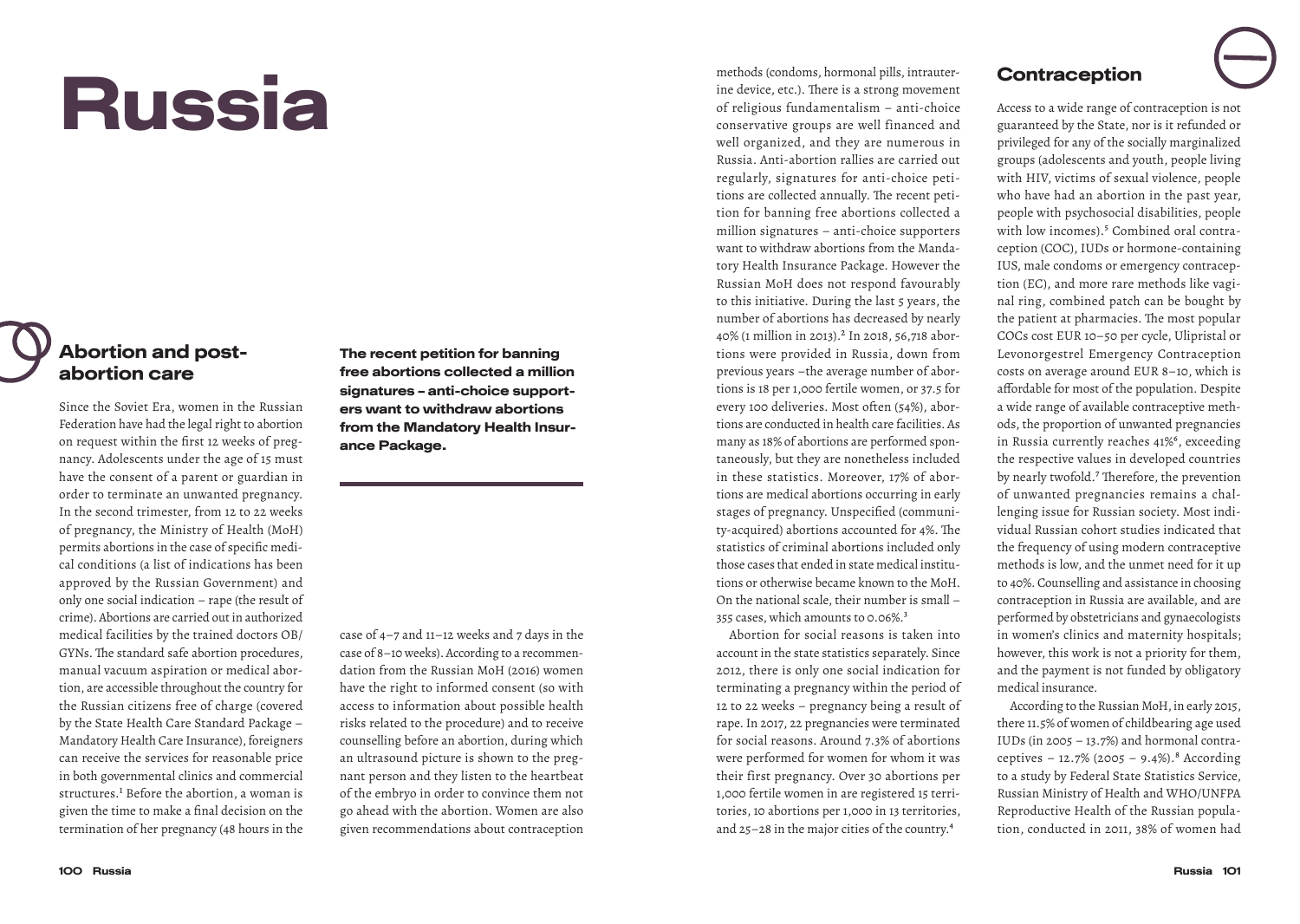# Russia

#### Abortion and postabortion care

Since the Soviet Era, women in the Russian Federation have had the legal right to abortion on request within the first 12 weeks of pregnancy. Adolescents under the age of 15 must have the consent of a parent or guardian in order to terminate an unwanted pregnancy. In the second trimester, from 12 to 22 weeks of pregnancy, the Ministry of Health (MoH) permits abortions in the case of specific medical conditions (a list of indications has been approved by the Russian Government) and only one social indication – rape (the result of crime). Abortions are carried out in authorized medical facilities by the trained doctors OB/ GYNs. The standard safe abortion procedures, manual vacuum aspiration or medical abortion, are accessible throughout the country for the Russian citizens free of charge (covered by the State Health Care Standard Package – Mandatory Health Care Insurance), foreigners can receive the services for reasonable price in both governmental clinics and commercial structures.<sup>1</sup> Before the abortion, a woman is given the time to make a final decision on the termination of her pregnancy (48 hours in the

The recent petition for banning free abortions collected a million signatures – anti-choice supporters want to withdraw abortions from the Mandatory Health Insurance Package.

case of 4–7 and 11–12 weeks and 7 days in the case of 8–10 weeks). According to a recommendation from the Russian MoH (2016) women have the right to informed consent (so with access to information about possible health risks related to the procedure) and to receive counselling before an abortion, during which an ultrasound picture is shown to the pregnant person and they listen to the heartbeat of the embryo in order to convince them not go ahead with the abortion. Women are also given recommendations about contraception methods (condoms, hormonal pills, intrauterine device, etc.). There is a strong movement of religious fundamentalism – anti-choice conservative groups are well financed and well organized, and they are numerous in Russia. Anti-abortion rallies are carried out regularly, signatures for anti-choice petitions are collected annually. The recent petition for banning free abortions collected a million signatures – anti-choice supporters want to withdraw abortions from the Mandatory Health Insurance Package. However the Russian MoH does not respond favourably to this initiative. During the last 5 years, the number of abortions has decreased by nearly 40% (1 million in 2013).2 In 2018, 56,718 abortions were provided in Russia, down from previous years –the average number of abortions is 18 per 1,000 fertile women, or 37.5 for every 100 deliveries. Most often (54%), abortions are conducted in health care facilities. As many as 18% of abortions are performed spontaneously, but they are nonetheless included in these statistics. Moreover, 17% of abortions are medical abortions occurring in early stages of pregnancy. Unspecified (community-acquired) abortions accounted for 4%. The statistics of criminal abortions included only those cases that ended in state medical institutions or otherwise became known to the MoH. On the national scale, their number is small – 355 cases, which amounts to 0.06%.3

Abortion for social reasons is taken into account in the state statistics separately. Since 2012, there is only one social indication for terminating a pregnancy within the period of 12 to 22 weeks – pregnancy being a result of rape. In 2017, 22 pregnancies were terminated for social reasons. Around 7.3% of abortions were performed for women for whom it was their first pregnancy. Over 30 abortions per 1,000 fertile women in are registered 15 territories, 10 abortions per 1,000 in 13 territories, and 25–28 in the major cities of the country.4

#### Contraception

Access to a wide range of contraception is not guaranteed by the State, nor is it refunded or privileged for any of the socially marginalized groups (adolescents and youth, people living with HIV, victims of sexual violence, people who have had an abortion in the past year, people with psychosocial disabilities, people with low incomes).<sup>5</sup> Combined oral contraception (COC), IUDs or hormone-containing IUS, male condoms or emergency contraception (EC), and more rare methods like vaginal ring, combined patch can be bought by the patient at pharmacies. The most popular COCs cost EUR 10–50 per cycle, Ulipristal or Levonorgestrel Emergency Contraception costs on average around EUR 8–10, which is affordable for most of the population. Despite a wide range of available contraceptive methods, the proportion of unwanted pregnancies in Russia currently reaches 41%<sup>6</sup>, exceeding the respective values in developed countries by nearly twofold.7 Therefore, the prevention of unwanted pregnancies remains a challenging issue for Russian society. Most individual Russian cohort studies indicated that the frequency of using modern contraceptive methods is low, and the unmet need for it up to 40%. Counselling and assistance in choosing contraception in Russia are available, and are performed by obstetricians and gynaecologists in women's clinics and maternity hospitals; however, this work is not a priority for them, and the payment is not funded by obligatory medical insurance.

According to the Russian MoH, in early 2015, there 11.5% of women of childbearing age used IUDs (in 2005 – 13.7%) and hormonal contraceptives – 12.7% (2005 – 9.4%).<sup>8</sup> According to a study by Federal State Statistics Service, Russian Ministry of Health and WHO/UNFPA Reproductive Health of the Russian population, conducted in 2011, 38% of women had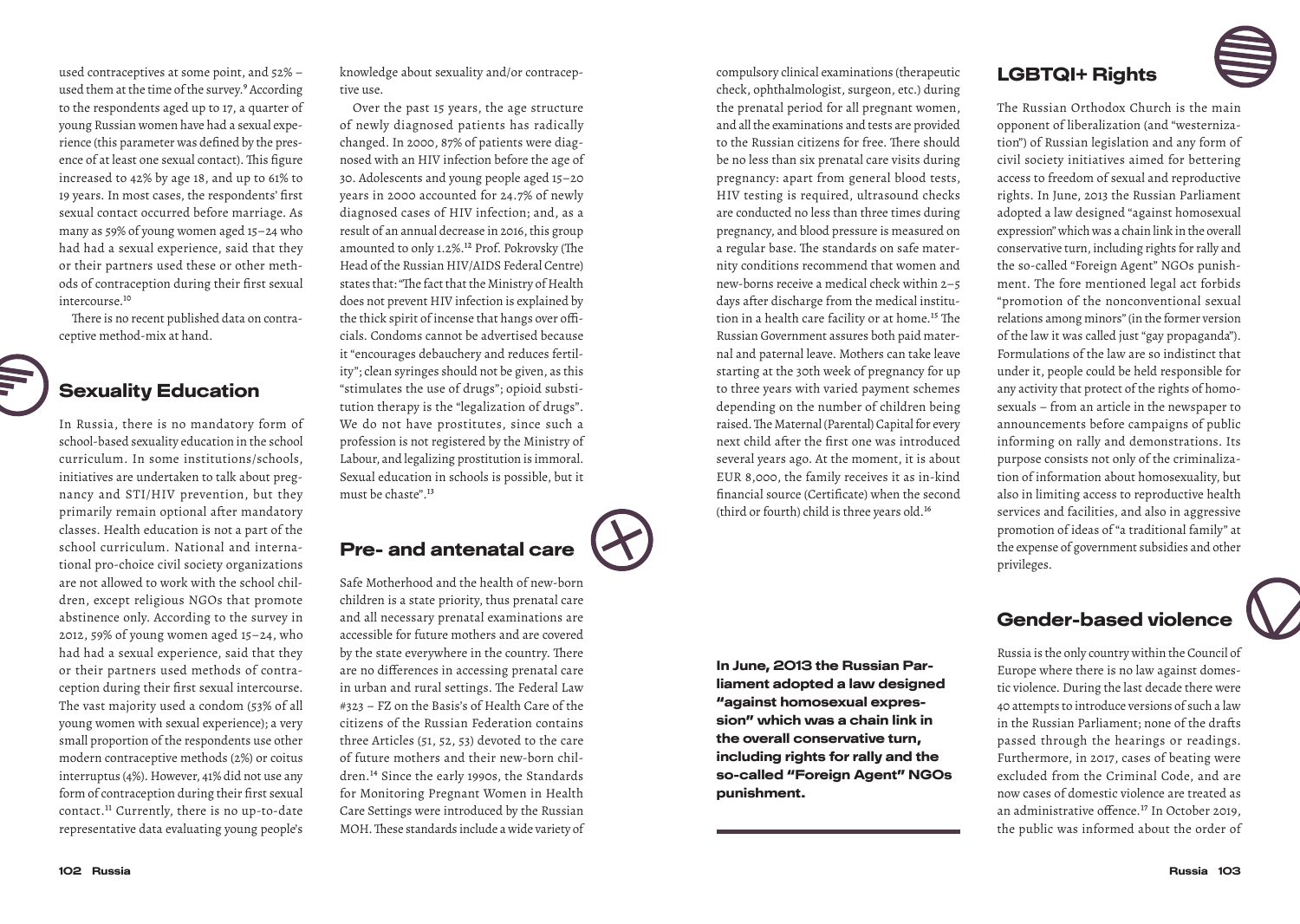used contraceptives at some point, and 52% – used them at the time of the survey.<sup>9</sup> According to the respondents aged up to 17, a quarter of young Russian women have had a sexual experience (this parameter was defined by the presence of at least one sexual contact). This figure increased to 42% by age 18, and up to 61% to 19 years. In most cases, the respondents' first sexual contact occurred before marriage. As many as 59% of young women aged 15–24 who had had a sexual experience, said that they or their partners used these or other methods of contraception during their first sexual intercourse.10

There is no recent published data on contraceptive method-mix at hand.

#### Sexuality Education

In Russia, there is no mandatory form of school-based sexuality education in the school curriculum. In some institutions/schools, initiatives are undertaken to talk about pregnancy and STI/HIV prevention, but they primarily remain optional after mandatory classes. Health education is not a part of the school curriculum. National and international pro-choice civil society organizations are not allowed to work with the school children, except religious NGOs that promote abstinence only. According to the survey in 2012, 59% of young women aged 15–24, who had had a sexual experience, said that they or their partners used methods of contraception during their first sexual intercourse. The vast majority used a condom (53% of all young women with sexual experience); a very small proportion of the respondents use other modern contraceptive methods (2%) or coitus interruptus (4%). However, 41% did not use any form of contraception during their first sexual contact.11 Currently, there is no up-to-date representative data evaluating young people's

knowledge about sexuality and/or contraceptive use.

Over the past 15 years, the age structure of newly diagnosed patients has radically changed. In 2000, 87% of patients were diagnosed with an HIV infection before the age of 30. Adolescents and young people aged 15–20 years in 2000 accounted for 24.7% of newly diagnosed cases of HIV infection; and, as a result of an annual decrease in 2016, this group amounted to only 1.2%.12 Prof. Pokrovsky (The Head of the Russian HIV/AIDS Federal Centre) states that: "The fact that the Ministry of Health does not prevent HIV infection is explained by the thick spirit of incense that hangs over officials. Condoms cannot be advertised because it "encourages debauchery and reduces fertility"; clean syringes should not be given, as this "stimulates the use of drugs"; opioid substitution therapy is the "legalization of drugs". We do not have prostitutes, since such a profession is not registered by the Ministry of Labour, and legalizing prostitution is immoral. Sexual education in schools is possible, but it must be chaste".13

# Pre- and antenatal care

Safe Motherhood and the health of new-born children is a state priority, thus prenatal care and all necessary prenatal examinations are accessible for future mothers and are covered by the state everywhere in the country. There are no differences in accessing prenatal care in urban and rural settings. The Federal Law #323 – FZ on the Basis's of Health Care of the citizens of the Russian Federation contains three Articles (51, 52, 53) devoted to the care of future mothers and their new-born children.14 Since the early 1990s, the Standards for Monitoring Pregnant Women in Health Care Settings were introduced by the Russian MOH. These standards include a wide variety of and all the examinations and tests are provided to the Russian citizens for free. There should be no less than six prenatal care visits during pregnancy: apart from general blood tests, HIV testing is required, ultrasound checks are conducted no less than three times during pregnancy, and blood pressure is measured on a regular base. The standards on safe maternity conditions recommend that women and new-borns receive a medical check within 2–5 days after discharge from the medical institution in a health care facility or at home.15 The Russian Government assures both paid maternal and paternal leave. Mothers can take leave starting at the 30th week of pregnancy for up to three years with varied payment schemes depending on the number of children being raised. The Maternal (Parental) Capital for every next child after the first one was introduced several years ago. At the moment, it is about EUR 8,000, the family receives it as in-kind financial source (Certificate) when the second (third or fourth) child is three years old.16

In June, 2013 the Russian Parliament adopted a law designed "against homosexual expression" which was a chain link in the overall conservative turn, including rights for rally and the so-called "Foreign Agent" NGOs

punishment.

compulsory clinical examinations (therapeutic check, ophthalmologist, surgeon, etc.) during the prenatal period for all pregnant women,

### LGBTQI+ Rights

The Russian Orthodox Church is the main opponent of liberalization (and "westernization") of Russian legislation and any form of civil society initiatives aimed for bettering access to freedom of sexual and reproductive rights. In June, 2013 the Russian Parliament adopted a law designed "against homosexual expression" which was a chain link in the overall conservative turn, including rights for rally and the so-called "Foreign Agent" NGOs punishment. The fore mentioned legal act forbids "promotion of the nonconventional sexual relations among minors" (in the former version of the law it was called just "gay propaganda"). Formulations of the law are so indistinct that under it, people could be held responsible for any activity that protect of the rights of homosexuals – from an article in the newspaper to announcements before campaigns of public informing on rally and demonstrations. Its purpose consists not only of the criminalization of information about homosexuality, but also in limiting access to reproductive health services and facilities, and also in aggressive promotion of ideas of "a traditional family" at the expense of government subsidies and other privileges.

#### Gender-based violence

Russia is the only country within the Council of Europe where there is no law against domestic violence. During the last decade there were 40 attempts to introduce versions of such a law in the Russian Parliament; none of the drafts passed through the hearings or readings. Furthermore, in 2017, cases of beating were excluded from the Criminal Code, and are now cases of domestic violence are treated as an administrative offence.17 In October 2019, the public was informed about the order of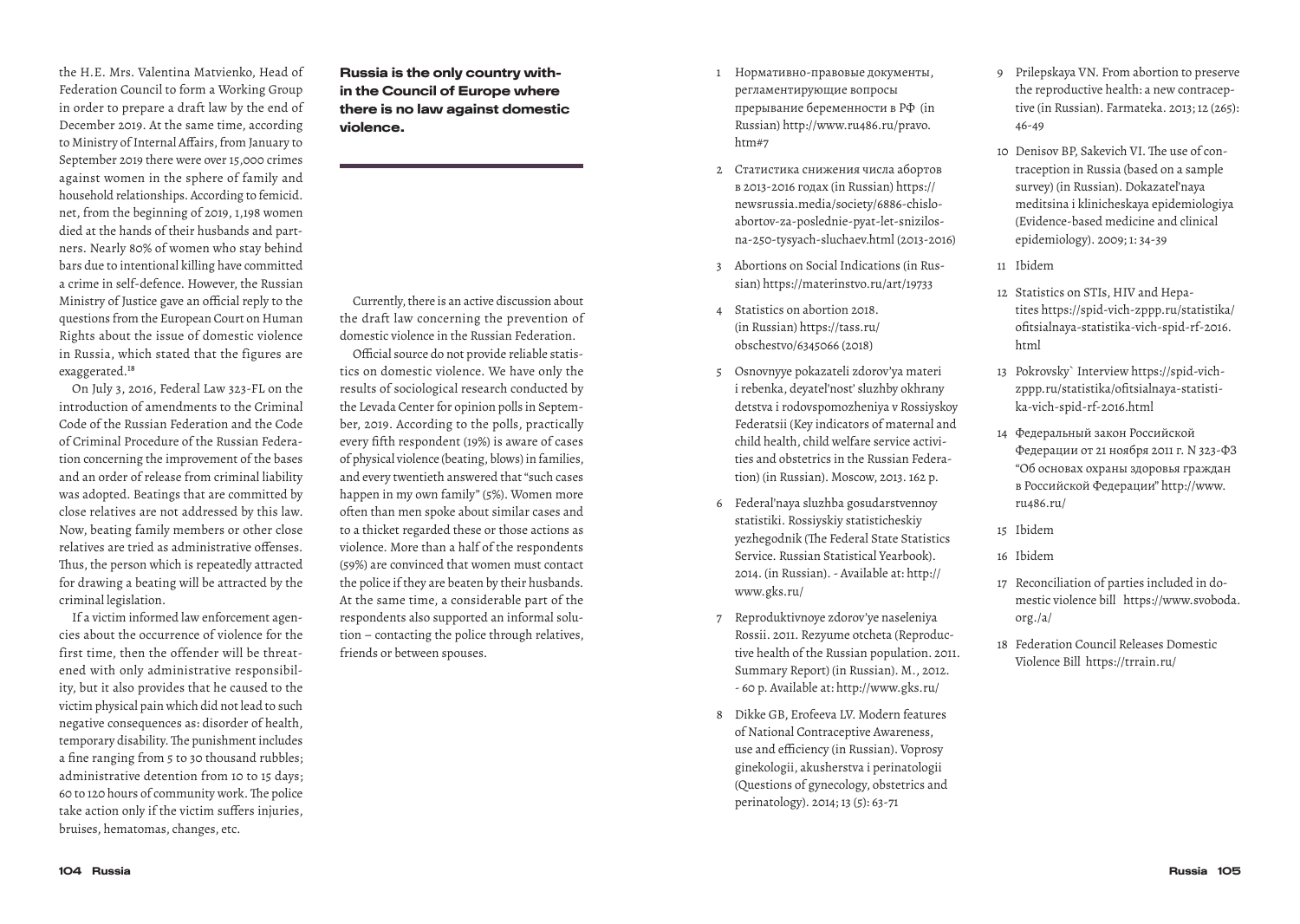the H.E. Mrs. Valentina Matvienko, Head of Federation Council to form a Working Group in order to prepare a draft law by the end of December 2019. At the same time, according to Ministry of Internal Affairs, from January to September 2019 there were over 15,000 crimes against women in the sphere of family and household relationships. According to femicid. net, from the beginning of 2019, 1,198 women died at the hands of their husbands and partners. Nearly 80% of women who stay behind bars due to intentional killing have committed a crime in self-defence. However, the Russian Ministry of Justice gave an official reply to the questions from the European Court on Human Rights about the issue of domestic violence in Russia, which stated that the figures are exaggerated.18

On July 3, 2016, Federal Law 323-FL on the introduction of amendments to the Criminal Code of the Russian Federation and the Code of Criminal Procedure of the Russian Federation concerning the improvement of the bases and an order of release from criminal liability was adopted. Beatings that are committed by close relatives are not addressed by this law. Now, beating family members or other close relatives are tried as administrative offenses. Thus, the person which is repeatedly attracted for drawing a beating will be attracted by the criminal legislation.

If a victim informed law enforcement agencies about the occurrence of violence for the first time, then the offender will be threatened with only administrative responsibility, but it also provides that he caused to the victim physical pain which did not lead to such negative consequences as: disorder of health, temporary disability. The punishment includes a fine ranging from 5 to 30 thousand rubbles; administrative detention from 10 to 15 days; 60 to 120 hours of community work. The police take action only if the victim suffers injuries, bruises, hematomas, changes, etc.

Russia is the only country within the Council of Europe where there is no law against domestic violence.

Currently, there is an active discussion about the draft law concerning the prevention of domestic violence in the Russian Federation.

Official source do not provide reliable statistics on domestic violence. We have only the results of sociological research conducted by the Levada Center for opinion polls in September, 2019. According to the polls, practically every fifth respondent (19%) is aware of cases of physical violence (beating, blows) in families, and every twentieth answered that "such cases happen in my own family" (5%). Women more often than men spoke about similar cases and to a thicket regarded these or those actions as violence. More than a half of the respondents (59%) are convinced that women must contact the police if they are beaten by their husbands. At the same time, a considerable part of the respondents also supported an informal solution – contacting the police through relatives, friends or between spouses.

- 1 Нормативно-правовые документы, регламентирующие вопросы прерывание беременности в РФ (in Russian) http://www.ru486.ru/pravo. htm#7
- 2 Статистика снижения числа абортов в 2013-2016 годах (in Russian) https:// newsrussia.media/society/6886-chisloabortov-za-poslednie-pyat-let-snizilosna-250-tysyach-sluchaev.html (2013-2016)
- 3 Abortions on Social Indications (in Russian) https://materinstvo.ru/art/19733
- 4 Statistics on abortion 2018. (in Russian) https://tass.ru/ obschestvo/6345066 (2018)
- 5 Osnovnyye pokazateli zdorov'ya materi i rebenka, deyatel'nost' sluzhby okhrany detstva i rodovspomozheniya v Rossiyskoy Federatsii (Key indicators of maternal and child health, child welfare service activities and obstetrics in the Russian Federation) (in Russian). Moscow, 2013. 162 p.
- 6 Federal'naya sluzhba gosudarstvennoy statistiki. Rossiyskiy statisticheskiy yezhegodnik (The Federal State Statistics Service. Russian Statistical Yearbook). 2014. (in Russian). - Available at: http:// www.gks.ru/
- 7 Reproduktivnoye zdorov'ye naseleniya Rossii. 2011. Rezyume otcheta (Reproductive health of the Russian population. 2011. Summary Report) (in Russian). M., 2012. - 60 p. Available at: http://www.gks.ru/
- 8 Dikke GB, Erofeeva LV. Modern features of National Contraceptive Awareness, use and efficiency (in Russian). Voprosy ginekologii, akusherstva i perinatologii (Questions of gynecology, obstetrics and perinatology). 2014; 13 (5): 63-71
- 9 Prilepskaya VN. From abortion to preserve the reproductive health: a new contraceptive (in Russian). Farmateka. 2013; 12 (265): 46-49
- 10 Denisov BP, Sakevich VI. The use of contraception in Russia (based on a sample survey) (in Russian). Dokazatel'naya meditsina i klinicheskaya epidemiologiya (Evidence-based medicine and clinical epidemiology). 2009; 1: 34-39
- 11 Ibidem
- 12 Statistics on STIs, HIV and Hepatites https://spid-vich-zppp.ru/statistika/ ofitsialnaya-statistika-vich-spid-rf-2016. html
- 13 Pokrovsky` Interview https://spid-vichzppp.ru/statistika/ofitsialnaya-statistika-vich-spid-rf-2016.html
- 14 Федеральный закон Российской Федерации от 21 ноября 2011 г. N 323-ФЗ "Об основах охраны здоровья граждан в Российской Федерации" http://www. ru486.ru/
- 15 Ibidem
- 16 Ibidem
- 17 Reconciliation of parties included in domestic violence bill https://www.svoboda. org./a/
- 18 Federation Council Releases Domestic Violence Bill https://trrain.ru/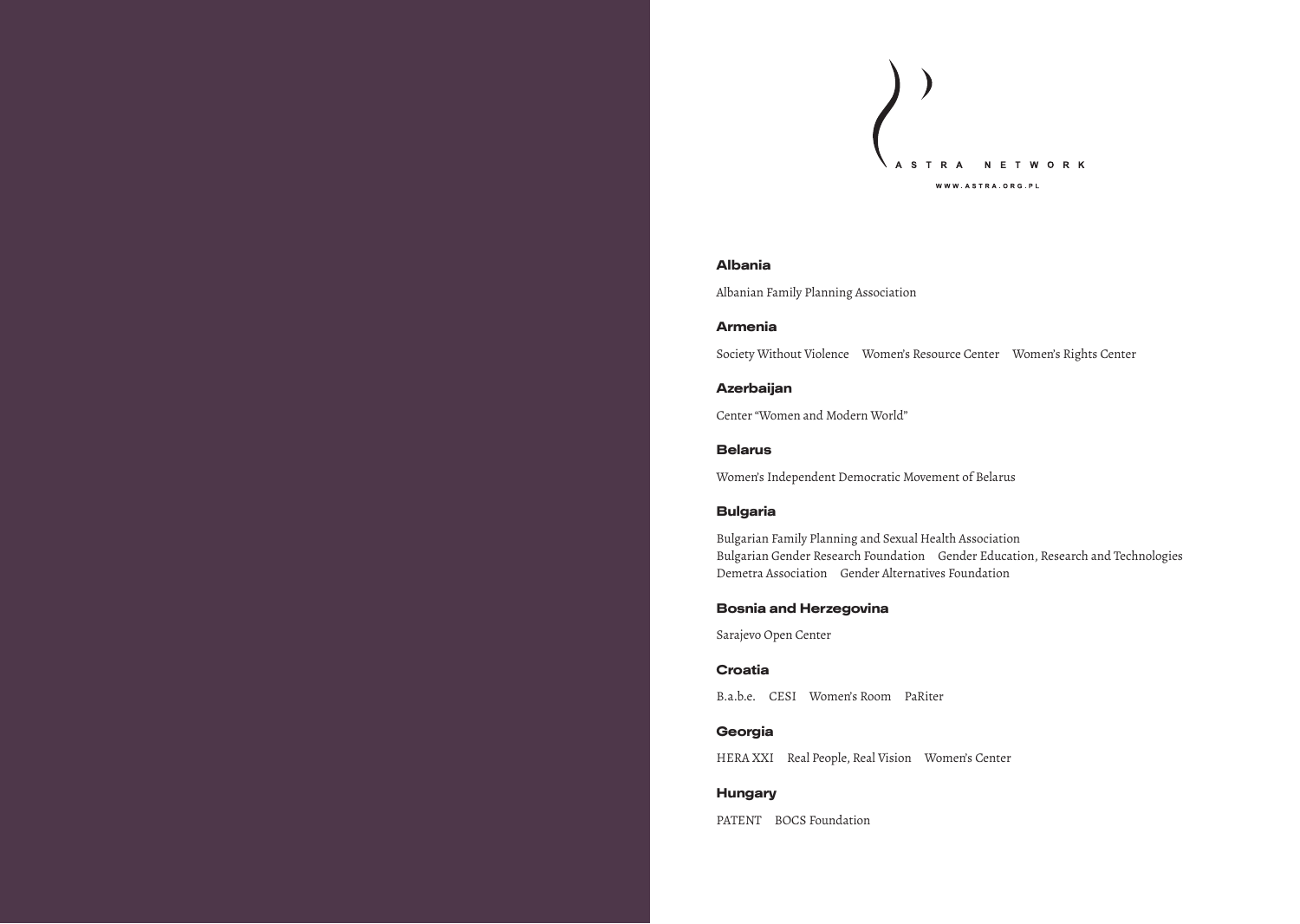

#### Albania

Albanian Family Planning Association

#### Armenia

Society Without Violence Women's Resource Center Women's Rights Center

#### Azerbaijan

Center "Women and Modern World"

#### Belarus

Women's Independent Democratic Movement of Belarus

#### Bulgaria

Bulgarian Family Planning and Sexual Health Association Bulgarian Gender Research Foundation Gender Education, Research and Technologies Demetra Association Gender Alternatives Foundation

#### Bosnia and Herzegovina

Sarajevo Open Center

#### Croatia

B.a.b.e. CESI Women's Room PaRiter

#### Georgia

HERA XXI Real People, Real Vision Women's Center

#### Hungary

PATENT BOCS Foundation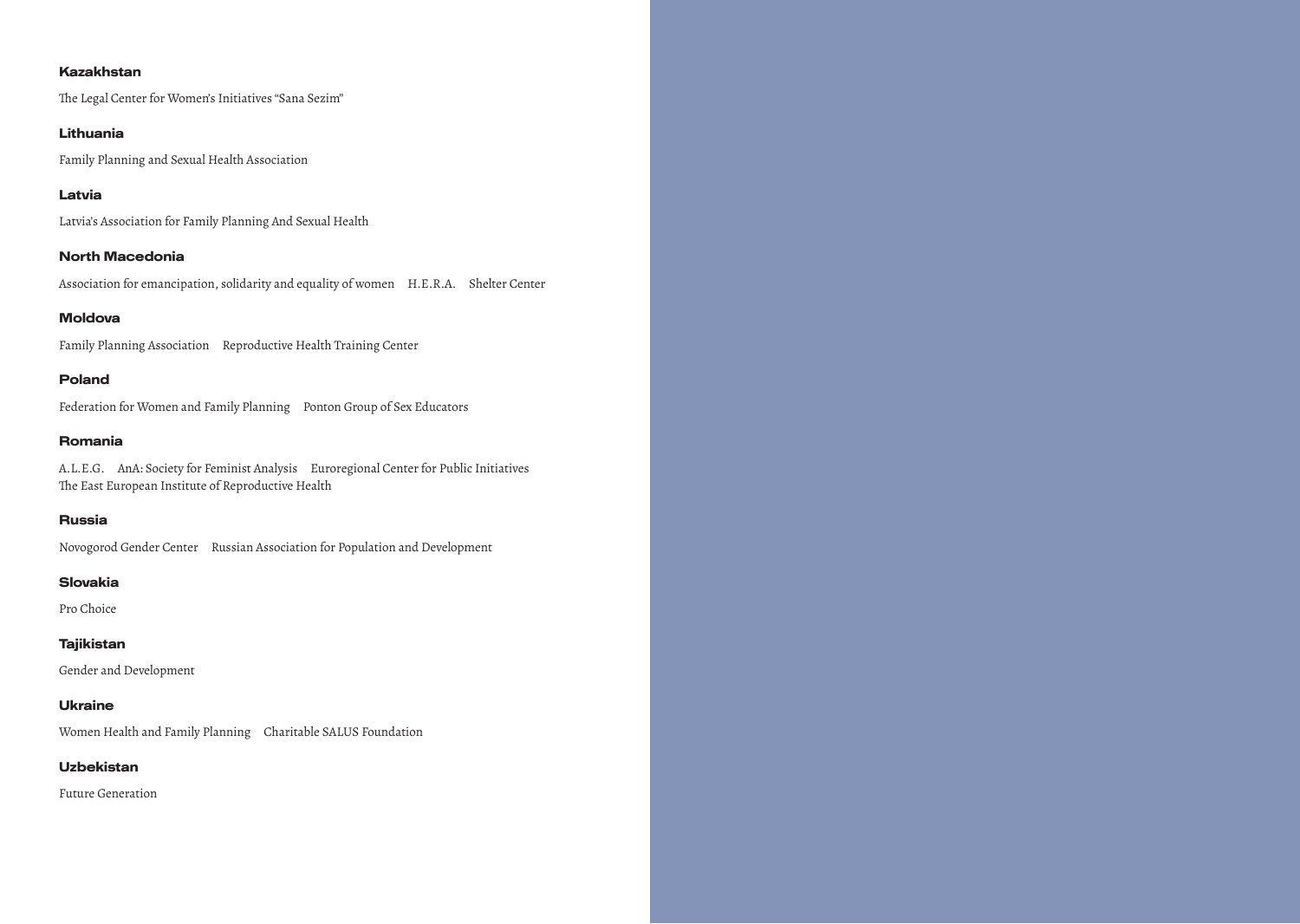#### Kazakhstan

The Legal Center for Women's Initiatives "Sana Sezim"

#### Lithuania

Family Planning and Sexual Health Association

#### Latvia

Latvia's Association for Family Planning And Sexual Health

#### North Macedonia

Association for emancipation, solidarity and equality of women H.E.R.A. Shelter Center

#### Moldova

Family Planning Association Reproductive Health Training Center

#### Poland

Federation for Women and Family Planning Ponton Group of Sex Educators

#### Romania

A.L.E.G. AnA: Society for Feminist Analysis Euroregional Center for Public Initiatives The East European Institute of Reproductive Health

#### Russia

Novogorod Gender Center Russian Association for Population and Development

#### Slovakia

Pro Choice

#### Tajikistan

Gender and Development

#### Ukraine

Women Health and Family Planning Charitable SALUS Foundation

#### Uzbekistan

Future Generation